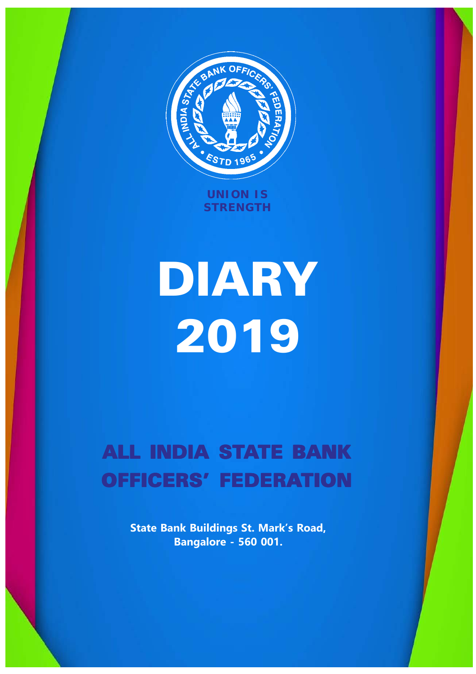

**UNION IS STRENGTH**

# DIARY 2019

# **ALL INDIA STATE BANK** OFFICERS' FEDERATION

**State Bank Buildings St. Mark's Road, Bangalore - 560 001.**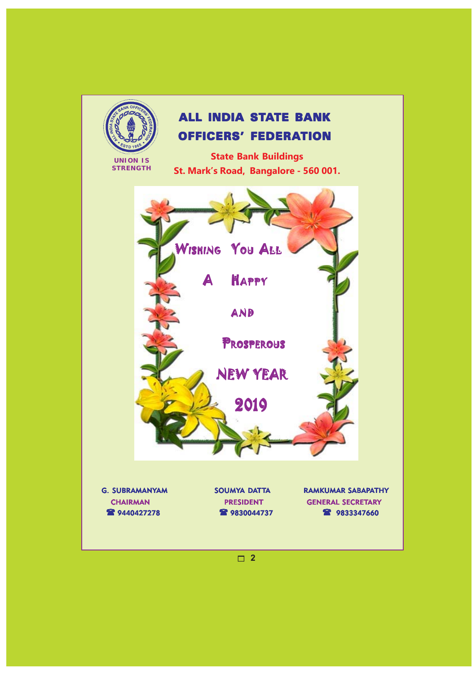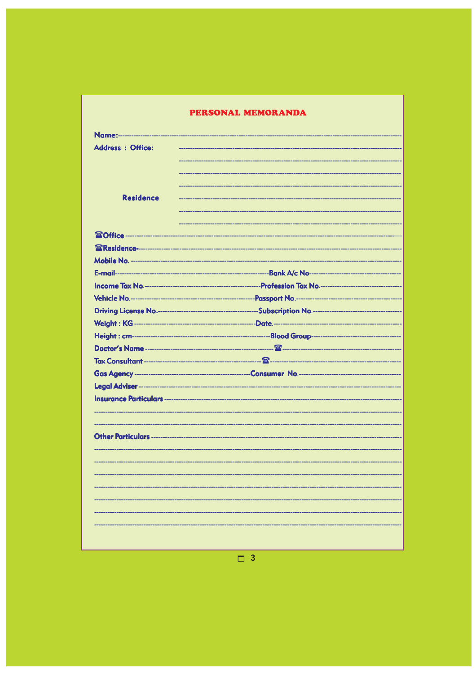#### PERSONAL MEMORANDA

| Name:--------------      |  |
|--------------------------|--|
| <b>Address : Office:</b> |  |
|                          |  |
|                          |  |
|                          |  |
| <b>Residence</b>         |  |
|                          |  |
|                          |  |
|                          |  |
|                          |  |
|                          |  |
|                          |  |
|                          |  |
|                          |  |
|                          |  |
|                          |  |
|                          |  |
|                          |  |
|                          |  |
|                          |  |
|                          |  |
|                          |  |
|                          |  |
|                          |  |
|                          |  |
|                          |  |
|                          |  |
|                          |  |
|                          |  |
|                          |  |
|                          |  |
|                          |  |
|                          |  |
|                          |  |

 $\boxed{)}$  3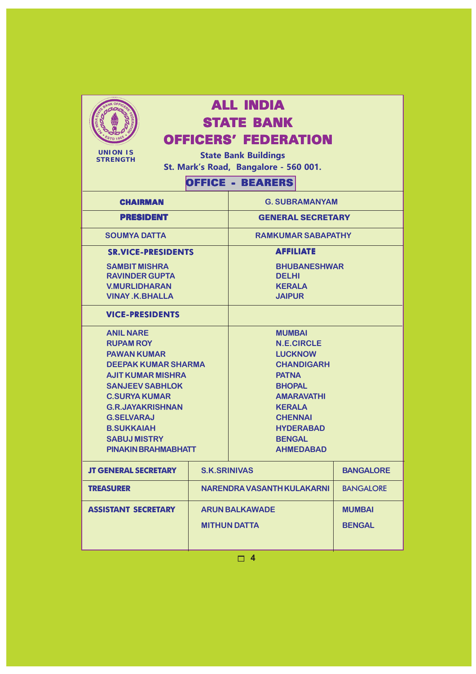

# ALL INDIA STATE BANK

OFFICERS' FEDERATION

**UNION IS STRENGTH**

**State Bank Buildings St. Mark's Road, Bangalore - 560 001.**

## OFFICE - BEARERS

| <b>CHAIRMAN</b>                                                                                                                                                                                                                                                                           |                     | <b>G. SUBRAMANYAM</b>                                                                                                                                                                                                       |                  |
|-------------------------------------------------------------------------------------------------------------------------------------------------------------------------------------------------------------------------------------------------------------------------------------------|---------------------|-----------------------------------------------------------------------------------------------------------------------------------------------------------------------------------------------------------------------------|------------------|
| <b>PRESIDENT</b>                                                                                                                                                                                                                                                                          |                     | <b>GENERAL SECRETARY</b>                                                                                                                                                                                                    |                  |
| <b>SOUMYA DATTA</b>                                                                                                                                                                                                                                                                       |                     | <b>RAMKUMAR SABAPATHY</b>                                                                                                                                                                                                   |                  |
| <b>SR.VICE-PRESIDENTS</b>                                                                                                                                                                                                                                                                 |                     | <b>AFFILIATE</b>                                                                                                                                                                                                            |                  |
| <b>SAMBIT MISHRA</b><br><b>RAVINDER GUPTA</b><br><b>V.MURLIDHARAN</b><br><b>VINAY K.BHALLA</b>                                                                                                                                                                                            |                     | <b>BHUBANESHWAR</b><br><b>DELHI</b><br><b>KERALA</b><br><b>JAIPUR</b>                                                                                                                                                       |                  |
| <b>VICE-PRESIDENTS</b>                                                                                                                                                                                                                                                                    |                     |                                                                                                                                                                                                                             |                  |
| <b>ANIL NARE</b><br><b>RUPAM ROY</b><br><b>PAWAN KUMAR</b><br><b>DEEPAK KUMAR SHARMA</b><br><b>AJIT KUMAR MISHRA</b><br><b>SANJEEV SABHLOK</b><br><b>C.SURYA KUMAR</b><br><b>G.R.JAYAKRISHNAN</b><br><b>G.SELVARAJ</b><br><b>B.SUKKAIAH</b><br><b>SABUJ MISTRY</b><br>PINAKIN BRAHMABHATT |                     | <b>MUMBAI</b><br><b>N.E.CIRCLE</b><br><b>LUCKNOW</b><br><b>CHANDIGARH</b><br><b>PATNA</b><br><b>BHOPAL</b><br><b>AMARAVATHI</b><br><b>KERALA</b><br><b>CHENNAI</b><br><b>HYDERABAD</b><br><b>BENGAL</b><br><b>AHMEDABAD</b> |                  |
| <b>JT GENERAL SECRETARY</b>                                                                                                                                                                                                                                                               | <b>S.K.SRINIVAS</b> |                                                                                                                                                                                                                             | <b>BANGALORE</b> |

| <b>JT GENERAL SECRETARY</b> | <b>S.K.SRINIVAS</b>        | <b>BANGALORE</b> |
|-----------------------------|----------------------------|------------------|
| <b>TREASURER</b>            | NARENDRA VASANTH KULAKARNI | <b>BANGALORE</b> |
| <b>ASSISTANT SECRETARY</b>  | <b>ARUN BALKAWADE</b>      | <b>MUMBAI</b>    |
|                             | <b>MITHUN DATTA</b>        | <b>BENGAL</b>    |
|                             |                            |                  |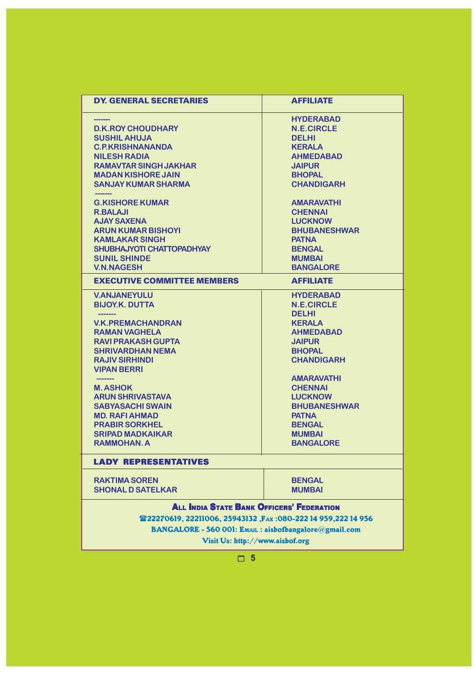| <b>DY. GENERAL SECRETARIES</b>                                 | <b>AFFILIATE</b>    |  |  |
|----------------------------------------------------------------|---------------------|--|--|
|                                                                | <b>HYDERABAD</b>    |  |  |
| <b>D.K.ROY CHOUDHARY</b>                                       | <b>N.E.CIRCLE</b>   |  |  |
| <b>SUSHIL AHUJA</b>                                            | <b>DELHI</b>        |  |  |
| <b>C.P.KRISHNANANDA</b>                                        | <b>KERALA</b>       |  |  |
| <b>NILESH RADIA</b>                                            | <b>AHMEDABAD</b>    |  |  |
| <b>RAMAVTAR SINGH JAKHAR</b>                                   | <b>JAIPUR</b>       |  |  |
| <b>MADAN KISHORE JAIN</b>                                      | <b>BHOPAL</b>       |  |  |
| <b>SANJAY KUMAR SHARMA</b>                                     | <b>CHANDIGARH</b>   |  |  |
| <b>G.KISHORE KUMAR</b>                                         | <b>AMARAVATHI</b>   |  |  |
| <b>R.BALAJI</b>                                                | <b>CHENNAI</b>      |  |  |
| <b>AJAY SAXENA</b>                                             | <b>LUCKNOW</b>      |  |  |
| <b>ARUN KUMAR BISHOYI</b>                                      | <b>BHUBANESHWAR</b> |  |  |
| <b>KAMLAKAR SINGH</b>                                          | <b>PATNA</b>        |  |  |
| SHUBHAJYOTI CHATTOPADHYAY                                      | <b>BENGAL</b>       |  |  |
| <b>SUNIL SHINDE</b>                                            | <b>MUMBAI</b>       |  |  |
| <b>V.N.NAGESH</b>                                              | <b>BANGALORE</b>    |  |  |
| <b>EXECUTIVE COMMITTEE MEMBERS</b>                             | <b>AFFILIATE</b>    |  |  |
| <b>V.ANJANEYULU</b>                                            | <b>HYDERABAD</b>    |  |  |
| <b>BIJOY.K. DUTTA</b>                                          | <b>N.E.CIRCLE</b>   |  |  |
|                                                                | <b>DELHI</b>        |  |  |
| <b>V.K.PREMACHANDRAN</b>                                       | <b>KERALA</b>       |  |  |
| <b>RAMAN VAGHELA</b>                                           | <b>AHMEDABAD</b>    |  |  |
| <b>RAVI PRAKASH GUPTA</b>                                      | <b>JAIPUR</b>       |  |  |
| <b>SHRIVARDHAN NEMA</b>                                        | <b>BHOPAL</b>       |  |  |
| <b>RAJIV SIRHINDI</b>                                          | <b>CHANDIGARH</b>   |  |  |
| <b>VIPAN BERRI</b>                                             |                     |  |  |
|                                                                | <b>AMARAVATHI</b>   |  |  |
| <b>M. ASHOK</b>                                                | <b>CHENNAI</b>      |  |  |
| <b>ARUN SHRIVASTAVA</b>                                        | <b>LUCKNOW</b>      |  |  |
| <b>SABYASACHI SWAIN</b>                                        | <b>BHUBANESHWAR</b> |  |  |
| <b>MD. RAFI AHMAD</b>                                          | <b>PATNA</b>        |  |  |
| <b>PRABIR SORKHEL</b>                                          | <b>BENGAL</b>       |  |  |
| <b>SRIPAD MADKAIKAR</b>                                        | <b>MUMBAI</b>       |  |  |
| <b>RAMMOHAN, A</b>                                             | <b>BANGALORE</b>    |  |  |
| <b>LADY REPRESENTATIVES</b>                                    |                     |  |  |
| <b>RAKTIMA SOREN</b>                                           | <b>BENGAL</b>       |  |  |
| <b>SHONAL D SATELKAR</b>                                       | <b>MUMBAI</b>       |  |  |
| <b>ALL INDIA STATE BANK OFFICERS' FEDERATION</b>               |                     |  |  |
| 雷22270619, 22211006, 25943132, FAx: 080-222 14 959, 222 14 956 |                     |  |  |
| BANGALORE - 560 001: EMAIL : aisbofbangalore@gmail.com         |                     |  |  |
| Visit Us: http://www.aisbof.org                                |                     |  |  |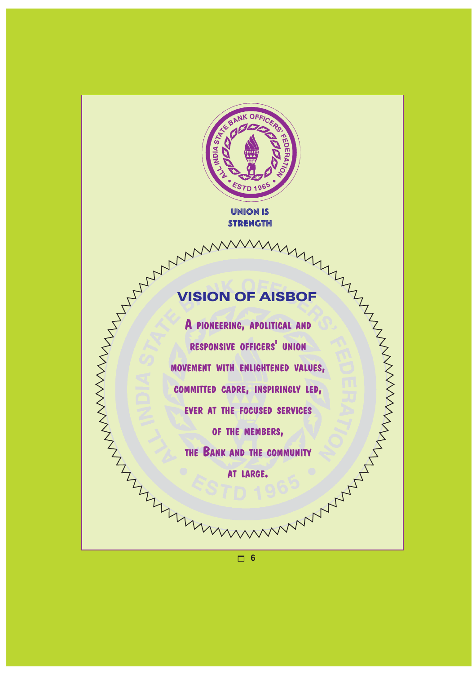

UNION IS **STRENGTH** 

## VISION OF AISBOF

**A PIONEERING, APOLITICAL AND RESPONSIVE OFFICERS' UNION** WISION OF AISBOF **COMMITTED CADRE, INSPIRINGLY LED, EVER AT THE FOCUSED SERVICES OF THE MEMBERS, THE BANK AND THE COMMUNITY AT LARGE.**

ANANAMARY AND FOR THE REAL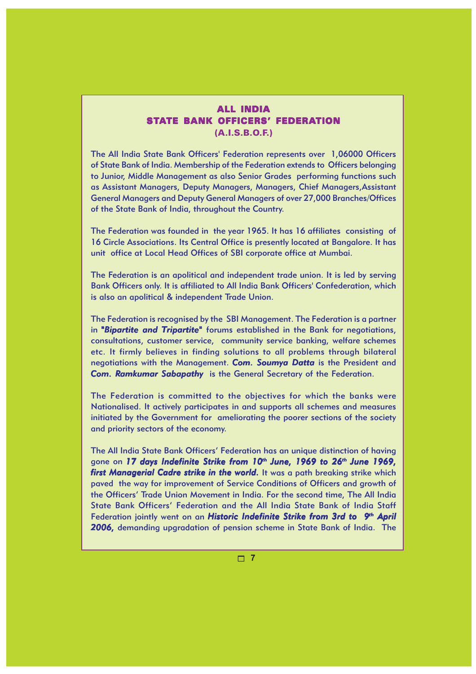#### ALL INDIA STATE BANK OFFICERS' FEDERATION (A.I.S.B.O.F.)

The All India State Bank Officers' Federation represents over 1,06000 Officers of State Bank of India. Membership of the Federation extends to Officers belonging to Junior, Middle Management as also Senior Grades performing functions such as Assistant Managers, Deputy Managers, Managers, Chief Managers,Assistant General Managers and Deputy General Managers of over 27,000 Branches/Offices of the State Bank of India, throughout the Country.

The Federation was founded in the year 1965. It has 16 affiliates consisting of 16 Circle Associations. Its Central Office is presently located at Bangalore. It has unit office at Local Head Offices of SBI corporate office at Mumbai.

The Federation is an apolitical and independent trade union. It is led by serving Bank Officers only. It is affiliated to All India Bank Officers' Confederation, which is also an apolitical & independent Trade Union.

The Federation is recognised by the SBI Management. The Federation is a partner in **"Bipartite and Tripartite"** forums established in the Bank for negotiations, consultations, customer service, community service banking, welfare schemes etc. It firmly believes in finding solutions to all problems through bilateral negotiations with the Management. **Com. Soumya Datta** is the President and *Com. Ramkumar Sabapathy* is the General Secretary of the Federation.

The Federation is committed to the objectives for which the banks were Nationalised. It actively participates in and supports all schemes and measures initiated by the Government for ameliorating the poorer sections of the society and priority sectors of the economy.

The All India State Bank Officers' Federation has an unique distinction of having gone on 17 days Indefinite Strike from 10th June, 1969 to 26<sup>th</sup> June 1969, *first Managerial Cadre strike in the world.* It was a path breaking strike which paved the way for improvement of Service Conditions of Officers and growth of the Officers' Trade Union Movement in India. For the second time, The All India State Bank Officers' Federation and the All India State Bank of India Staff Federation jointly went on an *Historic Indefinite Strike from 3rd to 9th April 2006,* demanding upgradation of pension scheme in State Bank of India. The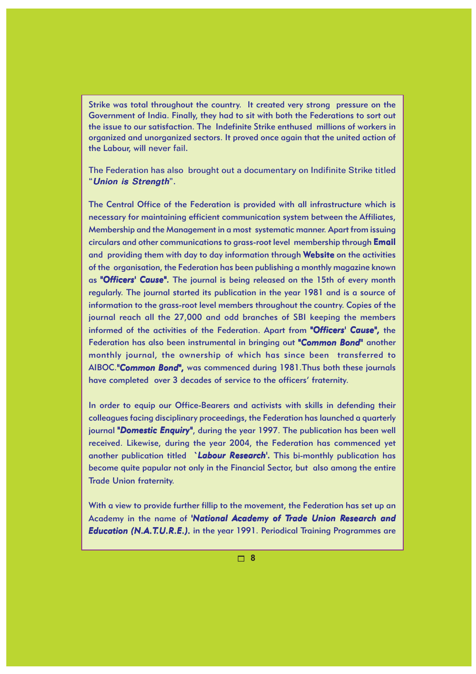Strike was total throughout the country. It created very strong pressure on the Government of India. Finally, they had to sit with both the Federations to sort out the issue to our satisfaction. The Indefinite Strike enthused millions of workers in organized and unorganized sectors. It proved once again that the united action of the Labour, will never fail.

The Federation has also brought out a documentary on Indifinite Strike titled "Union is Strength".

The Central Office of the Federation is provided with all infrastructure which is necessary for maintaining efficient communication system between the Affiliates, Membership and the Management in a most systematic manner. Apart from issuing circulars and other communications to grass-root level membership through Email and providing them with day to day information through Website on the activities of the organisation, the Federation has been publishing a monthly magazine known as "Officers' Cause". The journal is being released on the 15th of every month regularly. The journal started its publication in the year 1981 and is a source of information to the grass-root level members throughout the country. Copies of the journal reach all the 27,000 and odd branches of SBI keeping the members informed of the activities of the Federation. Apart from *"Officers' Cause",* the Federation has also been instrumental in bringing out "Common Bond" another monthly journal, the ownership of which has since been transferred to AIBOC."Common Bond", was commenced during 1981. Thus both these journals have completed over 3 decades of service to the officers' fraternity.

In order to equip our Office-Bearers and activists with skills in defending their colleagues facing disciplinary proceedings, the Federation has launched a quarterly journal "Domestic Enquiry", during the year 1997. The publication has been well received. Likewise, during the year 2004, the Federation has commenced yet another publication titled *`Labour Research'*. This bi-monthly publication has become quite papular not only in the Financial Sector, but also among the entire Trade Union fraternity.

With a view to provide further fillip to the movement, the Federation has set up an Academy in the name of *'National Academy of Trade Union Research and Education (N.A.T.U.R.E.).* in the year 1991. Periodical Training Programmes are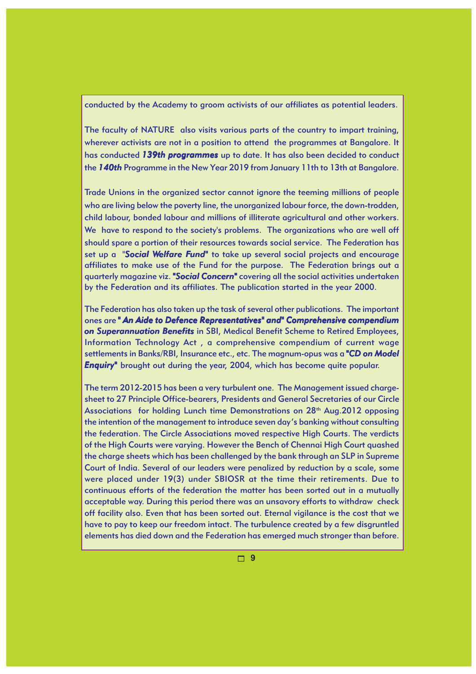#### conducted by the Academy to groom activists of our affiliates as potential leaders.

The faculty of NATURE also visits various parts of the country to impart training, wherever activists are not in a position to attend the programmes at Bangalore. It has conducted *139th programmes* up to date. It has also been decided to conduct the *140th* Programme in the New Year 2019 from January 11th to 13th at Bangalore.

Trade Unions in the organized sector cannot ignore the teeming millions of people who are living below the poverty line, the unorganized labour force, the down-trodden, child labour, bonded labour and millions of illiterate agricultural and other workers. We have to respond to the society's problems. The organizations who are well off should spare a portion of their resources towards social service. The Federation has set up a "*Social Welfare Fund"* to take up several social projects and encourage affiliates to make use of the Fund for the purpose. The Federation brings out a quarterly magazine viz. *"Social Concern" "Social Concern"* covering all the social activities undertaken by the Federation and its affiliates. The publication started in the year 2000.

The Federation has also taken up the task of several other publications. The important ones are *" An Aide to Defence Representatives" and" Comprehensive compendium on Superannuation Benefits* in SBI, Medical Benefit Scheme to Retired Employees, Information Technology Act , a comprehensive compendium of current wage settlements in Banks/RBI, Insurance etc., etc. The magnum-opus was a *"CD on Model "CD Enquiry"* brought out during the year, 2004, which has become quite popular.

The term 2012-2015 has been a very turbulent one. The Management issued chargesheet to 27 Principle Office-bearers, Presidents and General Secretaries of our Circle Associations for holding Lunch time Demonstrations on 28<sup>th</sup> Aug. 2012 opposing the intention of the management to introduce seven day's banking without consulting the federation. The Circle Associations moved respective High Courts. The verdicts of the High Courts were varying. However the Bench of Chennai High Court quashed the charge sheets which has been challenged by the bank through an SLP in Supreme Court of India. Several of our leaders were penalized by reduction by a scale, some were placed under 19(3) under SBIOSR at the time their retirements. Due to continuous efforts of the federation the matter has been sorted out in a mutually acceptable way. During this period there was an unsavory efforts to withdraw check off facility also. Even that has been sorted out. Eternal vigilance is the cost that we have to pay to keep our freedom intact. The turbulence created by a few disgruntled elements has died down and the Federation has emerged much stronger than before.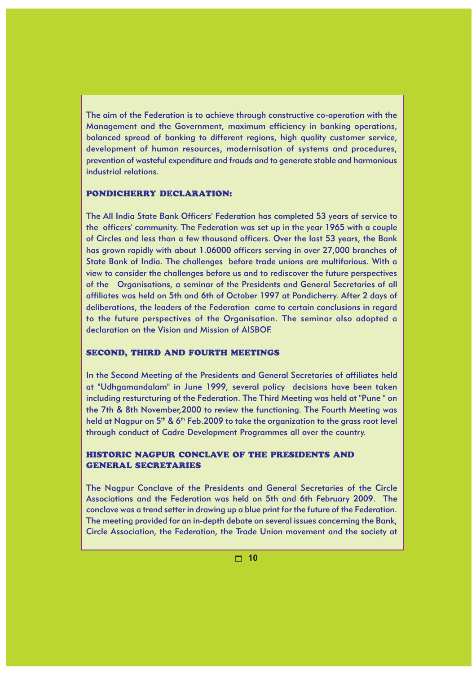The aim of the Federation is to achieve through constructive co-operation with the Management and the Government, maximum efficiency in banking operations, balanced spread of banking to different regions, high quality customer service, development of human resources, modernisation of systems and procedures, prevention of wasteful expenditure and frauds and to generate stable and harmonious industrial relations.

#### PONDICHERRY DECLARATION:

The All India State Bank Officers' Federation has completed 53 years of service to the officers' community. The Federation was set up in the year 1965 with a couple of Circles and less than a few thousand officers. Over the last 53 years, the Bank has grown rapidly with about 1.06000 officers serving in over 27,000 branches of State Bank of India. The challenges before trade unions are multifarious. With a view to consider the challenges before us and to rediscover the future perspectives of the Organisations, a seminar of the Presidents and General Secretaries of all affiliates was held on 5th and 6th of October 1997 at Pondicherry. After 2 days of deliberations, the leaders of the Federation came to certain conclusions in regard to the future perspectives of the Organisation. The seminar also adopted a declaration on the Vision and Mission of AISBOF.

#### SECOND, THIRD AND FOURTH MEETINGS

In the Second Meeting of the Presidents and General Secretaries of affiliates held at "Udhgamandalam" in June 1999, several policy decisions have been taken including resturcturing of the Federation. The Third Meeting was held at "Pune " on the 7th & 8th November,2000 to review the functioning. The Fourth Meeting was held at Nagpur on  $5<sup>th</sup>$  & 6<sup>th</sup> Feb.2009 to take the organization to the grass root level through conduct of Cadre Development Programmes all over the country.

#### HISTORIC NAGPUR CONCLAVE OF THE PRESIDENTS AND GENERAL SECRETARIES

The Nagpur Conclave of the Presidents and General Secretaries of the Circle Associations and the Federation was held on 5th and 6th February 2009. The conclave was a trend setter in drawing up a blue print for the future of the Federation. The meeting provided for an in-depth debate on several issues concerning the Bank, Circle Association, the Federation, the Trade Union movement and the society at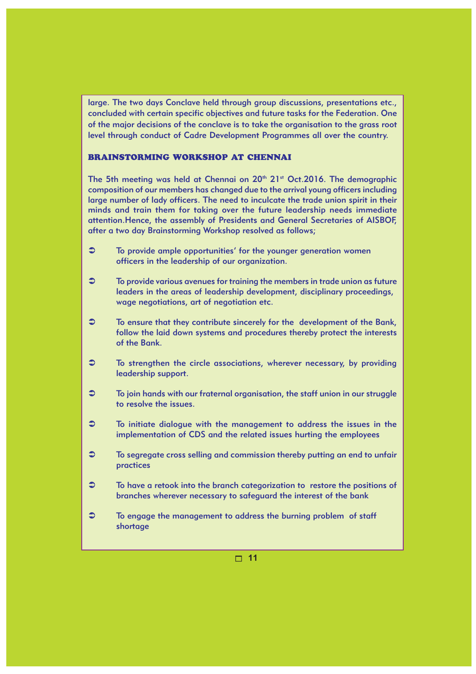large. The two days Conclave held through group discussions, presentations etc., concluded with certain specific objectives and future tasks for the Federation. One of the major decisions of the conclave is to take the organisation to the grass root level through conduct of Cadre Development Programmes all over the country.

#### BRAINSTORMING WORKSHOP AT CHENNAI

The 5th meeting was held at Chennai on  $20<sup>th</sup> 21<sup>st</sup> Oct.2016$ . The demographic composition of our members has changed due to the arrival young officers including large number of lady officers. The need to inculcate the trade union spirit in their minds and train them for taking over the future leadership needs immediate attention.Hence, the assembly of Presidents and General Secretaries of AISBOF, after a two day Brainstorming Workshop resolved as follows;

- $\circ$  To provide ample opportunities' for the younger generation women officers in the leadership of our organization.
- To provide various avenues for training the members in trade union as future leaders in the areas of leadership development, disciplinary proceedings, wage negotiations, art of negotiation etc.
- To ensure that they contribute sincerely for the development of the Bank, follow the laid down systems and procedures thereby protect the interests of the Bank.
- To strengthen the circle associations, wherever necessary, by providing leadership support.
- To join hands with our fraternal organisation, the staff union in our struggle to resolve the issues.
- To initiate dialogue with the management to address the issues in the implementation of CDS and the related issues hurting the employees
- To segregate cross selling and commission thereby putting an end to unfair practices
- To have a retook into the branch categorization to restore the positions of branches wherever necessary to safeguard the interest of the bank
- $\heartsuit$  To engage the management to address the burning problem of staff shortage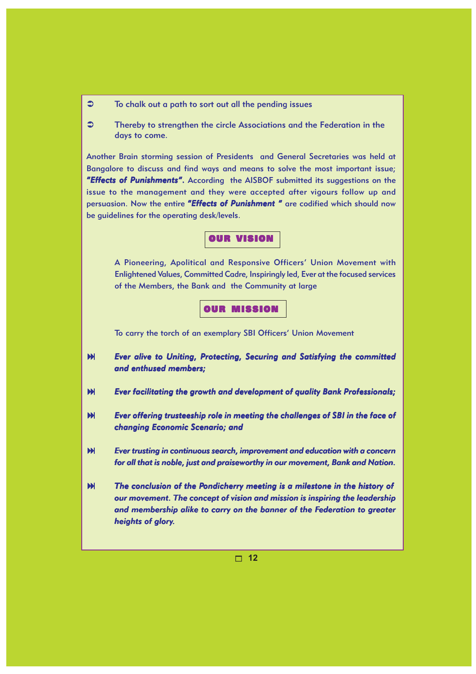- To chalk out a path to sort out all the pending issues
- **Thereby to strengthen the circle Associations and the Federation in the** days to come.

Another Brain storming session of Presidents and General Secretaries was held at Bangalore to discuss and find ways and means to solve the most important issue; **"Effects of Punishments".** According the AISBOF submitted its suggestions on the issue to the management and they were accepted after vigours follow up and persuasion. Now the entire *"Effects of Punishment "* are codified which should now be guidelines for the operating desk/levels.

OUR VISION

A Pioneering, Apolitical and Responsive Officers' Union Movement with Enlightened Values, Committed Cadre, Inspiringly led, Ever at the focused services of the Members, the Bank and the Community at large

OUR MISSION

To carry the torch of an exemplary SBI Officers' Union Movement

- *Ever alive to Uniting, Protecting, Securing and Satisfying the committed and enthused members; and enthused members;*
- **Ever facilitating the growth and development of quality Bank Professionals;**
- *Ever offering trusteeship role in meeting the challenges of SBI in the face of Ever offering role in meeting the of SBI in of changing Economic Scenario; and*
- *Ever trusting in continuous search, improvement and education with a concern for all that is noble, just and praiseworthy in our movement, Bank and Nation.*
- *The conclusion of the Pondicherry meeting is a milestone in the history of our movement. The concept of vision and mission is inspiring the leadership and membership alike to carry on the banner of the Federation to greater heights of glory.*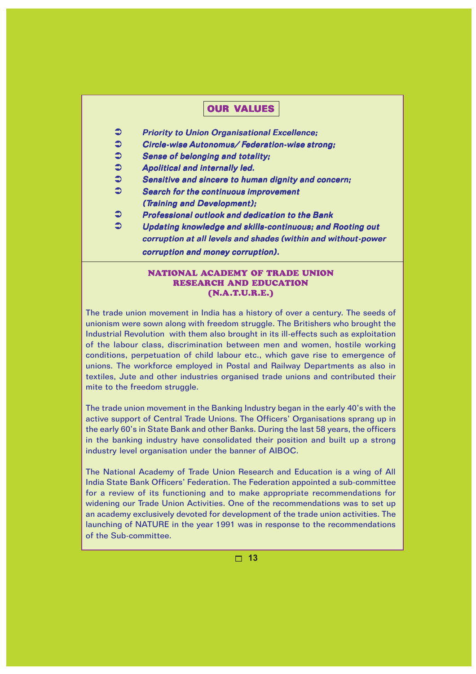#### OUR VALUES

- $\supset$  Priority to Union Organisational Excellence;
- Circle-wise Autonomus/ Federation-wise strong;
- $\supset$  Sense of belonging and totality;
- $\supset$  Apolitical and internally led.
- $\mathfrak{S}$  Sensitive and sincere to human dignity and concern;
- Search for the continuous improvement
	- (Training and Development);
- **Professional outlook and dedication to the Bank**
- Updating knowledge and skills-continuous; and Rooting out corruption at all levels and shades (within and without-power corruption and money corruption).

#### NATIONAL ACADEMY OF TRADE UNION RESEARCH AND EDUCATION (N.A.T.U.R.E.)

The trade union movement in India has a history of over a century. The seeds of unionism were sown along with freedom struggle. The Britishers who brought the Industrial Revolution with them also brought in its ill-effects such as exploitation of the labour class, discrimination between men and women, hostile working conditions, perpetuation of child labour etc., which gave rise to emergence of unions. The workforce employed in Postal and Railway Departments as also in textiles, Jute and other industries organised trade unions and contributed their mite to the freedom struggle.

The trade union movement in the Banking Industry began in the early 40's with the active support of Central Trade Unions. The Officers' Organisations sprang up in the early 60's in State Bank and other Banks. During the last 58 years, the officers in the banking industry have consolidated their position and built up a strong industry level organisation under the banner of AIBOC.

The National Academy of Trade Union Research and Education is a wing of All India State Bank Officers' Federation. The Federation appointed a sub-committee for a review of its functioning and to make appropriate recommendations for widening our Trade Union Activities. One of the recommendations was to set up an academy exclusively devoted for development of the trade union activities. The launching of NATURE in the year 1991 was in response to the recommendations of the Sub-committee.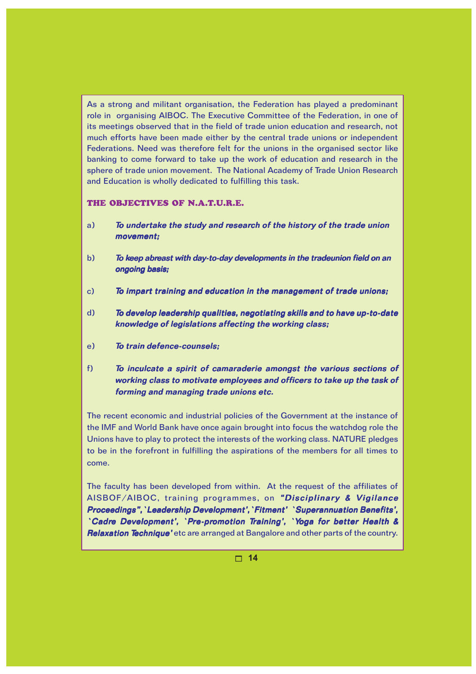As a strong and militant organisation, the Federation has played a predominant role in organising AIBOC. The Executive Committee of the Federation, in one of its meetings observed that in the field of trade union education and research, not much efforts have been made either by the central trade unions or independent Federations. Need was therefore felt for the unions in the organised sector like banking to come forward to take up the work of education and research in the sphere of trade union movement. The National Academy of Trade Union Research and Education is wholly dedicated to fulfilling this task.

#### THE OBJECTIVES OF N.A.T.U.R.E.

- a) To undertake the study and research of the history of the trade union movement:
- b) To keep abreast with day-to-day developments in the tradeunion field on an ongoing basis;
- $\tilde{c}$  To impart training and education in the management of trade unions;
- d) To develop leadership qualities, negotiating skills and to have up-to-date knowledge of legislations affecting the working class;
- e) To train defence-counsels;
- f) To inculcate a spirit of camaraderie amongst the various sections of working class to motivate employees and officers to take up the task of forming and managing trade unions etc.

The recent economic and industrial policies of the Government at the instance of the IMF and World Bank have once again brought into focus the watchdog role the Unions have to play to protect the interests of the working class. NATURE pledges to be in the forefront in fulfilling the aspirations of the members for all times to come.

The faculty has been developed from within. At the request of the affiliates of AISBOF/AIBOC, training programmes, on "Disciplinary & Vigilance Proceedings", `Leadership Development', `Fitment' `Superannuation Benefits', `Cadre Development', `Pre-promotion Training', `Yoga for better Health & Relaxation Technique' etc are arranged at Bangalore and other parts of the country.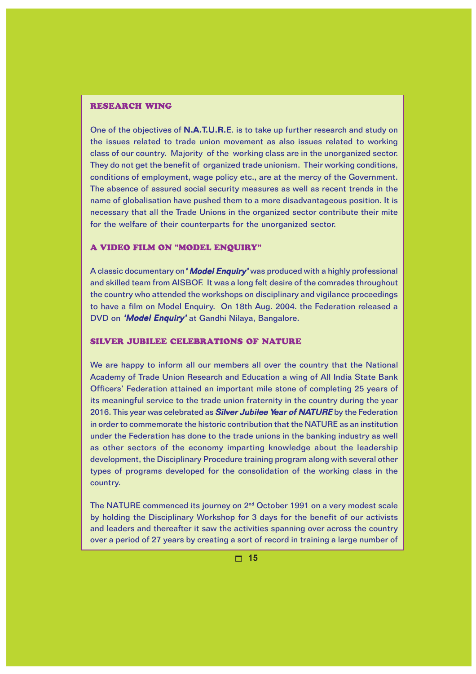#### RESEARCH WING

One of the objectives of **N.A.T.U.R.E**. is to take up further research and study on the issues related to trade union movement as also issues related to working class of our country. Majority of the working class are in the unorganized sector. They do not get the benefit of organized trade unionism. Their working conditions, conditions of employment, wage policy etc., are at the mercy of the Government. The absence of assured social security measures as well as recent trends in the name of globalisation have pushed them to a more disadvantageous position. It is necessary that all the Trade Unions in the organized sector contribute their mite for the welfare of their counterparts for the unorganized sector.

#### A VIDEO FILM ON "MODEL ENQUIRY"

A classic documentary on 'Model Enquiry' was produced with a highly professional and skilled team from AISBOF. It was a long felt desire of the comrades throughout the country who attended the workshops on disciplinary and vigilance proceedings to have a film on Model Enquiry. On 18th Aug. 2004. the Federation released a DVD on 'Model Enquiry' at Gandhi Nilaya, Bangalore.

#### SILVER JUBILEE CELEBRATIONS OF NATURE

We are happy to inform all our members all over the country that the National Academy of Trade Union Research and Education a wing of All India State Bank Officers' Federation attained an important mile stone of completing 25 years of its meaningful service to the trade union fraternity in the country during the year 2016. This year was celebrated as **Silver Jubilee Year of NATURE** by the Federation in order to commemorate the historic contribution that the NATURE as an institution under the Federation has done to the trade unions in the banking industry as well as other sectors of the economy imparting knowledge about the leadership development, the Disciplinary Procedure training program along with several other types of programs developed for the consolidation of the working class in the country.

The NATURE commenced its journey on 2nd October 1991 on a very modest scale by holding the Disciplinary Workshop for 3 days for the benefit of our activists and leaders and thereafter it saw the activities spanning over across the country over a period of 27 years by creating a sort of record in training a large number of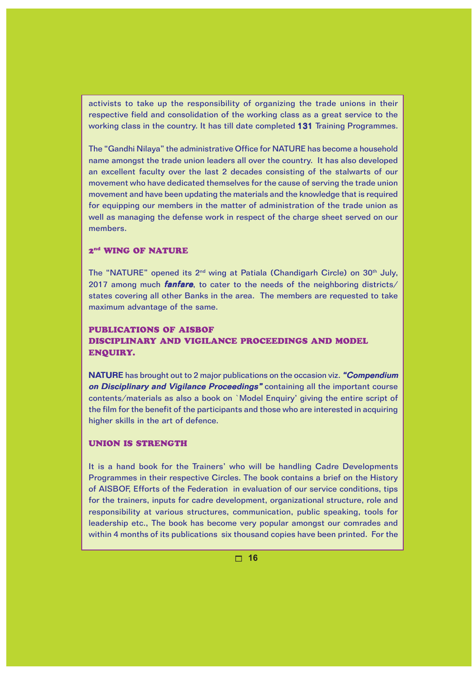activists to take up the responsibility of organizing the trade unions in their respective field and consolidation of the working class as a great service to the working class in the country. It has till date completed 131 Training Programmes.

The "Gandhi Nilaya" the administrative Office for NATURE has become a household name amongst the trade union leaders all over the country. It has also developed an excellent faculty over the last 2 decades consisting of the stalwarts of our movement who have dedicated themselves for the cause of serving the trade union movement and have been updating the materials and the knowledge that is required for equipping our members in the matter of administration of the trade union as well as managing the defense work in respect of the charge sheet served on our members.

#### 2<sup>nd</sup> WING OF NATURE

The "NATURE" opened its 2<sup>nd</sup> wing at Patiala (Chandigarh Circle) on 30<sup>th</sup> July, 2017 among much **fanfare**, to cater to the needs of the neighboring districts/ states covering all other Banks in the area. The members are requested to take maximum advantage of the same.

#### PUBLICATIONS OF AISBOF DISCIPLINARY AND VIGILANCE PROCEEDINGS AND MODEL ENQUIRY.

NATURE has brought out to 2 major publications on the occasion viz. "Compendium on Disciplinary and Vigilance Proceedings" containing all the important course contents/materials as also a book on `Model Enquiry' giving the entire script of the film for the benefit of the participants and those who are interested in acquiring higher skills in the art of defence.

#### UNION IS STRENGTH

It is a hand book for the Trainers' who will be handling Cadre Developments Programmes in their respective Circles. The book contains a brief on the History of AISBOF, Efforts of the Federation in evaluation of our service conditions, tips for the trainers, inputs for cadre development, organizational structure, role and responsibility at various structures, communication, public speaking, tools for leadership etc., The book has become very popular amongst our comrades and within 4 months of its publications six thousand copies have been printed. For the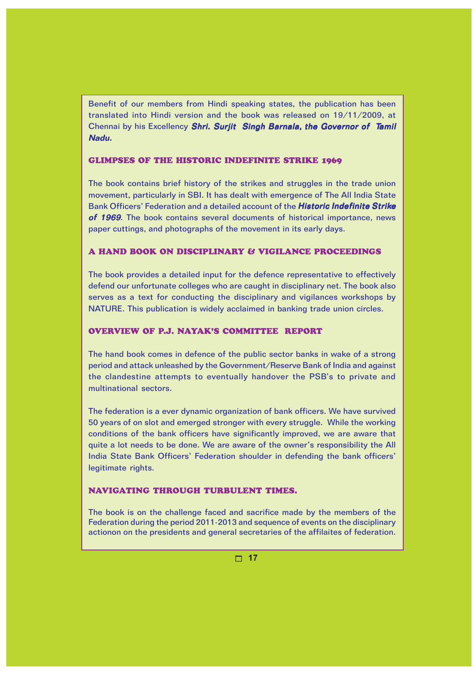Benefit of our members from Hindi speaking states, the publication has been translated into Hindi version and the book was released on 19/11/2009, at Chennai by his Excellency Shri. Surjit Singh Barnala, the Governor of Tamil Nadu.

#### GLIMPSES OF THE HISTORIC INDEFINITE STRIKE 1969

The book contains brief history of the strikes and struggles in the trade union movement, particularly in SBI. It has dealt with emergence of The All India State Bank Officers' Federation and a detailed account of the Historic Indefinite Strike of 1969. The book contains several documents of historical importance, news paper cuttings, and photographs of the movement in its early days.

#### A HAND BOOK ON DISCIPLINARY & VIGILANCE PROCEEDINGS

The book provides a detailed input for the defence representative to effectively defend our unfortunate colleges who are caught in disciplinary net. The book also serves as a text for conducting the disciplinary and vigilances workshops by NATURE. This publication is widely acclaimed in banking trade union circles.

#### OVERVIEW OF P.J. NAYAK'S COMMITTEE REPORT

The hand book comes in defence of the public sector banks in wake of a strong period and attack unleashed by the Government/Reserve Bank of India and against the clandestine attempts to eventually handover the PSB's to private and multinational sectors.

The federation is a ever dynamic organization of bank officers. We have survived 50 years of on slot and emerged stronger with every struggle. While the working conditions of the bank officers have significantly improved, we are aware that quite a lot needs to be done. We are aware of the owner's responsibility the All India State Bank Officers' Federation shoulder in defending the bank officers' legitimate rights.

#### NAVIGATING THROUGH TURBULENT TIMES.

The book is on the challenge faced and sacrifice made by the members of the Federation during the period 2011-2013 and sequence of events on the disciplinary actionon on the presidents and general secretaries of the affilaites of federation.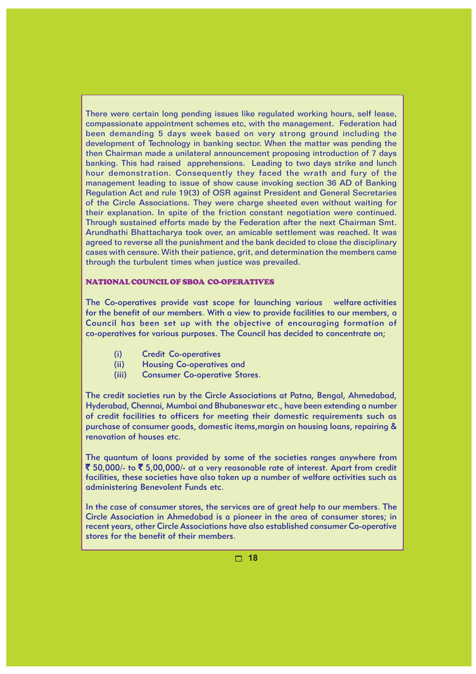There were certain long pending issues like regulated working hours, self lease, compassionate appointment schemes etc, with the management. Federation had been demanding 5 days week based on very strong ground including the development of Technology in banking sector. When the matter was pending the then Chairman made a unilateral announcement proposing introduction of 7 days banking. This had raised apprehensions. Leading to two days strike and lunch hour demonstration. Consequently they faced the wrath and fury of the management leading to issue of show cause invoking section 36 AD of Banking Regulation Act and rule 19(3) of OSR against President and General Secretaries of the Circle Associations. They were charge sheeted even without waiting for their explanation. In spite of the friction constant negotiation were continued. Through sustained efforts made by the Federation after the next Chairman Smt. Arundhathi Bhattacharya took over, an amicable settlement was reached. It was agreed to reverse all the punishment and the bank decided to close the disciplinary cases with censure. With their patience, grit, and determination the members came through the turbulent times when justice was prevailed.

#### NATIONAL COUNCIL OF SBOA CO-OPERATIVES

The Co-operatives provide vast scope for launching various welfare activities for the benefit of our members. With a view to provide facilities to our members, a Council has been set up with the objective of encouraging formation of co-operatives for various purposes. The Council has decided to concentrate on;

- (i) Credit Co-operatives
- (ii) Housing Co-operatives and
- (iii) Consumer Co-operative Stores.

The credit societies run by the Circle Associations at Patna, Bengal, Ahmedabad, Hyderabad, Chennai, Mumbai and Bhubaneswar etc., have been extending a number of credit facilities to officers for meeting their domestic requirements such as purchase of consumer goods, domestic items,margin on housing loans, repairing & renovation of houses etc.

The quantum of loans provided by some of the societies ranges anywhere from ₹ 50,000/- to ₹ 5,00,000/- at a very reasonable rate of interest. Apart from credit facilities, these societies have also taken up a number of welfare activities such as administering Benevolent Funds etc.

In the case of consumer stores, the services are of great help to our members. The Circle Association in Ahmedabad is a pioneer in the area of consumer stores; in recent years, other Circle Associations have also established consumer Co-operative stores for the benefit of their members.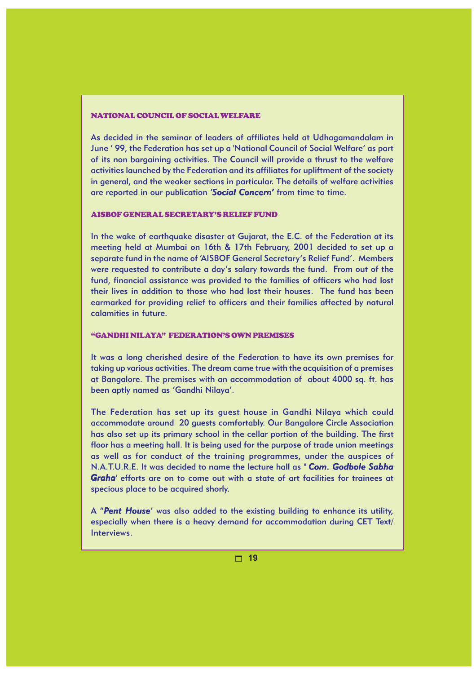#### NATIONAL COUNCIL OF SOCIAL WELFARE

As decided in the seminar of leaders of affiliates held at Udhagamandalam in June ' 99, the Federation has set up a 'National Council of Social Welfare' as part of its non bargaining activities. The Council will provide a thrust to the welfare activities launched by the Federation and its affiliates for upliftment of the society in general, and the weaker sections in particular. The details of welfare activities are reported in our publication '*Social Concern'* from time to time.

#### AISBOF GENERAL SECRETARY'S RELIEF FUND

In the wake of earthquake disaster at Gujarat, the E.C. of the Federation at its meeting held at Mumbai on 16th & 17th February, 2001 decided to set up a separate fund in the name of 'AISBOF General Secretary's Relief Fund'. Members were requested to contribute a day's salary towards the fund. From out of the fund, financial assistance was provided to the families of officers who had lost their lives in addition to those who had lost their houses. The fund has been earmarked for providing relief to officers and their families affected by natural calamities in future.

#### "GANDHI NILAYA" FEDERATION'S OWN PREMISES

It was a long cherished desire of the Federation to have its own premises for taking up various activities. The dream came true with the acquisition of a premises at Bangalore. The premises with an accommodation of about 4000 sq. ft. has been aptly named as 'Gandhi Nilaya'.

The Federation has set up its guest house in Gandhi Nilaya which could accommodate around 20 guests comfortably. Our Bangalore Circle Association has also set up its primary school in the cellar portion of the building. The first floor has a meeting hall. It is being used for the purpose of trade union meetings as well as for conduct of the training programmes, under the auspices of N.A.T.U.R.E. It was decided to name the lecture hall as " *Com. Godbole Sabha Graha*' efforts are on to come out with a state of art facilities for trainees at specious place to be acquired shorly.

A "*Pent House*' was also added to the existing building to enhance its utility, especially when there is a heavy demand for accommodation during CET Text/ Interviews.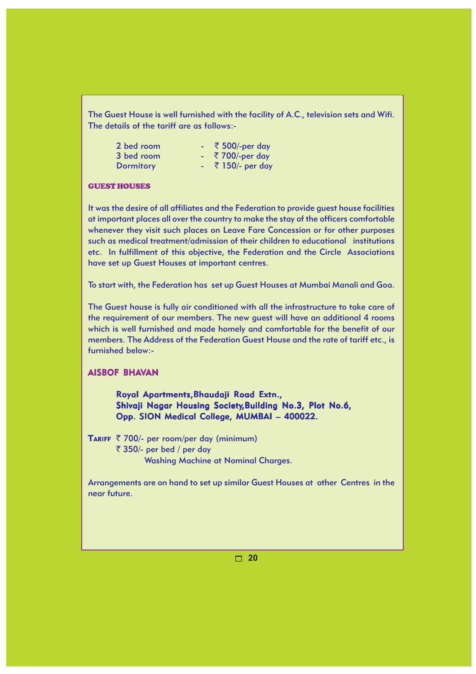The Guest House is well furnished with the facility of A.C., television sets and Wifi. The details of the tariff are as follows:-

| 2 bed room       | ₹ 500/-per day     |
|------------------|--------------------|
| 3 bed room       | $-$ ₹ 700/-per day |
| <b>Dormitory</b> | ₹ 150/- per day    |

#### GUEST HOUSES

It was the desire of all affiliates and the Federation to provide guest house facilities at important places all over the country to make the stay of the officers comfortable whenever they visit such places on Leave Fare Concession or for other purposes such as medical treatment/admission of their children to educational institutions etc. In fulfillment of this objective, the Federation and the Circle Associations have set up Guest Houses at important centres.

To start with, the Federation has set up Guest Houses at Mumbai Manali and Goa.

The Guest house is fully air conditioned with all the infrastructure to take care of the requirement of our members. The new guest will have an additional 4 rooms which is well furnished and made homely and comfortable for the benefit of our members. The Address of the Federation Guest House and the rate of tariff etc., is furnished below:-

#### AISBOF BHAVAN

Royal Apartments, Bhaudaji Road Extn., Shivaji Nagar Housing Society, Building No.3, Plot No.6, Opp. SION Medical College, MUMBAI - 400022.

TARIFF  $\bar{\tau}$  700/- per room/per day (minimum)  $\bar{\tau}$  350/- per bed / per day Washing Machine at Nominal Charges.

Arrangements are on hand to set up similar Guest Houses at other Centres in the near future.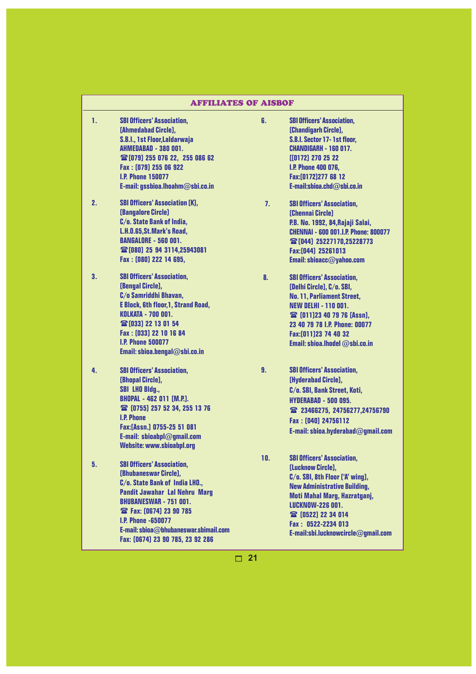| <b>AFFILIATES OF AISBOF</b> |                                                                                                                                                                                                                                                                                                                   |                |                                                                                                                                                                                                                                                                                      |
|-----------------------------|-------------------------------------------------------------------------------------------------------------------------------------------------------------------------------------------------------------------------------------------------------------------------------------------------------------------|----------------|--------------------------------------------------------------------------------------------------------------------------------------------------------------------------------------------------------------------------------------------------------------------------------------|
| 1.                          | <b>SBI Officers' Association,</b><br>[Ahmedabad Circle],<br>S.B.I., 1st Floor, Laldarwaja<br>AHMEDABAD - 380 001.<br>26 [079] 255 076 22, 255 086 62<br>Fax: [079] 255 06 922<br><b>I.P. Phone 150077</b><br>E-mail: gssbioa.lhoahm@sbi.co.in                                                                     | 6.             | <b>SBI Officers' Association,</b><br>[Chandigarh Circle],<br>S.B.I. Sector 17-1st floor,<br><b>CHANDIGARH - 160 017.</b><br>[(0172) 270 25 22]<br><b>I.P. Phone 400 076,</b><br>Fax:[0172]277 68 12<br>E-mail:sbioa.chd@sbi.co.in                                                    |
| 2.                          | <b>SBI Officers' Association [K],</b><br><b>[Bangalore Circle]</b><br>C/o. State Bank of India,<br>L.H.O.65, St.Mark's Road,<br><b>BANGALORE - 560 001.</b><br>雷[080] 25 94 3114,25943081<br>Fax: [080] 222 14 695,                                                                                               | 7 <sub>1</sub> | <b>SBI Officers' Association.</b><br>[Chennai Circle]<br>P.B. No. 1992, 84, Rajaji Salai,<br><b>CHENNAI - 600 001.I.P. Phone: 800077</b><br>雷[044] 25227170,25228773<br>Fax: [044] 25261013<br>Email: sbioacc@yahoo.com                                                              |
| 3.                          | <b>SBI Officers' Association,</b><br><b>(Bengal Circle),</b><br>C/o Samriddhi Bhavan,<br><b>E Block, 6th floor, 1, Strand Road,</b><br><b>KOLKATA - 700 001.</b><br><b>雷[033] 22 13 01 54</b><br>Fax: [033] 22 10 16 84<br><b>I.P. Phone 500077</b><br>Email: sbioa.bengal@sbi.co.in                              | 8.             | <b>SBI Officers' Association,</b><br>[Delhi Circle], C/o. SBI,<br><b>No. 11, Parliament Street,</b><br><b>NEW DELHI - 110 001.</b><br><b>當 [011]23 40 79 76 [Assn],</b><br>23 40 79 78 I.P. Phone: 00077<br>Fax:[011]23 74 40 32<br>Email: sbioa.lhodel @sbi.co.in                   |
| 4.                          | <b>SBI Officers' Association,</b><br><b>(Bhopal Circle),</b><br><b>SBI LHO Bldg.,</b><br><b>BHOPAL - 462 011 [M.P.].</b><br>26 [0755] 257 52 34, 255 13 76<br><b>I.P. Phone</b><br>Fax:[Assn.] 0755-25 51 081<br>E-mail: sbioabpl@gmail.com<br><b>Website: www.sbioabpl.org</b>                                   | 9.             | <b>SBI Officers' Association,</b><br>[Hyderabad Circle],<br>C/o. SBI, Bank Street, Koti,<br><b>HYDERABAD - 500 095.</b><br>23466275, 24756277, 24756790<br>Fax: [040] 24756112<br>E-mail: sbioa.hyderabad@gmail.com                                                                  |
| 5.                          | <b>SBI Officers' Association,</b><br>[Bhubaneswar Circle],<br>C/o. State Bank of India LHO.,<br><b>Pandit Jawahar Lal Nehru Marg</b><br><b>BHUBANESWAR - 751 001.</b><br><b>當 Fax: [0674] 23 90 785</b><br><b>I.P. Phone -650077</b><br>E-mail: sbioa@bhubaneswar.sbimail.com<br>Fax: [0674] 23 90 785, 23 92 286 | 10.            | <b>SBI Officers' Association,</b><br><b>[Lucknow Circle],</b><br>C/o. SBI, 8th Floor ['A' wing],<br><b>New Administrative Building,</b><br>Moti Mahal Marg, Hazratganj,<br><b>LUCKNOW-226 001.</b><br>雷 [0522] 22 34 014<br>Fax: 0522-2234 013<br>E-mail:sbi.lucknowcircle@gmail.com |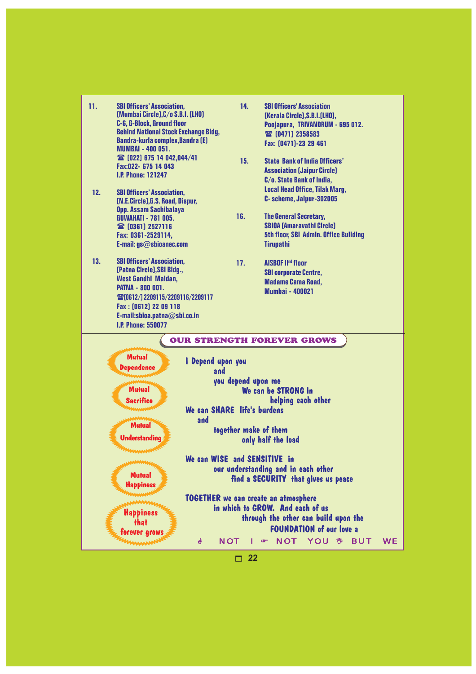| 11.<br><b>SBI Officers' Association,</b><br>[Mumbai Circle], C/o S.B.I. [LHO]<br>C-6, G-Block, Ground floor<br><b>Behind National Stock Exchange Bldg,</b><br><b>Bandra-kurla complex, Bandra [E]</b><br><b>MUMBAI - 400 051.</b><br><b>當</b> [022] 675 14 042,044/41<br>Fax:022- 675 14 043<br><b>I.P. Phone: 121247</b> | 14.<br>15.                                                                                                                                                                                                                                                                                                                                                                                                                                                                                        | <b>SBI Officers' Association</b><br>[Kerala Circle], S.B.I. [LHO],<br>Poojapura, TRIVANDRUM - 695 012.<br>雷[0471] 2358583<br>Fax: [0471]-23 29 461<br><b>State Bank of India Officers'</b><br><b>Association [Jaipur Circle]</b><br>C/o. State Bank of India, |           |
|---------------------------------------------------------------------------------------------------------------------------------------------------------------------------------------------------------------------------------------------------------------------------------------------------------------------------|---------------------------------------------------------------------------------------------------------------------------------------------------------------------------------------------------------------------------------------------------------------------------------------------------------------------------------------------------------------------------------------------------------------------------------------------------------------------------------------------------|---------------------------------------------------------------------------------------------------------------------------------------------------------------------------------------------------------------------------------------------------------------|-----------|
| 12.<br><b>SBI Officers' Association.</b><br>[N.E.Circle], G.S. Road, Dispur,<br>Opp. Assam Sachibalaya<br><b>GUWAHATI - 781 005.</b><br>雷[0361] 2527116<br>Fax: 0361-2529114,<br>E-mail: gs@sbioanec.com                                                                                                                  | 16.                                                                                                                                                                                                                                                                                                                                                                                                                                                                                               | <b>Local Head Office, Tilak Marg,</b><br>C- scheme, Jaipur-302005<br><b>The General Secretary,</b><br><b>SBIOA [Amaravathi Circle]</b><br><b>5th floor, SBI Admin. Office Building</b><br><b>Tirupathi</b>                                                    |           |
| 13.<br><b>SBI Officers' Association,</b><br>[Patna Circle], SBI Bldg.,<br>West Gandhi Maidan,<br><b>PATNA - 800 001.</b><br><b>雷[0612/] 2209115/2209116/2209117</b><br>Fax: [0612] 22 09 118<br>E-mail:sbioa.patna@sbi.co.in<br><b>I.P. Phone: 550077</b>                                                                 | 17.                                                                                                                                                                                                                                                                                                                                                                                                                                                                                               | <b>AISBOF II<sup>nd</sup> floor</b><br><b>SBI corporate Centre,</b><br><b>Madame Cama Road,</b><br><b>Mumbai - 400021</b>                                                                                                                                     |           |
| <b>Mutual</b><br><b>Dependence</b><br><b>Mutual</b><br><b>Sacrifice</b><br><b>Mutual</b><br><b>Understanding</b><br><b>Mutual</b><br><b>Happiness</b><br><b>Happiness</b><br>that<br>forever grows                                                                                                                        | <b>OUR STRENGTH FOREVER GROWS</b><br>I Depend upon you<br>and<br>you depend upon me<br>We can be STRONG in<br>helping each other<br>We can SHARE life's burdens<br>and<br>together make of them<br>only half the load<br>We can WISE and SENSITIVE in<br>our understanding and in each other<br>find a SECURITY that gives us peace<br><b>TOGETHER</b> we can create an atmosphere<br>in which to GROW. And each of us<br>through the other can build upon the<br><b>FOUNDATION of our love a</b> |                                                                                                                                                                                                                                                               |           |
|                                                                                                                                                                                                                                                                                                                           | ð<br><b>NOT</b><br>П                                                                                                                                                                                                                                                                                                                                                                                                                                                                              | <b>NOT YOU &amp; BUT</b><br>$\mathbf{r}$<br>22                                                                                                                                                                                                                | <b>WE</b> |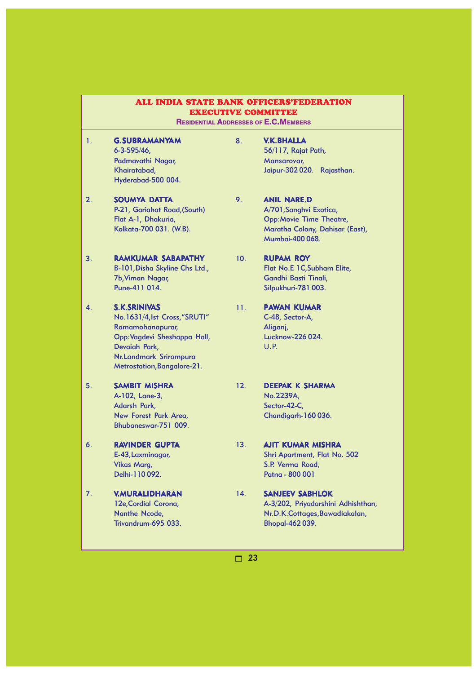|    | ALL INDIA STATE BANK OFFICERS'FEDERATION<br><b>EXECUTIVE COMMITTEE</b><br><b>RESIDENTIAL ADDRESSES OF E.C. MEMBERS</b>                                                              |     |                                                                                                                                       |  |
|----|-------------------------------------------------------------------------------------------------------------------------------------------------------------------------------------|-----|---------------------------------------------------------------------------------------------------------------------------------------|--|
| 1. | <b>G.SUBRAMANYAM</b><br>$6 - 3 - 595/46$<br>Padmavathi Nagar,<br>Khairatabad,<br>Hyderabad-500 004.                                                                                 | 8.  | <b>V.K.BHALLA</b><br>56/117, Rajat Path,<br>Mansarovar,<br>Jaipur-302020.<br>Rajasthan.                                               |  |
| 2. | <b>SOUMYA DATTA</b><br>P-21, Gariahat Road, (South)<br>Flat A-1, Dhakuria,<br>Kolkata-700 031. (W.B).                                                                               | 9.  | <b>ANIL NARE.D</b><br>A/701, Sanghvi Exotica,<br><b>Opp:Movie Time Theatre,</b><br>Maratha Colony, Dahisar (East),<br>Mumbai-400 068. |  |
| 3. | <b>RAMKUMAR SABAPATHY</b><br>B-101, Disha Skyline Chs Ltd.,<br>7b, Viman Nagar,<br>Pune-411 014.                                                                                    | 10. | <b>RUPAM ROY</b><br>Flat No.E 1C, Subham Elite,<br>Gandhi Basti Tinali,<br>Silpukhuri-781 003.                                        |  |
| 4. | <b>S.K.SRINIVAS</b><br>No.1631/4, Ist Cross, "SRUTI"<br>Ramamohanapurar,<br>Opp: Vagdevi Sheshappa Hall,<br>Devaiah Park,<br>Nr. Landmark Srirampura<br>Metrostation, Bangalore-21. | 11. | <b>PAWAN KUMAR</b><br>C-48, Sector-A,<br>Aliganj,<br>Lucknow-226 024.<br>U.P.                                                         |  |
| 5. | <b>SAMBIT MISHRA</b><br>A-102, Lane-3,<br>Adarsh Park,<br>New Forest Park Area,<br>Bhubaneswar-751 009.                                                                             | 12. | <b>DEEPAK K SHARMA</b><br>No.2239A,<br>Sector-42-C,<br>Chandigarh-160036.                                                             |  |
| 6. | <b>RAVINDER GUPTA</b><br>E-43, Laxminagar,<br><b>Vikas Marg,</b><br>Delhi-110092.                                                                                                   | 13. | <b>AJIT KUMAR MISHRA</b><br>Shri Apartment, Flat No. 502<br>S.P. Verma Road,<br>Patna - 800 001                                       |  |
| 7. | <b>V.MURALIDHARAN</b><br>12e, Cordial Corona,<br>Nanthe Ncode,<br>Trivandrum-695 033.                                                                                               | 14. | <b>SANJEEV SABHLOK</b><br>A-3/202, Priyadarshini Adhishthan,<br>Nr.D.K.Cottages, Bawadiakalan,<br><b>Bhopal-462039.</b>               |  |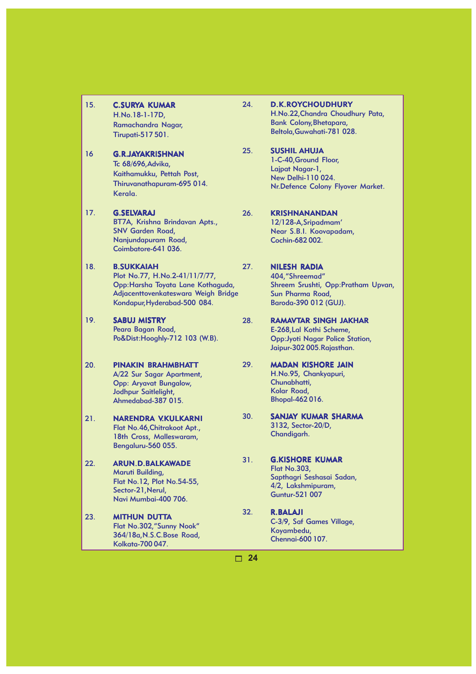| 15. | <b>C.SURYA KUMAR</b><br>H.No.18-1-17D,                              |
|-----|---------------------------------------------------------------------|
|     | Ramachandra Nagar,                                                  |
|     | <b>Tirupati-517 501.</b>                                            |
| 16  | <b>G.R.JAYAKRISHNAN</b>                                             |
|     | Tc 68/696, Advika,                                                  |
|     | Kaithamukku, Pettah Post,                                           |
|     | Thiruvanathapuram-695 014.                                          |
|     | Kerala.                                                             |
| 17. | <b>G.SELVARAJ</b>                                                   |
|     | BT7A, Krishna Brindavan Apts.,                                      |
|     | <b>SNV Garden Road,</b><br>Nanjundapuram Road,                      |
|     | Coimbatore-641 036.                                                 |
|     |                                                                     |
| 18. | <b>B.SUKKAIAH</b>                                                   |
|     | Plot No.77, H.No.2-41/11/7/77,                                      |
|     | Opp:Harsha Toyata Lane Kothaguda,                                   |
|     | Adjacenttovenkateswara Weigh Bridge<br>Kondapur, Hyderabad-500 084. |
| 19. | <b>SABUJ MISTRY</b>                                                 |
|     | Peara Bagan Road,                                                   |
|     | Po&Dist: Hooghly-712 103 (W.B).                                     |
| 20. | <b>PINAKIN BRAHMBHATT</b>                                           |
|     | A/22 Sur Sagar Apartment,                                           |
|     | <b>Opp: Aryavat Bungalow,</b>                                       |
|     | Jodhpur Saitlelight,                                                |
|     | Ahmedabad-387 015.                                                  |
| 21. | <b>NARENDRA V.KULKARNI</b>                                          |
|     | Flat No.46, Chitrakoot Apt.,                                        |
|     | 18th Cross, Malleswaram,                                            |
|     | Bengaluru-560 055.                                                  |
| 22. | <b>ARUN.D.BALKAWADE</b>                                             |
|     | Maruti Building,                                                    |
|     | Flat No.12, Plot No.54-55,<br>Sector-21, Nerul,                     |
|     | Navi Mumbai-400 706.                                                |
| 23. | <b>MITHUN DUTTA</b>                                                 |
|     | Flat No.302,"Sunny Nook"                                            |
|     | 364/18a, N.S.C. Bose Road,                                          |

Kolkata-700 047.

24. D.K.ROYCHOUDHURY H.No.22,Chandra Choudhury Pata, Bank Colony,Bhetapara, Beltola,Guwahati-781 028.

#### 25. SUSHIL AHUJA 1-C-40,Ground Floor, Lajpat Nagar-1, New Delhi-110 024. Nr.Defence Colony Flyover Market.

26. KRISHNANANDAN 12/128-A,Sripadmam' Near S.B.I. Koovapadam, Cochin-682 002.

#### 27. NILESH RADIA

404,"Shreemad" Shreem Srushti, Opp:Pratham Upvan, Sun Pharma Road, Baroda-390 012 (GUJ).

- 28. RAMAVTAR SINGH JAKHAR E-268,Lal Kothi Scheme, Opp:Jyoti Nagar Police Station, Jaipur-302 005.Rajasthan.
- 29. MADAN KISHORE JAIN H.No.95, Chankyapuri, Chunabhatti, Kolar Road, Bhopal-462 016.
- 30. SANJAY KUMAR SHARMA 3132, Sector-20/D, Chandigarh.
- 31. G.KISHORE KUMAR Flat No.303, Sapthagri Seshasai Sadan, 4/2, Lakshmipuram, Guntur-521 007
- 32. R.BALAJI C-3/9, Saf Games Village, Koyambedu, Chennai-600 107.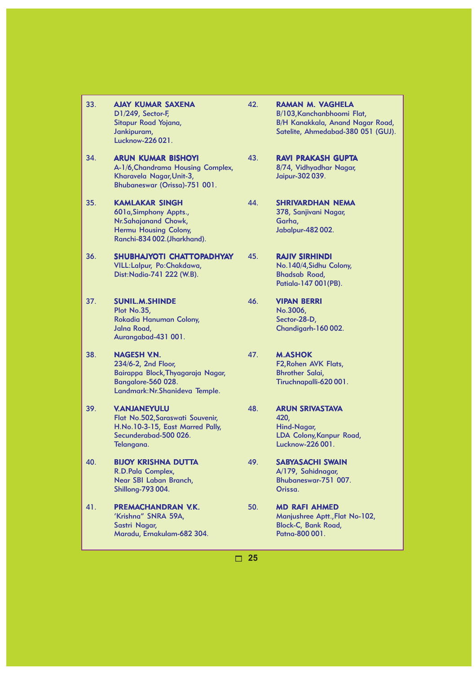- 33. AJAY KUMAR SAXENA D1/249, Sector-F, Sitapur Road Yojana, Jankipuram, Lucknow-226 021.
- 34. **ARUN KUMAR BISHOYI** A-1/6,Chandrama Housing Complex, Kharavela Nagar,Unit-3, Bhubaneswar (Orissa)-751 001.

35. KAMLAKAR SINGH 601a,Simphony Appts., Nr.Sahajanand Chowk, Hermu Housing Colony, Ranchi-834 002.(Jharkhand).

- 36. SHUBHAJYOTI CHATTOPADHYAY VILL:Lalpur, Po:Chakdawa, Dist:Nadia-741 222 (W.B).
- 37. SUNIL.M.SHINDE Plot No.35, Rokadia Hanuman Colony, Jalna Road, Aurangabad-431 001.
- 38. NAGESH V.N. 234/6-2, 2nd Floor, Bairappa Block,Thyagaraja Nagar, Bangalore-560 028. Landmark:Nr.Shanideva Temple.
- 39. V.ANJANEYULU Flat No.502,Saraswati Souvenir, H.No.10-3-15, East Marred Pally, Secunderabad-500 026. Telangana.
- 40. BIJOY KRISHNA DUTTA R.D.Pala Complex, Near SBI Laban Branch, Shillong-793 004.
- 41. PREMACHANDRAN V.K. 'Krishna" SNRA 59A, Sastri Nagar, Maradu, Ernakulam-682 304.
- 42. RAMAN M. VAGHELA B/103,Kanchanbhoomi Flat, B/H Kanakkala, Anand Nagar Road, Satelite, Ahmedabad-380 051 (GUJ).
- 43. RAVI PRAKASH GUPTA 8/74, Vidhyadhar Nagar, Jaipur-302 039.
- 44. SHRIVARDHAN NEMA 378, Sanjivani Nagar, Garha, Jabalpur-482 002.
- 45. RAJIV SIRHINDI No.140/4,Sidhu Colony, Bhadsab Road, Patiala-147 001(PB).
- 46. VIPAN BERRI No.3006, Sector-28-D, Chandigarh-160 002.
- 47. M.ASHOK F2,Rohen AVK Flats, Bhrother Salai, Tiruchnapalli-620 001.
- 48. ARUN SRIVASTAVA 420, Hind-Nagar, LDA Colony,Kanpur Road, Lucknow-226 001.
- 49. SABYASACHI SWAIN A/179, Sahidnagar, Bhubaneswar-751 007. Orissa.
- 50. MD RAFI AHMED Manjushree Aptt.,Flat No-102, Block-C, Bank Road, Patna-800 001.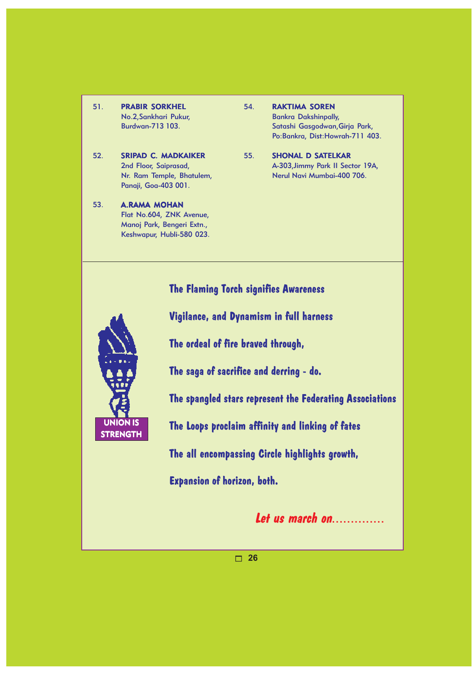- 51. PRABIR SORKHEL No.2,Sankhari Pukur, Burdwan-713 103.
- 52. SRIPAD C. MADKAIKER 2nd Floor, Saiprasad, Nr. Ram Temple, Bhatulem, Panaji, Goa-403 001.
- 53. A.RAMA MOHAN Flat No.604, ZNK Avenue, Manoj Park, Bengeri Extn., Keshwapur, Hubli-580 023.
- 54. RAKTIMA SOREN Bankra Dakshinpally, Satashi Gasgodwan,Girja Park, Po:Bankra, Dist:Howrah-711 403.
- 55. SHONAL D SATELKAR A-303,Jimmy Park II Sector 19A, Nerul Navi Mumbai-400 706.

### **The Flaming Torch signifies Awareness**



**Vigilance, and Dynamism in full harness**

**The ordeal of fire braved through,**

**The saga of sacrifice and derring - do.**

**The spangled stars represent the Federating Associations**

**The Loops proclaim affinity and linking of fates**

**The all encompassing Circle highlights growth,**

**Expansion of horizon, both.**

**Let us march on**..............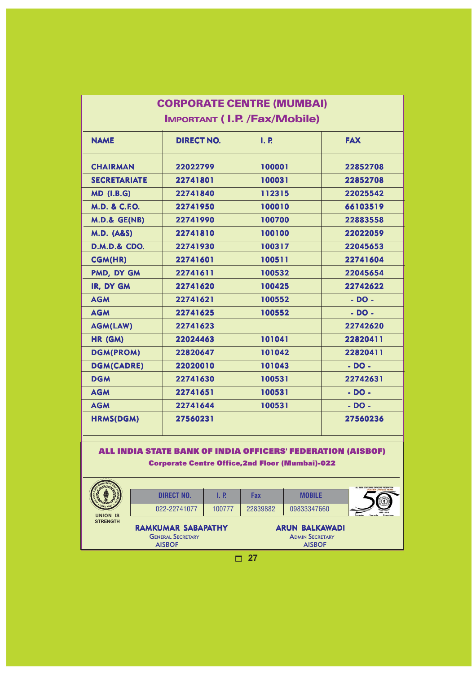| <b>CORPORATE CENTRE (MUMBAI)</b> |                                          |        |            |  |  |
|----------------------------------|------------------------------------------|--------|------------|--|--|
|                                  | <b>IMPORTANT (I.P. /Fax/Mobile)</b>      |        |            |  |  |
| <b>NAME</b>                      | I. P.<br><b>FAX</b><br><b>DIRECT NO.</b> |        |            |  |  |
| <b>CHAIRMAN</b>                  | 22022799                                 | 100001 | 22852708   |  |  |
| <b>SECRETARIATE</b>              | 22741801                                 | 100031 | 22852708   |  |  |
| <b>MD (I.B.G)</b>                | 22741840                                 | 112315 | 22025542   |  |  |
| <b>M.D. &amp; C.F.O.</b>         | 22741950                                 | 100010 | 66103519   |  |  |
| $M.D.$ & $GE(NB)$                | 22741990                                 | 100700 | 22883558   |  |  |
| <b>M.D. (A&amp;S)</b>            | 22741810                                 | 100100 | 22022059   |  |  |
| <b>D.M.D.&amp; CDO.</b>          | 22741930                                 | 100317 | 22045653   |  |  |
| <b>CGM(HR)</b>                   | 22741601                                 | 100511 | 22741604   |  |  |
| PMD, DY GM                       | 22741611                                 | 100532 | 22045654   |  |  |
| IR, DY GM                        | 22741620                                 | 100425 | 22742622   |  |  |
| <b>AGM</b>                       | 22741621                                 | 100552 | $- DO -$   |  |  |
| <b>AGM</b>                       | 22741625                                 | 100552 | $-DO -$    |  |  |
| <b>AGM(LAW)</b>                  | 22741623                                 |        | 22742620   |  |  |
| HR (GM)                          | 22024463                                 | 101041 | 22820411   |  |  |
| <b>DGM(PROM)</b>                 | 22820647                                 | 101042 | 22820411   |  |  |
| <b>DGM(CADRE)</b>                | 22020010                                 | 101043 | $-$ DO $-$ |  |  |
| <b>DGM</b>                       | 22741630                                 | 100531 | 22742631   |  |  |
| <b>AGM</b>                       | 22741651                                 | 100531 | $-DO -$    |  |  |
| <b>AGM</b>                       | 22741644                                 | 100531 | $-$ DO $-$ |  |  |
| <b>HRMS(DGM)</b>                 | 27560231                                 |        | 27560236   |  |  |

#### ALL INDIA STATE BANK OF INDIA OFFICERS' FEDERATION (AISBOF) Corporate Centre Office,2nd Floor (Mumbai)-022

|                          | <b>DIRECT NO.</b>         | 1. P.  | Fax                    | <b>MOBILE</b>         |  |
|--------------------------|---------------------------|--------|------------------------|-----------------------|--|
| <b>UNION IS</b>          | 022-22741077              | 100777 | 22839882               | 09833347660           |  |
| <b>STRENGTH</b>          | <b>RAMKUMAR SABAPATHY</b> |        |                        | <b>ARUN BALKAWADI</b> |  |
| <b>GENERAL SECRETARY</b> |                           |        | <b>ADMIN SECRETARY</b> |                       |  |
| <b>AISBOF</b>            |                           |        | <b>AISBOF</b>          |                       |  |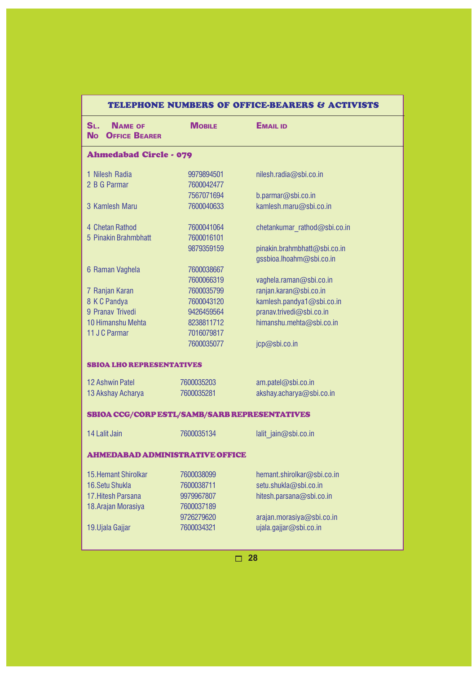| TELEPHONE NUMBERS OF OFFICE-BEARERS & ACTIVISTS                       |               |                              |  |  |
|-----------------------------------------------------------------------|---------------|------------------------------|--|--|
| S <sub>L</sub><br><b>NAME OF</b><br><b>OFFICE BEARER</b><br><b>No</b> | <b>MOBILE</b> | <b>EMAIL ID</b>              |  |  |
| <b>Ahmedabad Circle - 079</b>                                         |               |                              |  |  |
| 1 Nilesh Radia                                                        | 9979894501    | nilesh.radia@sbi.co.in       |  |  |
| 2 B G Parmar                                                          | 7600042477    |                              |  |  |
|                                                                       | 7567071694    | b.parmar@sbi.co.in           |  |  |
| 3 Kamlesh Maru                                                        | 7600040633    | kamlesh.maru@sbi.co.in       |  |  |
| 4 Chetan Rathod                                                       | 7600041064    | chetankumar rathod@sbi.co.in |  |  |
| 5 Pinakin Brahmbhatt                                                  | 7600016101    |                              |  |  |
|                                                                       | 9879359159    | pinakin.brahmbhatt@sbi.co.in |  |  |
|                                                                       |               | gssbioa.lhoahm@sbi.co.in     |  |  |
| 6 Raman Vaghela                                                       | 7600038667    |                              |  |  |
|                                                                       | 7600066319    | vaghela.raman@sbi.co.in      |  |  |
| 7 Ranjan Karan                                                        | 7600035799    | ranjan.karan@sbi.co.in       |  |  |
| 8 K C Pandya                                                          | 7600043120    | kamlesh.pandya1@sbi.co.in    |  |  |
| 9 Pranav Trivedi                                                      | 9426459564    | pranav.trivedi@sbi.co.in     |  |  |
| 10 Himanshu Mehta                                                     | 8238811712    | himanshu.mehta@sbi.co.in     |  |  |
| 11 J C Parmar                                                         | 7016079817    |                              |  |  |
|                                                                       | 7600035077    | jcp@sbi.co.in                |  |  |
| <b>SBIOA LHO REPRESENTATIVES</b>                                      |               |                              |  |  |
| <b>12 Ashwin Patel</b>                                                | 7600035203    | am.patel@sbi.co.in           |  |  |
| 13 Akshay Acharya                                                     | 7600035281    | akshay.acharya@sbi.co.in     |  |  |
| SBIOA CCG/CORP ESTL/SAMB/SARB REPRESENTATIVES                         |               |                              |  |  |
| 14 Lalit Jain                                                         | 7600035134    | lalit jain@sbi.co.in         |  |  |
| <b>AHMEDABAD ADMINISTRATIVE OFFICE</b>                                |               |                              |  |  |
|                                                                       |               |                              |  |  |
| <b>15. Hemant Shirolkar</b>                                           | 7600038099    | hemant.shirolkar@sbi.co.in   |  |  |
| 16. Setu Shukla                                                       | 7600038711    | setu.shukla@sbi.co.in        |  |  |
| 17. Hitesh Parsana                                                    | 9979967807    | hitesh.parsana@sbi.co.in     |  |  |
| 18. Arajan Morasiya                                                   | 7600037189    |                              |  |  |
|                                                                       | 9726279620    | arajan.morasiya@sbi.co.in    |  |  |
| 19. Ujala Gajjar                                                      | 7600034321    | ujala.gajjar@sbi.co.in       |  |  |
|                                                                       |               |                              |  |  |

#### TELEPHONE NUMBERS OF OFFICE-BEARERS & ACTIVISTS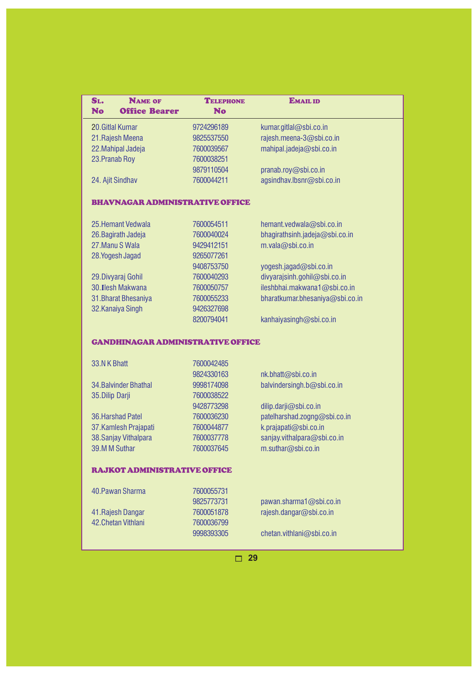| SL.                                      | <b>NAME OF</b>        | <b>TELEPHONE</b>         | <b>EMAIL ID</b>                 |  |
|------------------------------------------|-----------------------|--------------------------|---------------------------------|--|
| <b>No</b>                                | <b>Office Bearer</b>  | <b>No</b>                |                                 |  |
|                                          | 20. Gitlal Kumar      | 9724296189               | kumar.gitlal@sbi.co.in          |  |
| 21. Rajesh Meena                         |                       | 9825537550               | rajesh.meena-3@sbi.co.in        |  |
| 22. Mahipal Jadeja                       |                       | 7600039567               | mahipal.jadeja@sbi.co.in        |  |
| 23. Pranab Roy                           |                       | 7600038251               |                                 |  |
|                                          |                       | 9879110504               | pranab.roy@sbi.co.in            |  |
|                                          | 24. Ajit Sindhav      | 7600044211               | agsindhav.lbsnr@sbi.co.in       |  |
| <b>BHAVNAGAR ADMINISTRATIVE OFFICE</b>   |                       |                          |                                 |  |
|                                          | 25. Hemant Vedwala    | 7600054511               | hemant.vedwala@sbi.co.in        |  |
|                                          | 26. Bagirath Jadeja   | 7600040024               | bhagirathsinh.jadeja@sbi.co.in  |  |
|                                          | 27. Manu S Wala       | 9429412151               | m.vala@sbi.co.in                |  |
|                                          | 28. Yogesh Jagad      | 9265077261               |                                 |  |
|                                          |                       | 9408753750               | yogesh.jagad@sbi.co.in          |  |
|                                          | 29. Divyaraj Gohil    | 7600040293               | divyarajsinh.gohil@sbi.co.in    |  |
|                                          | 30. Ilesh Makwana     | 7600050757               | ileshbhai.makwana1@sbi.co.in    |  |
|                                          | 31. Bharat Bhesaniya  | 7600055233               | bharatkumar.bhesaniya@sbi.co.in |  |
|                                          | 32. Kanaiya Singh     | 9426327698               |                                 |  |
|                                          |                       | 8200794041               | kanhaiyasingh@sbi.co.in         |  |
| <b>GANDHINAGAR ADMINISTRATIVE OFFICE</b> |                       |                          |                                 |  |
|                                          |                       |                          |                                 |  |
| 33.N K Bhatt                             |                       | 7600042485               |                                 |  |
|                                          | 34. Balvinder Bhathal | 9824330163<br>9998174098 | nk.bhatt@sbi.co.in              |  |
| 35. Dilip Darji                          |                       | 7600038522               | balvindersingh.b@sbi.co.in      |  |
|                                          |                       | 9428773298               | dilip.darji@sbi.co.in           |  |
|                                          | 36. Harshad Patel     | 7600036230               | patelharshad.zogng@sbi.co.in    |  |
|                                          | 37. Kamlesh Prajapati | 7600044877               | k.prajapati@sbi.co.in           |  |
|                                          | 38. Sanjay Vithalpara | 7600037778               | sanjay.vithalpara@sbi.co.in     |  |
|                                          | 39.M M Suthar         | 7600037645               | m.suthar@sbi.co.in              |  |
|                                          |                       |                          |                                 |  |
| <b>RAJKOT ADMINISTRATIVE OFFICE</b>      |                       |                          |                                 |  |
|                                          | 40. Pawan Sharma      | 7600055731               |                                 |  |
|                                          |                       | 9825773731               | pawan.sharma1@sbi.co.in         |  |
|                                          | 41. Rajesh Dangar     | 7600051878               | rajesh.dangar@sbi.co.in         |  |
|                                          | 42. Chetan Vithlani   | 7600036799               |                                 |  |
|                                          |                       | 9998393305               | chetan.vithlani@sbi.co.in       |  |
|                                          |                       |                          |                                 |  |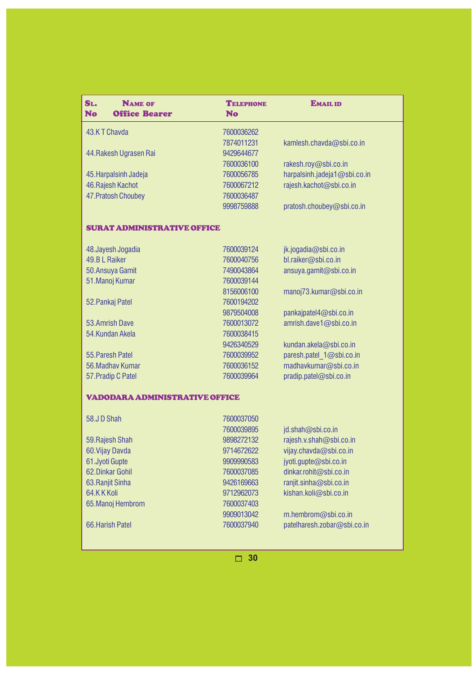| SL.<br><b>NAME OF</b><br><b>No</b><br><b>Office Bearer</b> | <b>TELEPHONE</b><br><b>No</b> | <b>EMAIL ID</b>              |  |  |
|------------------------------------------------------------|-------------------------------|------------------------------|--|--|
| 43.KT Chavda                                               | 7600036262                    |                              |  |  |
|                                                            | 7874011231                    | kamlesh.chavda@sbi.co.in     |  |  |
| 44. Rakesh Ugrasen Rai                                     | 9429644677                    |                              |  |  |
|                                                            | 7600036100                    | rakesh.roy@sbi.co.in         |  |  |
| 45. Harpalsinh Jadeja                                      | 7600056785                    | harpalsinh.jadeja1@sbi.co.in |  |  |
| 46. Rajesh Kachot                                          | 7600067212                    | rajesh.kachot@sbi.co.in      |  |  |
| 47. Pratosh Choubey                                        | 7600036487                    |                              |  |  |
|                                                            | 9998759888                    | pratosh.choubey@sbi.co.in    |  |  |
| <b>SURAT ADMINISTRATIVE OFFICE</b>                         |                               |                              |  |  |
| 48. Jayesh Jogadia                                         | 7600039124                    | jk.jogadia@sbi.co.in         |  |  |
| 49.BL Raiker                                               | 7600040756                    | bl.raiker@sbi.co.in          |  |  |
| 50. Ansuya Gamit                                           | 7490043864                    | ansuya.gamit@sbi.co.in       |  |  |
| 51. Manoj Kumar                                            | 7600039144                    |                              |  |  |
|                                                            | 8156006100                    | manoj73.kumar@sbi.co.in      |  |  |
| 52. Pankaj Patel                                           | 7600194202                    |                              |  |  |
|                                                            | 9879504008                    | pankajpatel4@sbi.co.in       |  |  |
| 53.Amrish Dave                                             | 7600013072                    | amrish.dave1@sbi.co.in       |  |  |
| 54.Kundan Akela                                            | 7600038415                    |                              |  |  |
|                                                            | 9426340529                    | kundan.akela@sbi.co.in       |  |  |
| 55. Paresh Patel                                           | 7600039952                    | paresh.patel 1@sbi.co.in     |  |  |
| 56. Madhav Kumar                                           | 7600036152                    | madhavkumar@sbi.co.in        |  |  |
| 57. Pradip C Patel                                         | 7600039964                    | pradip.patel@sbi.co.in       |  |  |
| <b>VADODARA ADMINISTRATIVE OFFICE</b>                      |                               |                              |  |  |
| 58.JD Shah                                                 | 7600037050                    |                              |  |  |
|                                                            | 7600039895                    | jd.shah@sbi.co.in            |  |  |
| 59. Rajesh Shah                                            | 9898272132                    | rajesh.v.shah@sbi.co.in      |  |  |
| 60. Vijay Davda                                            | 9714672622                    | vijay.chavda@sbi.co.in       |  |  |
| 61.Jyoti Gupte                                             | 9909990583                    | jyoti.gupte@sbi.co.in        |  |  |
| 62. Dinkar Gohil                                           | 7600037085                    | dinkar.rohit@sbi.co.in       |  |  |
| 63. Ranjit Sinha                                           | 9426169663                    | ranjit.sinha@sbi.co.in       |  |  |
| 64.KKKoli                                                  | 9712962073                    | kishan.koli@sbi.co.in        |  |  |
| 65. Manoj Hembrom                                          | 7600037403                    |                              |  |  |
|                                                            | 9909013042                    | m.hembrom@sbi.co.in          |  |  |
| 66. Harish Patel                                           | 7600037940                    | patelharesh.zobar@sbi.co.in  |  |  |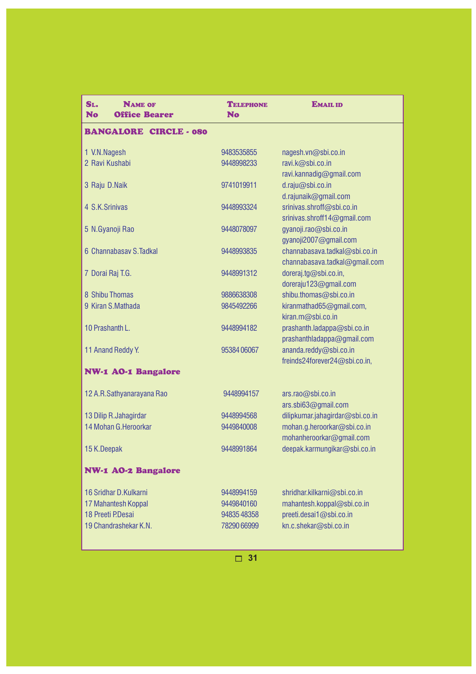| SL.<br><b>NAME OF</b><br><b>No</b><br><b>Office Bearer</b> | <b>TELEPHONE</b><br><b>No</b> | <b>EMAIL ID</b>                                         |  |
|------------------------------------------------------------|-------------------------------|---------------------------------------------------------|--|
| <b>BANGALORE CIRCLE - 080</b>                              |                               |                                                         |  |
| 1 V.N.Nagesh                                               | 9483535855                    | nagesh.vn@sbi.co.in                                     |  |
| 2 Ravi Kushabi                                             | 9448998233                    | ravi.k@sbi.co.in<br>ravi.kannadig@gmail.com             |  |
| 3 Raju D.Naik                                              | 9741019911                    | d.raju@sbi.co.in                                        |  |
| 4 S.K.Srinivas                                             | 9448993324                    | d.rajunaik@gmail.com<br>srinivas.shroff@sbi.co.in       |  |
|                                                            |                               | srinivas.shroff14@gmail.com                             |  |
| 5 N.Gyanoji Rao                                            | 9448078097                    | gyanoji.rao@sbi.co.in<br>gyanoji2007@gmail.com          |  |
| 6 Channabasay S. Tadkal                                    | 9448993835                    | channabasava.tadkal@sbi.co.in                           |  |
| 7 Dorai Raj T.G.                                           | 9448991312                    | channabasava.tadkal@gmail.com<br>doreraj.tg@sbi.co.in,  |  |
|                                                            |                               | doreraju123@gmail.com                                   |  |
| 8 Shibu Thomas                                             | 9886638308                    | shibu.thomas@sbi.co.in                                  |  |
| 9 Kiran S.Mathada                                          | 9845492266                    | kiranmathad65@gmail.com,<br>kiran.m@sbi.co.in           |  |
| 10 Prashanth L.                                            | 9448994182                    | prashanth.ladappa@sbi.co.in                             |  |
| 11 Anand Reddy Y.                                          | 95384 06067                   | prashanthladappa@gmail.com<br>ananda.reddy@sbi.co.in    |  |
|                                                            |                               | freinds24forever24@sbi.co.in,                           |  |
| <b>NW-1 AO-1 Bangalore</b>                                 |                               |                                                         |  |
| 12 A.R. Sathyanarayana Rao                                 | 9448994157                    | ars.rao@sbi.co.in                                       |  |
|                                                            |                               | ars.sbi63@gmail.com                                     |  |
| 13 Dilip R.Jahagirdar                                      | 9448994568                    | dilipkumar.jahagirdar@sbi.co.in                         |  |
| 14 Mohan G. Heroorkar                                      | 9449840008                    | mohan.g.heroorkar@sbi.co.in<br>mohanheroorkar@gmail.com |  |
| 15 K.Deepak                                                | 9448991864                    | deepak.karmungikar@sbi.co.in                            |  |
| <b>NW-1 AO-2 Bangalore</b>                                 |                               |                                                         |  |
| 16 Sridhar D.Kulkarni                                      | 9448994159                    | shridhar.kilkarni@sbi.co.in                             |  |
| 17 Mahantesh Koppal                                        | 9449840160                    | mahantesh.koppal@sbi.co.in                              |  |
| 18 Preeti P.Desai                                          | 9483548358                    | preeti.desai1@sbi.co.in                                 |  |
| 19 Chandrashekar K.N.                                      | 78290 66999                   | kn.c.shekar@sbi.co.in                                   |  |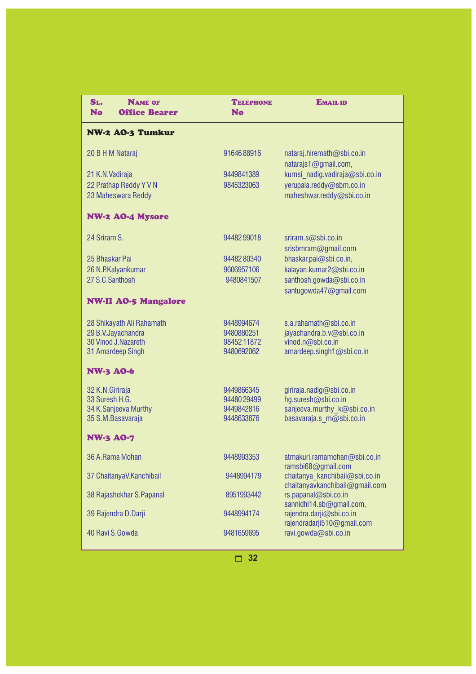| SL.<br><b>No</b>    | <b>NAME OF</b><br><b>Office Bearer</b> | <b>TELEPHONE</b><br><b>No</b> | <b>EMAIL ID</b>                                        |
|---------------------|----------------------------------------|-------------------------------|--------------------------------------------------------|
|                     | <b>NW-2 A0-3 Tumkur</b>                |                               |                                                        |
| 20 B H M Nataraj    |                                        | 9164688916                    | nataraj.hiremath@sbi.co.in<br>natarajs1@gmail.com,     |
| 21 K.N. Vadiraja    |                                        | 9449841389                    | kumsi nadig.vadiraja@sbi.co.in                         |
|                     | 22 Prathap Reddy Y V N                 | 9845323063                    | yerupala.reddy@sbm.co.in                               |
|                     | 23 Maheswara Reddy                     |                               | maheshwar.reddy@sbi.co.in                              |
|                     | <b>NW-2 AO-4 Mysore</b>                |                               |                                                        |
| 24 Sriram S.        |                                        | 9448299018                    | sriram.s@sbi.co.in<br>srisbmram@gmail.com              |
| 25 Bhaskar Pai      |                                        | 9448280340                    | bhaskar.pai@sbi.co.in,                                 |
| 26 N.P.Kalyankumar  |                                        | 9606957106                    | kalayan.kumar2@sbi.co.in                               |
| 27 S.C.Santhosh     |                                        | 9480841507                    | santhosh.gowda@sbi.co.in                               |
|                     |                                        |                               | santugowda47@gmail.com                                 |
|                     | <b>NW-II AO-5 Mangalore</b>            |                               |                                                        |
|                     | 28 Shikayath Ali Rahamath              | 9448994674                    | s.a.rahamath@sbi.co.in                                 |
| 29 B.V.Jayachandra  |                                        | 9480880251                    | jayachandra.b.v@sbi.co.in                              |
| 30 Vinod J.Nazareth |                                        | 9845211872                    | vinod.n@sbi.co.in                                      |
| 31 Amardeep Singh   |                                        | 9480692062                    | amardeep.singh1@sbi.co.in                              |
| <b>NW-3 A0-6</b>    |                                        |                               |                                                        |
| 32 K.N.Giriraja     |                                        | 9449866345                    | giriraja.nadig@sbi.co.in                               |
| 33 Suresh H.G.      |                                        | 94480 29499                   | hg.suresh@sbi.co.in                                    |
|                     | 34 K.Sanjeeva Murthy                   | 9449842816                    | sanjeeva.murthy_k@sbi.co.in                            |
| 35 S.M.Basavaraja   |                                        | 9448633876                    | basavaraja.s m@sbi.co.in                               |
| <b>NW-3 A0-7</b>    |                                        |                               |                                                        |
| 36 A.Rama Mohan     |                                        | 9448993353                    | atmakuri.ramamohan@sbi.co.in                           |
|                     | 37 ChaitanyaV.Kanchibail               | 9448994179                    | ramsbi68@gmail.com<br>chaitanya kanchibail@sbi.co.in   |
|                     | 38 Rajashekhar S. Papanal              | 8951993442                    | chaitanyavkanchibail@gmail.com<br>rs.papanal@sbi.co.in |
|                     |                                        |                               | sannidhi14.sb@gmail.com,                               |
| 39 Rajendra D.Darji |                                        | 9448994174                    | rajendra.darji@sbi.co.in                               |
|                     |                                        |                               | rajendradarji510@gmail.com                             |
| 40 Ravi S.Gowda     |                                        | 9481659695                    | ravi.gowda@sbi.co.in                                   |
|                     |                                        |                               |                                                        |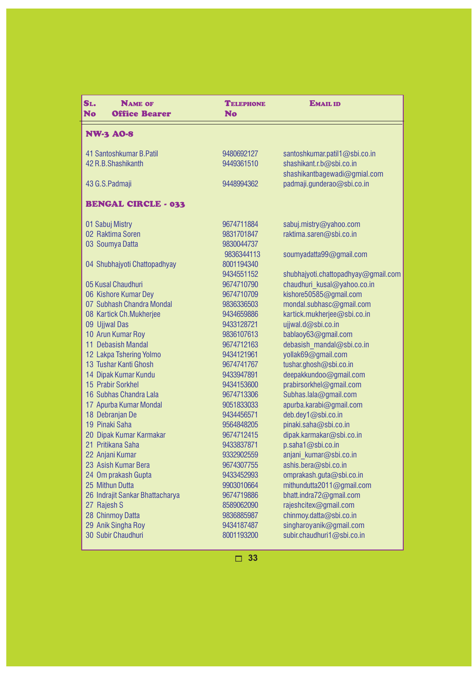| SL.<br><b>NAME OF</b><br>No<br><b>Office Bearer</b> | <b>TELEPHONE</b><br><b>No</b> | <b>EMAIL ID</b>                     |
|-----------------------------------------------------|-------------------------------|-------------------------------------|
| <b>NW-3 A0-8</b>                                    |                               |                                     |
| 41 Santoshkumar B. Patil                            | 9480692127                    | santoshkumar.patil1@sbi.co.in       |
| 42 R.B.Shashikanth                                  | 9449361510                    | shashikant.r.b@sbi.co.in            |
|                                                     |                               | shashikantbagewadi@gmial.com        |
| 43 G.S.Padmaji                                      | 9448994362                    | padmaji.gunderao@sbi.co.in          |
| <b>BENGAL CIRCLE - 033</b>                          |                               |                                     |
| 01 Sabuj Mistry                                     | 9674711884                    | sabuj.mistry@yahoo.com              |
| 02 Raktima Soren                                    | 9831701847                    | raktima.saren@sbi.co.in             |
| 03 Soumya Datta                                     | 9830044737                    |                                     |
|                                                     | 9836344113                    | soumyadatta99@gmail.com             |
| 04 Shubhajyoti Chattopadhyay                        | 8001194340                    |                                     |
|                                                     | 9434551152                    | shubhajyoti.chattopadhyay@gmail.com |
| 05 Kusal Chaudhuri                                  | 9674710790                    | chaudhuri kusal@yahoo.co.in         |
| 06 Kishore Kumar Dey                                | 9674710709                    | kishore50585@gmail.com              |
| 07 Subhash Chandra Mondal                           | 9836336503                    | mondal.subhasc@gmail.com            |
| 08 Kartick Ch.Mukherjee                             | 9434659886                    | kartick.mukherjee@sbi.co.in         |
| 09 Ujjwal Das                                       | 9433128721                    | ujjwal.d@sbi.co.in                  |
| 10 Arun Kumar Roy                                   | 9836107613                    | bablaoy63@gmail.com                 |
| 11 Debasish Mandal                                  | 9674712163                    | debasish mandal@sbi.co.in           |
| 12 Lakpa Tshering Yolmo                             | 9434121961                    | yollak69@gmail.com                  |
| 13 Tushar Kanti Ghosh                               | 9674741767                    | tushar.ghosh@sbi.co.in              |
| 14 Dipak Kumar Kundu                                | 9433947891                    | deepakkundoo@gmail.com              |
| 15 Prabir Sorkhel                                   | 9434153600                    | prabirsorkhel@gmail.com             |
| 16 Subhas Chandra Lala                              | 9674713306                    | Subhas.lala@gmail.com               |
| 17 Apurba Kumar Mondal                              | 9051833033                    | apurba.karabi@gmail.com             |
| 18 Debranjan De                                     | 9434456571                    | deb.dey1@sbi.co.in                  |
| 19 Pinaki Saha                                      | 9564848205                    | pinaki.saha@sbi.co.in               |
| 20 Dipak Kumar Karmakar                             | 9674712415                    | dipak.karmakar@sbi.co.in            |
| 21 Pritikana Saha                                   | 9433837871                    | p.saha1@sbi.co.in                   |
| 22 Anjani Kumar                                     | 9332902559                    | anjani kumar@sbi.co.in              |
| 23 Asish Kumar Bera                                 | 9674307755                    | ashis.bera@sbi.co.in                |
| 24 Om prakash Gupta                                 | 9433452993                    | omprakash.guta@sbi.co.in            |
| 25 Mithun Dutta                                     | 9903010664                    | mithundutta2011@gmail.com           |
| 26 Indrajit Sankar Bhattacharya                     | 9674719886                    | bhatt.indra72@gmail.com             |
| 27 Rajesh S                                         | 8589062090                    | rajeshcitex@gmail.com               |
| 28 Chinmoy Datta                                    | 9836885987                    | chinmoy.datta@sbi.co.in             |
| 29 Anik Singha Roy                                  | 9434187487                    | singharoyanik@gmail.com             |
| 30 Subir Chaudhuri                                  | 8001193200                    | subir.chaudhuri1@sbi.co.in          |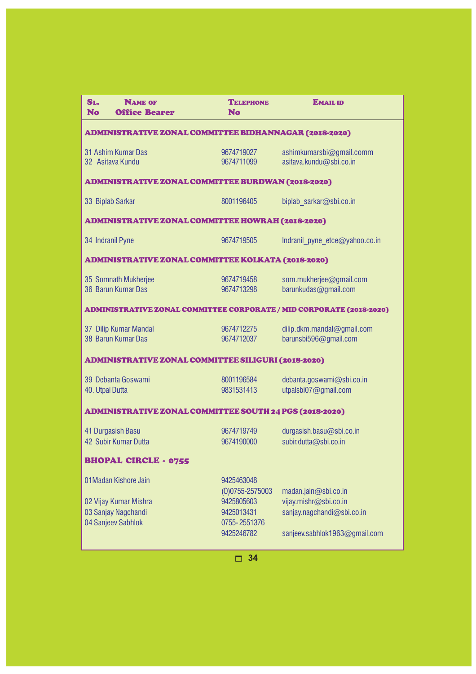| SL.<br><b>NAME OF</b><br><b>No</b><br><b>Office Bearer</b>                                  | <b>TELEPHONE</b><br><b>No</b>                                                               | <b>EMAIL ID</b>                                                                                              |  |  |
|---------------------------------------------------------------------------------------------|---------------------------------------------------------------------------------------------|--------------------------------------------------------------------------------------------------------------|--|--|
| ADMINISTRATIVE ZONAL COMMITTEE BIDHANNAGAR (2018-2020)                                      |                                                                                             |                                                                                                              |  |  |
| 31 Ashim Kumar Das<br>32 Asitava Kundu                                                      | 9674719027<br>9674711099                                                                    | ashimkumarsbi@gmail.comm<br>asitava.kundu@sbi.co.in                                                          |  |  |
| <b>ADMINISTRATIVE ZONAL COMMITTEE BURDWAN (2018-2020)</b>                                   |                                                                                             |                                                                                                              |  |  |
| 33 Biplab Sarkar                                                                            | 8001196405                                                                                  | biplab sarkar@sbi.co.in                                                                                      |  |  |
| <b>ADMINISTRATIVE ZONAL COMMITTEE HOWRAH (2018-2020)</b>                                    |                                                                                             |                                                                                                              |  |  |
| 34 Indranil Pyne                                                                            | 9674719505                                                                                  | Indranil pyne etce@yahoo.co.in                                                                               |  |  |
| <b>ADMINISTRATIVE ZONAL COMMITTEE KOLKATA (2018-2020)</b>                                   |                                                                                             |                                                                                                              |  |  |
| 35 Somnath Mukherjee<br>36 Barun Kumar Das                                                  | 9674719458<br>9674713298                                                                    | som.mukherjee@gmail.com<br>barunkudas@gmail.com                                                              |  |  |
| ADMINISTRATIVE ZONAL COMMITTEE CORPORATE / MID CORPORATE (2018-2020)                        |                                                                                             |                                                                                                              |  |  |
| 37 Dilip Kumar Mandal<br>38 Barun Kumar Das                                                 | 9674712275<br>9674712037                                                                    | dilip.dkm.mandal@gmail.com<br>barunsbi596@gmail.com                                                          |  |  |
| ADMINISTRATIVE ZONAL COMMITTEE SILIGURI (2018-2020)                                         |                                                                                             |                                                                                                              |  |  |
| 39 Debanta Goswami<br>40. Utpal Dutta                                                       | 8001196584<br>9831531413                                                                    | debanta.goswami@sbi.co.in<br>utpalsbi07@gmail.com                                                            |  |  |
| ADMINISTRATIVE ZONAL COMMITTEE SOUTH 24 PGS (2018-2020)                                     |                                                                                             |                                                                                                              |  |  |
| 41 Durgasish Basu<br>42 Subir Kumar Dutta                                                   | 9674719749<br>9674190000                                                                    | durgasish.basu@sbi.co.in<br>subir.dutta@sbi.co.in                                                            |  |  |
| <b>BHOPAL CIRCLE - 0755</b>                                                                 |                                                                                             |                                                                                                              |  |  |
| 01 Madan Kishore Jain<br>02 Vijay Kumar Mishra<br>03 Sanjay Nagchandi<br>04 Sanjeev Sabhlok | 9425463048<br>$(0)0755 - 2575003$<br>9425805603<br>9425013431<br>0755-2551376<br>9425246782 | madan.jain@sbi.co.in<br>vijay.mishr@sbi.co.in<br>sanjay.nagchandi@sbi.co.in<br>sanjeev.sabhlok1963@gmail.com |  |  |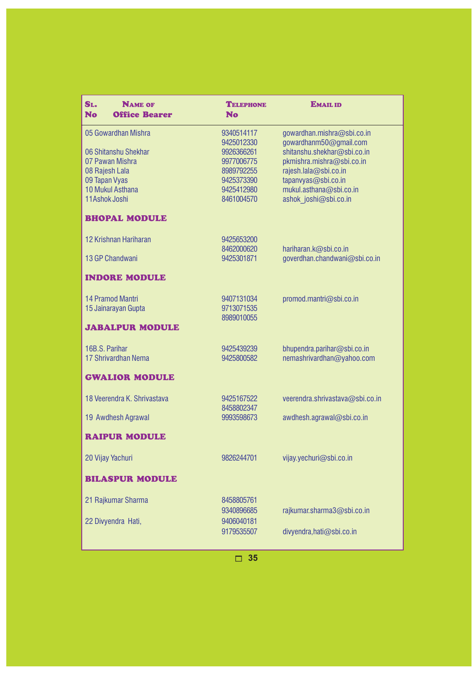| SL.<br><b>NAME OF</b><br><b>No</b><br><b>Office Bearer</b> | <b>TELEPHONE</b><br><b>No</b> | <b>EMAIL ID</b>                                |
|------------------------------------------------------------|-------------------------------|------------------------------------------------|
| 05 Gowardhan Mishra                                        | 9340514117                    | gowardhan.mishra@sbi.co.in                     |
|                                                            | 9425012330                    | gowardhanm50@gmail.com                         |
| 06 Shitanshu Shekhar                                       | 9926366261                    | shitanshu.shekhar@sbi.co.in                    |
| 07 Pawan Mishra                                            | 9977006775                    | pkmishra.mishra@sbi.co.in                      |
| 08 Rajesh Lala                                             | 8989792255<br>9425373390      | rajesh.lala@sbi.co.in                          |
| 09 Tapan Vyas<br>10 Mukul Asthana                          | 9425412980                    | tapanvyas@sbi.co.in<br>mukul.asthana@sbi.co.in |
| 11Ashok Joshi                                              | 8461004570                    | ashok joshi@sbi.co.in                          |
| <b>BHOPAL MODULE</b>                                       |                               |                                                |
| 12 Krishnan Hariharan                                      | 9425653200                    |                                                |
|                                                            | 8462000620                    | hariharan.k@sbi.co.in                          |
| 13 GP Chandwani                                            | 9425301871                    | goverdhan.chandwani@sbi.co.in                  |
| <b>INDORE MODULE</b>                                       |                               |                                                |
| <b>14 Pramod Mantri</b>                                    | 9407131034                    | promod.mantri@sbi.co.in                        |
| 15 Jainarayan Gupta                                        | 9713071535                    |                                                |
| <b>JABALPUR MODULE</b>                                     | 8989010055                    |                                                |
| 16B.S. Parihar                                             | 9425439239                    | bhupendra.parihar@sbi.co.in                    |
| 17 Shrivardhan Nema                                        | 9425800582                    | nemashrivardhan@yahoo.com                      |
| <b>GWALIOR MODULE</b>                                      |                               |                                                |
| 18 Veerendra K. Shrivastava                                | 9425167522                    | veerendra.shrivastava@sbi.co.in                |
| 19 Awdhesh Agrawal                                         | 8458802347<br>9993598673      | awdhesh.agrawal@sbi.co.in                      |
|                                                            |                               |                                                |
| <b>RAIPUR MODULE</b>                                       |                               |                                                |
| 20 Vijay Yachuri                                           | 9826244701                    | vijay.yechuri@sbi.co.in                        |
| <b>BILASPUR MODULE</b>                                     |                               |                                                |
| 21 Rajkumar Sharma                                         | 8458805761                    |                                                |
|                                                            | 9340896685                    | rajkumar.sharma3@sbi.co.in                     |
| 22 Divyendra Hati,                                         | 9406040181                    |                                                |
|                                                            | 9179535507                    | divyendra, hati@sbi.co.in                      |
|                                                            |                               |                                                |
|                                                            | 35                            |                                                |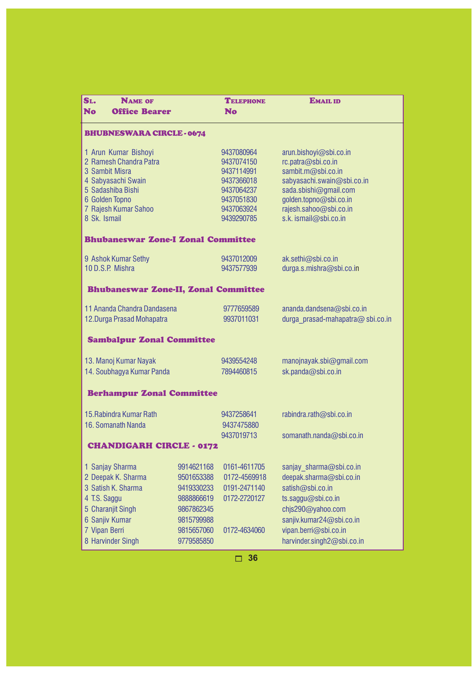| SL.<br><b>NAME OF</b><br><b>No</b><br><b>Office Bearer</b>                                                                                                            |                                                                                  | <b>TELEPHONE</b><br>No                                                                                       | <b>EMAIL ID</b>                                                                                                                                                                                        |  |
|-----------------------------------------------------------------------------------------------------------------------------------------------------------------------|----------------------------------------------------------------------------------|--------------------------------------------------------------------------------------------------------------|--------------------------------------------------------------------------------------------------------------------------------------------------------------------------------------------------------|--|
| <b>BHUBNESWARA CIRCLE-0674</b>                                                                                                                                        |                                                                                  |                                                                                                              |                                                                                                                                                                                                        |  |
| 1 Arun Kumar Bishoyi<br>2 Ramesh Chandra Patra<br>3 Sambit Misra<br>4 Sabyasachi Swain<br>5 Sadashiba Bishi<br>6 Golden Topno<br>7 Rajesh Kumar Sahoo<br>8 Sk. Ismail |                                                                                  | 9437080964<br>9437074150<br>9437114991<br>9437366018<br>9437064237<br>9437051830<br>9437063924<br>9439290785 | arun.bishoyi@sbi.co.in<br>rc.patra@sbi.co.in<br>sambit.m@sbi.co.in<br>sabyasachi.swain@sbi.co.in<br>sada.sbishi@gmail.com<br>golden.topno@sbi.co.in<br>rajesh.sahoo@sbi.co.in<br>s.k. ismail@sbi.co.in |  |
| <b>Bhubaneswar Zone-I Zonal Committee</b>                                                                                                                             |                                                                                  |                                                                                                              |                                                                                                                                                                                                        |  |
| 9 Ashok Kumar Sethy<br>10 D.S.P. Mishra                                                                                                                               |                                                                                  | 9437012009<br>9437577939                                                                                     | ak.sethi@sbi.co.in<br>durga.s.mishra@sbi.co.in                                                                                                                                                         |  |
| <b>Bhubaneswar Zone-II, Zonal Committee</b>                                                                                                                           |                                                                                  |                                                                                                              |                                                                                                                                                                                                        |  |
| 11 Ananda Chandra Dandasena<br>12. Durga Prasad Mohapatra                                                                                                             |                                                                                  | 9777659589<br>9937011031                                                                                     | ananda.dandsena@sbi.co.in<br>durga prasad-mahapatra@ sbi.co.in                                                                                                                                         |  |
| <b>Sambalpur Zonal Committee</b>                                                                                                                                      |                                                                                  |                                                                                                              |                                                                                                                                                                                                        |  |
| 13. Manoj Kumar Nayak<br>14. Soubhagya Kumar Panda                                                                                                                    |                                                                                  | 9439554248<br>7894460815                                                                                     | manojnayak.sbi@gmail.com<br>sk.panda@sbi.co.in                                                                                                                                                         |  |
| <b>Berhampur Zonal Committee</b>                                                                                                                                      |                                                                                  |                                                                                                              |                                                                                                                                                                                                        |  |
| 15. Rabindra Kumar Rath<br>16. Somanath Nanda                                                                                                                         |                                                                                  | 9437258641<br>9437475880<br>9437019713                                                                       | rabindra.rath@sbi.co.in<br>somanath.nanda@sbi.co.in                                                                                                                                                    |  |
| <b>CHANDIGARH CIRCLE - 0172</b>                                                                                                                                       |                                                                                  |                                                                                                              |                                                                                                                                                                                                        |  |
| 1 Sanjay Sharma<br>2 Deepak K. Sharma<br>3 Satish K. Sharma<br>4 T.S. Saggu<br>5 Charanjit Singh<br>6 Sanjiv Kumar                                                    | 9914621168<br>9501653388<br>9419330233<br>9888866619<br>9867862345<br>9815799988 | 0161-4611705<br>0172-4569918<br>0191-2471140<br>0172-2720127                                                 | sanjay sharma@sbi.co.in<br>deepak.sharma@sbi.co.in<br>satish@sbi.co.in<br>ts.saggu@sbi.co.in<br>chjs290@yahoo.com<br>sanjiv.kumar24@sbi.co.in                                                          |  |
| 7 Vipan Berri<br>8 Harvinder Singh                                                                                                                                    | 9815657060<br>9779585850                                                         | 0172-4634060                                                                                                 | vipan.berri@sbi.co.in<br>harvinder.singh2@sbi.co.in                                                                                                                                                    |  |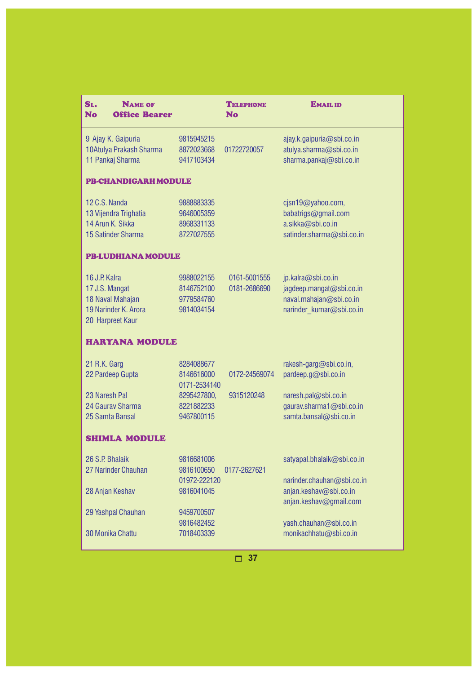| SL.<br><b>NAME OF</b><br><b>No</b><br><b>Office Bearer</b>                                      |                                                      | <b>TELEPHONE</b><br><b>No</b> | <b>EMAIL ID</b>                                                                                       |
|-------------------------------------------------------------------------------------------------|------------------------------------------------------|-------------------------------|-------------------------------------------------------------------------------------------------------|
| 9 Ajay K. Gaipuria<br>10Atulya Prakash Sharma<br>11 Pankaj Sharma                               | 9815945215<br>8872023668<br>9417103434               | 01722720057                   | ajay.k.gaipuria@sbi.co.in<br>atulya.sharma@sbi.co.in<br>sharma.pankaj@sbi.co.in                       |
| <b>PB-CHANDIGARH MODULE</b>                                                                     |                                                      |                               |                                                                                                       |
| 12 C.S. Nanda<br>13 Vijendra Trighatia<br>14 Arun K. Sikka<br>15 Satinder Sharma                | 9888883335<br>9646005359<br>8968331133<br>8727027555 |                               | cjsn19@yahoo.com,<br>babatrigs@gmail.com<br>a.sikka@sbi.co.in<br>satinder.sharma@sbi.co.in            |
| <b>PB-LUDHIANA MODULE</b>                                                                       |                                                      |                               |                                                                                                       |
| 16 J.P. Kalra<br>17 J.S. Mangat<br>18 Naval Mahajan<br>19 Narinder K. Arora<br>20 Harpreet Kaur | 9988022155<br>8146752100<br>9779584760<br>9814034154 | 0161-5001555<br>0181-2686690  | jp.kalra@sbi.co.in<br>jagdeep.mangat@sbi.co.in<br>naval.mahajan@sbi.co.in<br>narinder kumar@sbi.co.in |
| <b>HARYANA MODULE</b>                                                                           |                                                      |                               |                                                                                                       |
| 21 R.K. Garg<br>22 Pardeep Gupta                                                                | 8284088677<br>8146616000<br>0171-2534140             | 0172-24569074                 | rakesh-garg@sbi.co.in,<br>pardeep.g@sbi.co.in                                                         |
| 23 Naresh Pal<br>24 Gauray Sharma<br>25 Samta Bansal                                            | 8295427800,<br>8221882233<br>9467800115              | 9315120248                    | naresh.pal@sbi.co.in<br>gaurav.sharma1@sbi.co.in<br>samta.bansal@sbi.co.in                            |
| <b>SHIMLA MODULE</b>                                                                            |                                                      |                               |                                                                                                       |
| 26 S.P. Bhalaik<br>27 Narinder Chauhan                                                          | 9816681006<br>9816100650<br>01972-222120             | 0177-2627621                  | satyapal.bhalaik@sbi.co.in<br>narinder.chauhan@sbi.co.in                                              |
| 28 Anjan Keshav                                                                                 | 9816041045                                           |                               | anjan.keshav@sbi.co.in<br>anjan.keshav@gmail.com                                                      |
| 29 Yashpal Chauhan                                                                              | 9459700507<br>9816482452                             |                               | yash.chauhan@sbi.co.in                                                                                |
| 30 Monika Chattu                                                                                | 7018403339                                           |                               | monikachhatu@sbi.co.in                                                                                |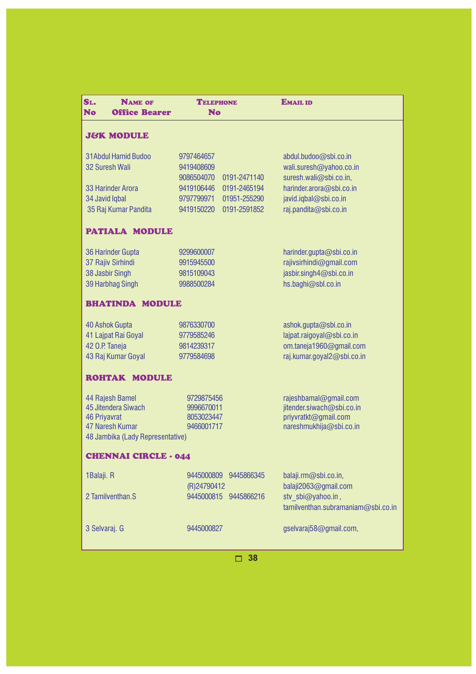| SL.<br><b>NAME OF</b><br><b>No</b><br><b>Office Bearer</b> | <b>TELEPHONE</b><br><b>No</b>           | <b>EMAIL ID</b>                              |  |
|------------------------------------------------------------|-----------------------------------------|----------------------------------------------|--|
| <b>J&amp;K MODULE</b>                                      |                                         |                                              |  |
| <b>31Abdul Hamid Budoo</b>                                 | 9797464657                              | abdul.budoo@sbi.co.in                        |  |
| 32 Suresh Wali                                             | 9419408609                              | wali.suresh@yahoo.co.in                      |  |
|                                                            | 9086504070<br>0191-2471140              | suresh.wali@sbi.co.in,                       |  |
| 33 Harinder Arora                                          | 9419106446<br>0191-2465194              | harinder.arora@sbi.co.in                     |  |
| 34 Javid Iqbal                                             | 9797799971<br>01951-255290              | javid.iqbal@sbi.co.in                        |  |
| 35 Raj Kumar Pandita                                       | 9419150220<br>0191-2591852              | raj.pandita@sbi.co.in                        |  |
| <b>PATIALA MODULE</b>                                      |                                         |                                              |  |
| 36 Harinder Gupta                                          | 9299600007                              | harinder.gupta@sbi.co.in                     |  |
| 37 Rajiv Sirhindi                                          | 9915945500                              | rajivsirhindi@gmail.com                      |  |
| 38 Jasbir Singh                                            | 9815109043                              | jasbir.singh4@sbi.co.in                      |  |
| 39 Harbhag Singh                                           | 9988500284                              | hs.baghi@sbl.co.in                           |  |
| <b>BHATINDA MODULE</b>                                     |                                         |                                              |  |
| 40 Ashok Gupta                                             | 9876330700                              | ashok.gupta@sbi.co.in                        |  |
| 41 Lajpat Rai Goyal                                        | 9779585246                              | lajpat.raigoyal@sbi.co.in                    |  |
| 42 O.P. Taneja                                             | 9814239317                              | om.taneja1960@gmail.com                      |  |
| 43 Raj Kumar Goyal                                         | 9779584698                              | raj.kumar.goyal2@sbi.co.in                   |  |
| <b>ROHTAK MODULE</b>                                       |                                         |                                              |  |
| 44 Rajesh Bamel                                            | 9729875456                              | rajeshbamal@gmail.com                        |  |
| 45 Jitendera Siwach                                        | 9996670011                              | jitender.siwach@sbi.co.in                    |  |
| <b>46 Priyavrat</b>                                        | 8053023447                              | priyvratkt@gmail.com                         |  |
| 47 Naresh Kumar<br>48 Jambika (Lady Representative)        | 9466001717                              | nareshmukhija@sbi.co.in                      |  |
| <b>CHENNAI CIRCLE - 044</b>                                |                                         |                                              |  |
|                                                            |                                         |                                              |  |
| 1Balaji. R                                                 | 9445000809<br>9445866345<br>(R)24790412 | balaji.rm@sbi.co.in,<br>balaji2063@gmail.com |  |
| 2 Tamilventhan.S                                           | 9445000815 9445866216                   | stv sbi@yahoo.in,                            |  |
|                                                            |                                         | tamilventhan.subramaniam@sbi.co.in           |  |
| 3 Selvaraj. G                                              | 9445000827                              |                                              |  |
|                                                            |                                         | gselvaraj58@gmail.com,                       |  |
|                                                            |                                         |                                              |  |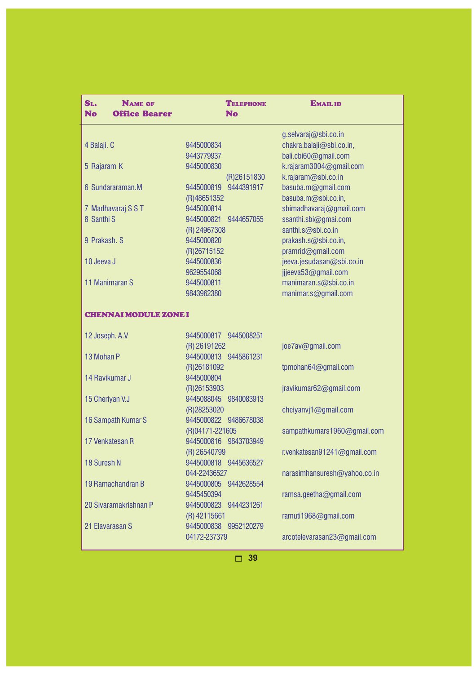| SL.<br><b>NAME OF</b><br><b>No</b><br><b>Office Bearer</b> | <b>TELEPHONE</b><br><b>No</b>            | <b>EMAIL ID</b>                           |
|------------------------------------------------------------|------------------------------------------|-------------------------------------------|
|                                                            |                                          | g.selvaraj@sbi.co.in                      |
| 4 Balaji. C                                                | 9445000834                               | chakra.balaji@sbi.co.in,                  |
|                                                            | 9443779937                               | bali.cbi60@gmail.com                      |
| 5 Rajaram K                                                | 9445000830                               | k.rajaram3004@gmail.com                   |
| 6 Sundararaman.M                                           | (R)26151830<br>9445000819<br>9444391917  | k.rajaram@sbi.co.in<br>basuba.m@gmail.com |
|                                                            | (R)48651352                              | basuba.m@sbi.co.in,                       |
| 7 Madhavaraj S S T                                         | 9445000814                               | sbimadhavaraj@gmail.com                   |
| 8 Santhi S                                                 | 9445000821<br>9444657055                 | ssanthi.sbi@gmai.com                      |
|                                                            | (R) 24967308                             | santhi.s@sbi.co.in                        |
| 9 Prakash. S                                               | 9445000820                               | prakash.s@sbi.co.in,                      |
|                                                            | (R)26715152                              | pramrid@gmail.com                         |
| 10 Jeeva J                                                 | 9445000836                               | jeeva.jesudasan@sbi.co.in                 |
|                                                            | 9629554068                               | jjjeeva53@gmail.com                       |
| 11 Manimaran S                                             | 9445000811                               | manimaran.s@sbi.co.in                     |
|                                                            | 9843962380                               | manimar.s@gmail.com                       |
| <b>CHENNAI MODULE ZONE I</b>                               |                                          |                                           |
| 12 Joseph. A.V                                             | 9445000817 9445008251                    |                                           |
|                                                            | (R) 26191262                             | joe7av@gmail.com                          |
| 13 Mohan P                                                 | 9445000813 9445861231                    |                                           |
|                                                            | (R)26181092                              | tpmohan64@gmail.com                       |
| 14 Ravikumar J                                             | 9445000804                               |                                           |
|                                                            | (R)26153903                              | jravikumar62@gmail.com                    |
| 15 Cheriyan V.J                                            | 9445088045 9840083913                    |                                           |
|                                                            | (R)28253020                              | cheiyanvj1@gmail.com                      |
| 16 Sampath Kumar S                                         | 9445000822 9486678038                    |                                           |
| 17 Venkatesan R                                            | (R)04171-221605<br>9445000816 9843703949 | sampathkumars1960@gmail.com               |
|                                                            | (R) 26540799                             | r.venkatesan91241@gmail.com               |
| 18 Suresh N                                                | 9445000818 9445636527                    |                                           |
|                                                            | 044-22436527                             | narasimhansuresh@yahoo.co.in              |
| 19 Ramachandran B                                          | 9445000805 9442628554                    |                                           |
|                                                            | 9445450394                               | ramsa.geetha@gmail.com                    |
| 20 Sivaramakrishnan P                                      | 9445000823 9444231261                    |                                           |
|                                                            | (R) 42115661                             | ramuti1968@gmail.com                      |
| 21 Elavarasan S                                            | 9445000838 9952120279                    |                                           |
|                                                            | 04172-237379                             | arcotelevarasan23@gmail.com               |
|                                                            |                                          |                                           |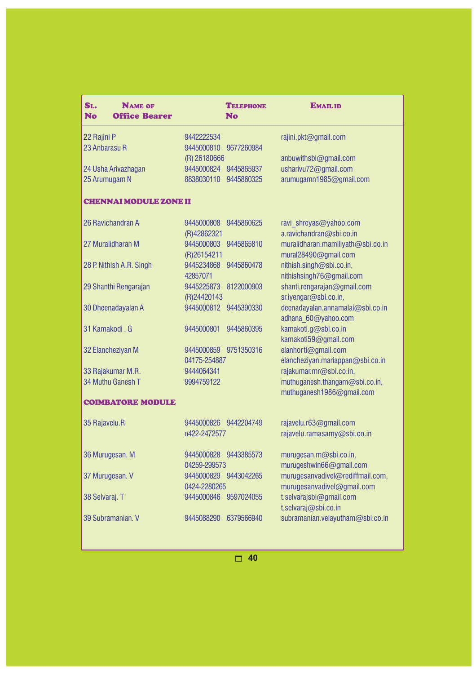| SL.<br><b>NAME OF</b><br><b>No</b><br><b>Office Bearer</b> |                           | <b>TELEPHONE</b><br><b>No</b> | <b>EMAIL ID</b>                                           |
|------------------------------------------------------------|---------------------------|-------------------------------|-----------------------------------------------------------|
| 22 Rajini P                                                | 9442222534                |                               | rajini.pkt@gmail.com                                      |
| 23 Anbarasu R                                              | 9445000810                | 9677260984                    |                                                           |
|                                                            | (R) 26180666              |                               | anbuwithsbi@gmail.com                                     |
| 24 Usha Arivazhagan                                        | 9445000824                | 9445865937                    | usharivu72@gmail.com                                      |
| 25 Arumugam N                                              | 8838030110                | 9445860325                    | arumugamn1985@gmail.com                                   |
| <b>CHENNAI MODULE ZONE II</b>                              |                           |                               |                                                           |
| 26 Ravichandran A                                          | 9445000808                | 9445860625                    | ravi_shreyas@yahoo.com                                    |
|                                                            | (R)42862321               |                               | a.ravichandran@sbi.co.in                                  |
| 27 Muralidharan M                                          | 9445000803<br>(R)26154211 | 9445865810                    | muralidharan.mamiliyath@sbi.co.in<br>mural28490@gmail.com |
| 28 P. Nithish A.R. Singh                                   | 9445234868                | 9445860478                    | nithish.singh@sbi.co.in,                                  |
|                                                            | 42857071                  |                               | nithishsingh76@gmail.com                                  |
| 29 Shanthi Rengarajan                                      | 9445225873                | 8122000903                    | shanti.rengarajan@gmail.com                               |
|                                                            | (R)24420143               |                               | sr.iyengar@sbi.co.in,                                     |
| 30 Dheenadayalan A                                         | 9445000812                | 9445390330                    | deenadayalan.annamalai@sbi.co.in                          |
|                                                            |                           |                               | adhana 60@yahoo.com                                       |
| 31 Kamakodi, G                                             | 9445000801                | 9445860395                    | kamakoti.g@sbi.co.in                                      |
|                                                            |                           |                               | kamakoti59@gmail.com                                      |
| 32 Elancheziyan M                                          | 9445000859 9751350316     |                               | elanhorti@gmail.com                                       |
|                                                            | 04175-254887              |                               | elancheziyan.mariappan@sbi.co.in                          |
| 33 Rajakumar M.R.                                          | 9444064341                |                               | rajakumar.mr@sbi.co.in,                                   |
| 34 Muthu Ganesh T                                          | 9994759122                |                               | muthuganesh.thangam@sbi.co.in,                            |
|                                                            |                           |                               | muthuganesh1986@gmail.com                                 |
| <b>COIMBATORE MODULE</b>                                   |                           |                               |                                                           |
| 35 Rajavelu.R                                              | 9445000826 9442204749     |                               | rajavelu.r63@gmail.com                                    |
|                                                            | 0422-2472577              |                               | rajavelu.ramasamy@sbi.co.in                               |
| 36 Murugesan. M                                            | 9445000828 9443385573     |                               | murugesan.m@sbi.co.in,                                    |
|                                                            | 04259-299573              |                               | murugeshwin66@gmail.com                                   |
| 37 Murugesan. V                                            | 9445000829 9443042265     |                               | murugesanvadivel@rediffmail.com,                          |
|                                                            | 0424-2280265              |                               | murugesanvadivel@gmail.com                                |
| 38 Selvaraj. T                                             | 9445000846 9597024055     |                               | t.selvarajsbi@gmail.com                                   |
|                                                            |                           |                               | t,selvaraj@sbi.co.in                                      |
| 39 Subramanian. V                                          | 9445088290                | 6379566940                    | subramanian.velayutham@sbi.co.in                          |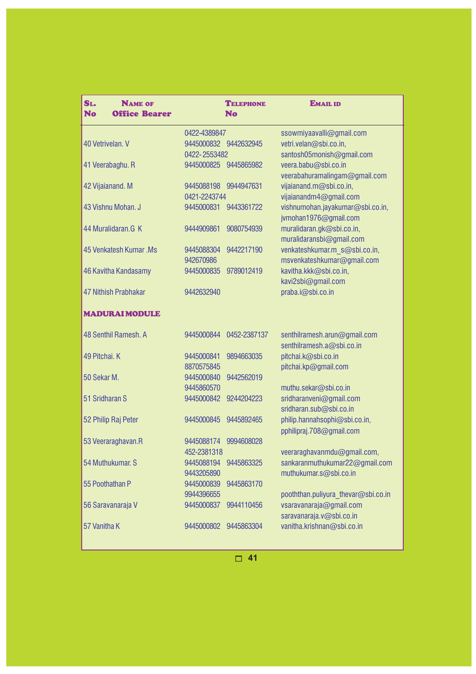| SL.<br><b>NAME OF</b><br>No<br><b>Office Bearer</b> |                            | <b>TELEPHONE</b><br><b>No</b> | <b>EMAIL ID</b>                                   |
|-----------------------------------------------------|----------------------------|-------------------------------|---------------------------------------------------|
|                                                     | 0422-4389847               |                               | ssowmiyaavalli@gmail.com                          |
| 40 Vetrivelan, V                                    | 9445000832 9442632945      |                               | vetri.velan@sbi.co.in,                            |
|                                                     | 0422-2553482               |                               | santosh05monish@gmail.com                         |
| 41 Veerabaghu. R                                    | 9445000825 9445865982      |                               | veera.babu@sbi.co.in                              |
|                                                     |                            |                               | veerabahuramalingam@gmail.com                     |
| 42 Vijaianand. M                                    | 9445088198<br>0421-2243744 | 9944947631                    | vijaianand.m@sbi.co.in,<br>vijaianandm4@gmail.com |
| 43 Vishnu Mohan. J                                  | 9445000831                 | 9443361722                    | vishnumohan.jayakumar@sbi.co.in,                  |
|                                                     |                            |                               | jvmohan1976@gmail.com                             |
| 44 Muralidaran.G K                                  | 9444909861                 | 9080754939                    | muralidaran.gk@sbi.co.in,                         |
|                                                     |                            |                               | muralidaransbi@gmail.com                          |
| 45 Venkatesh Kumar, Ms                              | 9445088304                 | 9442217190                    | venkateshkumar.m s@sbi.co.in,                     |
|                                                     | 942670986                  |                               | msvenkateshkumar@gmail.com                        |
| 46 Kavitha Kandasamy                                | 9445000835                 | 9789012419                    | kavitha.kkk@sbi.co.in,                            |
|                                                     |                            |                               | kavi2sbi@gmail.com                                |
| 47 Nithish Prabhakar                                | 9442632940                 |                               | praba.i@sbi.co.in                                 |
| <b>MADURAI MODULE</b>                               |                            |                               |                                                   |
| 48 Senthil Ramesh, A                                | 9445000844                 | 0452-2387137                  | senthilramesh.arun@gmail.com                      |
|                                                     |                            |                               | senthilramesh.a@sbi.co.in                         |
| 49 Pitchai. K                                       | 9445000841<br>8870575845   | 9894663035                    | pitchai.k@sbi.co.in<br>pitchai.kp@gmail.com       |
| 50 Sekar M.                                         | 9445000840                 | 9442562019                    |                                                   |
|                                                     | 9445860570                 |                               | muthu.sekar@sbi.co.in                             |
| 51 Sridharan S                                      | 9445000842                 | 9244204223                    | sridharanveni@gmail.com                           |
|                                                     |                            |                               | sridharan.sub@sbi.co.in                           |
| 52 Philip Raj Peter                                 | 9445000845                 | 9445892465                    | philip.hannahsophi@sbi.co.in,                     |
|                                                     |                            |                               | pphilipraj.708@gmail.com                          |
| 53 Veeraraghavan.R                                  | 9445088174                 | 9994608028                    |                                                   |
|                                                     | 452-2381318                |                               | veeraraghavanmdu@gmail.com,                       |
| 54 Muthukumar. S                                    | 9445088194                 | 9445863325                    | sankaranmuthukumar22@gmail.com                    |
| 55 Poothathan P                                     | 9443205890<br>9445000839   | 9445863170                    | muthukumar.s@sbi.co.in                            |
|                                                     | 9944396655                 |                               | pooththan.puliyura thevar@sbi.co.in               |
| 56 Saravanaraja V                                   | 9445000837                 | 9944110456                    | vsaravanaraja@gmail.com                           |
|                                                     |                            |                               | saravanaraja.v@sbi.co.in                          |
| 57 Vanitha K                                        | 9445000802                 | 9445863304                    | vanitha.krishnan@sbi.co.in                        |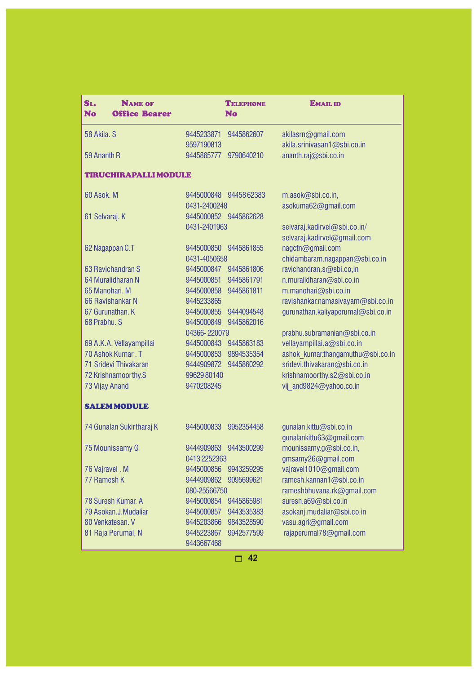| SL.<br><b>NAME OF</b><br>No<br><b>Office Bearer</b> |                          | <b>TELEPHONE</b><br>No | <b>EMAIL ID</b>                    |
|-----------------------------------------------------|--------------------------|------------------------|------------------------------------|
| 58 Akila, S                                         | 9445233871               | 9445862607             | akilasrn@gmail.com                 |
|                                                     | 9597190813               |                        | akila.srinivasan1@sbi.co.in        |
| 59 Ananth R                                         | 9445865777               | 9790640210             | ananth.raj@sbi.co.in               |
| <b>TIRUCHIRAPALLI MODULE</b>                        |                          |                        |                                    |
| 60 Asok. M                                          | 9445000848 9445862383    |                        | m.asok@sbi.co.in,                  |
|                                                     | 0431-2400248             |                        | asokuma62@gmail.com                |
| 61 Selvaraj. K                                      | 9445000852 9445862628    |                        |                                    |
|                                                     | 0431-2401963             |                        | selvaraj.kadirvel@sbi.co.in/       |
|                                                     |                          |                        | selvaraj.kadirvel@gmail.com        |
| 62 Nagappan C.T                                     | 9445000850               | 9445861855             | nagctn@gmail.com                   |
|                                                     | 0431-4050658             |                        | chidambaram.nagappan@sbi.co.in     |
| 63 Ravichandran S                                   | 9445000847               | 9445861806             | ravichandran.s@sbi.co,in           |
| 64 Muralidharan N                                   | 9445000851               | 9445861791             | n.muralidharan@sbi.co.in           |
| 65 Manohari, M                                      | 9445000858               | 9445861811             | m.manohari@sbi.co.in               |
| 66 Ravishankar N                                    | 9445233865               |                        | ravishankar.namasivayam@sbi.co.in  |
| 67 Gurunathan. K                                    | 9445000855               | 9444094548             | gurunathan.kaliyaperumal@sbi.co.in |
| 68 Prabhu, S                                        | 9445000849               | 9445862016             |                                    |
|                                                     | 04366-220079             |                        | prabhu.subramanian@sbi.co.in       |
| 69 A.K.A. Vellayampillai                            | 9445000843               | 9445863183             | vellayampillai.a@sbi.co.in         |
| 70 Ashok Kumar, T                                   | 9445000853               | 9894535354             | ashok kumar.thangamuthu@sbi.co.in  |
| 71 Sridevi Thivakaran                               | 9444909872               | 9445860292             | sridevi.thivakaran@sbi.co.in       |
| 72 Krishnamoorthy.S                                 | 99629 80140              |                        | krishnamoorthy.s2@sbi.co.in        |
| 73 Vijay Anand                                      | 9470208245               |                        | vij and9824@yahoo.co.in            |
| <b>SALEM MODULE</b>                                 |                          |                        |                                    |
| 74 Gunalan Sukirtharaj K                            | 9445000833               | 9952354458             | gunalan.kittu@sbi.co.in            |
|                                                     |                          |                        | gunalankittu63@gmail.com           |
| 75 Mounissamy G                                     | 9444909863               | 9443500299             | mounissamy.g@sbi.co.in,            |
|                                                     | 04132252363              |                        | gmsamy26@gmail.com                 |
| 76 Vajravel . M                                     | 9445000856               | 9943259295             | vajravel1010@gmail.com             |
| 77 Ramesh K                                         | 9444909862               | 9095699621             | ramesh.kannan1@sbi.co.in           |
|                                                     | 080-25566750             |                        | rameshbhuvana.rk@gmail.com         |
| 78 Suresh Kumar. A                                  | 9445000854               | 9445865981             | suresh.a69@sbi.co.in               |
| 79 Asokan.J.Mudaliar                                | 9445000857               | 9443535383             | asokanj.mudaliar@sbi.co.in         |
| 80 Venkatesan. V                                    | 9445203866               | 9843528590             | vasu.agri@gmail.com                |
| 81 Raja Perumal, N                                  | 9445223867<br>9443667468 | 9942577599             | rajaperumal78@gmail.com            |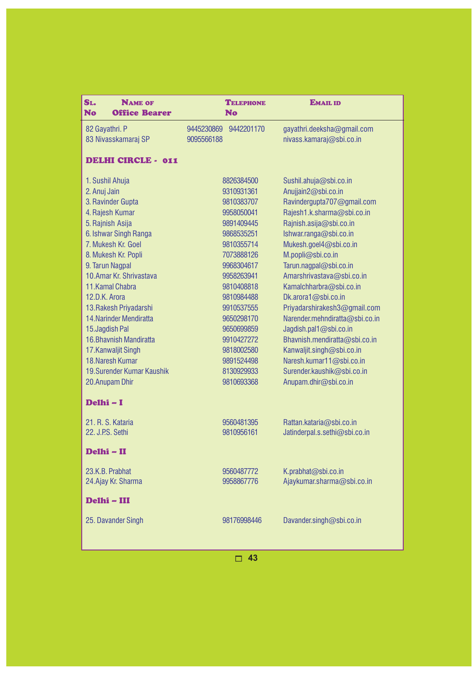| SL.<br><b>NAME OF</b><br><b>No</b><br><b>Office Bearer</b> | <b>TELEPHONE</b><br><b>No</b> | <b>EMAIL ID</b>                                       |
|------------------------------------------------------------|-------------------------------|-------------------------------------------------------|
| 82 Gayathri. P                                             | 9442201170<br>9445230869      | gayathri.deeksha@gmail.com                            |
| 83 Nivasskamaraj SP                                        | 9095566188                    | nivass.kamaraj@sbi.co.in                              |
| <b>DELHI CIRCLE - 011</b>                                  |                               |                                                       |
|                                                            |                               |                                                       |
| 1. Sushil Ahuja<br>2. Anuj Jain                            | 8826384500<br>9310931361      | Sushil.ahuja@sbi.co.in<br>Anujjain2@sbi.co.in         |
| 3. Ravinder Gupta                                          | 9810383707                    | Ravindergupta707@gmail.com                            |
| 4. Rajesh Kumar                                            | 9958050041                    | Rajesh1.k.sharma@sbi.co.in                            |
| 5. Rajnish Asija                                           | 9891409445                    | Rajnish.asija@sbi.co.in                               |
| 6. Ishwar Singh Ranga                                      | 9868535251                    | Ishwar.ranga@sbi.co.in                                |
| 7. Mukesh Kr. Goel                                         | 9810355714                    | Mukesh.goel4@sbi.co.in                                |
| 8. Mukesh Kr. Popli                                        | 7073888126                    | M.popli@sbi.co.in                                     |
| 9. Tarun Nagpal                                            | 9968304617                    | Tarun.nagpal@sbi.co.in                                |
| 10. Amar Kr. Shrivastava                                   | 9958263941                    | Amarshrivastava@sbi.co.in                             |
| 11. Kamal Chabra                                           | 9810408818                    | Kamalchharbra@sbi.co.in                               |
| 12.D.K. Arora                                              | 9810984488                    | Dk.arora1@sbi.co.in                                   |
| 13. Rakesh Priyadarshi                                     | 9910537555                    | Priyadarshirakesh3@gmail.com                          |
| 14. Narinder Mendiratta                                    | 9650298170                    | Narender.mehndiratta@sbi.co.in                        |
| 15. Jagdish Pal                                            | 9650699859                    | Jagdish.pal1@sbi.co.in                                |
| 16. Bhavnish Mandiratta                                    | 9910427272                    | Bhavnish.mendiratta@sbi.co.in                         |
| 17. Kanwaljit Singh<br>18. Naresh Kumar                    | 9818002580<br>9891524498      | Kanwaljit.singh@sbi.co.in<br>Naresh.kumar11@sbi.co.in |
| 19.Surender Kumar Kaushik                                  | 8130929933                    | Surender.kaushik@sbi.co.in                            |
| 20. Anupam Dhir                                            | 9810693368                    | Anupam.dhir@sbi.co.in                                 |
|                                                            |                               |                                                       |
| Delhi - I                                                  |                               |                                                       |
| 21. R. S. Kataria                                          | 9560481395                    | Rattan.kataria@sbi.co.in                              |
| 22. J.P.S. Sethi                                           | 9810956161                    | Jatinderpal.s.sethi@sbi.co.in                         |
| Delhi - II                                                 |                               |                                                       |
| 23.K.B. Prabhat                                            | 9560487772                    | K.prabhat@sbi.co.in                                   |
| 24. Ajay Kr. Sharma                                        | 9958867776                    | Ajaykumar.sharma@sbi.co.in                            |
| Delhi - III                                                |                               |                                                       |
| 25. Davander Singh                                         | 98176998446                   | Davander.singh@sbi.co.in                              |
|                                                            |                               |                                                       |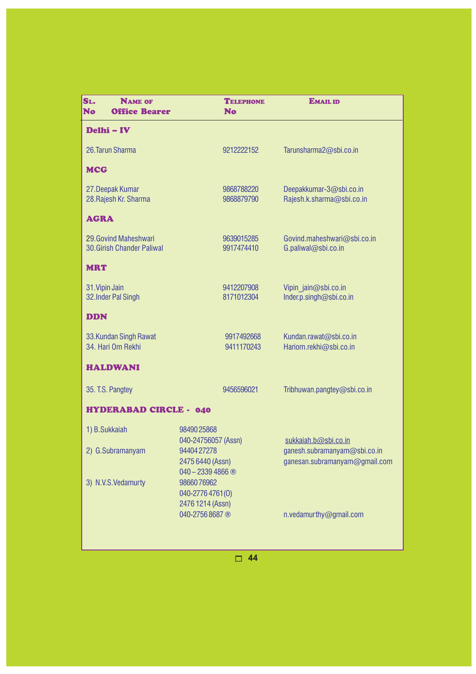| SL.<br><b>NAME OF</b><br><b>No</b><br><b>Office Bearer</b> |                                                     | <b>TELEPHONE</b><br><b>No</b> | <b>EMAIL ID</b>                                               |
|------------------------------------------------------------|-----------------------------------------------------|-------------------------------|---------------------------------------------------------------|
| Delhi - IV                                                 |                                                     |                               |                                                               |
| 26. Tarun Sharma                                           |                                                     | 9212222152                    | Tarunsharma2@sbi.co.in                                        |
| <b>MCG</b>                                                 |                                                     |                               |                                                               |
| 27. Deepak Kumar<br>28. Rajesh Kr. Sharma                  |                                                     | 9868788220<br>9868879790      | Deepakkumar-3@sbi.co.in<br>Rajesh.k.sharma@sbi.co.in          |
| <b>AGRA</b>                                                |                                                     |                               |                                                               |
| 29. Govind Maheshwari<br><b>30.Girish Chander Paliwal</b>  |                                                     | 9639015285<br>9917474410      | Govind.maheshwari@sbi.co.in<br>G.paliwal@sbi.co.in            |
| <b>MRT</b>                                                 |                                                     |                               |                                                               |
| 31. Vipin Jain<br>32. Inder Pal Singh                      |                                                     | 9412207908<br>8171012304      | Vipin jain@sbi.co.in<br>Inder.p.singh@sbi.co.in               |
| <b>DDN</b>                                                 |                                                     |                               |                                                               |
| 33. Kundan Singh Rawat<br>34. Hari Om Rekhi                |                                                     | 9917492668<br>9411170243      | Kundan.rawat@sbi.co.in<br>Hariom.rekhi@sbi.co.in              |
| <b>HALDWANI</b>                                            |                                                     |                               |                                                               |
| 35. T.S. Pangtey                                           |                                                     | 9456596021                    | Tribhuwan.pangtey@sbi.co.in                                   |
| <b>HYDERABAD CIRCLE - 040</b>                              |                                                     |                               |                                                               |
| 1) B.Sukkaiah                                              | 98490 25868<br>040-24756057 (Assn)                  |                               | sukkaiah.b@sbi.co.in                                          |
| 2) G.Subramanyam                                           | 94404 27278<br>2475 6440 (Assn)<br>$040 - 23394866$ |                               | ganesh.subramanyam@sbi.co.in<br>ganesan.subramanyam@gmail.com |
| 3) N.V.S.Vedamurty                                         | 9866076962<br>040-2776 4761(0)<br>2476 1214 (Assn)  |                               |                                                               |
|                                                            | 040-2756 8687 ®                                     |                               | n.vedamurthy@gmail.com                                        |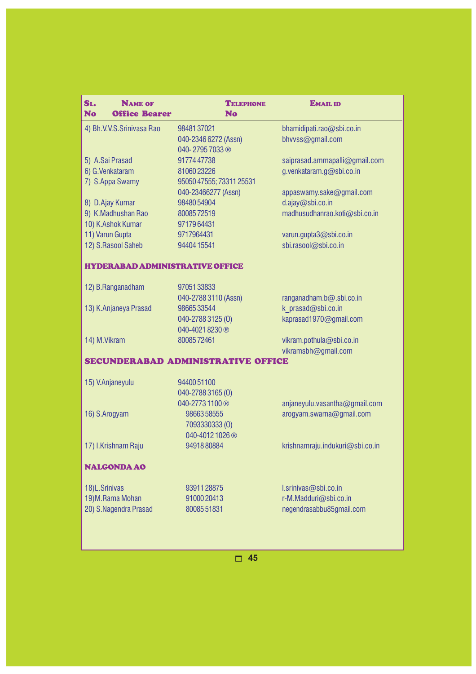| SL.<br><b>NAME OF</b><br><b>Office Bearer</b><br><b>No</b> | <b>TELEPHONE</b><br><b>No</b>        | <b>EMAIL ID</b>                 |
|------------------------------------------------------------|--------------------------------------|---------------------------------|
| 4) Bh.V.V.S.Srinivasa Rao                                  | 9848137021                           | bhamidipati.rao@sbi.co.in       |
|                                                            | 040-2346 6272 (Assn)                 | bhvvss@gmail.com                |
|                                                            | 040-27957033®                        |                                 |
| 5) A.Sai Prasad                                            | 9177447738                           | saiprasad.ammapalli@gmail.com   |
| 6) G.Venkataram                                            | 8106023226                           | g.venkataram.g@sbi.co.in        |
| 7) S.Appa Swamy                                            | 95050 47555; 73311 25531             |                                 |
|                                                            | 040-23466277 (Assn)                  | appaswamy.sake@gmail.com        |
| 8) D.Ajay Kumar                                            | 9848054904                           | d.ajay@sbi.co.in                |
| 9) K.Madhushan Rao                                         | 8008572519                           | madhusudhanrao.koti@sbi.co.in   |
| 10) K.Ashok Kumar                                          | 9717964431                           |                                 |
| 11) Varun Gupta                                            | 9717964431                           | varun.gupta3@sbi.co.in          |
| 12) S.Rasool Saheb                                         | 94404 15541                          | sbi.rasool@sbi.co.in            |
| <b>HYDERABAD ADMINISTRATIVE OFFICE</b>                     |                                      |                                 |
|                                                            |                                      |                                 |
| 12) B.Ranganadham                                          | 9705133833                           |                                 |
|                                                            | 040-2788 3110 (Assn)                 | ranganadham.b@.sbi.co.in        |
| 13) K.Anjaneya Prasad                                      | 9866533544                           | k prasad@sbi.co.in              |
|                                                            | 040-2788 3125 (0)<br>040-4021 8230 ® | kaprasad1970@gmail.com          |
| 14) M.Vikram                                               | 8008572461                           | vikram.pothula@sbi.co.in        |
|                                                            |                                      | vikramsbh@gmail.com             |
|                                                            | SECUNDERABAD ADMINISTRATIVE OFFICE   |                                 |
|                                                            |                                      |                                 |
| 15) V.Anjaneyulu                                           | 9440051100                           |                                 |
|                                                            | 040-2788 3165 (0)                    |                                 |
|                                                            | 040-2773 1100 ®                      | anjaneyulu.vasantha@gmail.com   |
| 16) S.Arogyam                                              | 9866358555                           | arogyam.swarna@gmail.com        |
|                                                            | 7093330333 (0)                       |                                 |
|                                                            | 040-4012 1026 ®                      |                                 |
| 17) I.Krishnam Raju                                        | 9491880884                           | krishnamraju.indukuri@sbi.co.in |
| <b>NALGONDA AO</b>                                         |                                      |                                 |
| 18)L.Srinivas                                              | 9391128875                           | l.srinivas@sbi.co.in            |
| 19) M.Rama Mohan                                           | 91000 20413                          | r-M.Madduri@sbi.co.in           |
| 20) S.Nagendra Prasad                                      | 8008551831                           | negendrasabbu85gmail.com        |
|                                                            |                                      |                                 |
|                                                            |                                      |                                 |
|                                                            |                                      |                                 |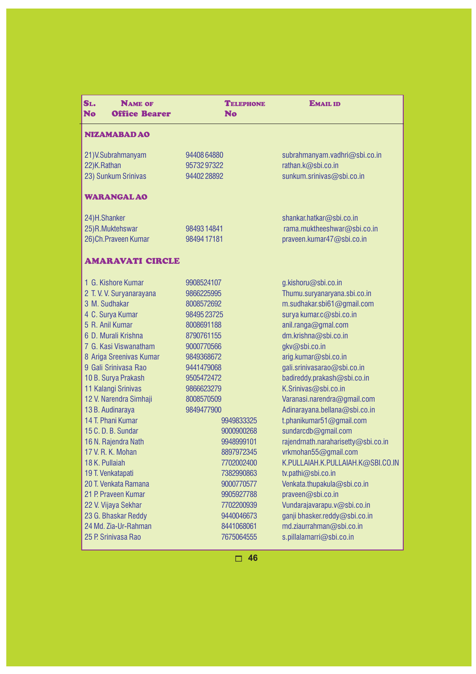| SL.<br><b>NAME OF</b><br><b>No</b><br><b>Office Bearer</b> | <b>TELEPHONE</b><br><b>No</b> | <b>EMAIL ID</b>                     |
|------------------------------------------------------------|-------------------------------|-------------------------------------|
| NIZAMABAD AO                                               |                               |                                     |
| 21) V. Subrahmanyam                                        | 9440864880                    | subrahmanyam.vadhri@sbi.co.in       |
| 22)K.Rathan                                                | 9573297322                    | rathan.k@sbi.co.in                  |
| 23) Sunkum Srinivas                                        | 94402 28892                   | sunkum.srinivas@sbi.co.in           |
| <b>WARANGAL AO</b>                                         |                               |                                     |
| 24)H.Shanker                                               |                               | shankar.hatkar@sbi.co.in            |
| 25)R.Muktehswar                                            | 9849314841                    | rama.muktheeshwar@sbi.co.in         |
| 26) Ch. Praveen Kumar                                      | 98494 17181                   | praveen.kumar47@sbi.co.in           |
| <b>AMARAVATI CIRCLE</b>                                    |                               |                                     |
| 1 G. Kishore Kumar                                         | 9908524107                    | g.kishoru@sbi.co.in                 |
| 2 T. V. V. Suryanarayana                                   | 9866225995                    | Thumu.suryanaryana.sbi.co.in        |
| 3 M. Sudhakar                                              | 8008572692                    | m.sudhakar.sbi61@gmail.com          |
| 4 C. Surya Kumar                                           | 98495 23725                   | surya kumar.c@sbi.co.in             |
| 5 R. Anil Kumar                                            | 8008691188                    | anil.ranga@gmal.com                 |
| 6 D. Murali Krishna                                        | 8790761155                    | dm.krishna@sbi.co.in                |
| 7 G. Kasi Viswanatham                                      | 9000770566                    | gkv@sbi.co.in                       |
| 8 Ariga Sreenivas Kumar                                    | 9849368672                    | arig.kumar@sbi.co.in                |
| 9 Gali Srinivasa Rao                                       | 9441479068                    | gali.srinivasarao@sbi.co.in         |
| 10 B. Surya Prakash                                        | 9505472472                    | badireddy.prakash@sbi.co.in         |
| 11 Kalangi Srinivas                                        | 9866623279                    | K.Srinivas@sbi.co.in                |
| 12 V. Narendra Simhaji                                     | 8008570509                    | Varanasi.narendra@gmail.com         |
| 13 B. Audinaraya                                           | 9849477900                    | Adinarayana.bellana@sbi.co.in       |
| 14 T. Phani Kumar                                          | 9949833325                    | t.phanikumar51@gmail.com            |
| 15 C.D.B. Sundar                                           | 9000900268                    | sundarcdb@gmail.com                 |
| 16 N. Rajendra Nath                                        | 9948999101                    | rajendrnath.naraharisetty@sbi.co.in |
| 17 V. R. K. Mohan                                          | 8897972345                    | vrkmohan55@gmail.com                |
| 18 K. Pullaiah                                             | 7702002400                    | K.PULLAIAH.K.PULLAIAH.K@SBI.CO.IN   |
| 19 T. Venkatapati                                          | 7382990863                    | tv.pathi@sbi.co.in                  |
| 20 T. Venkata Ramana                                       | 9000770577                    | Venkata.thupakula@sbi.co.in         |
| 21 P. Praveen Kumar                                        | 9905927788                    | praveen@sbi.co.in                   |
| 22 V. Vijaya Sekhar                                        | 7702200939                    | Vundarajavarapu.v@sbi.co.in         |
| 23 G. Bhaskar Reddy                                        | 9440046673                    | ganji bhasker.reddy@sbi.co.in       |
| 24 Md. Zia-Ur-Rahman                                       | 8441068061                    | md.ziaurrahman@sbi.co.in            |
| 25 P. Srinivasa Rao                                        | 7675064555                    | s.pillalamarri@sbi.co.in            |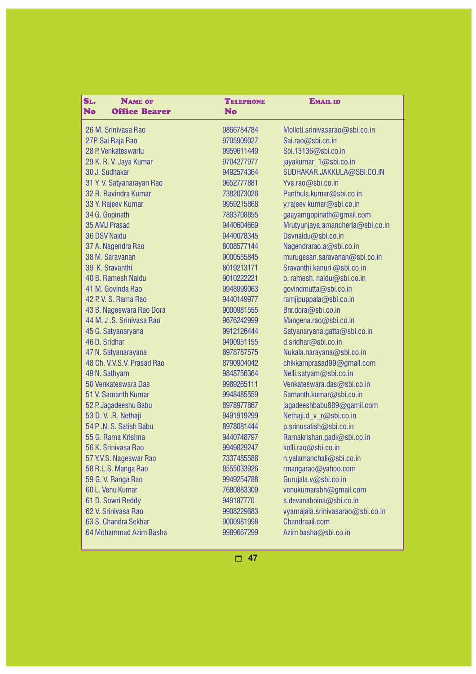| SL.<br><b>NAME OF</b>             | <b>TELEPHONE</b> | <b>EMAIL ID</b>                  |
|-----------------------------------|------------------|----------------------------------|
| <b>No</b><br><b>Office Bearer</b> | <b>No</b>        |                                  |
| 26 M. Srinivasa Rao               | 9866784784       | Molleti.srinivasarao@sbi.co.in   |
| 27P. Sai Raja Rao                 | 9705909027       | Sai.rao@sbi.co.in                |
| 28 P. Venkateswarlu               | 9959611449       | Sbi.13136@sbi.co.in              |
| 29 K. R. V. Jaya Kumar            | 9704277977       | jayakumar_1@sbi.co.in            |
| 30 J. Sudhakar                    | 9492574364       | SUDHAKAR.JAKKULA@SBI.CO.IN       |
| 31 Y. V. Satyanarayan Rao         | 9652777881       | Yvs.rao@sbi.co.in                |
| 32 R. Ravindra Kumar              | 7382073028       | Panthula.kumar@sbi.co.in         |
| 33 Y. Rajeev Kumar                | 9959215868       | y.rajeev kumar@sbi.co.in         |
| 34 G. Gopinath                    | 7893708855       | gaayamgopinath@gmail.com         |
| 35 AMJ Prasad                     | 9440604669       | Mrutyunjaya.amancherla@sbi.co.in |
| 36 DSV Naidu                      | 9440078345       | Dsvnaidu@sbi.co.in               |
| 37 A. Nagendra Rao                | 8008577144       | Nagendrarao.a@sbi.co.in          |
| 38 M. Saravanan                   | 9000555845       | murugesan.saravanan@sbi.co.in    |
| 39 K. Sravanthi                   | 8019213171       | Sravanthi.kanuri@sbi.co.in       |
| 40 B. Ramesh Naidu                | 9010222221       | b. ramesh. naidu@sbi.co.in       |
| 41 M. Govinda Rao                 | 9948999063       | govindmutta@sbi.co.in            |
| 42 P.V. S. Rama Rao               | 9440149977       | ramjipuppala@sbi.co.in           |
| 43 B. Nageswara Rao Dora          | 9000981555       | Bnr.dora@sbi.co.in               |
| 44 M. J.S. Srinivasa Rao          | 9676242999       | Mangena.rao@sbi.co.in            |
| 45 G. Satyanaryana                | 9912126444       | Satyanaryana.gatta@sbi.co.in     |
| 46 D. Sridhar                     | 9490951155       | d.sridhar@sbi.co.in              |
| 47 N. Satyanarayana               | 8978787575       | Nukala.narayana@sbi.co.in        |
| 48 Ch. V.V.S.V. Prasad Rao        | 8790904042       | chikkamprasad99@gmail.com        |
| 49 N. Sathyam                     | 9848756364       | Nelli.satyam@sbi.co.in           |
| 50 Venkateswara Das               | 9989265111       | Venkateswara.das@sbi.co.in       |
| 51 V. Samanth Kumar               | 9948485559       | Samanth.kumar@sbi.co.in          |
| 52 P. Jagadeeshu Babu             | 8978977867       | jagadeeshbabu889@gamil.com       |
| 53 D.V. .R. Nethaji               | 9491919299       | Nethaji.d_v_r@sbi.co.in          |
| 54 P.N. S. Satish Babu            | 8978081444       | p.srinusatish@sbi.co.in          |
| 55 G. Rama Krishna                | 9440748797       | Ramakrishan.gadi@sbi.co.in       |
| 56 K. Srinivasa Rao               | 9949829247       | kolli.rao@sbi.co.in              |
| 57 Y.V.S. Nageswar Rao            | 7337485588       | n.yalamanchali@sbi.co.in         |
| 58 R.L.S. Manga Rao               | 8555033926       | rmangarao@yahoo.com              |
| 59 G.V. Ranga Rao                 | 9949254788       | Gurujala.v@sbi.co.in             |
| 60 L. Venu Kumar                  | 7680883309       | venukumarsbh@gmail.com           |
| 61 D. Sowri Reddy                 | 949187770        | s.devanaboina@sbi.co.in          |
| 62 V. Srinivasa Rao               | 9908229683       | vyamajala.srinivasarao@sbi.co.in |
| 63 S. Chandra Sekhar              | 9000981998       | Chandraail.com                   |
| 64 Mohammad Azim Basha            | 9989667299       | Azim basha@sbi.co.in             |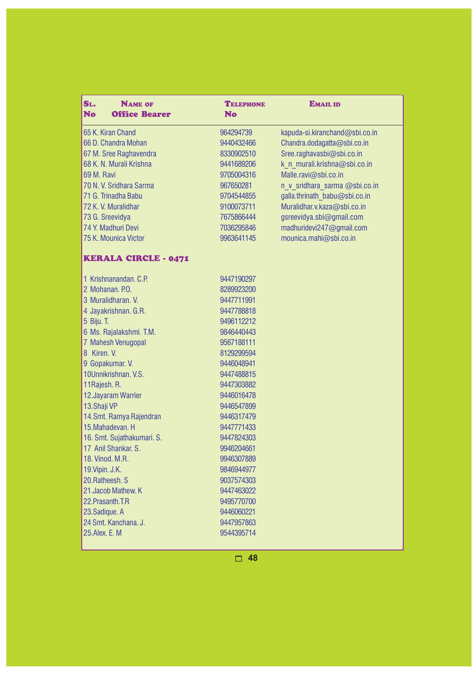| SL.<br><b>NAME OF</b><br><b>No</b><br><b>Office Bearer</b> | <b>TELEPHONE</b><br><b>No</b> | <b>EMAIL ID</b>                |
|------------------------------------------------------------|-------------------------------|--------------------------------|
| 65 K. Kiran Chand                                          | 964294739                     | kapuda-si.kiranchand@sbi.co.in |
| 66 D. Chandra Mohan                                        | 9440432466                    | Chandra.dodagatta@sbi.co.in    |
| 67 M. Sree Raghavendra                                     | 8330902510                    | Sree.raghavasbi@sbi.co.in      |
| 68 K. N. Murali Krishna                                    | 9441689206                    | k n murali.krishna@sbi.co.in   |
| 69 M. Ravi                                                 | 9705004316                    | Malle.ravi@sbi.co.in           |
| 70 N. V. Sridhara Sarma                                    | 967650281                     | n v sridhara sarma @sbi.co.in  |
| 71 G. Trinadha Babu                                        | 9704544855                    | galla.thrinath babu@sbi.co.in  |
| 72 K.V. Muralidhar                                         | 9100073711                    | Muralidhar.v.kaza@sbi.co.in    |
| 73 G. Sreevidya                                            | 7675866444                    | gsreevidya.sbi@gmail.com       |
| 74 Y. Madhuri Devi                                         | 7036295846                    | madhuridevi247@gmail.com       |
| 75 K. Mounica Victor                                       | 9963641145                    | mounica.mahi@sbi.co.in         |
| <b>KERALA CIRCLE - 0471</b>                                |                               |                                |
| 1 Krishnanandan. C.P.                                      | 9447190297                    |                                |
| 2 Mohanan, P.O.                                            | 8289923200                    |                                |
| 3 Muralidharan, V.                                         | 9447711991                    |                                |
| 4 Jayakrishnan. G.R.                                       | 9447788818                    |                                |
| 5 Biju. T.                                                 | 9496112212                    |                                |
| 6 Ms. Rajalakshmi. T.M.                                    | 9846440443                    |                                |
| 7 Mahesh Venugopal                                         | 9567188111                    |                                |
| 8 Kiren, V.                                                | 8129299594                    |                                |
| 9 Gopakumar. V.                                            | 9446048941                    |                                |
| 10Unnikrishnan. V.S.                                       | 9447488815                    |                                |
| 11 Rajesh. R.                                              | 9447303882                    |                                |
| 12. Jayaram Warrier                                        | 9446016478                    |                                |
| 13.Shaji VP                                                | 9446547899                    |                                |
| 14. Smt. Ramya Rajendran                                   | 9446317479                    |                                |
| 15. Mahadevan. H                                           | 9447771433                    |                                |
| 16. Smt. Sujathakumari. S.                                 | 9447824303                    |                                |
| 17 Anil Shankar, S.                                        | 9946204661                    |                                |
| 18. Vinod. M.R.                                            | 9946307889                    |                                |
| 19. Vipin. J.K.                                            | 9846944977                    |                                |
| 20. Ratheesh, S                                            | 9037574303                    |                                |
| 21. Jacob Mathew. K                                        | 9447463022                    |                                |
| 22. Prasanth. T.R                                          | 9495770700                    |                                |
| 23. Sadique. A                                             | 9446060221                    |                                |
| 24 Smt. Kanchana. J.                                       | 9447957863                    |                                |
| 25. Alex. E. M                                             | 9544395714                    |                                |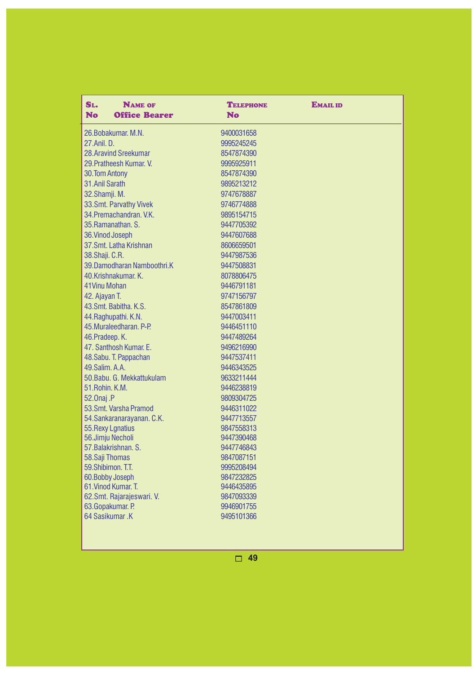| SL.<br><b>NAME OF</b><br><b>No</b><br><b>Office Bearer</b> | <b>TELEPHONE</b><br><b>No</b> | <b>EMAIL ID</b> |
|------------------------------------------------------------|-------------------------------|-----------------|
| 26. Bobakumar, M.N.                                        | 9400031658                    |                 |
| 27.Anil. D.                                                | 9995245245                    |                 |
| 28. Aravind Sreekumar                                      | 8547874390                    |                 |
| 29. Pratheesh Kumar, V.                                    | 9995925911                    |                 |
| 30.Tom Antony                                              | 8547874390                    |                 |
| 31. Anil Sarath                                            | 9895213212                    |                 |
| 32. Shamji. M.                                             | 9747678887                    |                 |
| 33. Smt. Parvathy Vivek                                    | 9746774888                    |                 |
| 34. Premachandran, V.K.                                    | 9895154715                    |                 |
| 35. Ramanathan, S.                                         | 9447705392                    |                 |
| 36. Vinod Joseph                                           | 9447607688                    |                 |
| 37.Smt. Latha Krishnan                                     | 8606659501                    |                 |
| 38. Shaji. C.R.                                            | 9447987536                    |                 |
| 39. Damodharan Namboothri. K                               | 9447508831                    |                 |
| 40.Krishnakumar. K.                                        | 8078806475                    |                 |
| 41 Vinu Mohan                                              | 9446791181                    |                 |
| 42. Ajayan T.                                              | 9747156797                    |                 |
| 43. Smt. Babitha. K.S.                                     | 8547861809                    |                 |
| 44. Raghupathi. K.N.                                       | 9447003411                    |                 |
| 45. Muraleedharan, P-P.                                    | 9446451110                    |                 |
| 46. Pradeep. K.                                            | 9447489264                    |                 |
| 47. Santhosh Kumar. E.                                     | 9496216990                    |                 |
| 48. Sabu. T. Pappachan                                     | 9447537411                    |                 |
| 49. Salim, A.A.                                            | 9446343525                    |                 |
| 50. Babu. G. Mekkattukulam                                 | 9633211444                    |                 |
| 51. Rohin. K.M.                                            | 9446238819                    |                 |
| 52.0naj .P                                                 | 9809304725                    |                 |
| 53.Smt. Varsha Pramod                                      | 9446311022                    |                 |
| 54. Sankaranarayanan. C.K.                                 | 9447713557                    |                 |
| 55. Rexy Lgnatius                                          | 9847558313                    |                 |
| 56.Jimju Necholi                                           | 9447390468                    |                 |
| 57. Balakrishnan. S.                                       | 9447746843                    |                 |
| 58. Saji Thomas                                            | 9847087151                    |                 |
| 59.Shibimon, T.T.                                          | 9995208494                    |                 |
| 60. Bobby Joseph                                           | 9847232825                    |                 |
| 61. Vinod Kumar, T.                                        | 9446435895                    |                 |
| 62. Smt. Rajarajeswari. V.                                 | 9847093339                    |                 |
| 63.Gopakumar. P.                                           | 9946901755                    |                 |
| 64 Sasikumar .K                                            | 9495101366                    |                 |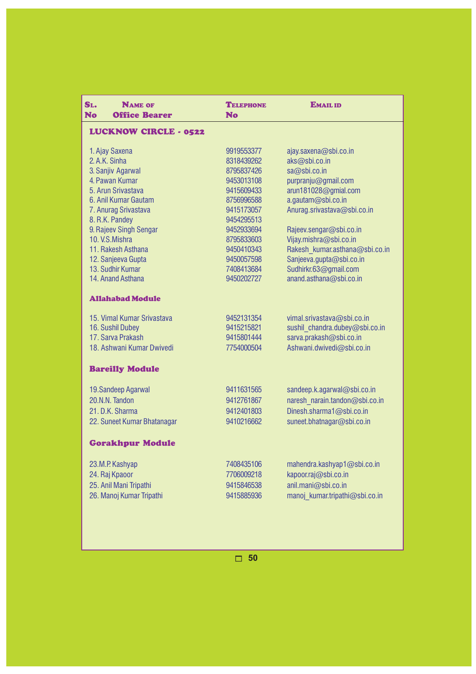| SL.<br><b>NAME OF</b><br><b>No</b><br><b>Office Bearer</b> | <b>TELEPHONE</b><br><b>No</b> | <b>EMAIL ID</b>                                            |
|------------------------------------------------------------|-------------------------------|------------------------------------------------------------|
| <b>LUCKNOW CIRCLE - 0522</b>                               |                               |                                                            |
| 1. Ajay Saxena                                             | 9919553377                    | ajay.saxena@sbi.co.in                                      |
| 2. A.K. Sinha                                              | 8318439262                    | aks@sbi.co.in                                              |
| 3. Sanjiv Agarwal                                          | 8795837426                    | sa@sbi.co.in                                               |
| 4. Pawan Kumar                                             | 9453013108                    | purpranju@gmail.com                                        |
| 5. Arun Srivastava                                         | 9415609433                    | arun181028@gmial.com                                       |
| 6. Anil Kumar Gautam                                       | 8756996588                    | a.gautam@sbi.co.in                                         |
| 7. Anurag Srivastava                                       | 9415173057                    | Anurag.srivastava@sbi.co.in                                |
| 8. R.K. Pandey                                             | 9454295513                    |                                                            |
| 9. Rajeev Singh Sengar                                     | 9452933694                    | Rajeev.sengar@sbi.co.in                                    |
| 10. V.S. Mishra                                            | 8795833603                    | Vijay.mishra@sbi.co.in                                     |
| 11. Rakesh Asthana                                         | 9450410343                    | Rakesh kumar.asthana@sbi.co.in<br>Sanjeeva.gupta@sbi.co.in |
| 12. Sanjeeva Gupta<br>13. Sudhir Kumar                     | 9450057598<br>7408413684      | Sudhirkr.63@gmail.com                                      |
| 14. Anand Asthana                                          | 9450202727                    | anand.asthana@sbi.co.in                                    |
|                                                            |                               |                                                            |
| <b>Allahabad Module</b>                                    |                               |                                                            |
| 15. Vimal Kumar Srivastava                                 | 9452131354                    | vimal.srivastava@sbi.co.in                                 |
| 16. Sushil Dubey                                           | 9415215821                    | sushil chandra.dubey@sbi.co.in                             |
| 17. Sarva Prakash                                          | 9415801444                    | sarva.prakash@sbi.co.in                                    |
| 18. Ashwani Kumar Dwivedi                                  | 7754000504                    | Ashwani.dwivedi@sbi.co.in                                  |
| <b>Bareilly Module</b>                                     |                               |                                                            |
| 19. Sandeep Agarwal                                        | 9411631565                    | sandeep.k.agarwal@sbi.co.in                                |
| 20.N.N. Tandon                                             | 9412761867                    | naresh narain.tandon@sbi.co.in                             |
| 21. D.K. Sharma                                            | 9412401803                    | Dinesh.sharma1@sbi.co.in                                   |
| 22. Suneet Kumar Bhatanagar                                | 9410216662                    | suneet.bhatnagar@sbi.co.in                                 |
| <b>Gorakhpur Module</b>                                    |                               |                                                            |
| 23.M.P. Kashyap                                            | 7408435106                    | mahendra.kashyap1@sbi.co.in                                |
| 24. Raj Kpaoor                                             | 7706009218                    | kapoor.raj@sbi.co.in                                       |
| 25. Anil Mani Tripathi                                     | 9415846538                    | anil.mani@sbi.co.in                                        |
| 26. Manoj Kumar Tripathi                                   | 9415885936                    | manoj kumar.tripathi@sbi.co.in                             |
|                                                            |                               |                                                            |
|                                                            |                               |                                                            |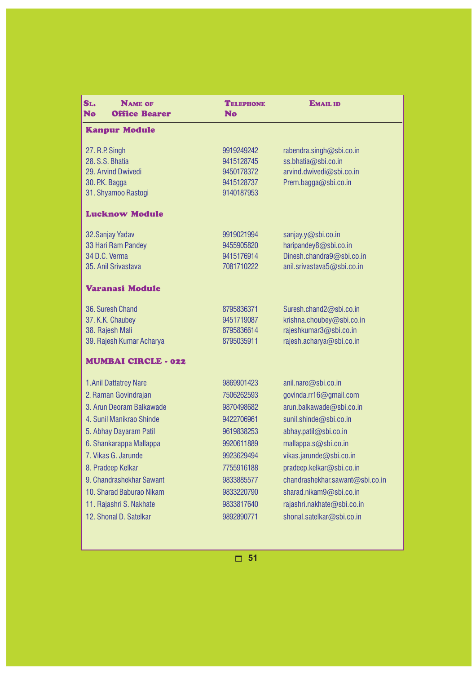| SL.<br><b>NAME OF</b><br>No<br><b>Office Bearer</b>                                              | <b>TELEPHONE</b><br><b>No</b>                                      | <b>EMAIL ID</b>                                                                                            |
|--------------------------------------------------------------------------------------------------|--------------------------------------------------------------------|------------------------------------------------------------------------------------------------------------|
| <b>Kanpur Module</b>                                                                             |                                                                    |                                                                                                            |
| 27. R.P. Singh<br>28. S.S. Bhatia<br>29. Arvind Dwivedi<br>30. P.K. Bagga<br>31. Shyamoo Rastogi | 9919249242<br>9415128745<br>9450178372<br>9415128737<br>9140187953 | rabendra.singh@sbi.co.in<br>ss.bhatia@sbi.co.in<br>arvind.dwivedi@sbi.co.in<br>Prem.bagga@sbi.co.in        |
| <b>Lucknow Module</b>                                                                            |                                                                    |                                                                                                            |
| 32. Sanjay Yadav<br>33 Hari Ram Pandey<br>34 D.C. Verma<br>35. Anil Srivastava                   | 9919021994<br>9455905820<br>9415176914<br>7081710222               | sanjay.y@sbi.co.in<br>haripandey8@sbi.co.in<br>Dinesh.chandra9@sbi.co.in<br>anil.srivastava5@sbi.co.in     |
| Varanasi Module                                                                                  |                                                                    |                                                                                                            |
| 36. Suresh Chand<br>37. K.K. Chaubey<br>38. Rajesh Mali<br>39. Rajesh Kumar Acharya              | 8795836371<br>9451719087<br>8795836614<br>8795035911               | Suresh.chand2@sbi.co.in<br>krishna.choubey@sbi.co.in<br>rajeshkumar3@sbi.co.in<br>rajesh.acharya@sbi.co.in |
| <b>MUMBAI CIRCLE - 022</b>                                                                       |                                                                    |                                                                                                            |
| 1. Anil Dattatrey Nare<br>2. Raman Govindrajan<br>3. Arun Deoram Balkawade                       | 9869901423<br>7506262593<br>9870498682                             | anil.nare@sbi.co.in<br>govinda.rr16@gmail.com<br>arun.balkawade@sbi.co.in                                  |
| 4. Sunil Manikrao Shinde<br>5. Abhay Dayaram Patil<br>6. Shankarappa Mallappa                    | 9422706961<br>9619838253<br>9920611889                             | sunil.shinde@sbi.co.in<br>abhay.patil@sbi.co.in<br>mallappa.s@sbi.co.in                                    |
| 7. Vikas G. Jarunde<br>8. Pradeep Kelkar<br>9. Chandrashekhar Sawant                             | 9923629494<br>7755916188<br>9833885577                             | vikas.jarunde@sbi.co.in<br>pradeep.kelkar@sbi.co.in<br>chandrashekhar.sawant@sbi.co.in                     |
| 10. Sharad Baburao Nikam<br>11. Rajashri S. Nakhate<br>12. Shonal D. Satelkar                    | 9833220790<br>9833817640<br>9892890771                             | sharad.nikam9@sbi.co.in<br>rajashri.nakhate@sbi.co.in<br>shonal.satelkar@sbi.co.in                         |
|                                                                                                  |                                                                    |                                                                                                            |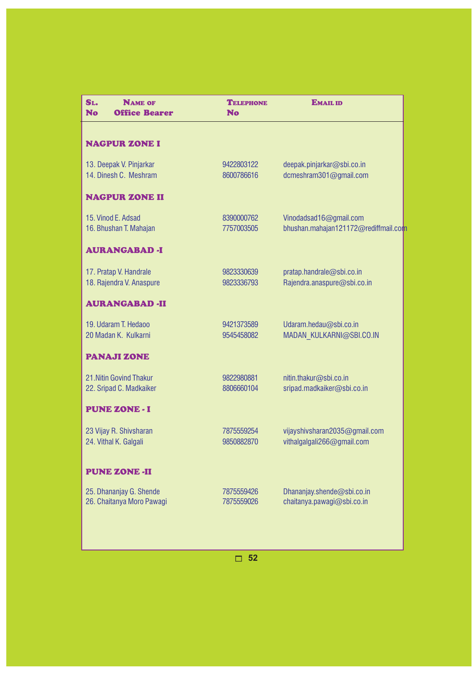| <b>TELEPHONE</b><br><b>No</b> | <b>EMAIL ID</b>                                                |
|-------------------------------|----------------------------------------------------------------|
|                               |                                                                |
| 9422803122<br>8600786616      | deepak.pinjarkar@sbi.co.in<br>dcmeshram301@gmail.com           |
|                               |                                                                |
| 8390000762<br>7757003505      | Vinodadsad16@gmail.com<br>bhushan.mahajan121172@rediffmail.com |
|                               |                                                                |
| 9823330639<br>9823336793      | pratap.handrale@sbi.co.in<br>Rajendra.anaspure@sbi.co.in       |
|                               |                                                                |
| 9421373589<br>9545458082      | Udaram.hedau@sbi.co.in<br>MADAN KULKARNI@SBI.CO.IN             |
|                               |                                                                |
| 9822980881<br>8806660104      | nitin.thakur@sbi.co.in<br>sripad.madkaiker@sbi.co.in           |
|                               |                                                                |
| 7875559254<br>9850882870      | vijayshivsharan2035@gmail.com<br>vithalgalgali266@gmail.com    |
|                               |                                                                |
| 7875559426<br>7875559026      | Dhananjay.shende@sbi.co.in<br>chaitanya.pawagi@sbi.co.in       |
|                               |                                                                |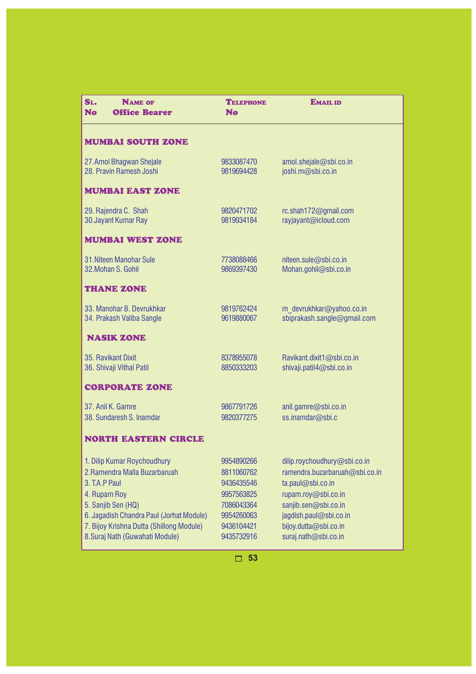| SL.<br><b>NAME OF</b><br><b>No</b><br><b>Office Bearer</b>                                                                                                                                                                                     | <b>TELEPHONE</b><br>No                                                                                       | <b>EMAIL ID</b>                                                                                                                                                                                               |
|------------------------------------------------------------------------------------------------------------------------------------------------------------------------------------------------------------------------------------------------|--------------------------------------------------------------------------------------------------------------|---------------------------------------------------------------------------------------------------------------------------------------------------------------------------------------------------------------|
| <b>MUMBAI SOUTH ZONE</b>                                                                                                                                                                                                                       |                                                                                                              |                                                                                                                                                                                                               |
| 27.Amol Bhagwan Shejale<br>28. Pravin Ramesh Joshi                                                                                                                                                                                             | 9833087470<br>9819694428                                                                                     | amol.shejale@sbi.co.in<br>joshi.m@sbi.co.in                                                                                                                                                                   |
| <b>MUMBAI EAST ZONE</b>                                                                                                                                                                                                                        |                                                                                                              |                                                                                                                                                                                                               |
| 29. Rajendra C. Shah<br>30. Jayant Kumar Ray                                                                                                                                                                                                   | 9820471702<br>9819934184                                                                                     | rc.shah172@gmail.com<br>rayjayant@icloud.com                                                                                                                                                                  |
| <b>MUMBAI WEST ZONE</b>                                                                                                                                                                                                                        |                                                                                                              |                                                                                                                                                                                                               |
| 31. Niteen Manohar Sule<br>32. Mohan S. Gohil                                                                                                                                                                                                  | 7738088466<br>9869397430                                                                                     | niteen.sule@sbi.co.in<br>Mohan.gohil@sbi.co.in                                                                                                                                                                |
| <b>THANE ZONE</b>                                                                                                                                                                                                                              |                                                                                                              |                                                                                                                                                                                                               |
| 33. Manohar B. Devrukhkar<br>34. Prakash Valiba Sangle                                                                                                                                                                                         | 9819762424<br>9619880067                                                                                     | m devrukhkar@yahoo.co.in<br>sbiprakash.sangle@gmail.com                                                                                                                                                       |
| <b>NASIK ZONE</b>                                                                                                                                                                                                                              |                                                                                                              |                                                                                                                                                                                                               |
| 35. Ravikant Dixit<br>36. Shivaji Vithal Patil                                                                                                                                                                                                 | 8378955078<br>8850333203                                                                                     | Ravikant.dixit1@sbi.co.in<br>shivaji.patil4@sbi.co.in                                                                                                                                                         |
| <b>CORPORATE ZONE</b>                                                                                                                                                                                                                          |                                                                                                              |                                                                                                                                                                                                               |
| 37. Anil K. Gamre<br>38. Sundaresh S. Inamdar                                                                                                                                                                                                  | 9867791726<br>9820377275                                                                                     | anil.gamre@sbi.co.in<br>ss.inamdar@sbi.c                                                                                                                                                                      |
| <b>NORTH EASTERN CIRCLE</b>                                                                                                                                                                                                                    |                                                                                                              |                                                                                                                                                                                                               |
| 1. Dilip Kumar Roychoudhury<br>2. Ramendra Malla Buzarbaruah<br>3. T.A.P Paul<br>4. Rupam Roy<br>5. Sanjib Sen (HQ)<br>6. Jagadish Chandra Paul (Jorhat Module)<br>7. Bijoy Krishna Dutta (Shillong Module)<br>8. Suraj Nath (Guwahati Module) | 9954890266<br>8811060762<br>9436435546<br>9957563825<br>7086043364<br>9954260063<br>9436104421<br>9435732916 | dilip.roychoudhury@sbi.co.in<br>ramendra.buzarbaruah@sbi.co.in<br>ta.paul@sbi.co.in<br>rupam.roy@sbi.co.in<br>sanjib.sen@sbi.co.in<br>jagdish.paul@sbi.co.in<br>bijoy.dutta@sbi.co.in<br>suraj.nath@sbi.co.in |
|                                                                                                                                                                                                                                                | 53                                                                                                           |                                                                                                                                                                                                               |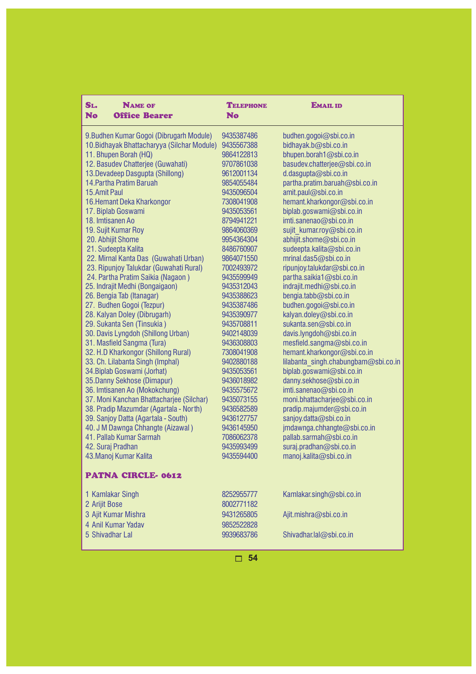| SL.<br><b>NAME OF</b><br><b>No</b><br><b>Office Bearer</b> | <b>TELEPHONE</b><br><b>No</b> | <b>EMAIL ID</b>                                 |
|------------------------------------------------------------|-------------------------------|-------------------------------------------------|
| 9. Budhen Kumar Gogoi (Dibrugarh Module)                   | 9435387486                    | budhen.gogoi@sbi.co.in                          |
| 10. Bidhayak Bhattacharyya (Silchar Module)                | 9435567388                    | bidhayak.b@sbi.co.in                            |
| 11. Bhupen Borah (HQ)                                      | 9864122813                    | bhupen.borah1@sbi.co.in                         |
| 12. Basudev Chatterjee (Guwahati)                          | 9707861038                    | basudev.chatterjee@sbi.co.in                    |
| 13. Devadeep Dasgupta (Shillong)                           | 9612001134                    | d.dasgupta@sbi.co.in                            |
| 14. Partha Pratim Baruah                                   | 9854055484                    | partha.pratim.baruah@sbi.co.in                  |
| 15.Amit Paul                                               | 9435096504                    | amit.paul@sbi.co.in                             |
| 16. Hemant Deka Kharkongor                                 | 7308041908                    | hemant.kharkongor@sbi.co.in                     |
| 17. Biplab Goswami                                         | 9435053561                    | biplab.goswami@sbi.co.in                        |
| 18. Imtisanen Ao                                           | 8794941221                    | imti.sanenao@sbi.co.in                          |
| 19. Sujit Kumar Roy                                        | 9864060369                    | sujit kumar.roy@sbi.co.in                       |
| 20. Abhijit Shome                                          | 9954364304                    | abhijit.shome@sbi.co.in                         |
| 21. Sudeepta Kalita                                        | 8486760907                    | sudeepta.kalita@sbi.co.in                       |
| 22. Mirnal Kanta Das (Guwahati Urban)                      | 9864071550                    | mrinal.das5@sbi.co.in                           |
| 23. Ripunjoy Talukdar (Guwahati Rural)                     | 7002493972                    | ripunjoy.talukdar@sbi.co.in                     |
| 24. Partha Pratim Saikia (Nagaon)                          | 9435599949                    | partha.saikia1@sbi.co.in                        |
| 25. Indrajit Medhi (Bongaigaon)                            | 9435312043                    | indrajit.medhi@sbi.co.in                        |
| 26. Bengia Tab (Itanagar)<br>27. Budhen Gogoi (Tezpur)     | 9435388623<br>9435387486      | bengia.tabb@sbi.co.in<br>budhen.gogoi@sbi.co.in |
| 28. Kalyan Doley (Dibrugarh)                               | 9435390977                    | kalyan.doley@sbi.co.in                          |
| 29. Sukanta Sen (Tinsukia)                                 | 9435708811                    | sukanta.sen@sbi.co.in                           |
| 30. Davis Lyngdoh (Shillong Urban)                         | 9402148039                    | davis.lyngdoh@sbi.co.in                         |
| 31. Masfield Sangma (Tura)                                 | 9436308803                    | mesfield.sangma@sbi.co.in                       |
| 32. H.D Kharkongor (Shillong Rural)                        | 7308041908                    | hemant.kharkongor@sbi.co.in                     |
| 33. Ch. Lilabanta Singh (Imphal)                           | 9402880188                    | lilabanta singh.chabungbam@sbi.co.in            |
| 34. Biplab Goswami (Jorhat)                                | 9435053561                    | biplab.goswami@sbi.co.in                        |
| 35. Danny Sekhose (Dimapur)                                | 9436018982                    | danny.sekhose@sbi.co.in                         |
| 36. Imtisanen Ao (Mokokchung)                              | 9435575672                    | imti.sanenao@sbi.co.in                          |
| 37. Moni Kanchan Bhattacharjee (Silchar)                   | 9435073155                    | moni.bhattacharjee@sbi.co.in                    |
| 38. Pradip Mazumdar (Agartala - North)                     | 9436582589                    | pradip.majumder@sbi.co.in                       |
| 39. Sanjoy Datta (Agartala - South)                        | 9436127757                    | sanjoy.datta@sbi.co.in                          |
| 40. J M Dawnga Chhangte (Aizawal)                          | 9436145950                    | jmdawnga.chhangte@sbi.co.in                     |
| 41. Pallab Kumar Sarmah                                    | 7086062378                    | pallab.sarmah@sbi.co.in                         |
| 42. Suraj Pradhan                                          | 9435993499                    | suraj.pradhan@sbi.co.in                         |
| 43. Manoj Kumar Kalita                                     | 9435594400                    | manoj.kalita@sbi.co.in                          |
| PATNA CIRCLE-0612                                          |                               |                                                 |
| 1 Kamlakar Singh                                           | 8252955777                    | Kamlakar.singh@sbi.co.in                        |
| 2 Arijit Bose                                              | 8002771182                    |                                                 |
| 3 Ajit Kumar Mishra                                        | 9431265805                    | Ajit.mishra@sbi.co.in                           |
| 4 Anil Kumar Yadav                                         | 9852522828                    |                                                 |
| 5 Shivadhar Lal                                            | 9939683786                    | Shivadhar.lal@sbi.co.in                         |
|                                                            |                               |                                                 |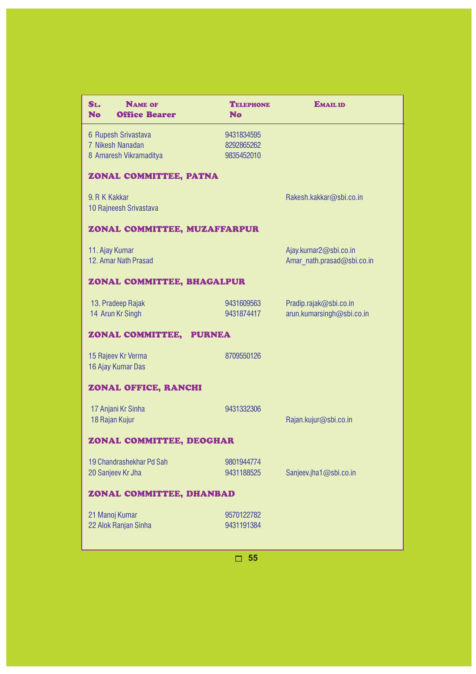| SL.<br><b>NAME OF</b><br><b>Office Bearer</b><br><b>No</b>        | <b>TELEPHONE</b><br><b>No</b>          | <b>EMAIL ID</b>                                     |
|-------------------------------------------------------------------|----------------------------------------|-----------------------------------------------------|
| 6 Rupesh Srivastava<br>7 Nikesh Nanadan<br>8 Amaresh Vikramaditya | 9431834595<br>8292865262<br>9835452010 |                                                     |
| ZONAL COMMITTEE, PATNA                                            |                                        |                                                     |
| 9. R K Kakkar<br>10 Rajneesh Srivastava                           |                                        | Rakesh.kakkar@sbi.co.in                             |
| ZONAL COMMITTEE, MUZAFFARPUR                                      |                                        |                                                     |
| 11. Ajay Kumar<br>12. Amar Nath Prasad                            |                                        | Ajay.kumar2@sbi.co.in<br>Amar nath.prasad@sbi.co.in |
| ZONAL COMMITTEE, BHAGALPUR                                        |                                        |                                                     |
| 13. Pradeep Rajak<br>14 Arun Kr Singh                             | 9431609563<br>9431874417               | Pradip.rajak@sbi.co.in<br>arun.kumarsingh@sbi.co.in |
| ZONAL COMMITTEE, PURNEA                                           |                                        |                                                     |
| 15 Rajeev Kr Verma<br>16 Ajay Kumar Das                           | 8709550126                             |                                                     |
| ZONAL OFFICE, RANCHI                                              |                                        |                                                     |
| 17 Anjani Kr Sinha<br>18 Rajan Kujur                              | 9431332306                             | Rajan.kujur@sbi.co.in                               |
| ZONAL COMMITTEE, DEOGHAR                                          |                                        |                                                     |
| 19 Chandrashekhar Pd Sah<br>20 Sanjeev Kr Jha                     | 9801944774<br>9431188525               | Sanjeev.jha1@sbi.co.in                              |
| ZONAL COMMITTEE, DHANBAD                                          |                                        |                                                     |
| 21 Manoj Kumar<br>22 Alok Ranjan Sinha                            | 9570122782<br>9431191384               |                                                     |
|                                                                   | 55                                     |                                                     |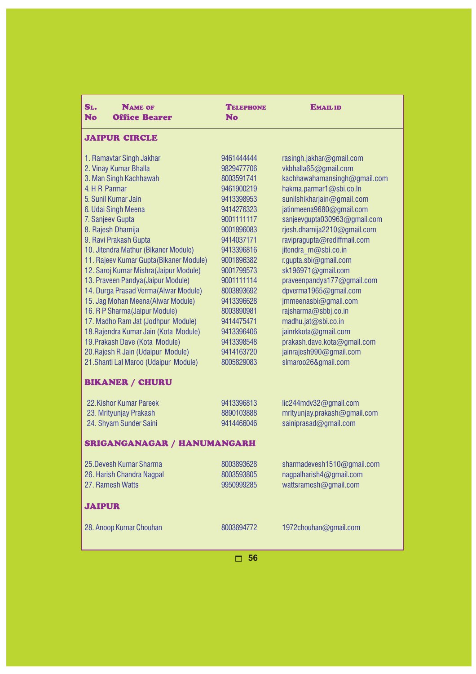| <b>JAIPUR CIRCLE</b><br>1. Ramavtar Singh Jakhar<br>9461444444<br>rasingh.jakhar@gmail.com<br>2. Vinay Kumar Bhalla<br>9829477706<br>vkbhalla65@gmail.com<br>3. Man Singh Kachhawah<br>8003591741<br>kachhawahamansingh@gmail.com<br>4. H R Parmar<br>hakma.parmar1@sbi.co.ln<br>9461900219<br>5. Sunil Kumar Jain<br>9413398953<br>sunilshikharjain@gmail.com<br>6. Udai Singh Meena<br>9414276323<br>jatinmeena9680@gmail.com<br>7. Sanjeev Gupta<br>9001111117<br>sanjeevgupta030963@gmail.com<br>8. Rajesh Dhamija<br>rjesh.dhamija2210@gmail.com<br>9001896083<br>9. Ravi Prakash Gupta<br>9414037171<br>ravipragupta@rediffmail.com<br>10. Jitendra Mathur (Bikaner Module)<br>jitendra m@sbi.co.in<br>9413396816<br>11. Rajeev Kumar Gupta (Bikaner Module)<br>9001896382<br>r.gupta.sbi@gmail.com<br>12. Saroj Kumar Mishra (Jaipur Module)<br>sk196971@gmail.com<br>9001799573<br>13. Praveen Pandya (Jaipur Module)<br>9001111114<br>praveenpandya177@gmail.com<br>14. Durga Prasad Verma (Alwar Module)<br>dpverma1965@gmail.com<br>8003893692<br>15. Jag Mohan Meena (Alwar Module)<br>jmmeenasbi@gmail.com<br>9413396628<br>16. R P Sharma (Jaipur Module)<br>rajsharma@sbbj.co.in<br>8003890981<br>17. Madho Ram Jat (Jodhpur Module)<br>madhu.jat@sbi.co.in<br>9414475471<br>18. Rajendra Kumar Jain (Kota Module)<br>jainrkkota@gmail.com<br>9413396406<br>prakash.dave.kota@gmail.com<br>19. Prakash Dave (Kota Module)<br>9413398548<br>20. Rajesh R Jain (Udaipur Module)<br>jainrajesh990@gmail.com<br>9414163720<br>21. Shanti Lal Maroo (Udaipur Module)<br>8005829083<br>slmaroo26&gmail.com<br><b>BIKANER / CHURU</b><br>22. Kishor Kumar Pareek<br>9413396813<br>lic244mdv32@gmail.com<br>23. Mrityunjay Prakash<br>8890103888<br>mrityunjay.prakash@gmail.com<br>24. Shyam Sunder Saini<br>9414466046<br>sainiprasad@gmail.com<br><b>SRIGANGANAGAR / HANUMANGARH</b><br>25. Devesh Kumar Sharma<br>8003893628<br>sharmadevesh1510@gmail.com<br>26. Harish Chandra Nagpal<br>8003593805<br>nagpalharish4@gmail.com<br>wattsramesh@gmail.com<br>27. Ramesh Watts<br>9950999285<br><b>JAIPUR</b><br>28. Anoop Kumar Chouhan<br>8003694772<br>1972chouhan@gmail.com | SL.<br><b>NAME OF</b><br><b>No</b><br><b>Office Bearer</b> | <b>TELEPHONE</b><br>No | <b>EMAIL ID</b> |
|-------------------------------------------------------------------------------------------------------------------------------------------------------------------------------------------------------------------------------------------------------------------------------------------------------------------------------------------------------------------------------------------------------------------------------------------------------------------------------------------------------------------------------------------------------------------------------------------------------------------------------------------------------------------------------------------------------------------------------------------------------------------------------------------------------------------------------------------------------------------------------------------------------------------------------------------------------------------------------------------------------------------------------------------------------------------------------------------------------------------------------------------------------------------------------------------------------------------------------------------------------------------------------------------------------------------------------------------------------------------------------------------------------------------------------------------------------------------------------------------------------------------------------------------------------------------------------------------------------------------------------------------------------------------------------------------------------------------------------------------------------------------------------------------------------------------------------------------------------------------------------------------------------------------------------------------------------------------------------------------------------------------------------------------------------------------------------------------------------------------------------------------------------------------------------------------|------------------------------------------------------------|------------------------|-----------------|
|                                                                                                                                                                                                                                                                                                                                                                                                                                                                                                                                                                                                                                                                                                                                                                                                                                                                                                                                                                                                                                                                                                                                                                                                                                                                                                                                                                                                                                                                                                                                                                                                                                                                                                                                                                                                                                                                                                                                                                                                                                                                                                                                                                                           |                                                            |                        |                 |
|                                                                                                                                                                                                                                                                                                                                                                                                                                                                                                                                                                                                                                                                                                                                                                                                                                                                                                                                                                                                                                                                                                                                                                                                                                                                                                                                                                                                                                                                                                                                                                                                                                                                                                                                                                                                                                                                                                                                                                                                                                                                                                                                                                                           |                                                            |                        |                 |
|                                                                                                                                                                                                                                                                                                                                                                                                                                                                                                                                                                                                                                                                                                                                                                                                                                                                                                                                                                                                                                                                                                                                                                                                                                                                                                                                                                                                                                                                                                                                                                                                                                                                                                                                                                                                                                                                                                                                                                                                                                                                                                                                                                                           |                                                            |                        |                 |
|                                                                                                                                                                                                                                                                                                                                                                                                                                                                                                                                                                                                                                                                                                                                                                                                                                                                                                                                                                                                                                                                                                                                                                                                                                                                                                                                                                                                                                                                                                                                                                                                                                                                                                                                                                                                                                                                                                                                                                                                                                                                                                                                                                                           |                                                            |                        |                 |
|                                                                                                                                                                                                                                                                                                                                                                                                                                                                                                                                                                                                                                                                                                                                                                                                                                                                                                                                                                                                                                                                                                                                                                                                                                                                                                                                                                                                                                                                                                                                                                                                                                                                                                                                                                                                                                                                                                                                                                                                                                                                                                                                                                                           |                                                            |                        |                 |
|                                                                                                                                                                                                                                                                                                                                                                                                                                                                                                                                                                                                                                                                                                                                                                                                                                                                                                                                                                                                                                                                                                                                                                                                                                                                                                                                                                                                                                                                                                                                                                                                                                                                                                                                                                                                                                                                                                                                                                                                                                                                                                                                                                                           |                                                            |                        |                 |
|                                                                                                                                                                                                                                                                                                                                                                                                                                                                                                                                                                                                                                                                                                                                                                                                                                                                                                                                                                                                                                                                                                                                                                                                                                                                                                                                                                                                                                                                                                                                                                                                                                                                                                                                                                                                                                                                                                                                                                                                                                                                                                                                                                                           |                                                            |                        |                 |
|                                                                                                                                                                                                                                                                                                                                                                                                                                                                                                                                                                                                                                                                                                                                                                                                                                                                                                                                                                                                                                                                                                                                                                                                                                                                                                                                                                                                                                                                                                                                                                                                                                                                                                                                                                                                                                                                                                                                                                                                                                                                                                                                                                                           |                                                            |                        |                 |
|                                                                                                                                                                                                                                                                                                                                                                                                                                                                                                                                                                                                                                                                                                                                                                                                                                                                                                                                                                                                                                                                                                                                                                                                                                                                                                                                                                                                                                                                                                                                                                                                                                                                                                                                                                                                                                                                                                                                                                                                                                                                                                                                                                                           |                                                            |                        |                 |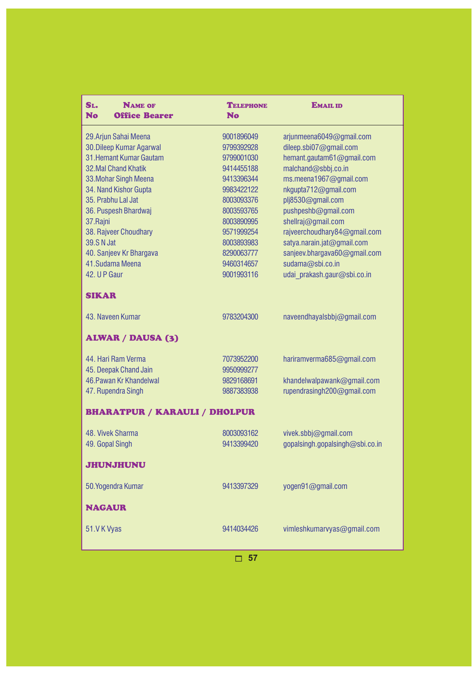| SL.<br><b>NAME OF</b><br><b>No</b><br><b>Office Bearer</b> | <b>TELEPHONE</b><br><b>No</b> | <b>EMAIL ID</b>                 |
|------------------------------------------------------------|-------------------------------|---------------------------------|
| 29. Arjun Sahai Meena                                      | 9001896049                    | arjunmeena6049@gmail.com        |
| 30. Dileep Kumar Agarwal                                   | 9799392928                    | dileep.sbi07@gmail.com          |
| 31. Hemant Kumar Gautam                                    | 9799001030                    | hemant.gautam61@gmail.com       |
| <b>32.Mal Chand Khatik</b>                                 | 9414455188                    | malchand@sbbj.co.in             |
| 33. Mohar Singh Meena                                      | 9413396344                    | ms.meena1967@gmail.com          |
| 34. Nand Kishor Gupta                                      | 9983422122                    | nkgupta712@gmail.com            |
| 35. Prabhu Lal Jat                                         | 8003093376                    | plj8530@gmail.com               |
| 36. Puspesh Bhardwaj                                       | 8003593765                    | pushpeshb@gmail.com             |
| 37.Rajni                                                   | 8003890995                    | shellraj@gmail.com              |
| 38. Rajveer Choudhary                                      | 9571999254                    | rajveerchoudhary84@gmail.com    |
| <b>39.S N Jat</b>                                          | 8003893983                    | satya.narain.jat@gmail.com      |
| 40. Sanjeev Kr Bhargava                                    | 8290063777                    | sanjeev.bhargava60@gmail.com    |
| 41. Sudama Meena                                           | 9460314657                    | sudama@sbi.co.in                |
| 42. U P Gaur                                               | 9001993116                    | udai prakash.gaur@sbi.co.in     |
| <b>SIKAR</b>                                               |                               |                                 |
| 43. Naveen Kumar                                           | 9783204300                    | naveendhayalsbbj@gmail.com      |
| <b>ALWAR / DAUSA (3)</b>                                   |                               |                                 |
| 44. Hari Ram Verma                                         | 7073952200                    | hariramverma685@gmail.com       |
| 45. Deepak Chand Jain                                      | 9950999277                    |                                 |
| 46. Pawan Kr Khandelwal                                    | 9829168691                    | khandelwalpawank@gmail.com      |
| 47. Rupendra Singh                                         | 9887383938                    | rupendrasingh200@gmail.com      |
| <b>BHARATPUR / KARAULI / DHOLPUR</b>                       |                               |                                 |
| 48. Vivek Sharma                                           | 8003093162                    | vivek.sbbj@gmail.com            |
| 49. Gopal Singh                                            | 9413399420                    | gopalsingh.gopalsingh@sbi.co.in |
| <b>JHUNJHUNU</b>                                           |                               |                                 |
| 50. Yogendra Kumar                                         | 9413397329                    | yogen91@gmail.com               |
| <b>NAGAUR</b>                                              |                               |                                 |
| 51.VK Vyas                                                 | 9414034426                    | vimleshkumarvyas@gmail.com      |
|                                                            |                               |                                 |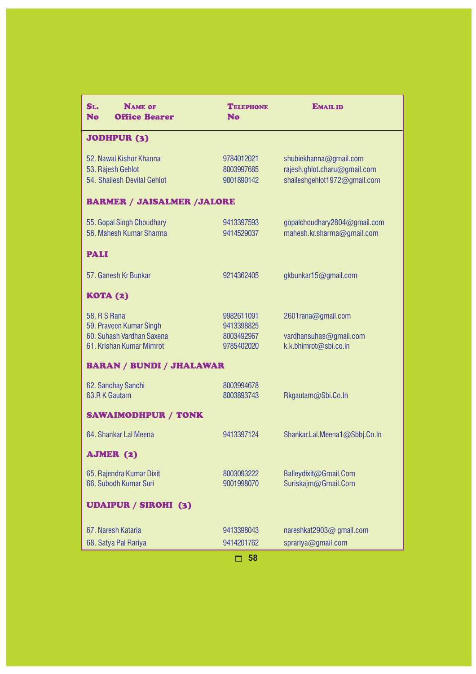| SL.<br><b>NAME OF</b><br><b>No</b><br><b>Office Bearer</b>                                       | <b>TELEPHONE</b><br><b>No</b>                        | <b>EMAIL ID</b>                                                                        |
|--------------------------------------------------------------------------------------------------|------------------------------------------------------|----------------------------------------------------------------------------------------|
| <b>JODHPUR (3)</b>                                                                               |                                                      |                                                                                        |
| 52. Nawal Kishor Khanna<br>53. Rajesh Gehlot<br>54. Shailesh Devilal Gehlot                      | 9784012021<br>8003997685<br>9001890142               | shubiekhanna@gmail.com<br>rajesh.ghlot.charu@gmail.com<br>shaileshgehlot1972@gmail.com |
| <b>BARMER / JAISALMER /JALORE</b>                                                                |                                                      |                                                                                        |
| 55. Gopal Singh Choudhary<br>56. Mahesh Kumar Sharma                                             | 9413397593<br>9414529037                             | gopalchoudhary2804@gmail.com<br>mahesh.kr.sharma@gmail.com                             |
| <b>PALI</b>                                                                                      |                                                      |                                                                                        |
| 57. Ganesh Kr Bunkar                                                                             | 9214362405                                           | gkbunkar15@gmail.com                                                                   |
| <b>KOTA (2)</b>                                                                                  |                                                      |                                                                                        |
| 58. R S Rana<br>59. Praveen Kumar Singh<br>60. Suhash Vardhan Saxena<br>61. Krishan Kumar Mimrot | 9982611091<br>9413398825<br>8003492967<br>9785402020 | 2601rana@gmail.com<br>vardhansuhas@gmail.com<br>k.k.bhimrot@sbi.co.in                  |
| <b>BARAN / BUNDI / JHALAWAR</b>                                                                  |                                                      |                                                                                        |
| 62. Sanchay Sanchi<br>63.R K Gautam                                                              | 8003994678<br>8003893743                             | Rkgautam@Sbi.Co.In                                                                     |
| <b>SAWAIMODHPUR / TONK</b>                                                                       |                                                      |                                                                                        |
| 64. Shankar Lal Meena                                                                            | 9413397124                                           | Shankar.Lal.Meena1@Sbbj.Co.In                                                          |
| AJMER (2)                                                                                        |                                                      |                                                                                        |
| 65. Rajendra Kumar Dixit<br>66. Subodh Kumar Suri                                                | 8003093222<br>9001998070                             | Balleydixit@Gmail.Com<br>Suriskajm@Gmail.Com                                           |
| <b>UDAIPUR / SIROHI (3)</b>                                                                      |                                                      |                                                                                        |
| 67. Naresh Kataria<br>68. Satya Pal Rariya                                                       | 9413398043<br>9414201762                             | nareshkat2903@ gmail.com<br>sprariya@gmail.com                                         |
|                                                                                                  | 58<br>⊓                                              |                                                                                        |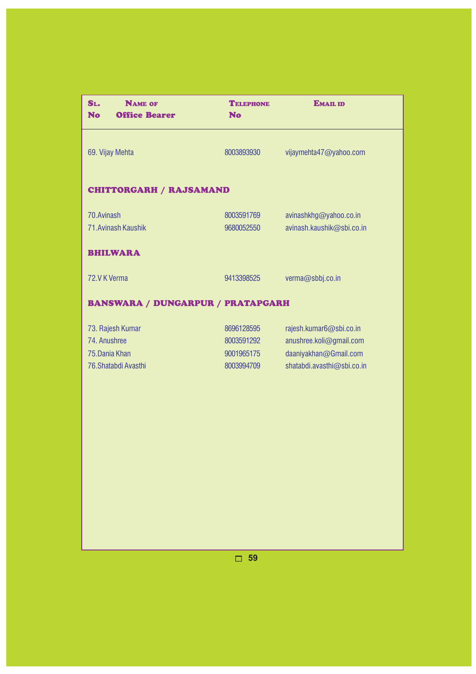| SL.<br><b>NAME OF</b><br><b>No</b><br><b>Office Bearer</b>                 | <b>TELEPHONE</b><br><b>No</b>                        | <b>EMAIL ID</b>                                                                                           |
|----------------------------------------------------------------------------|------------------------------------------------------|-----------------------------------------------------------------------------------------------------------|
| 69. Vijay Mehta                                                            | 8003893930                                           | vijaymehta47@yahoo.com                                                                                    |
| <b>CHITTORGARH / RAJSAMAND</b>                                             |                                                      |                                                                                                           |
| 70. Avinash<br>71. Avinash Kaushik                                         | 8003591769<br>9680052550                             | avinashkhg@yahoo.co.in<br>avinash.kaushik@sbi.co.in                                                       |
| <b>BHILWARA</b>                                                            |                                                      |                                                                                                           |
| 72.V K Verma                                                               | 9413398525                                           | verma@sbbj.co.in                                                                                          |
| <b>BANSWARA / DUNGARPUR / PRATAPGARH</b>                                   |                                                      |                                                                                                           |
| 73. Rajesh Kumar<br>74. Anushree<br>75. Dania Khan<br>76. Shatabdi Avasthi | 8696128595<br>8003591292<br>9001965175<br>8003994709 | rajesh.kumar6@sbi.co.in<br>anushree.koli@gmail.com<br>daaniyakhan@Gmail.com<br>shatabdi.avasthi@sbi.co.in |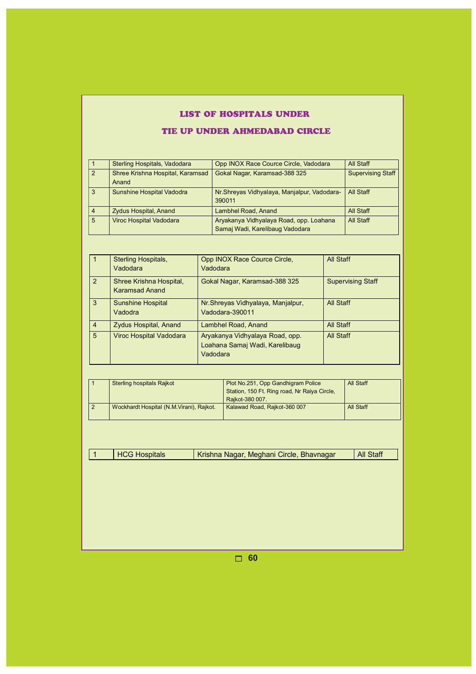# LIST OF HOSPITALS UNDER

### TIE UP UNDER AHMEDABAD CIRCLE

|                | Sterling Hospitals, Vadodara              | Opp INOX Race Cource Circle, Vadodara                                      | All Staff                |
|----------------|-------------------------------------------|----------------------------------------------------------------------------|--------------------------|
| $\overline{2}$ | Shree Krishna Hospital, Karamsad<br>Anand | Gokal Nagar, Karamsad-388 325                                              | <b>Supervising Staff</b> |
| 3              | <b>Sunshine Hospital Vadodra</b>          | Nr. Shreyas Vidhyalaya, Manjalpur, Vadodara-<br>390011                     | <b>All Staff</b>         |
| $\overline{4}$ | <b>Zydus Hospital, Anand</b>              | <b>Lambhel Road, Anand</b>                                                 | All Staff                |
| 5              | <b>Viroc Hospital Vadodara</b>            | Aryakanya Vidhyalaya Road, opp. Loahana<br>Samaj Wadi, Karelibaug Vadodara | All Staff                |

|                 | Sterling Hospitals,<br>Vadodara                  | Opp INOX Race Cource Circle,<br>Vadodara                                      | All Staff                |
|-----------------|--------------------------------------------------|-------------------------------------------------------------------------------|--------------------------|
| 2               | Shree Krishna Hospital,<br><b>Karamsad Anand</b> | Gokal Nagar, Karamsad-388 325                                                 | <b>Supervising Staff</b> |
| 3               | <b>Sunshine Hospital</b><br>Vadodra              | Nr. Shreyas Vidhyalaya, Manjalpur,<br>Vadodara-390011                         | <b>All Staff</b>         |
| $\overline{4}$  | <b>Zydus Hospital, Anand</b>                     | Lambhel Road, Anand                                                           | All Staff                |
| $5\overline{5}$ | <b>Viroc Hospital Vadodara</b>                   | Aryakanya Vidhyalaya Road, opp.<br>Loahana Samaj Wadi, Karelibaug<br>Vadodara | All Staff                |

|  | <b>Sterling hospitals Rajkot</b>          | Plot No.251, Opp Gandhigram Police<br>Station, 150 Ft. Ring road, Nr Raiya Circle,<br>Raikot-380 007. | All Staff |
|--|-------------------------------------------|-------------------------------------------------------------------------------------------------------|-----------|
|  | Wockhardt Hospital (N.M. Virani), Rajkot. | Kalawad Road, Rajkot-360 007                                                                          | All Staff |

| <b>HCG Hospitals</b> | Krishna Nagar, Meghani Circle, Bhavnagar | <b>All Staff</b> |
|----------------------|------------------------------------------|------------------|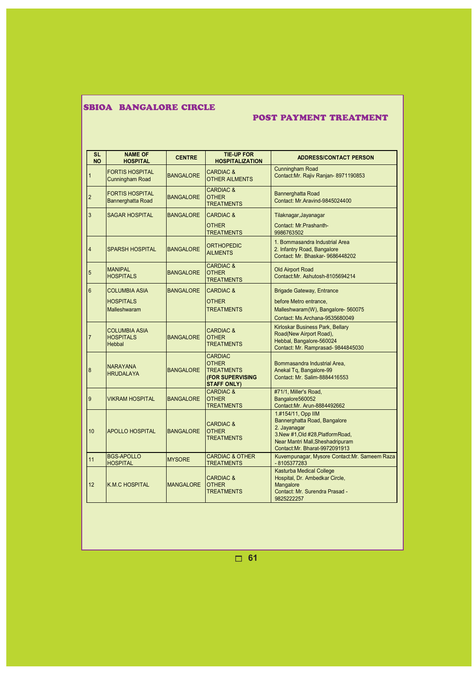# SBIOA BANGALORE CIRCLE

### POST PAYMENT TREATMENT

| <b>SL</b><br><b>NO</b> | <b>NAME OF</b><br><b>HOSPITAL</b>                  | <b>CENTRE</b>    | <b>TIE-UP FOR</b><br><b>HOSPITALIZATION</b>                                                   | <b>ADDRESS/CONTACT PERSON</b>                                                                                                                                                 |
|------------------------|----------------------------------------------------|------------------|-----------------------------------------------------------------------------------------------|-------------------------------------------------------------------------------------------------------------------------------------------------------------------------------|
| 1                      | <b>FORTIS HOSPITAL</b><br><b>Cunningham Road</b>   | <b>BANGALORE</b> | <b>CARDIAC &amp;</b><br><b>OTHER AILMENTS</b>                                                 | <b>Cunningham Road</b><br>Contact: Mr. Rajiv Ranjan-8971190853                                                                                                                |
| $\overline{2}$         | <b>FORTIS HOSPITAL</b><br><b>Bannerghatta Road</b> | <b>BANGALORE</b> | <b>CARDIAC &amp;</b><br><b>OTHER</b><br><b>TREATMENTS</b>                                     | <b>Bannerghatta Road</b><br>Contact: Mr.Aravind-9845024400                                                                                                                    |
| 3                      | SAGAR HOSPITAL                                     | <b>BANGALORE</b> | <b>CARDIAC &amp;</b>                                                                          | Tilaknagar, Jayanagar                                                                                                                                                         |
|                        |                                                    |                  | <b>OTHER</b><br><b>TREATMENTS</b>                                                             | Contact: Mr. Prashanth-<br>9986763502                                                                                                                                         |
| $\overline{4}$         | <b>SPARSH HOSPITAL</b>                             | <b>BANGALORE</b> | <b>ORTHOPEDIC</b><br><b>AILMENTS</b>                                                          | 1. Bommasandra Industrial Area<br>2. Infantry Road, Bangalore<br>Contact: Mr. Bhaskar-9686448202                                                                              |
| 5                      | <b>MANIPAL</b><br><b>HOSPITALS</b>                 | <b>BANGALORE</b> | <b>CARDIAC &amp;</b><br><b>OTHER</b><br><b>TREATMENTS</b>                                     | <b>Old Airport Road</b><br>Contact: Mr. Ashutosh-8105694214                                                                                                                   |
| 6                      | <b>COLUMBIA ASIA</b>                               | <b>BANGALORE</b> | <b>CARDIAC &amp;</b>                                                                          | <b>Brigade Gateway, Entrance</b>                                                                                                                                              |
|                        | <b>HOSPITALS</b><br><b>Malleshwaram</b>            |                  | <b>OTHER</b><br><b>TREATMENTS</b>                                                             | before Metro entrance.<br>Malleshwaram(W), Bangalore- 560075<br>Contact: Ms.Archana-9535680049                                                                                |
| $\overline{7}$         | <b>COLUMBIA ASIA</b><br><b>HOSPITALS</b><br>Hebbal | <b>BANGALORE</b> | <b>CARDIAC &amp;</b><br><b>OTHER</b><br><b>TREATMENTS</b>                                     | Kirloskar Business Park, Bellary<br>Road(New Airport Road),<br>Hebbal, Bangalore-560024<br>Contact: Mr. Ramprasad- 9844845030                                                 |
| 8                      | <b>NARAYANA</b><br><b>HRUDALAYA</b>                | <b>BANGALORE</b> | <b>CARDIAC</b><br><b>OTHER</b><br><b>TREATMENTS</b><br>(FOR SUPERVISING<br><b>STAFF ONLY)</b> | Bommasandra Industrial Area,<br>Anekal Tq, Bangalore-99<br>Contact: Mr. Salim-8884416553                                                                                      |
| 9                      | <b>VIKRAM HOSPITAL</b>                             | <b>BANGALORE</b> | <b>CARDIAC &amp;</b><br><b>OTHER</b><br><b>TREATMENTS</b>                                     | #71/1, Miller's Road,<br>Bangalore560052<br>Contact: Mr. Arun-8884492662                                                                                                      |
| 10                     | <b>APOLLO HOSPITAL</b>                             | <b>BANGALORE</b> | <b>CARDIAC &amp;</b><br><b>OTHER</b><br><b>TREATMENTS</b>                                     | 1.#154/11, Opp IIM<br>Bannerghatta Road, Bangalore<br>2. Jayanagar<br>3.New #1, Old #28, Platform Road,<br>Near Mantri Mall, Sheshadripuram<br>Contact: Mr. Bharat-9972091913 |
| 11                     | <b>BGS-APOLLO</b><br><b>HOSPITAL</b>               | <b>MYSORE</b>    | <b>CARDIAC &amp; OTHER</b><br><b>TREATMENTS</b>                                               | Kuvempunagar, Mysore Contact: Mr. Sameem Raza<br>-8105377283                                                                                                                  |
| 12                     | <b>K.M.C HOSPITAL</b>                              | <b>MANGALORE</b> | <b>CARDIAC &amp;</b><br><b>OTHER</b><br><b>TREATMENTS</b>                                     | <b>Kasturba Medical College</b><br>Hospital, Dr. Ambedkar Circle,<br>Mangalore<br>Contact: Mr. Surendra Prasad -<br>9825222257                                                |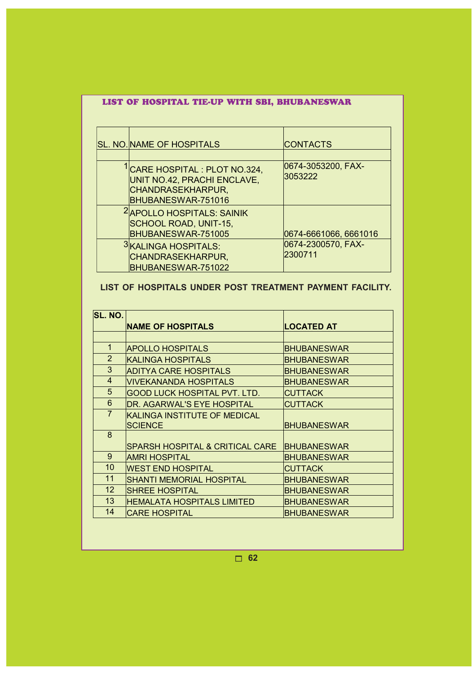# LIST OF HOSPITAL TIE-UP WITH SBI, BHUBANESWAR

| <b>SL. NO. NAME OF HOSPITALS</b>                                                                                    | <b>CONTACTS</b>               |
|---------------------------------------------------------------------------------------------------------------------|-------------------------------|
| <sup>I</sup> CARE HOSPITAL : PLOT NO.324,<br>UNIT NO.42, PRACHI ENCLAVE,<br>CHANDRASEKHARPUR,<br>BHUBANESWAR-751016 | 0674-3053200, FAX-<br>3053222 |
| <sup>2</sup> APOLLO HOSPITALS: SAINIK<br>SCHOOL ROAD, UNIT-15,<br>BHUBANESWAR-751005                                | 0674-6661066, 6661016         |
| 3KALINGA HOSPITALS:<br>CHANDRASEKHARPUR,<br>BHUBANESWAR-751022                                                      | 0674-2300570, FAX-<br>2300711 |

# **LIST OF HOSPITALS UNDER POST TREATMENT PAYMENT FACILITY.**

| <b>ISL. NO.</b> |                                            |                    |  |
|-----------------|--------------------------------------------|--------------------|--|
|                 | <b>NAME OF HOSPITALS</b>                   | <b>LOCATED AT</b>  |  |
|                 |                                            |                    |  |
| $\mathbf 1$     | <b>APOLLO HOSPITALS</b>                    | <b>BHUBANESWAR</b> |  |
| $\overline{2}$  | KALINGA HOSPITALS                          | BHUBANESWAR        |  |
| 3               | ADITYA CARE HOSPITALS                      | <b>BHUBANESWAR</b> |  |
| 4               | <u> IVIVEKANANDA HOSPITALS</u>             | <b>BHUBANESWAR</b> |  |
| 5               | GOOD LUCK HOSPITAL PVT. LTD.               | CUTTACK            |  |
| 6               | <b>DR. AGARWAL'S EYE HOSPITAL</b>          | <b>CUTTACK</b>     |  |
| $\overline{7}$  | KALINGA INSTITUTE OF MEDICAL               |                    |  |
|                 | <b>SCIENCE</b>                             | <b>BHUBANESWAR</b> |  |
| 8               |                                            |                    |  |
|                 | <b>SPARSH HOSPITAL &amp; CRITICAL CARE</b> | <b>BHUBANESWAR</b> |  |
| 9               | <b>AMRI HOSPITAL</b>                       | <b>BHUBANESWAR</b> |  |
| 10              | <b>WEST END HOSPITAL</b>                   | CUTTACK            |  |
| 11              | SHANTI MEMORIAL HOSPITAL                   | <b>BHUBANESWAR</b> |  |
| 12              | <b>ISHREE HOSPITAL</b>                     | BHUBANESWAR        |  |
| 13              | HEMALATA HOSPITALS LIMITED                 | BHUBANESWAR        |  |
| 14              | CARE HOSPITAL                              | <b>BHUBANESWAR</b> |  |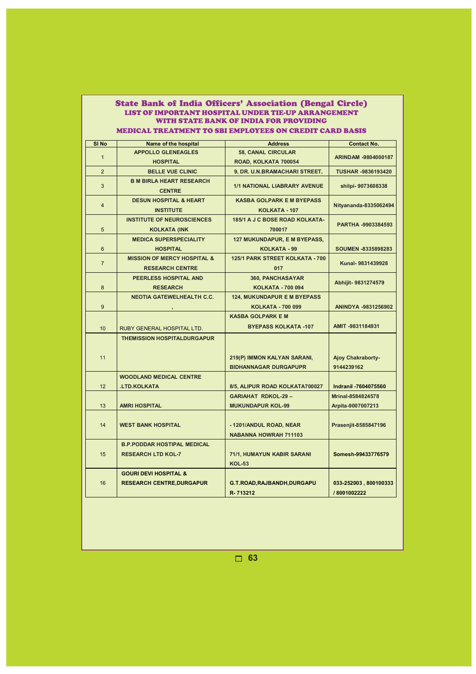| LIST OF IMPORTANT HOSPITAL UNDER TIE-UP ARRANGEMENT     |                                                                      |                                                                |                                      |  |  |  |
|---------------------------------------------------------|----------------------------------------------------------------------|----------------------------------------------------------------|--------------------------------------|--|--|--|
|                                                         | WITH STATE BANK OF INDIA FOR PROVIDING                               |                                                                |                                      |  |  |  |
| MEDICAL TREATMENT TO SBI EMPLOYEES ON CREDIT CARD BASIS |                                                                      |                                                                |                                      |  |  |  |
| SI No                                                   | <b>Name of the hospital</b>                                          | <b>Address</b>                                                 | <b>Contact No.</b>                   |  |  |  |
| $\mathbf{1}$                                            | <b>APPOLLO GLENEAGLES</b>                                            | <b>58, CANAL CIRCULAR</b>                                      | ARINDAM -9804000187                  |  |  |  |
|                                                         | <b>HOSPITAL</b>                                                      | ROAD, KOLKATA 700054                                           |                                      |  |  |  |
| $\overline{2}$                                          | <b>BELLE VUE CLINIC</b>                                              | 9, DR. U.N.BRAMACHARI STREET,                                  | <b>TUSHAR -9836193420</b>            |  |  |  |
| 3                                                       | <b>B M BIRLA HEART RESEARCH</b><br><b>CENTRE</b>                     | <b>1/1 NATIONAL LIABRARY AVENUE</b>                            | shilpi-9073608338                    |  |  |  |
| $\overline{4}$                                          | <b>DESUN HOSPITAL &amp; HEART</b><br><b>INSTITUTE</b>                | <b>KASBA GOLPARK E M BYEPASS</b><br><b>KOLKATA - 107</b>       | Nityananda-8335062494                |  |  |  |
| 5                                                       | <b>INSTITUTE OF NEUROSCIENCES</b><br><b>KOLKATA (INK</b>             | 185/1 A J C BOSE ROAD KOLKATA-<br>700017                       | PARTHA -9903384593                   |  |  |  |
| $6\phantom{1}$                                          | <b>MEDICA SUPERSPECIALITY</b><br><b>HOSPITAL</b>                     | 127 MUKUNDAPUR, E M BYEPASS,<br>KOLKATA - 99                   | SOUMEN -8335898283                   |  |  |  |
| $\overline{7}$                                          | <b>MISSION OF MERCY HOSPITAL &amp;</b><br><b>RESEARCH CENTRE</b>     | 125/1 PARK STREET KOLKATA - 700<br>017                         | Kunal-9831439928                     |  |  |  |
| 8                                                       | PEERLESS HOSPITAL AND<br><b>RESEARCH</b>                             | 360, PANCHASAYAR<br><b>KOLKATA - 700 094</b>                   | Abhijit- 9831274579                  |  |  |  |
| 9                                                       | <b>NEOTIA GATEWELHEALTH C.C.</b>                                     | <b>124, MUKUNDAPUR E M BYEPASS</b><br><b>KOLKATA - 700 099</b> | ANINDYA -9831256902                  |  |  |  |
|                                                         |                                                                      | <b>KASBA GOLPARK E M</b>                                       |                                      |  |  |  |
| 10                                                      | RUBY GENERAL HOSPITAL LTD.                                           | <b>BYEPASS KOLKATA -107</b>                                    | AMIT-9831184931                      |  |  |  |
| 11                                                      | <b>THEMISSION HOSPITALDURGAPUR</b>                                   | 219(P) IMMON KALYAN SARANI,<br><b>BIDHANNAGAR DURGAPUPR</b>    | Ajoy Chakraborty-<br>9144239162      |  |  |  |
|                                                         | <b>WOODLAND MEDICAL CENTRE</b>                                       |                                                                |                                      |  |  |  |
| 12                                                      | <b>.LTD.KOLKATA</b>                                                  | 8/5, ALIPUR ROAD KOLKATA700027                                 | <b>Indranil -7604075560</b>          |  |  |  |
|                                                         |                                                                      | <b>GARIAHAT RDKOL-29-</b>                                      | Mrinal-8584824578                    |  |  |  |
| 13                                                      | <b>AMRI HOSPITAL</b>                                                 | <b>MUKUNDAPUR KOL-99</b>                                       | Arpita-9007007213                    |  |  |  |
| 14                                                      | <b>WEST BANK HOSPITAL</b>                                            | -1201/ANDUL ROAD, NEAR<br><b>NABANNA HOWRAH 711103</b>         | Prasenjit-8585847196                 |  |  |  |
|                                                         | <b>B.P.PODDAR HOSTIPAL MEDICAL</b>                                   |                                                                |                                      |  |  |  |
| 15                                                      | <b>RESEARCH LTD KOL-7</b>                                            | 71/1, HUMAYUN KABIR SARANI<br><b>KOL-53</b>                    | Somesh-99433776579                   |  |  |  |
| 16                                                      | <b>GOURI DEVI HOSPITAL &amp;</b><br><b>RESEARCH CENTRE, DURGAPUR</b> | G.T.ROAD, RAJBANDH, DURGAPU<br>R-713212                        | 033-252003, 800100333<br>/8001002222 |  |  |  |
|                                                         |                                                                      |                                                                |                                      |  |  |  |

State Bank of India Officers' Association (Bengal Circle)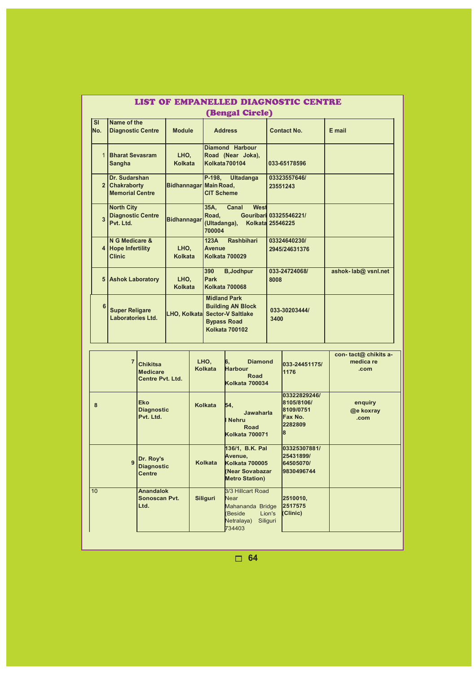|                         | LIST OF EMPANELLED DIAGNOSTIC CENTRE                       |                        |                                                                                                                                  |                               |                     |  |  |  |
|-------------------------|------------------------------------------------------------|------------------------|----------------------------------------------------------------------------------------------------------------------------------|-------------------------------|---------------------|--|--|--|
|                         | <b>(Bengal Circle)</b>                                     |                        |                                                                                                                                  |                               |                     |  |  |  |
| <b>SI</b><br>No.        | Name of the<br><b>Diagnostic Centre</b>                    | Contact No.            | E mail                                                                                                                           |                               |                     |  |  |  |
| 1                       | <b>Bharat Sevasram</b><br><b>Sangha</b>                    | LHO.<br>Kolkata        | Diamond Harbour<br>Road (Near Joka),<br>Kolkata 700104                                                                           | 033-65178596                  |                     |  |  |  |
|                         | Dr. Sudarshan<br>2 Chakraborty<br><b>Memorial Centre</b>   | Bidhannagar Main Road, | P-198,<br><b>Ultadanga</b><br><b>CIT Scheme</b>                                                                                  | 03323557646/<br>23551243      |                     |  |  |  |
| $\overline{\mathbf{3}}$ | <b>North City</b><br><b>Diagnostic Centre</b><br>Pvt. Ltd. | <b>Bidhannagar</b>     | West<br>Canal<br>35A,<br>Road.<br>(Ultadanga), Kolkata 25546225<br>700004                                                        | Gouribari 03325546221/        |                     |  |  |  |
| 4                       | N G Medicare &<br><b>Hope Infertility</b><br><b>Clinic</b> | LHO.<br>Kolkata        | 123A<br><b>Rashbihari</b><br><b>Avenue</b><br>Kolkata 700029                                                                     | 03324640230/<br>2945/24631376 |                     |  |  |  |
|                         | 5 Ashok Laboratory                                         | LHO,<br>Kolkata        | 390<br><b>B</b> , Jodhpur<br>Park<br><b>Kolkata 700068</b>                                                                       | 033-24724068/<br>8008         | ashok-lab@ vsnl.net |  |  |  |
| 6                       | <b>Super Religare</b><br>Laboratories Ltd.                 |                        | <b>Midland Park</b><br><b>Building AN Block</b><br>LHO, Kolkata Sector-V Saltlake<br><b>Bypass Road</b><br><b>Kolkata 700102</b> | 033-30203444/<br>3400         |                     |  |  |  |

| $\overline{7}$ | <b>Chikitsa</b><br><b>Medicare</b><br><b>Centre Pvt. Ltd.</b> | LHO.<br>Kolkata | 6,<br><b>Diamond</b><br><b>Harbour</b><br>Road<br><b>Kolkata 700034</b>                                             | 033-24451175/<br>1176                                               | con-tact@chikits a-<br>medica re<br>.com |
|----------------|---------------------------------------------------------------|-----------------|---------------------------------------------------------------------------------------------------------------------|---------------------------------------------------------------------|------------------------------------------|
| 8              | <b>Eko</b><br><b>Diagnostic</b><br>Pvt. Ltd.                  | <b>Kolkata</b>  | 54,<br>Jawaharla<br>I Nehru<br><b>Road</b><br><b>Kolkata 700071</b>                                                 | 03322829246/<br>8105/8106/<br>8109/0751<br>Fax No.<br>2282809<br>18 | enquiry<br>@e koxray<br>.com             |
| $\mathbf{g}$   | Dr. Roy's<br><b>Diagnostic</b><br><b>Centre</b>               | Kolkata         | 136/1, B.K. Pal<br>Avenue,<br><b>Kolkata 700005</b><br>Near Sovabazar<br><b>Metro Station)</b>                      | 03325307881/<br>25431899/<br>64505070/<br>9830496744                |                                          |
| 10             | <b>Anandalok</b><br>Sonoscan Pvt.<br>Ltd.                     | Siliguri        | 3/3 Hillcart Road<br><b>Near</b><br>Mahananda Bridge<br>Lion's<br><b>Beside</b><br>Netralaya)<br>Siliguri<br>734403 | 2510010,<br>2517575<br>(Clinic)                                     |                                          |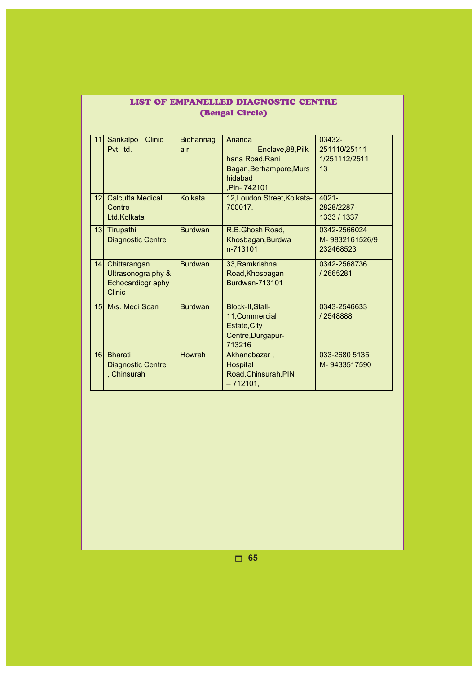| <b>(Bengal Circle)</b> |                                                                          |                  |                                                                                                    |                                               |  |
|------------------------|--------------------------------------------------------------------------|------------------|----------------------------------------------------------------------------------------------------|-----------------------------------------------|--|
| 11                     | <b>Clinic</b><br>Sankalpo<br>Pvt. Itd.                                   | Bidhannag<br>a r | Ananda<br>Enclave, 88, Pilk<br>hana Road, Rani<br>Bagan, Berhampore, Murs<br>hidabad<br>Pin-742101 | 03432-<br>251110/25111<br>1/251112/2511<br>13 |  |
| 12 <sup>1</sup>        | <b>Calcutta Medical</b><br>Centre<br>Ltd.Kolkata                         | Kolkata          | 12, Loudon Street, Kolkata-<br>700017.                                                             | 4021-<br>2828/2287-<br>1333 / 1337            |  |
|                        | 13 Tirupathi<br><b>Diagnostic Centre</b>                                 | <b>Burdwan</b>   | R.B.Ghosh Road,<br>Khosbagan, Burdwa<br>n-713101                                                   | 0342-2566024<br>M-9832161526/9<br>232468523   |  |
| 14                     | Chittarangan<br>Ultrasonogra phy &<br>Echocardiogr aphy<br><b>Clinic</b> | <b>Burdwan</b>   | 33, Ramkrishna<br>Road, Khosbagan<br><b>Burdwan-713101</b>                                         | 0342-2568736<br>/2665281                      |  |
|                        | 15 M/s. Medi Scan                                                        | <b>Burdwan</b>   | Block-II, Stall-<br>11, Commercial<br>Estate, City<br>Centre, Durgapur-<br>713216                  | 0343-2546633<br>/2548888                      |  |
| 16 <sup>1</sup>        | <b>Bharati</b><br><b>Diagnostic Centre</b><br>, Chinsurah                | Howrah           | Akhanabazar,<br><b>Hospital</b><br>Road, Chinsurah, PIN<br>$-712101,$                              | 033-2680 5135<br>M-9433517590                 |  |

# LIST OF EMPANELLED DIAGNOSTIC CENTRE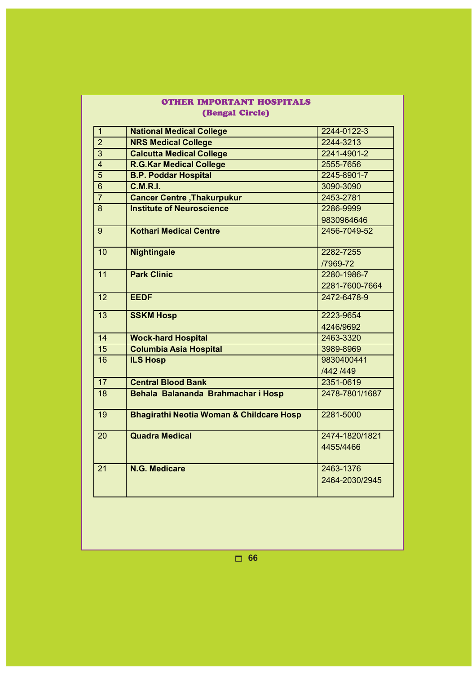| OTHER IMPORTANT HOSPITALS |                                                     |                |  |  |  |  |
|---------------------------|-----------------------------------------------------|----------------|--|--|--|--|
|                           | <b>(Bengal Circle)</b>                              |                |  |  |  |  |
| $\overline{1}$            | <b>National Medical College</b>                     | 2244-0122-3    |  |  |  |  |
| $\overline{2}$            | <b>NRS Medical College</b>                          | 2244-3213      |  |  |  |  |
| $\overline{3}$            | <b>Calcutta Medical College</b>                     | 2241-4901-2    |  |  |  |  |
| $\overline{4}$            | <b>R.G.Kar Medical College</b>                      | 2555-7656      |  |  |  |  |
| $\overline{5}$            | <b>B.P. Poddar Hospital</b>                         | 2245-8901-7    |  |  |  |  |
| $\overline{6}$            | C.M.R.I.                                            | 3090-3090      |  |  |  |  |
| $\overline{7}$            | <b>Cancer Centre, Thakurpukur</b>                   | 2453-2781      |  |  |  |  |
| $\overline{8}$            | <b>Institute of Neuroscience</b>                    | 2286-9999      |  |  |  |  |
|                           |                                                     | 9830964646     |  |  |  |  |
| 9                         | <b>Kothari Medical Centre</b>                       | 2456-7049-52   |  |  |  |  |
| 10                        | <b>Nightingale</b>                                  | 2282-7255      |  |  |  |  |
|                           |                                                     | /7969-72       |  |  |  |  |
| 11                        | <b>Park Clinic</b>                                  | 2280-1986-7    |  |  |  |  |
|                           |                                                     | 2281-7600-7664 |  |  |  |  |
| 12                        | <b>EEDF</b>                                         | 2472-6478-9    |  |  |  |  |
| 13                        | <b>SSKM Hosp</b>                                    | 2223-9654      |  |  |  |  |
|                           |                                                     | 4246/9692      |  |  |  |  |
| 14                        | <b>Wock-hard Hospital</b>                           | 2463-3320      |  |  |  |  |
| 15                        | <b>Columbia Asia Hospital</b>                       | 3989-8969      |  |  |  |  |
| 16                        | <b>ILS Hosp</b>                                     | 9830400441     |  |  |  |  |
|                           |                                                     | /442 /449      |  |  |  |  |
| $\overline{17}$           | <b>Central Blood Bank</b>                           | 2351-0619      |  |  |  |  |
| $\overline{18}$           | Behala Balananda Brahmachar i Hosp                  | 2478-7801/1687 |  |  |  |  |
| 19                        | <b>Bhagirathi Neotia Woman &amp; Childcare Hosp</b> | 2281-5000      |  |  |  |  |
| 20                        | <b>Quadra Medical</b>                               | 2474-1820/1821 |  |  |  |  |
|                           |                                                     | 4455/4466      |  |  |  |  |
| $\overline{21}$           | N.G. Medicare                                       | 2463-1376      |  |  |  |  |
|                           |                                                     | 2464-2030/2945 |  |  |  |  |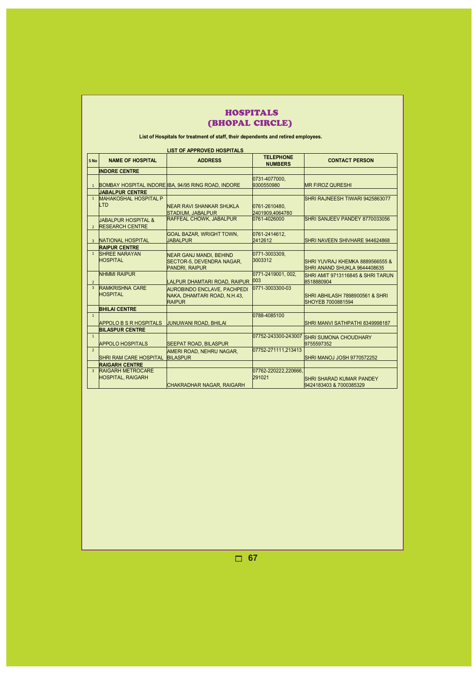|                 | HOSPITALS |  |
|-----------------|-----------|--|
| (BHOPAL CIRCLE) |           |  |

#### **List of Hospitals for treatment of staff, their dependents and retired employees.**

J.

|                          | <b>LIST OF APPROVED HOSPITALS</b>                    |                                                                                      |                                    |                                                                 |  |  |  |
|--------------------------|------------------------------------------------------|--------------------------------------------------------------------------------------|------------------------------------|-----------------------------------------------------------------|--|--|--|
| S No                     | <b>NAME OF HOSPITAL</b>                              | <b>ADDRESS</b>                                                                       | <b>TELEPHONE</b><br><b>NUMBERS</b> | <b>CONTACT PERSON</b>                                           |  |  |  |
|                          | <b>INDORE CENTRE</b>                                 |                                                                                      |                                    |                                                                 |  |  |  |
| $\mathbf{1}$             |                                                      | BOMBAY HOSPITAL INDORE IBA, 94/95 RING ROAD, INDORE                                  | 0731-4077000.<br>9300550980        | <b>MR FIROZ QURESHI</b>                                         |  |  |  |
|                          | <b>JABALPUR CENTRE</b>                               |                                                                                      |                                    |                                                                 |  |  |  |
| 1                        | <b>MAHAKOSHAL HOSPITAL P</b><br><b>LTD</b>           | <b>NEAR RAVI SHANKAR SHUKLA</b><br><b>STADIUM, JABALPUR</b>                          | 0761-2610480.<br>2401909.4064780   | SHRI RAJNEESH TIWARI 9425863077                                 |  |  |  |
| $\overline{2}$           | JABALPUR HOSPITAL &<br><b>RESEARCH CENTRE</b>        | RAFFEAL CHOWK, JABALPUR                                                              | 0761-4026000                       | SHRI SANJEEV PANDEY 8770033056                                  |  |  |  |
|                          | <b>NATIONAL HOSPITAL</b>                             | <b>GOAL BAZAR, WRIGHT TOWN,</b><br><b>JABALPUR</b>                                   | 0761-2414612.<br>2412612           | SHRI NAVEEN SHIVHARE 944624868                                  |  |  |  |
|                          | <b>RAIPUR CENTRE</b>                                 |                                                                                      |                                    |                                                                 |  |  |  |
| 1                        | <b>SHREE NARAYAN</b><br><b>HOSPITAL</b>              | <b>NEAR GANJ MANDI. BEHIND</b><br>SECTOR-5, DEVENDRA NAGAR,<br><b>PANDRI, RAIPUR</b> | 0771-3003309,<br>3003312           | SHRI YUVRAJ KHEMKA 8889566555 &<br>SHRI ANAND SHUKLA 9644408635 |  |  |  |
| $\overline{\phantom{0}}$ | <b>NHMMI RAIPUR</b>                                  | LALPUR DHAMTARI ROAD, RAIPUR 003                                                     | 0771-2419001.002.                  | SHRI AMIT 9713116845 & SHRI TARUN<br>8518880904                 |  |  |  |
| $\overline{3}$           | <b>RAMKRISHNA CARE</b><br><b>HOSPITAL</b>            | AUROBINDO ENCLAVE, PACHPEDI<br>NAKA, DHAMTARI ROAD, N.H.43,<br><b>RAIPUR</b>         | 0771-3003300-03                    | SHRI ABHILASH 7898900561 & SHRI<br>SHOYEB 7000881594            |  |  |  |
|                          | <b>BHILAI CENTRE</b>                                 |                                                                                      |                                    |                                                                 |  |  |  |
| $\mathbf{1}$             | <b>APPOLO B S R HOSPITALS</b>                        | <b>JUNUWANI ROAD, BHILAI</b>                                                         | 0788-4085100                       | SHRI MANVI SATHPATHI 8349998187                                 |  |  |  |
|                          | <b>BILASPUR CENTRE</b>                               |                                                                                      |                                    |                                                                 |  |  |  |
| $\mathbf{1}$             | <b>APPOLO HOSPITALS</b>                              | <b>SEEPAT ROAD, BILASPUR</b>                                                         | 07752-243300-243007                | <b>SHRI SUMONA CHOUDHARY</b><br>9755597352                      |  |  |  |
| $\overline{2}$           | <b>SHRI RAM CARE HOSPITAL</b>                        | AMERI ROAD, NEHRU NAGAR,<br><b>BILASPUR</b>                                          | 07752-271111,213413                | SHRI MANOJ JOSH 9770572252                                      |  |  |  |
|                          | <b>RAIGARH CENTRE</b>                                |                                                                                      |                                    |                                                                 |  |  |  |
| $\overline{3}$           | <b>RAIGARH METROCARE</b><br><b>HOSPITAL, RAIGARH</b> | <b>CHAKRADHAR NAGAR, RAIGARH</b>                                                     | 07762-220222,220666,<br>291021     | <b>SHRI SHARAD KUMAR PANDEY</b><br>9424183403 & 7000385329      |  |  |  |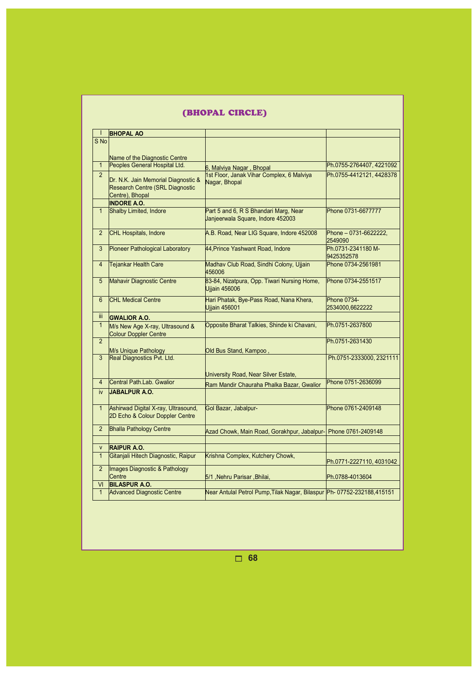|                | (BHOPAL CIRCLE)                                                                           |                                                                            |                                       |  |  |  |
|----------------|-------------------------------------------------------------------------------------------|----------------------------------------------------------------------------|---------------------------------------|--|--|--|
|                | <b>BHOPAL AO</b>                                                                          |                                                                            |                                       |  |  |  |
| S No           |                                                                                           |                                                                            |                                       |  |  |  |
|                |                                                                                           |                                                                            |                                       |  |  |  |
|                | Name of the Diagnostic Centre<br>Peoples General Hospital Ltd.                            |                                                                            |                                       |  |  |  |
| $\mathbf{1}$   |                                                                                           | 6, Malviya Nagar, Bhopal                                                   | Ph.0755-2764407, 4221092              |  |  |  |
| $\overline{2}$ | Dr. N.K. Jain Memorial Diagnostic &<br>Research Centre (SRL Diagnostic<br>Centre), Bhopal | 1st Floor, Janak Vihar Complex, 6 Malviya<br>Nagar, Bhopal                 | Ph.0755-4412121, 4428378              |  |  |  |
|                | <b>INDORE A.O.</b>                                                                        |                                                                            |                                       |  |  |  |
| $\mathbf{1}$   | Shalby Limited, Indore                                                                    | Part 5 and 6, R S Bhandari Marg, Near<br>Janjeerwala Square, Indore 452003 | Phone 0731-6677777                    |  |  |  |
| $\overline{2}$ | CHL Hospitals, Indore                                                                     | A.B. Road, Near LIG Square, Indore 452008                                  | Phone - 0731-6622222.<br>2549090      |  |  |  |
| 3              | Pioneer Pathological Laboratory                                                           | 44, Prince Yashwant Road, Indore                                           | Ph.0731-2341180 M-<br>9425352578      |  |  |  |
| $\overline{4}$ | <b>Tejankar Health Care</b>                                                               | Madhav Club Road, Sindhi Colony, Ujjain<br>456006                          | Phone 0734-2561981                    |  |  |  |
| 5              | Mahavir Diagnostic Centre                                                                 | 83-84, Nizatpura, Opp. Tiwari Nursing Home,<br><b>Ujjain 456006</b>        | Phone 0734-2551517                    |  |  |  |
| 6              | <b>CHL Medical Centre</b>                                                                 | Hari Phatak, Bye-Pass Road, Nana Khera,<br>Ujjain 456001                   | <b>Phone 0734-</b><br>2534000,6622222 |  |  |  |
| iii.           | <b>GWALIOR A.O.</b>                                                                       |                                                                            |                                       |  |  |  |
| $\mathbf{1}$   | M/s New Age X-ray, Ultrasound &<br>Colour Doppler Centre                                  | Opposite Bharat Talkies, Shinde ki Chavani,                                | Ph.0751-2637800                       |  |  |  |
| $\overline{2}$ | M/s Unique Pathology                                                                      | Old Bus Stand, Kampoo,                                                     | Ph.0751-2631430                       |  |  |  |
| 3              | Real Diagnostics Pvt. Ltd.                                                                | University Road, Near Silver Estate,                                       | Ph.0751-2333000, 2321111              |  |  |  |
| $\overline{4}$ | Central Path.Lab. Gwalior                                                                 | Ram Mandir Chauraha Phalka Bazar, Gwalior                                  | Phone 0751-2636099                    |  |  |  |
| iv             | JABALPUR A.O.                                                                             |                                                                            |                                       |  |  |  |
| $\mathbf{1}$   | Ashirwad Digital X-ray, Ultrasound,<br>2D Echo & Colour Doppler Centre                    | Gol Bazar, Jabalpur-                                                       | Phone 0761-2409148                    |  |  |  |
| $\overline{2}$ | <b>Bhalla Pathology Centre</b>                                                            | Azad Chowk, Main Road, Gorakhpur, Jabalpur- Phone 0761-2409148             |                                       |  |  |  |
| <b>V</b>       | <b>RAIPUR A.O.</b>                                                                        |                                                                            |                                       |  |  |  |
| $\mathbf{1}$   | Gitanjali Hitech Diagnostic, Raipur                                                       | Krishna Complex, Kutchery Chowk,                                           | Ph.0771-2227110, 4031042              |  |  |  |
| $\overline{2}$ | Images Diagnostic & Pathology<br>Centre                                                   | 5/1, Nehru Parisar, Bhilai,                                                | Ph.0788-4013604                       |  |  |  |
| VI             | <b>BILASPUR A.O.</b>                                                                      |                                                                            |                                       |  |  |  |
| $\mathbf{1}$   | <b>Advanced Diagnostic Centre</b>                                                         | Near Antulal Petrol Pump, Tilak Nagar, Bilaspur Ph- 07752-232188, 415151   |                                       |  |  |  |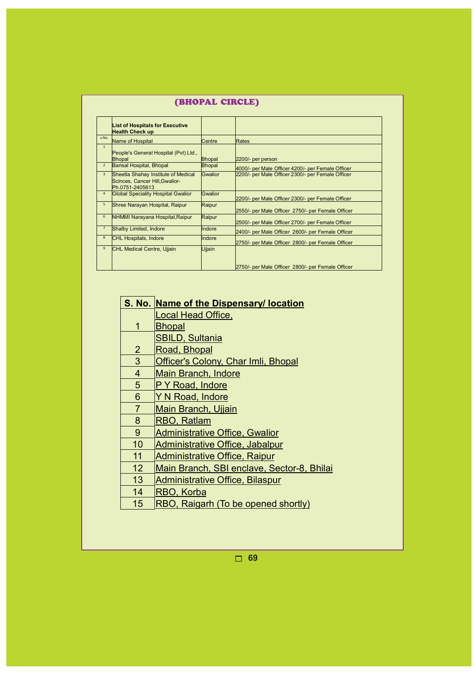|                | (BHOPAL CIRCLE)                                                                          |               |                                                   |  |  |
|----------------|------------------------------------------------------------------------------------------|---------------|---------------------------------------------------|--|--|
|                | <b>List of Hospitals for Executive</b><br><b>Health Check up</b>                         |               |                                                   |  |  |
| s.No.          | Name of Hospital                                                                         | Centre        | Rates                                             |  |  |
| 1              | People's General Hospital (Pvt) Ltd.,<br>Bhopal                                          | <b>Bhopal</b> | 2200/- per person                                 |  |  |
| $\overline{2}$ | Bansal Hospital, Bhopal                                                                  | Bhopal        | 4000/- per Male Officer 4200/- per Female Officer |  |  |
| 3              | Sheetla Shahay Institute of Medical<br>Scinces, Cancer Hill, Gwalior-<br>Ph.0751-2405613 | Gwalior       | 2200/- per Male Officer 2300/- per Female Officer |  |  |
| 4              | <b>Global Speciality Hospital Gwalior</b>                                                | Gwalior       | 2200/- per Male Officer 2300/- per Female Officer |  |  |
| 5              | Shree Narayan Hospital, Raipur                                                           | Raipur        | 2550/- per Male Officer 2750/- per Female Officer |  |  |
| 6              | NHMMI Narayana Hospital, Raipur                                                          | Raipur        | 2500/- per Male Officer 2700/- per Female Officer |  |  |
| $\overline{7}$ | Shalby Limited, Indore                                                                   | Indore        | 2400/- per Male Officer 2600/- per Female Officer |  |  |
| 8              | <b>CHL Hospitals, Indore</b>                                                             | lindore       | 2750/- per Male Officer 2800/- per Female Officer |  |  |
| 9              | <b>CHL Medical Centre, Ujjain</b>                                                        | Ujjain        |                                                   |  |  |
|                |                                                                                          |               | 2750/- per Male Officer 2800/- per Female Officer |  |  |

# **S. No. Name of the Dispensary/ location**

Local Head Office,

- 1 **Bhopal** 
	- SBILD, Sultania
- 2 Road, Bhopal
- 3 Officer's Colony, Char Imli, Bhopal
- 4 Main Branch, Indore
- 5 P Y Road, Indore
- 6 Y N Road, Indore
- 7 Main Branch, Ujjain
- 8 RBO, Ratlam
- 9 Administrative Office, Gwalior
- 10 Administrative Office, Jabalpur
- 11 Administrative Office, Raipur
- 12 Main Branch, SBI enclave, Sector-8, Bhilai
- 13 Administrative Office, Bilaspur
- 14 RBO, Korba
- 15 RBO, Raigarh (To be opened shortly)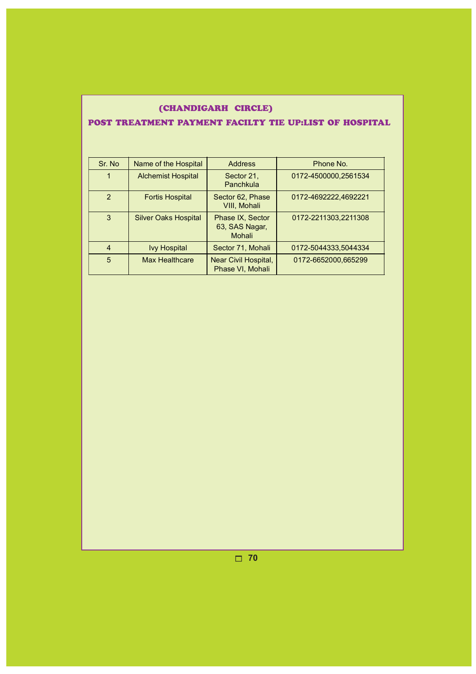|  | (CHANDIGARH CIRCLE)                                                       |  |  |
|--|---------------------------------------------------------------------------|--|--|
|  | IT A MAS FULS FAN YN A WYS FULS FAN YN A JAPP MAW'T MAWUN Y TYN Y WJAMA . |  |  |

# POST TREATMENT PAYMENT FACILTY TIE UP:LIST OF HOSPITAL

| Sr. No         | Name of the Hospital        | <b>Address</b>                               | Phone No.            |
|----------------|-----------------------------|----------------------------------------------|----------------------|
|                | <b>Alchemist Hospital</b>   | Sector 21,<br>Panchkula                      | 0172-4500000,2561534 |
| $\mathcal{P}$  | <b>Fortis Hospital</b>      | Sector 62, Phase<br>VIII, Mohali             | 0172-4692222,4692221 |
| 3              | <b>Silver Oaks Hospital</b> | Phase IX, Sector<br>63, SAS Nagar,<br>Mohali | 0172-2211303,2211308 |
| $\overline{4}$ | <b>Ivy Hospital</b>         | Sector 71, Mohali                            | 0172-5044333,5044334 |
| 5              | <b>Max Healthcare</b>       | Near Civil Hospital,<br>Phase VI, Mohali     | 0172-6652000,665299  |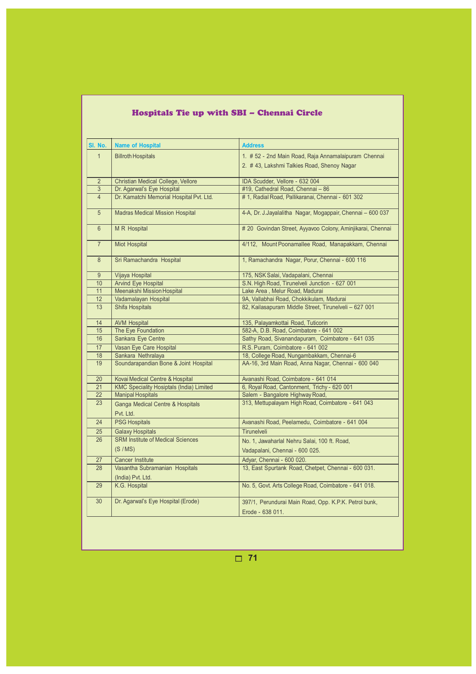| SI. No.         | <b>Name of Hospital</b>                         | <b>Address</b>                                             |  |  |
|-----------------|-------------------------------------------------|------------------------------------------------------------|--|--|
| $\mathbf{1}$    | <b>Billroth Hospitals</b>                       | 1. # 52 - 2nd Main Road, Raja Annamalaipuram Chennai       |  |  |
|                 |                                                 | 2. #43, Lakshmi Talkies Road, Shenoy Nagar                 |  |  |
|                 |                                                 |                                                            |  |  |
| $\overline{2}$  | <b>Christian Medical College, Vellore</b>       | IDA Scudder, Vellore - 632 004                             |  |  |
| 3               | Dr. Agarwal's Eye Hospital                      | #19. Cathedral Road. Chennai - 86                          |  |  |
| $\overline{4}$  | Dr. Kamatchi Memorial Hospital Pvt. Ltd.        | # 1, Radial Road, Pallikaranai, Chennai - 601 302          |  |  |
|                 |                                                 |                                                            |  |  |
| 5               | <b>Madras Medical Mission Hospital</b>          | 4-A, Dr. J.Jayalalitha Nagar, Mogappair, Chennai - 600 037 |  |  |
|                 |                                                 |                                                            |  |  |
| $6\overline{}$  | <b>MR</b> Hospital                              | # 20 Govindan Street, Ayyavoo Colony, Aminjikarai, Chennai |  |  |
|                 |                                                 |                                                            |  |  |
| $\overline{7}$  | <b>Miot Hospital</b>                            | 4/112, Mount Poonamallee Road, Manapakkam, Chennai         |  |  |
| $\overline{8}$  | Sri Ramachandra Hospital                        | 1, Ramachandra Nagar, Porur, Chennai - 600 116             |  |  |
|                 |                                                 |                                                            |  |  |
| $\overline{9}$  | <b>Vijaya Hospital</b>                          | 175, NSK Salai, Vadapalani, Chennai                        |  |  |
| 10              | <b>Arvind Eye Hospital</b>                      | S.N. High Road, Tirunelveli Junction - 627 001             |  |  |
| $\overline{11}$ | Meenakshi Mission Hospital                      | Lake Area, Melur Road, Madurai                             |  |  |
| 12              | Vadamalayan Hospital                            | 9A, Vallabhai Road, Chokkikulam, Madurai                   |  |  |
| 13              | <b>Shifa Hospitals</b>                          | 82, Kailasapuram Middle Street, Tirunelveli - 627 001      |  |  |
|                 |                                                 |                                                            |  |  |
| 14              | <b>AVM Hospital</b>                             | 135, Palayamkottai Road, Tuticorin                         |  |  |
| 15              | The Eye Foundation                              | 582-A, D.B. Road, Coimbatore - 641 002                     |  |  |
| 16              | Sankara Eye Centre                              | Sathy Road, Sivanandapuram, Coimbatore - 641 035           |  |  |
| 17              | Vasan Eye Care Hospital                         | R.S. Puram, Coimbatore - 641 002                           |  |  |
| 18              | Sankara Nethralaya                              | 18, College Road, Nungambakkam, Chennai-6                  |  |  |
| 19              | Soundarapandian Bone & Joint Hospital           | AA-16, 3rd Main Road, Anna Nagar, Chennai - 600 040        |  |  |
|                 |                                                 |                                                            |  |  |
| 20              | Kovai Medical Centre & Hospital                 | Avanashi Road, Coimbatore - 641 014                        |  |  |
| 21              | <b>KMC Speciality Hosiptals (India) Limited</b> | 6, Royal Road, Cantonment, Trichy - 620 001                |  |  |
| $\overline{22}$ | <b>Manipal Hospitals</b>                        | Salem - Bangalore Highway Road,                            |  |  |
| 23              | Ganga Medical Centre & Hospitals                | 313, Mettupalayam High Road, Coimbatore - 641 043          |  |  |
|                 | Pvt. Ltd.                                       |                                                            |  |  |
| 24              | <b>PSG Hospitals</b>                            | Avanashi Road, Peelamedu, Coimbatore - 641 004             |  |  |
| 25              | <b>Galaxy Hospitals</b>                         | <b>Tirunelveli</b>                                         |  |  |
| 26              | <b>SRM Institute of Medical Sciences</b>        | No. 1, Jawaharlal Nehru Salai, 100 ft. Road,               |  |  |
|                 | (S/MS)                                          | Vadapalani, Chennai - 600 025.                             |  |  |
| 27              | <b>Cancer Institute</b>                         | Adyar, Chennai - 600 020.                                  |  |  |
| 28              | Vasantha Subramanian Hospitals                  | 13, East Spurtank Road, Chetpet, Chennai - 600 031.        |  |  |
|                 |                                                 |                                                            |  |  |
| 29              | (India) Pvt. Ltd.<br>K.G. Hospital              | No. 5, Govt. Arts College Road, Coimbatore - 641 018.      |  |  |
|                 |                                                 |                                                            |  |  |
| 30              | Dr. Agarwal's Eye Hospital (Erode)              | 397/1, Perundurai Main Road, Opp. K.P.K. Petrol bunk,      |  |  |
|                 |                                                 |                                                            |  |  |
|                 |                                                 | Erode - 638 011.                                           |  |  |

# Hospitals Tie up with SBI – Chennai Circle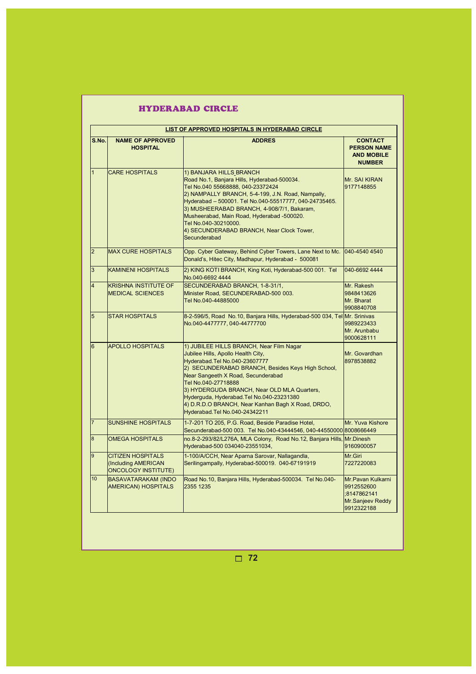|                | <b>HYDERABAD CIRCLE</b><br>LIST OF APPROVED HOSPITALS IN HYDERABAD CIRCLE     |                                                                                                                                                                                                                                                                                                                                                                                                                    |                                                                                  |  |  |
|----------------|-------------------------------------------------------------------------------|--------------------------------------------------------------------------------------------------------------------------------------------------------------------------------------------------------------------------------------------------------------------------------------------------------------------------------------------------------------------------------------------------------------------|----------------------------------------------------------------------------------|--|--|
|                |                                                                               |                                                                                                                                                                                                                                                                                                                                                                                                                    |                                                                                  |  |  |
| S.No.          | <b>NAME OF APPROVED</b><br><b>HOSPITAL</b>                                    | <b>ADDRES</b>                                                                                                                                                                                                                                                                                                                                                                                                      | <b>CONTACT</b><br><b>PERSON NAME</b><br><b>AND MOBILE</b><br><b>NUMBER</b>       |  |  |
|                | <b>CARE HOSPITALS</b>                                                         | 1) BANJARA HILLS BRANCH<br>Road No.1, Banjara Hills, Hyderabad-500034.<br>Tel No.040 55668888, 040-23372424<br>2) NAMPALLY BRANCH, 5-4-199, J.N. Road, Nampally,<br>Hyderabad - 500001. Tel No.040-55517777, 040-24735465.<br>3) MUSHEERABAD BRANCH, 4-908/7/1, Bakaram,<br>Musheerabad, Main Road, Hyderabad -500020.<br>Tel No.040-30210000.<br>4) SECUNDERABAD BRANCH, Near Clock Tower,<br>Secunderabad        | Mr. SAI KIRAN<br>9177148855                                                      |  |  |
| 2              | <b>MAX CURE HOSPITALS</b>                                                     | Opp. Cyber Gateway, Behind Cyber Towers, Lane Next to Mc.<br>Donald's, Hitec City, Madhapur, Hyderabad - 500081                                                                                                                                                                                                                                                                                                    | 040-4540 4540                                                                    |  |  |
| 3              | <b>KAMINENI HOSPITALS</b>                                                     | 2) KING KOTI BRANCH, King Koti, Hyderabad-500 001. Tel<br>No.040-6692 4444                                                                                                                                                                                                                                                                                                                                         | 040-6692 4444                                                                    |  |  |
| 4              | <b>KRISHNA INSTITUTE OF</b><br><b>MEDICAL SCIENCES</b>                        | SECUNDERABAD BRANCH, 1-8-31/1,<br>Minister Road, SECUNDERABAD-500 003.<br>Tel No.040-44885000                                                                                                                                                                                                                                                                                                                      | Mr. Rakesh<br>9848413626<br>Mr. Bharat<br>9908840708                             |  |  |
| 5              | <b>STAR HOSPITALS</b>                                                         | 8-2-596/5, Road No.10, Banjara Hills, Hyderabad-500 034, Tel Mr. Srinivas<br>No.040-4477777, 040-44777700                                                                                                                                                                                                                                                                                                          | 9989223433<br>Mr. Arunbabu<br>9000628111                                         |  |  |
| 6              | <b>APOLLO HOSPITALS</b>                                                       | 1) JUBILEE HILLS BRANCH, Near Film Nagar<br>Jubilee Hills, Apollo Health City,<br>Hyderabad.Tel No.040-23607777<br>2) SECUNDERABAD BRANCH, Besides Keys High School,<br>Near Sangeeth X Road, Secunderabad<br>Tel No.040-27718888<br>3) HYDERGUDA BRANCH, Near OLD MLA Quarters,<br>Hyderguda, Hyderabad.Tel No.040-23231380<br>4) D.R.D.O BRANCH, Near Kanhan Bagh X Road, DRDO,<br>Hyderabad.Tel No.040-24342211 | Mr. Govardhan<br>8978538882                                                      |  |  |
| 17             | <b>SUNSHINE HOSPITALS</b>                                                     | 1-7-201 TO 205, P.G. Road, Beside Paradise Hotel,<br>Secunderabad-500 003. Tel No.040-43444546, 040-44550000 8008666449                                                                                                                                                                                                                                                                                            | Mr. Yuva Kishore                                                                 |  |  |
| $\overline{8}$ | <b>OMEGA HOSPITALS</b>                                                        | no.8-2-293/82/L276A, MLA Colony, Road No.12, Banjara Hills,<br>Hyderabad-500 034040-23551034,                                                                                                                                                                                                                                                                                                                      | Mr.Dinesh<br>9160900057                                                          |  |  |
| 9              | <b>CITIZEN HOSPITALS</b><br>(Including AMERICAN<br><b>ONCOLOGY INSTITUTE)</b> | 1-100/A/CCH, Near Aparna Sarovar, Nallagandla,<br>Serilingampally, Hyderabad-500019. 040-67191919                                                                                                                                                                                                                                                                                                                  | Mr.Giri<br>7227220083                                                            |  |  |
| 10             | <b>BASAVATARAKAM (INDO</b><br><b>AMERICAN) HOSPITALS</b>                      | Road No.10, Banjara Hills, Hyderabad-500034. Tel No.040-<br>2355 1235                                                                                                                                                                                                                                                                                                                                              | Mr.Pavan Kulkarni<br>9912552600<br>:8147862141<br>Mr.Sanjeev Reddy<br>9912322188 |  |  |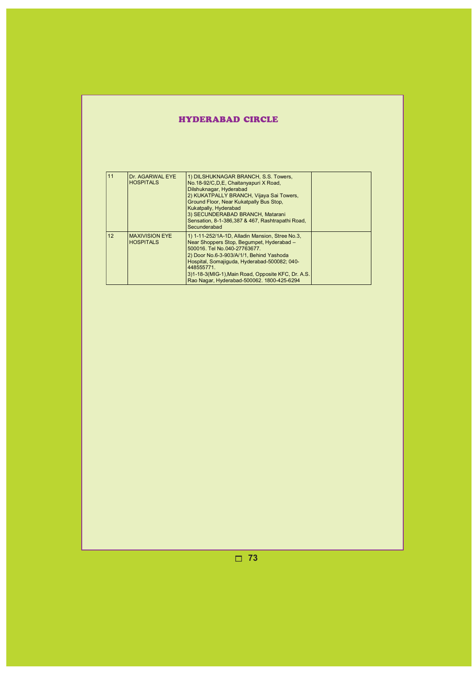# HYDERABAD CIRCLE

| 11 | Dr. AGARWAL EYE<br><b>HOSPITALS</b>       | 1) DILSHUKNAGAR BRANCH, S.S. Towers,<br>No.18-92/C,D,E, Chaitanyapuri X Road,<br>Dilshuknagar, Hyderabad<br>2) KUKATPALLY BRANCH, Vijaya Sai Towers,<br>Ground Floor, Near Kukatpally Bus Stop,<br>Kukatpally, Hyderabad<br>3) SECUNDERABAD BRANCH, Matarani<br>Sensation, 8-1-386, 387 & 467, Rashtrapathi Road,<br>Secunderabad         |  |
|----|-------------------------------------------|-------------------------------------------------------------------------------------------------------------------------------------------------------------------------------------------------------------------------------------------------------------------------------------------------------------------------------------------|--|
| 12 | <b>MAXIVISION EYE</b><br><b>HOSPITALS</b> | 1) 1-11-252/1A-1D, Alladin Mansion, Stree No.3,<br>Near Shoppers Stop, Begumpet, Hyderabad -<br>500016. Tel No.040-27763677.<br>2) Door No.6-3-903/A/1/1, Behind Yashoda<br>Hospital, Somajiguda, Hyderabad-500082; 040-<br>448555771<br>3)1-18-3(MIG-1), Main Road, Opposite KFC, Dr. A.S.<br>Rao Nagar, Hyderabad-500062. 1800-425-6294 |  |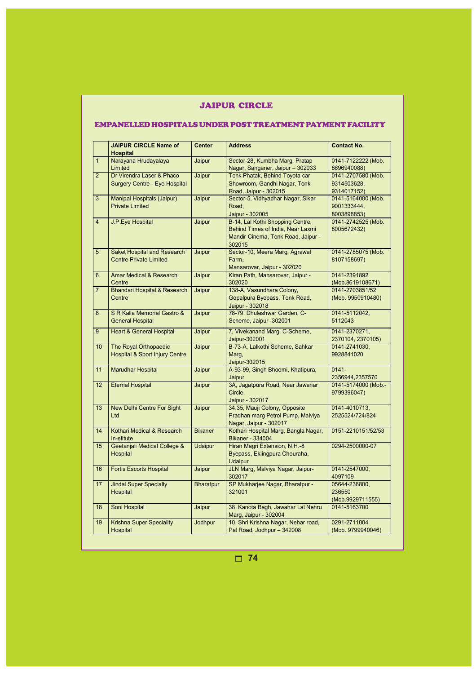### JAIPUR CIRCLE

### EMPANELLED HOSPITALS UNDER POST TREATMENT PAYMENT FACILITY

|                 | <b>JAIPUR CIRCLE Name of</b><br><b>Hospital</b>                     | <b>Center</b>    | <b>Address</b>                                                                                                        | <b>Contact No.</b>                               |
|-----------------|---------------------------------------------------------------------|------------------|-----------------------------------------------------------------------------------------------------------------------|--------------------------------------------------|
| $\mathbf{1}$    | Narayana Hrudayalaya<br>Limited                                     | Jaipur           | Sector-28, Kumbha Marg, Pratap<br>Nagar, Sanganer, Jaipur - 302033                                                    | 0141-7122222 (Mob.<br>8696940088)                |
| $\overline{2}$  | Dr Virendra Laser & Phaco<br><b>Surgery Centre - Eye Hospital</b>   | Jaipur           | Tonk Phatak, Behind Toyota car<br>Showroom, Gandhi Nagar, Tonk<br>Road, Jaipur - 302015                               | 0141-2707580 (Mob.<br>9314503628,<br>9314017152) |
| 3               | Manipal Hospitals (Jaipur)<br><b>Private Limited</b>                | Jaipur           | Sector-5, Vidhyadhar Nagar, Sikar<br>Road,<br>Jaipur - 302005                                                         | 0141-5164000 (Mob.<br>9001333444,<br>8003898853) |
| $\overline{4}$  | <b>J.P.Eye Hospital</b>                                             | Jaipur           | B-14, Lal Kothi Shopping Centre,<br>Behind Times of India, Near Laxmi<br>Mandir Cinema, Tonk Road, Jaipur -<br>302015 | 0141-2742525 (Mob.<br>8005672432)                |
| 5               | <b>Saket Hospital and Research</b><br><b>Centre Private Limited</b> | Jaipur           | Sector-10, Meera Marg, Agrawal<br>Farm.<br>Mansarovar, Jaipur - 302020                                                | 0141-2785075 (Mob.<br>8107158697)                |
| 6               | Amar Medical & Research<br>Centre                                   | Jaipur           | Kiran Path, Mansarovar, Jaipur -<br>302020                                                                            | 0141-2391892<br>(Mob.8619108671)                 |
| $\overline{7}$  | <b>Bhandari Hospital &amp; Research</b><br>Centre                   | Jaipur           | 138-A, Vasundhara Colony,<br>Gopalpura Byepass, Tonk Road,<br>Jaipur - 302018                                         | 0141-2703851/52<br>(Mob. 9950910480)             |
| 8               | S R Kalla Memorial Gastro &<br><b>General Hospital</b>              | Jaipur           | 78-79, Dhuleshwar Garden, C-<br>Scheme, Jaipur -302001                                                                | 0141-5112042,<br>5112043                         |
| 9               | <b>Heart &amp; General Hospital</b>                                 | Jaipur           | 7, Vivekanand Marg, C-Scheme,<br>Jaipur-302001                                                                        | 0141-2370271,<br>2370104, 2370105)               |
| 10              | The Royal Orthopaedic<br><b>Hospital &amp; Sport Injury Centre</b>  | Jaipur           | B-73-A, Lalkothi Scheme, Sahkar<br>Marq,<br>Jaipur-302015                                                             | 0141-2741030,<br>9928841020                      |
| 11              | Marudhar Hospital                                                   | Jaipur           | A-93-99, Singh Bhoomi, Khatipura,<br>Jaipur                                                                           | $0141 -$<br>2356944,2357570                      |
| $\overline{12}$ | <b>Eternal Hospital</b>                                             | Jaipur           | 3A, Jagatpura Road, Near Jawahar<br>Circle.<br>Jaipur - 302017                                                        | 0141-5174000 (Mob.-<br>9799396047)               |
| 13              | New Delhi Centre For Sight<br>Ltd                                   | Jaipur           | 34,35, Mauji Colony, Opposite<br>Pradhan marg Petrol Pump, Malviya<br>Nagar, Jaipur - 302017                          | 0141-4010713,<br>2525524/724/824                 |
| 14              | Kothari Medical & Research<br>In-stitute                            | <b>Bikaner</b>   | Kothari Hospital Marg, Bangla Nagar,<br><b>Bikaner - 334004</b>                                                       | 0151-2210151/52/53                               |
| 15              | Geetanjali Medical College &<br>Hospital                            | <b>Udaipur</b>   | Hiran Magri Extension, N.H.-8<br>Byepass, Eklingpura Chouraha,<br><b>Udaipur</b>                                      | 0294-2500000-07                                  |
| 16              | <b>Fortis Escorts Hospital</b>                                      | Jaipur           | JLN Marg, Malviya Nagar, Jaipur-<br>302017                                                                            | 0141-2547000,<br>4097109                         |
| 17              | <b>Jindal Super Specialty</b><br>Hospital                           | <b>Bharatpur</b> | SP Mukharjee Nagar, Bharatpur -<br>321001                                                                             | 05644-236800,<br>236550<br>(Mob.9929711555)      |
| 18              | Soni Hospital                                                       | Jaipur           | 38, Kanota Bagh, Jawahar Lal Nehru<br>Marg, Jaipur - 302004                                                           | 0141-5163700                                     |
| 19              | <b>Krishna Super Speciality</b><br>Hospital                         | Jodhpur          | 10, Shri Krishna Nagar, Nehar road,<br>Pal Road, Jodhpur - 342008                                                     | 0291-2711004<br>(Mob. 9799940046)                |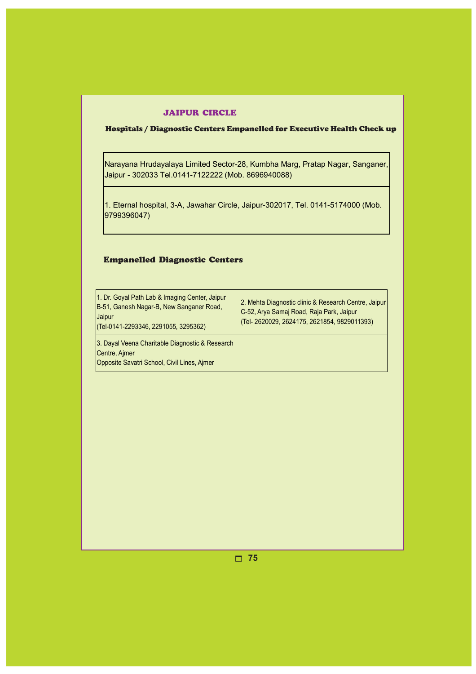#### JAIPUR CIRCLE

# Hospitals / Diagnostic Centers Empanelled for Executive Health Check up

Narayana Hrudayalaya Limited Sector-28, Kumbha Marg, Pratap Nagar, Sanganer, Jaipur - 302033 Tel.0141-7122222 (Mob. 8696940088)

1. Eternal hospital, 3-A, Jawahar Circle, Jaipur-302017, Tel. 0141-5174000 (Mob. 9799396047)

# Empanelled Diagnostic Centers

| 1. Dr. Goyal Path Lab & Imaging Center, Jaipur<br>B-51, Ganesh Nagar-B, New Sanganer Road,<br>Jaipur<br>$($ Tel-0141-2293346, 2291055, 3295362) | 2. Mehta Diagnostic clinic & Research Centre, Jaipur<br>C-52, Arya Samaj Road, Raja Park, Jaipur<br>(Tel- 2620029, 2624175, 2621854, 9829011393) |
|-------------------------------------------------------------------------------------------------------------------------------------------------|--------------------------------------------------------------------------------------------------------------------------------------------------|
| 3. Dayal Veena Charitable Diagnostic & Research<br>Centre, Aimer<br>Opposite Savatri School, Civil Lines, Ajmer                                 |                                                                                                                                                  |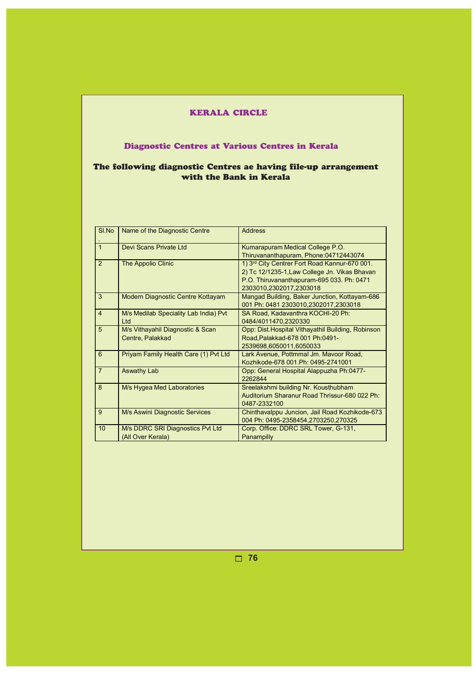# KERALA CIRCLE

# Diagnostic Centres at Various Centres in Kerala

# The following diagnostic Centres ae having file-up arrangement with the Bank in Kerala

| SI.No          | Name of the Diagnostic Centre         | <b>Address</b>                                     |
|----------------|---------------------------------------|----------------------------------------------------|
| $\mathbf{1}$   | Devi Scans Private Ltd                | Kumarapuram Medical College P.O.                   |
|                |                                       | Thiruvananthapuram, Phone:04712443074              |
| $\overline{2}$ | The Appolio Clinic                    | 1) 3rd City Centrer Fort Road Kannur-670 001.      |
|                |                                       | 2) Tc 12/1235-1, Law College Jn. Vikas Bhavan      |
|                |                                       | P.O. Thiruvananthapuram-695 033. Ph: 0471          |
|                |                                       | 2303010.2302017.2303018                            |
| 3              | Modern Diagnostic Centre Kottayam     | Mangad Building, Baker Junction, Kottayam-686      |
|                |                                       | 001 Ph: 0481 2303010,2302017,2303018               |
| $\overline{4}$ | M/s Medilab Speciality Lab India) Pvt | SA Road, Kadavanthra KOCHI-20 Ph:                  |
|                | Ltd                                   | 0484/4011470,2320330                               |
| 5              | M/s Vithayahil Diagnostic & Scan      | Opp: Dist. Hospital Vithayathil Building, Robinson |
|                | Centre, Palakkad                      | Road, Palakkad-678 001 Ph: 0491-                   |
|                |                                       | 2539698,6050011,6050033                            |
| 6              | Priyam Family Health Care (1) Pvt Ltd | Lark Avenue, Pottmmal Jm. Mavoor Road,             |
|                |                                       | Kozhikode-678 001 Ph: 0495-2741001                 |
| $\overline{7}$ | <b>Aswathy Lab</b>                    | Opp: General Hospital Alappuzha Ph:0477-           |
|                |                                       | 2262844                                            |
| 8              | M/s Hygea Med Laboratories            | Sreelakshmi building Nr. Kousthubham               |
|                |                                       | Auditorium Sharanur Road Thrissur-680 022 Ph:      |
|                |                                       | 0487-2332100                                       |
| 9              | M/s Aswini Diagnostic Services        | Chinthavalppu Juncion, Jail Road Kozhikode-673     |
|                |                                       | 004 Ph: 0495-2358454,2703250,270325                |
| 10             | M/s DDRC SRI Diagnostics Pvt Ltd      | Corp. Office: DDRC SRL Tower, G-131,               |
|                | (All Over Kerala)                     | Panampilly                                         |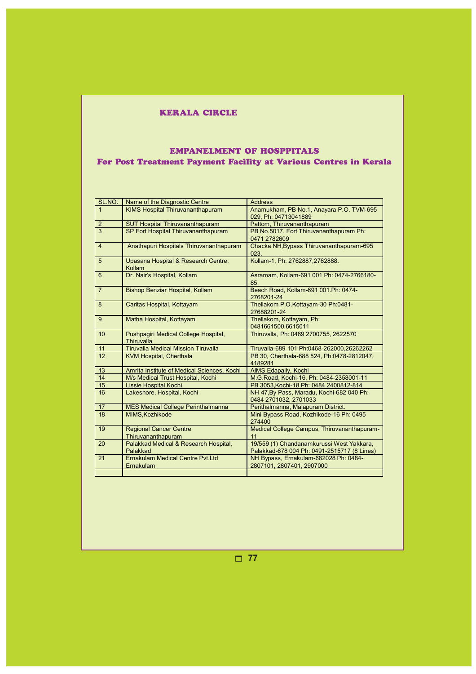# KERALA CIRCLE

# EMPANELMENT OF HOSPPITALS For Post Treatment Payment Facility at Various Centres in Kerala

| SL.NO.         | Name of the Diagnostic Centre<br><b>Address</b>      |                                                                                          |
|----------------|------------------------------------------------------|------------------------------------------------------------------------------------------|
| $\overline{1}$ | <b>KIMS Hospital Thiruvananthapuram</b>              | Anamukham, PB No.1, Anayara P.O. TVM-695                                                 |
|                |                                                      | 029, Ph: 04713041889                                                                     |
| $\overline{2}$ | <b>SUT Hospital Thiruvananthapuram</b>               | Pattom, Thiruvananthapuram                                                               |
| $\overline{3}$ | SP Fort Hospital Thiruvananthapuram                  | PB No.5017, Fort Thiruvananthapuram Ph:                                                  |
|                |                                                      | 0471 2782609                                                                             |
| $\overline{4}$ | Anathapuri Hospitals Thiruvananthapuram              | Chacka NH, Bypass Thiruvananthapuram-695<br>023.                                         |
| 5              | Upasana Hospital & Research Centre,<br>Kollam        | Kollam-1, Ph: 2762887,2762888.                                                           |
| 6              | Dr. Nair's Hospital, Kollam                          | Asramam, Kollam-691 001 Ph: 0474-2766180-<br>85                                          |
| $\overline{7}$ | Bishop Benziar Hospital, Kollam                      | Beach Road, Kollam-691 001.Ph: 0474-<br>2768201-24                                       |
| 8              | Caritas Hospital, Kottayam                           | Thellakom P.O.Kottayam-30 Ph:0481-<br>27688201-24                                        |
| 9              | Matha Hospital, Kottayam                             | Thellakom, Kottayam, Ph:<br>0481661500.6615011                                           |
| 10             | Pushpagiri Medical College Hospital,<br>Thiruvalla   | Thiruvalla, Ph: 0469 2700755, 2622570                                                    |
| 11             | <b>Tiruvalla Medical Mission Tiruvalla</b>           | Tiruvalla-689 101 Ph:0468-262000,26262262                                                |
| 12             | <b>KVM Hospital, Cherthala</b>                       | PB 30, Cherthala-688 524, Ph:0478-2812047,<br>4189281                                    |
| 13             | Amrita Institute of Medical Sciences, Kochi          | <b>AIMS Edapally, Kochi</b>                                                              |
| 14             | M/s Medical Trust Hospital, Kochi                    | M.G.Road, Kochi-16, Ph: 0484-2358001-11                                                  |
| 15             | <b>Lissie Hospital Kochi</b>                         | PB 3053, Kochi-18 Ph: 0484 2400812-814                                                   |
| 16             | Lakeshore, Hospital, Kochi                           | NH 47, By Pass, Maradu, Kochi-682 040 Ph:<br>0484 2701032, 2701033                       |
| 17             | <b>MES Medical College Perinthalmanna</b>            | Perithalmanna, Malapuram District.                                                       |
| 18             | MIMS.Kozhikode                                       | Mini Bypass Road, Kozhikode-16 Ph: 0495<br>274400                                        |
| 19             | <b>Regional Cancer Centre</b><br>Thiruvananthapuram  | Medical College Campus, Thiruvananthapuram-<br>11                                        |
| 20             | Palakkad Medical & Research Hospital,<br>Palakkad    | 19/559 (1) Chandanamkurussi West Yakkara,<br>Palakkad-678 004 Ph: 0491-2515717 (8 Lines) |
| 21             | <b>Ernakulam Medical Centre Pyt.Ltd</b><br>Ernakulam | NH Bypass, Ernakulam-682028 Ph: 0484-<br>2807101, 2807401, 2907000                       |
|                |                                                      |                                                                                          |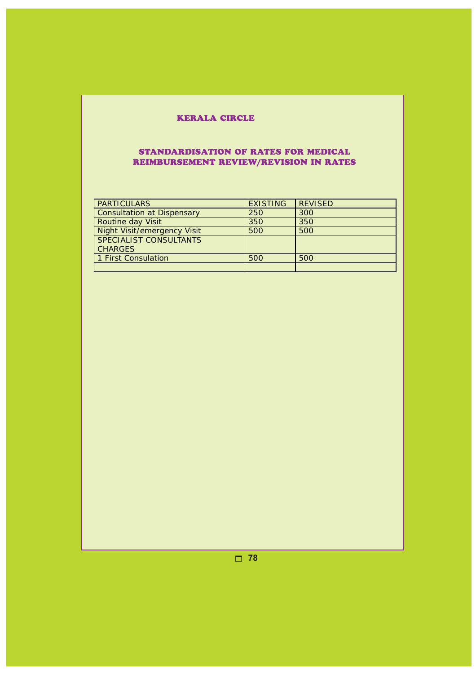# KERALA CIRCLE

# STANDARDISATION OF RATES FOR MEDICAL REIMBURSEMENT REVIEW/REVISION IN RATES

| <b>PARTICULARS</b>                | <b>EXISTING</b> | <b>REVISED</b> |
|-----------------------------------|-----------------|----------------|
| <b>Consultation at Dispensary</b> | 250             | 300            |
| <b>Routine day Visit</b>          | 350             | 350            |
| Night Visit/emergency Visit       | 500             | 500            |
| SPECIALIST CONSULTANTS            |                 |                |
| <b>CHARGES</b>                    |                 |                |
| 1 First Consulation               | 500             | 500            |
|                                   |                 |                |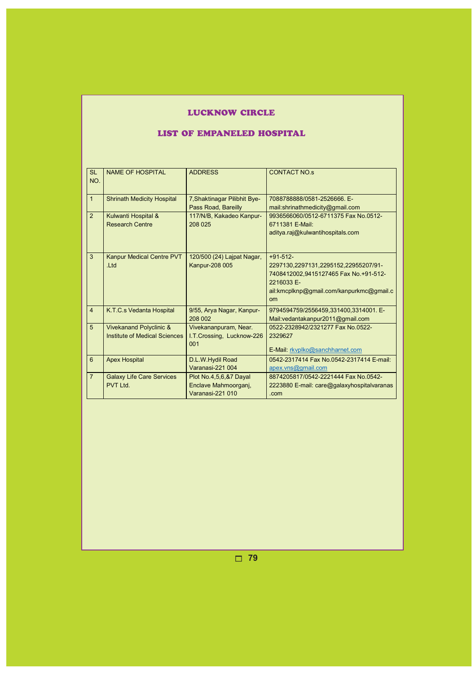# LUCKNOW CIRCLE

# LIST OF EMPANELED HOSPITAL

| <b>SL</b><br>NO. | <b>NAME OF HOSPITAL</b>                                  | <b>ADDRESS</b>                                                     | <b>CONTACT NO.s</b>                                                                                                                                                |
|------------------|----------------------------------------------------------|--------------------------------------------------------------------|--------------------------------------------------------------------------------------------------------------------------------------------------------------------|
| $\overline{1}$   | <b>Shrinath Medicity Hospital</b>                        | 7, Shaktinagar Pilibhit Bye-<br>Pass Road, Bareilly                | 7088788888/0581-2526666. E-<br>mail:shrinathmedicity@gmail.com                                                                                                     |
| 2                | Kulwanti Hospital &<br><b>Research Centre</b>            | 117/N/B, Kakadeo Kanpur-<br>208 025                                | 9936566060/0512-6711375 Fax No.0512-<br>6711381 E-Mail:<br>aditya.raj@kulwantihospitals.com                                                                        |
| 3                | <b>Kanpur Medical Centre PVT</b><br>.Ltd                 | 120/500 (24) Lajpat Nagar,<br><b>Kanpur-208 005</b>                | $+91-512-$<br>2297130,2297131,2295152,22955207/91-<br>7408412002,9415127465 Fax No.+91-512-<br>2216033 E-<br>ail:kmcplknp@gmail.com/kanpurkmc@gmail.c<br><b>om</b> |
| $\overline{4}$   | K.T.C.s Vedanta Hospital                                 | 9/55, Arya Nagar, Kanpur-<br>208 002                               | 9794594759/2556459,331400,3314001. E-<br>Mail: vedantakanpur 2011@ gmail.com                                                                                       |
| 5                | Vivekanand Polyclinic &<br>Institute of Medical Sciences | Vivekananpuram, Near.<br>I.T.Crossing, Lucknow-226<br>001          | 0522-2328942/2321277 Fax No.0522-<br>2329627<br>E-Mail: rkvplko@sanchharnet.com                                                                                    |
| 6                | <b>Apex Hospital</b>                                     | D.L.W.Hydil Road<br>Varanasi-221 004                               | 0542-2317414 Fax No.0542-2317414 E-mail:<br>apex.vns@gmail.com                                                                                                     |
| $\overline{7}$   | <b>Galaxy Life Care Services</b><br>PVT I td             | Plot No.4,5,6,&7 Dayal<br>Enclave Mahmoorganj,<br>Varanasi-221 010 | 8874205817/0542-2221444 Fax No.0542-<br>2223880 E-mail: care@galaxyhospitalvaranas<br>.com                                                                         |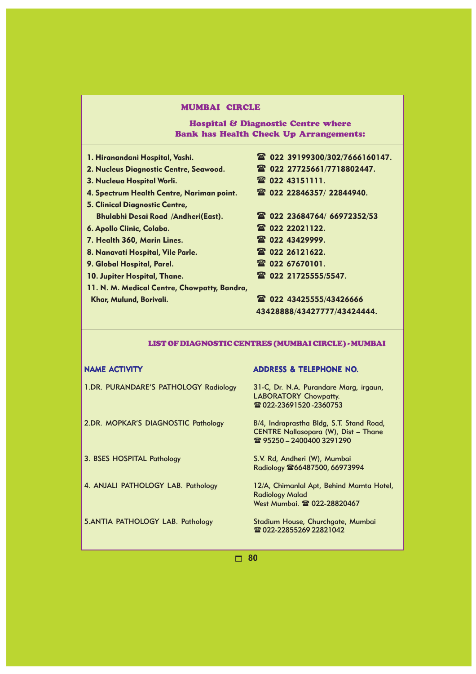# Hospital & Diagnostic Centre where Bank has Health Check Up Arrangements:

- 
- 2. Nucleus Diagnostic Centre, Seawood. 022 27725661/7718802447.
- 3. Nucleua Hospital Worli. 2008 22 43151111.
- 4. Spectrum Health Centre, Nariman point. 022 22846357/ 22844940.
- 5. Clinical Diagnostic Centre, Bhulabhi Desai Road /Andheri(East). 022 23684764/ 66972352/53
- 6. Apollo Clinic, Colaba. 022 22021122.
- 7. Health 360, Marin Lines. 2014 2022 43429999.
- 8. Nanavati Hospital, Vile Parle. 2002 26121622.
- 9. Global Hospital, Parel. 2020 67670101.
- 10. Jupiter Hospital, Thane. 2022 21725555/5547.
- 11. N. M. Medical Centre, Chowpatty, Bandra, Khar, Mulund, Borivali. 022 43425555/43426666

#### 1. Hiranandani Hospital, Vashi. 022 39199300/302/7666160147.

- 
- 
- 
- 
- 
- 
- 
- 
- 

# 43428888/43427777/43424444.

#### LIST OF DIAGNOSTIC CENTRES (MUMBAI CIRCLE) - MUMBAI

1.DR. PURANDARE'S PATHOLOGY Radiology 31-C, Dr. N.A. Purandare Marg, irgaun,

2.DR. MOPKAR'S DIAGNOSTIC Pathology B/4, Indraprastha Bldg, S.T. Stand Road,

3. BSES HOSPITAL Pathology S.V. Rd, Andheri (W), Mumbai

4. ANJALI PATHOLOGY LAB. Pathology 12/A, Chimanlal Apt, Behind Mamta Hotel,

#### NAME ACTIVITY ADDRESS & TELEPHONE NO.

LABORATORY Chowpatty. 28 022-23691520 - 2360753

CENTRE Nallasopara (W), Dist – Thane **雪 95250 – 2400400 3291290** 

Radiology  $\mathbb{R}66487500$ , 66973994

Radiology Malad West Mumbai. <sup>2</sup>022-28820467

5.ANTIA PATHOLOGY LAB. Pathology Stadium House, Churchgate, Mumbai **雪 022-22855269 22821042**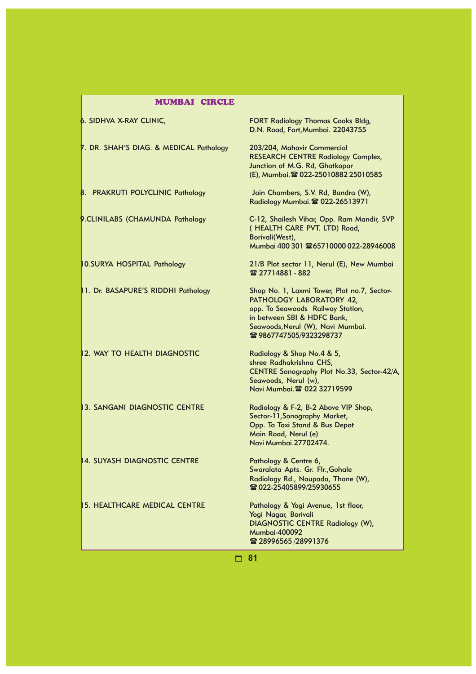| <b>MUMBAI CIRCLE</b>                    |                                                                                                                                                                                                             |
|-----------------------------------------|-------------------------------------------------------------------------------------------------------------------------------------------------------------------------------------------------------------|
| 6. SIDHVA X-RAY CLINIC,                 | <b>FORT Radiology Thomas Cooks Bldg,</b><br>D.N. Road, Fort, Mumbai. 22043755                                                                                                                               |
| 7. DR. SHAH'S DIAG. & MEDICAL Pathology | 203/204, Mahavir Commercial<br><b>RESEARCH CENTRE Radiology Complex,</b><br>Junction of M.G. Rd, Ghatkopar<br>(E), Mumbai. 2 022-25010882 25010585                                                          |
| 8. PRAKRUTI POLYCLINIC Pathology        | Jain Chambers, S.V. Rd, Bandra (W),<br>Radiology Mumbai. 2 022-26513971                                                                                                                                     |
| 9.CLINILABS (CHAMUNDA Pathology         | C-12, Shailesh Vihar, Opp. Ram Mandir, SVP<br>(HEALTH CARE PVT. LTD) Road,<br>Borivali(West),<br>Mumbai 400 301 265710000 022-28946008                                                                      |
| 10.SURYA HOSPITAL Pathology             | 21/B Plot sector 11, Nerul (E), New Mumbai<br>雷 27714881 - 882                                                                                                                                              |
| 1. Dr. BASAPURE'S RIDDHI Pathology      | Shop No. 1, Laxmi Tower, Plot no.7, Sector-<br>PATHOLOGY LABORATORY 42,<br>opp. To Seawoods Railway Station,<br>in between SBI & HDFC Bank,<br>Seawoods, Nerul (W), Navi Mumbai.<br>☎ 9867747505/9323298737 |
| 12. WAY TO HEALTH DIAGNOSTIC            | Radiology & Shop No.4 & 5,<br>shree Radhakrishna CHS,<br>CENTRE Sonography Plot No.33, Sector-42/A,<br>Seawoods, Nerul (w),<br>Navi Mumbai. 2 022 32719599                                                  |
| <b>3. SANGANI DIAGNOSTIC CENTRE</b>     | Radiology & F-2, B-2 Above VIP Shop,<br>Sector-11, Sonography Market,<br>Opp. To Taxi Stand & Bus Depot<br>Main Road, Nerul (e)<br>Navi Mumbai.27702474.                                                    |
| <b>4. SUYASH DIAGNOSTIC CENTRE</b>      | Pathology & Centre 6,<br>Swaralata Apts. Gr. Flr., Gohale<br>Radiology Rd., Naupada, Thane (W),<br><b>雪 022-25405899/25930655</b>                                                                           |
| <b>15. HEALTHCARE MEDICAL CENTRE</b>    | Pathology & Yogi Avenue, 1st floor,<br>Yogi Nagar, Borivali<br><b>DIAGNOSTIC CENTRE Radiology (W),</b><br><b>Mumbai-400092</b><br>雷 28996565/28991376                                                       |
|                                         | 81                                                                                                                                                                                                          |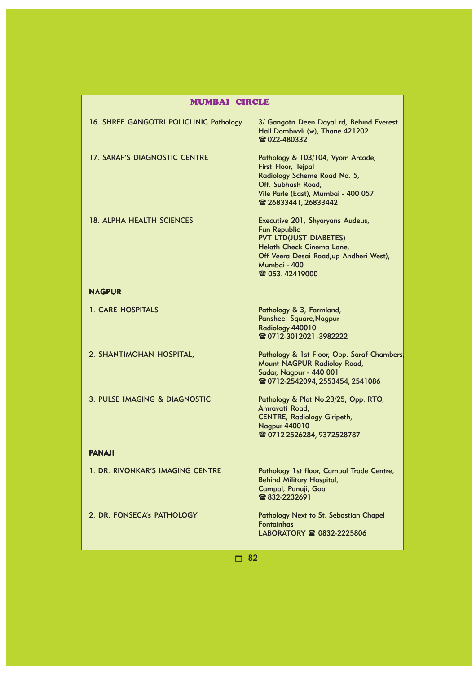| <b>MUMBAI CIRCLE</b>                    |                                                                                                                                                                                                    |  |
|-----------------------------------------|----------------------------------------------------------------------------------------------------------------------------------------------------------------------------------------------------|--|
| 16. SHREE GANGOTRI POLICLINIC Pathology | 3/ Gangotri Deen Dayal rd, Behind Everest<br>Hall Dombivvli (w), Thane 421202.<br>雷 022-480332                                                                                                     |  |
| <b>17. SARAF'S DIAGNOSTIC CENTRE</b>    | Pathology & 103/104, Vyom Arcade,<br>First Floor, Tejpal<br>Radiology Scheme Road No. 5,<br>Off. Subhash Road,<br>Vile Parle (East), Mumbai - 400 057.<br>雷 26833441, 26833442                     |  |
| 18. ALPHA HEALTH SCIENCES               | Executive 201, Shyaryans Audeus,<br><b>Fun Republic</b><br><b>PVT LTD(JUST DIABETES)</b><br>Helath Check Cinema Lane,<br>Off Veera Desai Road, up Andheri West),<br>Mumbai - 400<br>雷 053.42419000 |  |
| <b>NAGPUR</b>                           |                                                                                                                                                                                                    |  |
| 1. CARE HOSPITALS                       | Pathology & 3, Farmland,<br>Pansheel Square, Nagpur<br>Radiology 440010.<br>雷 0712-3012021-3982222                                                                                                 |  |
| 2. SHANTIMOHAN HOSPITAL,                | Pathology & 1st Floor, Opp. Saraf Chambers<br>Mount NAGPUR Radioloy Road,<br>Sadar, Nagpur - 440 001<br>☎ 0712-2542094, 2553454, 2541086                                                           |  |
| 3. PULSE IMAGING & DIAGNOSTIC           | Pathology & Plot No.23/25, Opp. RTO,<br>Amravati Road,<br><b>CENTRE, Radiology Giripeth,</b><br><b>Nagpur 440010</b><br>☎ 0712 2526284, 9372528787                                                 |  |
| <b>PANAJI</b>                           |                                                                                                                                                                                                    |  |
| 1. DR. RIVONKAR'S IMAGING CENTRE        | Pathology 1st floor, Campal Trade Centre,<br><b>Behind Military Hospital,</b><br>Campal, Panaji, Goa<br>雷 832-2232691                                                                              |  |
| 2. DR. FONSECA's PATHOLOGY              | Pathology Next to St. Sebastian Chapel<br><b>Fontainhas</b>                                                                                                                                        |  |

LABORATORY **<sup>2</sup>** 0832-2225806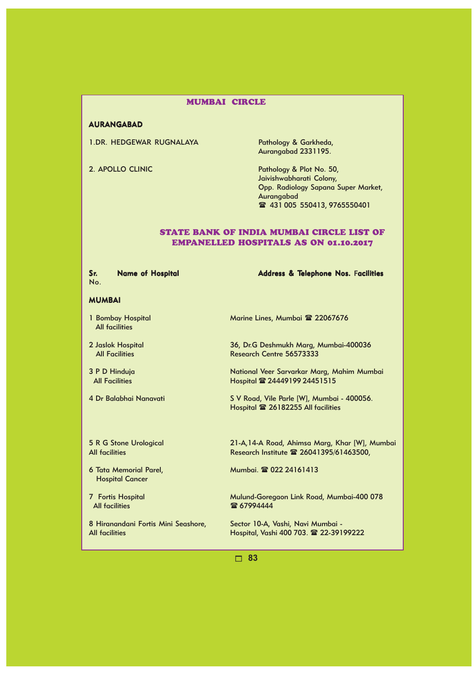#### AURANGABAD

1.DR. HEDGEWAR RUGNALAYA Pathology & Garkheda,

Aurangabad 2331195.

2. APOLLO CLINIC **Pathology & Plot No. 50,** Jaivishwabharati Colony, Opp. Radiology Sapana Super Market, Aurangabad **■ 431 005 550413, 9765550401** 

#### STATE BANK OF INDIA MUMBAI CIRCLE LIST OF EMPANELLED HOSPITALS AS ON 01.10.2017

Sr. Name of Hospital Name Address & Telephone Nos. Facilities No.

# MUMBAI

- 1 Bombay Hospital Marine Lines, Mumbai <sup>2</sup> 22067676 All facilities
- 
- 
- 

2 Jaslok Hospital 36, Dr.G Deshmukh Marg, Mumbai-400036 All Facilities Research Centre 56573333

3 P D Hinduja<br>All Facilities Mational Veer Sarvarkar Marg, Mahim Mumbai<br>Hospital 24449199 24451515 Hospital <sup>2</sup> 24449199 24451515

4 Dr Balabhai Nanavati S V Road, Vile Parle [W], Mumbai - 400056. Hospital 26182255 All facilities

- Hospital Cancer
- 

5 R G Stone Urological 21-A,14-A Road, Ahimsa Marg, Khar [W], Mumbai All facilities Research Institute  $\approx 26041395/61463500$ ,

6 Tata Memorial Parel, Mumbai. 022 24161413

7 Fortis Hospital Mulund-Goregaon Link Road, Mumbai-400 078  $\bullet$  67994444

8 Hiranandani Fortis Mini Seashore, Sector 10-A, Vashi, Navi Mumbai -All facilities Hospital, Vashi 400 703. 22-39199222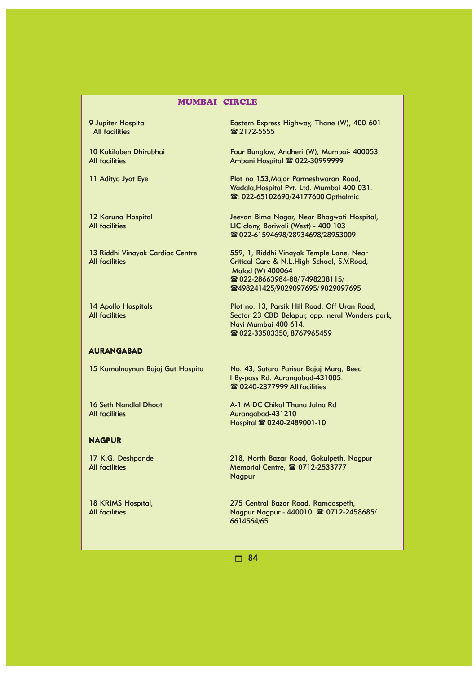All facilities **2172-5555** 

#### AURANGABAD

All facilities Aurangabad-431210

#### NAGPUR

9 Jupiter Hospital **Eastern Express Highway, Thane (W), 400 601** 

10 Kokilaben Dhirubhai Four Bunglow, Andheri (W), Mumbai- 400053.<br>All facilities Ambani Hospital & 022-30999999 Ambani Hospital <sup>2</sup> 022-30999999

11 Aditya Jyot Eye Plot no 153, Major Parmeshwaran Road, Wadala,Hospital Pvt. Ltd. Mumbai 400 031. **雪: 022-65102690/24177600 Opthalmic** 

12 Karuna Hospital Jeevan Bima Nagar, Near Bhagwati Hospital, All facilities LIC clony, Boriwali (West) - 400 103 **■ 022-61594698/28934698/28953009** 

13 Riddhi Vinayak Cardiac Centre 559, 1, Riddhi Vinayak Temple Lane, Near Critical Care & N.L.High School, S.V.Road, Malad (W) 400064 28022-28663984-88/7498238115/ 498241425/9029097695/ 9029097695

14 Apollo Hospitals Plot no. 13, Parsik Hill Road, Off Uran Road, All facilities Sector 23 CBD Belapur, opp. nerul Wonders park, Navi Mumbai 400 614. **雪 022-33503350, 8767965459** 

15 Kamalnaynan Bajaj Gut Hospita No. 43, Satara Parisar Bajaj Marg, Beed l By-pass Rd. Aurangabad-431005. **■ 0240-2377999 All facilities** 

16 Seth Nandlal Dhoot A-1 MIDC Chikal Thana Jalna Rd Hospital 0240-2489001-10

17 K.G. Deshpande 218, North Bazar Road, Gokulpeth, Nagpur All facilities Memorial Centre, <sup>2</sup> 0712-2533777 Nagpur

18 KRIMS Hospital, 275 Central Bazar Road, Ramdaspeth, All facilities Nagpur Nagpur - 440010.  $\circ$  0712-2458685/ 6614564/65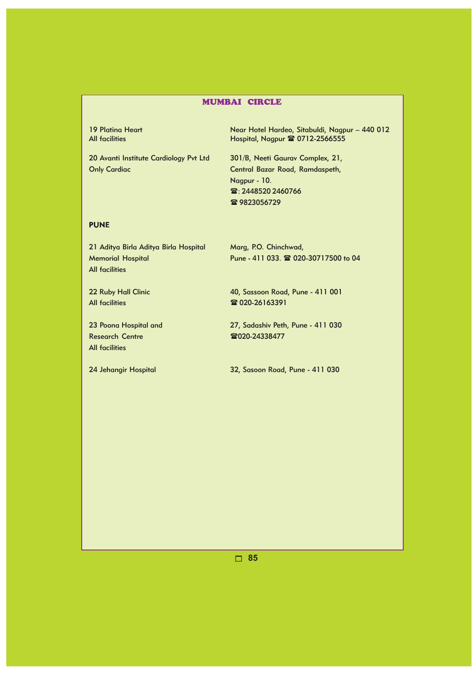19 Platina Heart Near Hotel Hardeo, Sitabuldi, Nagpur – 440 012 All facilities **All facilities** Hospital, Nagpur **& 0712-2566555** 

20 Avanti Institute Cardiology Pvt Ltd 301/B, Neeti Gaurav Complex, 21, Only Cardiac Central Bazar Road, Ramdaspeth,

Nagpur - 10. £: 2448520 2460766 雷9823056729

# PUNE

21 Aditya Birla Aditya Birla Hospital Marg, P.O. Chinchwad, All facilities

Memorial Hospital **Pune - 411 033. <sup>2</sup> 020-30717500** to 04

All facilities **120-26163391** 

Research Centre 220-24338477 All facilities

22 Ruby Hall Clinic 40, Sassoon Road, Pune - 411 001

23 Poona Hospital and 27, Sadashiv Peth, Pune - 411 030

24 Jehangir Hospital 32, Sasoon Road, Pune - 411 030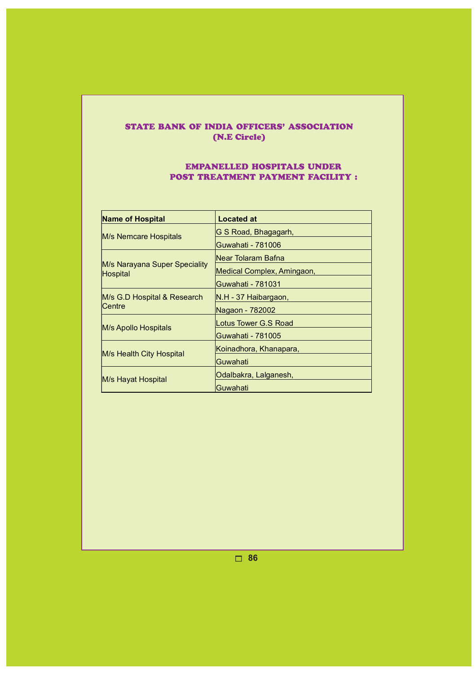# STATE BANK OF INDIA OFFICERS' ASSOCIATION (N.E Circle)

# EMPANELLED HOSPITALS UNDER POST TREATMENT PAYMENT FACILITY :

| <b>Name of Hospital</b>                   | <b>Located at</b>          |
|-------------------------------------------|----------------------------|
| M/s Nemcare Hospitals                     | G S Road, Bhagagarh,       |
|                                           | Guwahati - 781006          |
|                                           | lNear Tolaram Bafna        |
| M/s Narayana Super Speciality<br>Hospital | Medical Complex, Amingaon, |
|                                           | Guwahati - 781031          |
| M/s G.D Hospital & Research               | IN.H - 37 Haibargaon,      |
| Centre                                    | Nagaon - 782002            |
| M/s Apollo Hospitals                      | Lotus Tower G.S Road       |
|                                           | Guwahati - 781005          |
| M/s Health City Hospital                  | Koinadhora, Khanapara,     |
|                                           | Guwahati                   |
|                                           | Odalbakra, Lalganesh,      |
| M/s Hayat Hospital                        | Guwahati                   |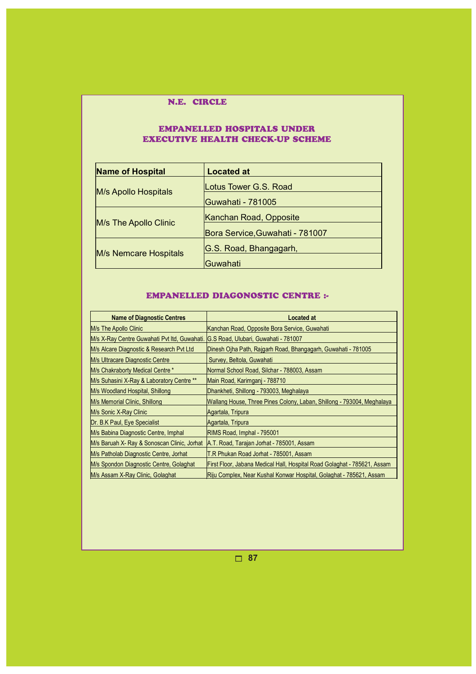# N.E. CIRCLE

# EMPANELLED HOSPITALS UNDER EXECUTIVE HEALTH CHECK-UP SCHEME

| <b>Name of Hospital</b> | <b>Located at</b>               |
|-------------------------|---------------------------------|
| M/s Apollo Hospitals    | Lotus Tower G.S. Road           |
|                         | Guwahati - 781005               |
| M/s The Apollo Clinic   | Kanchan Road, Opposite          |
|                         | Bora Service, Guwahati - 781007 |
| M/s Nemcare Hospitals   | G.S. Road, Bhangagarh,          |
|                         | Guwahati                        |

# EMPANELLED DIAGONOSTIC CENTRE :-

| <b>Name of Diagnostic Centres</b>            | <b>Located at</b>                                                        |
|----------------------------------------------|--------------------------------------------------------------------------|
| M/s The Apollo Clinic                        | Kanchan Road, Opposite Bora Service, Guwahati                            |
| M/s X-Ray Centre Guwahati Pvt Itd, Guwahati. | G.S Road, Ulubari, Guwahati - 781007                                     |
| M/s Alcare Diagnostic & Research Pvt Ltd     | Dinesh Ojha Path, Rajgarh Road, Bhangagarh, Guwahati - 781005            |
| <b>M/s Ultracare Diagnostic Centre</b>       | Survey, Beltola, Guwahati                                                |
| M/s Chakraborty Medical Centre *             | Normal School Road, Silchar - 788003, Assam                              |
| M/s Suhasini X-Ray & Laboratory Centre **    | Main Road, Karimganj - 788710                                            |
| M/s Woodland Hospital, Shillong              | Dhankheti, Shillong - 793003, Meghalaya                                  |
| M/s Memorial Clinic, Shillong                | Wallang House, Three Pines Colony, Laban, Shillong - 793004, Meghalaya   |
| M/s Sonic X-Ray Clinic                       | Agartala, Tripura                                                        |
| Dr. B.K Paul, Eye Specialist                 | Agartala, Tripura                                                        |
| M/s Babina Diagnostic Centre, Imphal         | RIMS Road, Imphal - 795001                                               |
| M/s Baruah X- Ray & Sonoscan Clinic, Jorhat  | A.T. Road, Tarajan Jorhat - 785001, Assam                                |
| M/s Patholab Diagnostic Centre, Jorhat       | T.R Phukan Road Jorhat - 785001, Assam                                   |
| M/s Spondon Diagnostic Centre, Golaghat      | First Floor, Jabana Medical Hall, Hospital Road Golaghat - 785621, Assam |
| M/s Assam X-Ray Clinic, Golaghat             | Riju Complex, Near Kushal Konwar Hospital, Golaghat - 785621, Assam      |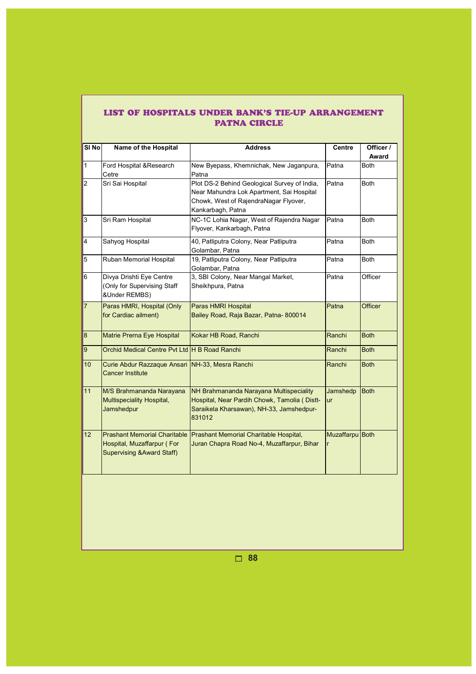|  |                     | LIST OF HOSPITALS UNDER BANK'S TIE-UP ARRANGEMENT |
|--|---------------------|---------------------------------------------------|
|  | <b>PATNA CIRCLE</b> |                                                   |

| SI <sub>No</sub> | Name of the Hospital                                                       | <b>Address</b>                                                                                                                                          | Centre               | Officer /<br>Award |
|------------------|----------------------------------------------------------------------------|---------------------------------------------------------------------------------------------------------------------------------------------------------|----------------------|--------------------|
| $\mathbf{1}$     | Ford Hospital & Research<br>Cetre                                          | New Byepass, Khemnichak, New Jaganpura,<br>Patna                                                                                                        | Patna                | <b>Both</b>        |
| $\overline{2}$   | Sri Sai Hospital                                                           | Plot DS-2 Behind Geological Survey of India,<br>Near Mahundra Lok Apartment, Sai Hospital<br>Chowk, West of RajendraNagar Flyover,<br>Kankarbagh, Patna | Patna                | <b>Both</b>        |
| 3                | Sri Ram Hospital                                                           | NC-1C Lohia Nagar, West of Rajendra Nagar<br>Flyover, Kankarbagh, Patna                                                                                 | Patna                | <b>Both</b>        |
| 4                | Sahyog Hospital                                                            | 40, Patliputra Colony, Near Patliputra<br>Golambar, Patna                                                                                               | Patna                | <b>Both</b>        |
| 5                | Ruban Memorial Hospital                                                    | 19, Patliputra Colony, Near Patliputra<br>Golambar, Patna                                                                                               | Patna                | <b>Both</b>        |
| 6                | Divya Drishti Eye Centre<br>(Only for Supervising Staff<br>&Under REMBS)   | 3, SBI Colony, Near Mangal Market,<br>Sheikhpura, Patna                                                                                                 | Patna                | Officer            |
| $\overline{7}$   | Paras HMRI, Hospital (Only<br>for Cardiac ailment)                         | Paras HMRI Hospital<br>Bailey Road, Raja Bazar, Patna-800014                                                                                            | Patna                | Officer            |
| 8                | Matrie Prerna Eye Hospital                                                 | Kokar HB Road, Ranchi                                                                                                                                   | Ranchi               | <b>Both</b>        |
| 9                | Orchid Medical Centre Pvt Ltd H B Road Ranchi                              |                                                                                                                                                         | Ranchi               | <b>Both</b>        |
| 10               | Curie Abdur Razzaque Ansari NH-33, Mesra Ranchi<br><b>Cancer Institute</b> |                                                                                                                                                         | Ranchi               | <b>Both</b>        |
| 11               | M/S Brahmananda Narayana<br><b>Multispeciality Hospital,</b><br>Jamshedpur | NH Brahmananda Narayana Multispeciality<br>Hospital, Near Pardih Chowk, Tamolia (Distt-<br>Saraikela Kharsawan), NH-33, Jamshedpur-<br>831012           | Jamshedp<br>ur       | <b>Both</b>        |
| 12               | Hospital, Muzaffarpur (For<br><b>Supervising &amp; Award Staff)</b>        | Prashant Memorial Charitable Prashant Memorial Charitable Hospital,<br>Juran Chapra Road No-4, Muzaffarpur, Bihar                                       | Muzaffarpu Both<br>r |                    |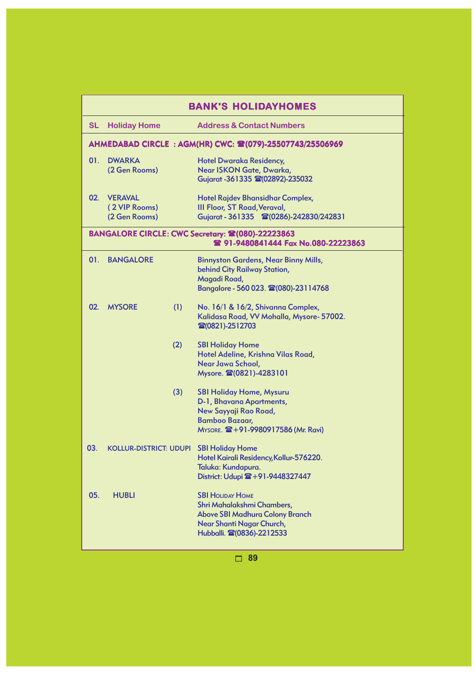| <b>BANK'S HOLIDAYHOMES</b> |                                                  |     |                                                                                                                                                           |
|----------------------------|--------------------------------------------------|-----|-----------------------------------------------------------------------------------------------------------------------------------------------------------|
| <b>SL</b>                  | <b>Holiday Home</b>                              |     | <b>Address &amp; Contact Numbers</b>                                                                                                                      |
|                            |                                                  |     | AHMEDABAD CIRCLE: AGM(HR) CWC: 2(079)-25507743/25506969                                                                                                   |
| 01.                        | <b>DWARKA</b><br>(2 Gen Rooms)                   |     | <b>Hotel Dwaraka Residency,</b><br>Near ISKON Gate, Dwarka,<br>Gujarat - 361335 @ (02892)-235032                                                          |
| 02 <sub>1</sub>            | <b>VERAVAL</b><br>(2 VIP Rooms)<br>(2 Gen Rooms) |     | Hotel Rajdev Bhansidhar Complex,<br><b>III Floor, ST Road, Veraval,</b><br>Gujarat - 361335 雷(0286)-242830/242831                                         |
|                            |                                                  |     | BANGALORE CIRCLE: CWC Secretary: 2 (080)-22223863<br>2 91-9480841444 Fax No.080-22223863                                                                  |
| 01.                        | <b>BANGALORE</b>                                 |     | <b>Binnyston Gardens, Near Binny Mills,</b><br><b>behind City Railway Station,</b><br>Magadi Road,<br>Bangalore - 560 023. 雷(080)-23114768                |
| 02.                        | <b>MYSORE</b>                                    | (1) | No. 16/1 & 16/2, Shivanna Complex,<br>Kalidasa Road, VV Mohalla, Mysore- 57002.<br>雷(0821)-2512703                                                        |
|                            |                                                  | (2) | <b>SBI Holiday Home</b><br>Hotel Adeline, Krishna Vilas Road,<br>Near Jawa School,<br>Mysore. 2(0821)-4283101                                             |
|                            |                                                  | (3) | <b>SBI Holiday Home, Mysuru</b><br>D-1, Bhavana Apartments,<br>New Sayyaji Rao Road,<br><b>Bamboo Bazaar,</b><br>MYSORE. 2 + 91-9980917586 (Mr. Ravi)     |
| 03.                        | <b>KOLLUR-DISTRICT: UDUPI</b>                    |     | <b>SBI Holiday Home</b><br>Hotel Kairali Residency, Kollur-576220.<br>Taluka: Kundapura.<br>District: Udupi $\mathbf{B} + 91 - 9448327447$                |
| 05.                        | <b>HUBLI</b>                                     |     | <b>SBI HOLIDAY HOME</b><br>Shri Mahalakshmi Chambers,<br><b>Above SBI Madhura Colony Branch</b><br>Near Shanti Nagar Church,<br>Hubballi. 2(0836)-2212533 |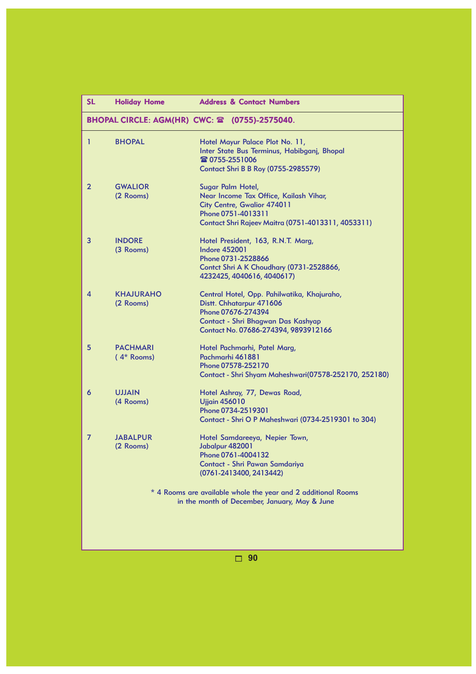| <b>SL</b>    | <b>Holiday Home</b>             | <b>Address &amp; Contact Numbers</b>                                                                                                                                        |
|--------------|---------------------------------|-----------------------------------------------------------------------------------------------------------------------------------------------------------------------------|
|              |                                 | <b>BHOPAL CIRCLE: AGM(HR) CWC: 2 (0755)-2575040.</b>                                                                                                                        |
| 1            | <b>BHOPAL</b>                   | Hotel Mayur Palace Plot No. 11,<br>Inter State Bus Terminus, Habibganj, Bhopal<br>雷 0755-2551006<br>Contact Shri B B Roy (0755-2985579)                                     |
| $\mathbf{2}$ | <b>GWALIOR</b><br>(2 Rooms)     | Sugar Palm Hotel,<br>Near Income Tax Office, Kailash Vihar,<br>City Centre, Gwalior 474011<br>Phone 0751-4013311<br>Contact Shri Rajeev Maitra (0751-4013311, 4053311)      |
| 3            | <b>INDORE</b><br>(3 Rooms)      | Hotel President, 163, R.N.T. Marg,<br><b>Indore 452001</b><br>Phone 0731-2528866<br>Contct Shri A K Choudhary (0731-2528866,<br>4232425, 4040616, 4040617)                  |
| 4            | <b>KHAJURAHO</b><br>(2 Rooms)   | Central Hotel, Opp. Pahilwatika, Khajuraho,<br>Distt. Chhatarpur 471606<br>Phone 07676-274394<br>Contact - Shri Bhagwan Das Kashyap<br>Contact No. 07686-274394, 9893912166 |
| 5            | <b>PACHMARI</b><br>$(4*$ Rooms) | Hotel Pachmarhi, Patel Marg,<br>Pachmarhi 461881<br>Phone 07578-252170<br>Contact - Shri Shyam Maheshwari(07578-252170, 252180)                                             |
| 6            | <b>UJJAIN</b><br>(4 Rooms)      | Hotel Ashray, 77, Dewas Road,<br><b>Ujjain 456010</b><br>Phone 0734-2519301<br>Contact - Shri O P Maheshwari (0734-2519301 to 304)                                          |
| 7            | <b>JABALPUR</b><br>(2 Rooms)    | Hotel Samdareeya, Nepier Town,<br>Jabalpur 482001<br>Phone 0761-4004132<br>Contact - Shri Pawan Samdariya<br>(0761-2413400, 2413442)                                        |
|              |                                 | * 4 Rooms are available whole the year and 2 additional Rooms<br>in the month of December, January, May & June                                                              |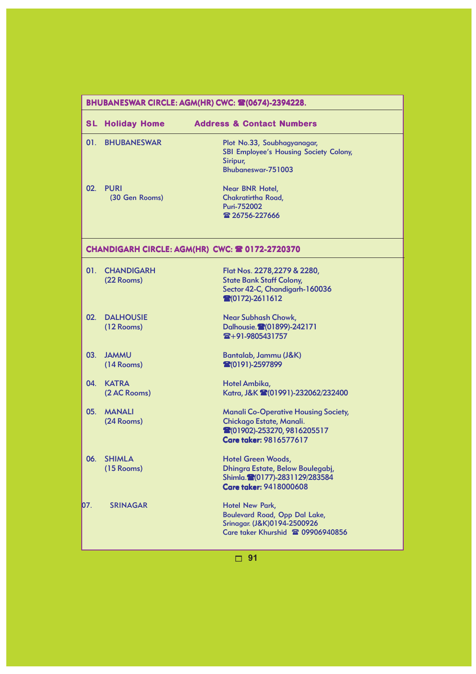|     | BHUBANESWAR CIRCLE: AGM(HR) CWC: \$2(0674)-2394228. |                                                                                                                                       |  |
|-----|-----------------------------------------------------|---------------------------------------------------------------------------------------------------------------------------------------|--|
| SLI | <b>Holiday Home</b>                                 | <b>Address &amp; Contact Numbers</b>                                                                                                  |  |
| 01. | <b>BHUBANESWAR</b>                                  | Plot No.33, Soubhagyanagar,<br><b>SBI Employee's Housing Society Colony,</b><br>Siripur,<br>Bhubaneswar-751003                        |  |
| 02. | <b>PURI</b><br>(30 Gen Rooms)                       | Near BNR Hotel,<br><b>Chakratirtha Road,</b><br>Puri-752002<br>雷 26756-227666                                                         |  |
|     |                                                     | CHANDIGARH CIRCLE: AGM(HR) CWC: 2 0172-2720370                                                                                        |  |
| 01. | <b>CHANDIGARH</b><br>(22 Rooms)                     | Flat Nos. 2278, 2279 & 2280,<br><b>State Bank Staff Colony,</b><br>Sector 42-C, Chandigarh-160036<br>$\binom{20172}{2611612}$         |  |
| 02. | <b>DALHOUSIE</b><br>$(12$ Rooms)                    | <b>Near Subhash Chowk,</b><br>Dalhousie. <sup>2</sup> (01899)-242171<br>雷+91-9805431757                                               |  |
| 03. | <b>JAMMU</b><br>$(14$ Rooms)                        | Bantalab, Jammu (J&K)<br>20191)-2597899                                                                                               |  |
| 04. | <b>KATRA</b><br>(2 AC Rooms)                        | Hotel Ambika,<br>Katra, J&K (01991)-232062/232400                                                                                     |  |
| 05. | <b>MANALI</b><br>(24 Rooms)                         | <b>Manali Co-Operative Housing Society,</b><br>Chickago Estate, Manali.<br>28(01902)-253270, 9816205517<br>Care taker: 9816577617     |  |
| 06. | <b>SHIMLA</b><br>$(15$ Rooms)                       | <b>Hotel Green Woods,</b><br>Dhingra Estate, Below Boulegabj,<br>Shimla. <sup>2</sup> (0177)-2831129/283584<br>Care taker: 9418000608 |  |
| 07. | <b>SRINAGAR</b>                                     | Hotel New Park,<br>Boulevard Road, Opp Dal Lake,<br>Srinagar. (J&K)0194-2500926<br>Care taker Khurshid <sup>2</sup> 09906940856       |  |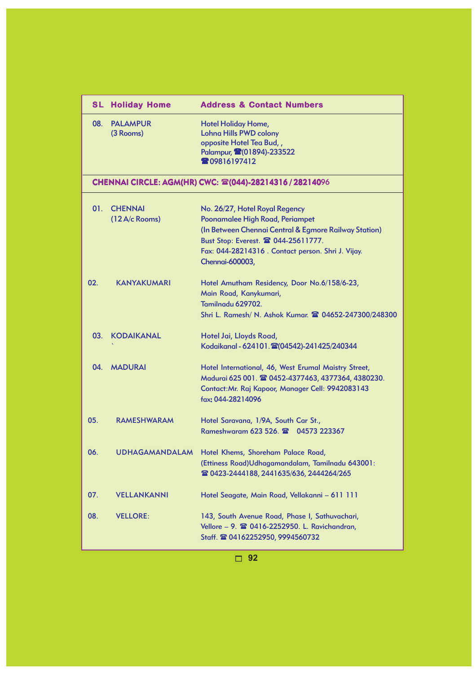| <b>SL</b> | <b>Holiday Home</b>                        | <b>Address &amp; Contact Numbers</b>                                                                                                                                                                                                      |
|-----------|--------------------------------------------|-------------------------------------------------------------------------------------------------------------------------------------------------------------------------------------------------------------------------------------------|
| 08.       | <b>PALAMPUR</b><br>(3 Rooms)               | <b>Hotel Holiday Home,</b><br><b>Lohna Hills PWD colony</b><br>opposite Hotel Tea Bud,,<br>Palampur, 2(01894)-233522<br><b>209816197412</b>                                                                                               |
|           |                                            | CHENNAI CIRCLE: AGM(HR) CWC: 28 (044)-28214316 / 28214096                                                                                                                                                                                 |
| 01.       | <b>CHENNAI</b><br>$(12 \text{ A/c}$ Rooms) | No. 26/27, Hotel Royal Regency<br>Poonamalee High Road, Periampet<br>(In Between Chennai Central & Egmore Railway Station)<br>Bust Stop: Everest. 2 044-25611777.<br>Fax: 044-28214316. Contact person. Shri J. Vijay.<br>Chennai-600003, |
| 02.       | <b>KANYAKUMARI</b>                         | Hotel Amutham Residency, Door No.6/158/6-23,<br>Main Road, Kanykumari,<br>Tamilnadu 629702.<br>Shri L. Ramesh/ N. Ashok Kumar. 2 04652-247300/248300                                                                                      |
| 03.       | <b>KODAIKANAL</b>                          | Hotel Jai, Lloyds Road,<br>Kodaikanal - 624101. (204542)-241425/240344                                                                                                                                                                    |
| 04.       | <b>MADURAI</b>                             | Hotel International, 46, West Erumal Maistry Street,<br>Madurai 625 001. @ 0452-4377463, 4377364, 4380230.<br>Contact: Mr. Raj Kapoor, Manager Cell: 9942083143<br>fax: 044-28214096                                                      |
| 05.       | <b>RAMESHWARAM</b>                         | Hotel Saravana, 1/9A, South Car St.,<br>Rameshwaram 623 526. 2 04573 223367                                                                                                                                                               |
| 06.       |                                            | UDHAGAMANDALAM Hotel Khems, Shoreham Palace Road,<br>(Ettiness Road) Udhagamandalam, Tamilnadu 643001:<br>雷 0423-2444188, 2441635/636, 2444264/265                                                                                        |
| 07.       | <b>VELLANKANNI</b>                         | Hotel Seagate, Main Road, Vellakanni - 611 111                                                                                                                                                                                            |
| 08.       | <b>VELLORE:</b>                            | 143, South Avenue Road, Phase I, Sathuvachari,<br>Vellore - 9. <sup>2</sup> 0416-2252950. L. Ravichandran,<br>Staff. <b>雷 04162252950, 9994560732</b>                                                                                     |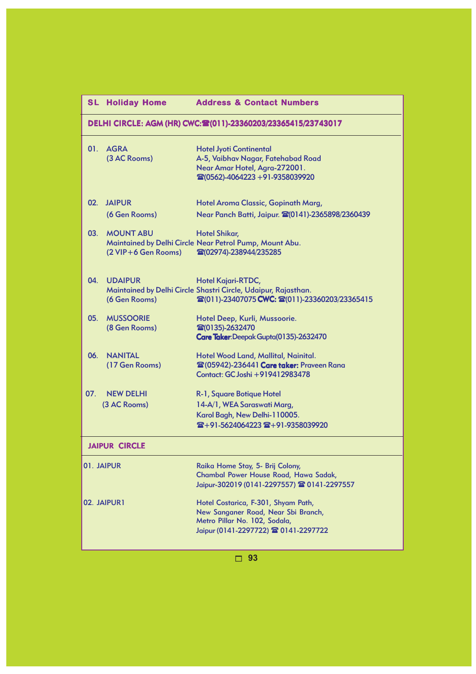| <b>SL</b>       | <b>Holiday Home</b>                     | <b>Address &amp; Contact Numbers</b>                                                                                                                |
|-----------------|-----------------------------------------|-----------------------------------------------------------------------------------------------------------------------------------------------------|
|                 |                                         | DELHI CIRCLE: AGM (HR) CWC: (011)-23360203/23365415/23743017                                                                                        |
|                 | 01. AGRA<br>(3 AC Rooms)                | <b>Hotel Jyoti Continental</b><br>A-5, Vaibhav Nagar, Fatehabad Road<br>Near Amar Hotel, Agra-272001.<br>雷(0562)-4064223+91-9358039920              |
| 02 <sub>1</sub> | <b>JAIPUR</b><br>(6 Gen Rooms)          | Hotel Aroma Classic, Gopinath Marg,<br>Near Panch Batti, Jaipur. 20141)-2365898/2360439                                                             |
| 03.             | <b>MOUNT ABU</b><br>(2 VIP+6 Gen Rooms) | <b>Hotel Shikar,</b><br>Maintained by Delhi Circle Near Petrol Pump, Mount Abu.<br>雷(02974)-238944/235285                                           |
| 04.             | <b>UDAIPUR</b><br>(6 Gen Rooms)         | Hotel Kajari-RTDC,<br>Maintained by Delhi Circle Shastri Circle, Udaipur, Rajasthan.<br>雷(011)-23407075 CWC: 雷(011)-23360203/23365415               |
| 05.             | <b>MUSSOORIE</b><br>(8 Gen Rooms)       | Hotel Deep, Kurli, Mussoorie.<br>雷(0135)-2632470<br>Care Taker: Deepak Gupta(0135)-2632470                                                          |
| 06.             | <b>NANITAL</b><br>(17 Gen Rooms)        | Hotel Wood Land, Mallital, Nainital.<br><b>@(05942)-236441 Care taker: Praveen Rana</b><br>Contact: GC Joshi +919412983478                          |
| 07.             | <b>NEW DELHI</b><br>(3 AC Rooms)        | R-1, Square Botique Hotel<br>14-A/1, WEA Saraswati Marg,<br>Karol Bagh, New Delhi-110005.<br>雷+91-5624064223 雷+91-9358039920                        |
|                 | <b>JAIPUR CIRCLE</b>                    |                                                                                                                                                     |
|                 | 01. JAIPUR                              | Raika Home Stay, 5- Brij Colony,<br>Chambal Power House Road, Hawa Sadak,<br>Jaipur-302019 (0141-2297557) 2 0141-2297557                            |
|                 | 02. JAIPUR1                             | Hotel Costarica, F-301, Shyam Path,<br>New Sanganer Road, Near Sbi Branch,<br>Metro Pillar No. 102, Sodala,<br>Jaipur (0141-2297722) 2 0141-2297722 |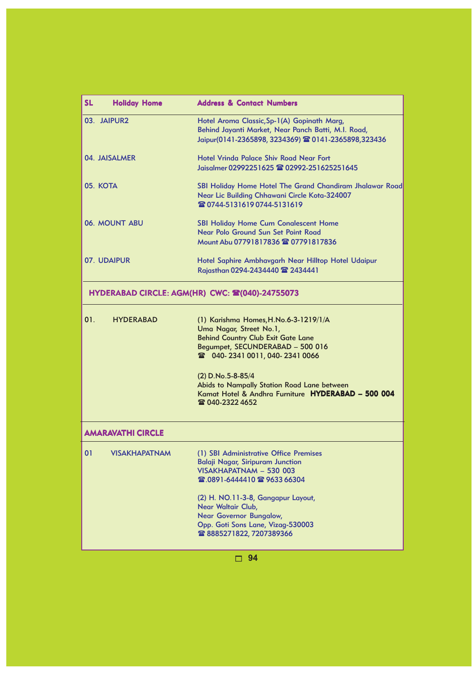| <b>SL</b><br><b>Holiday Home</b> | <b>Address &amp; Contact Numbers</b>                                                                                                                                                                                                                                                                              |
|----------------------------------|-------------------------------------------------------------------------------------------------------------------------------------------------------------------------------------------------------------------------------------------------------------------------------------------------------------------|
| 03. JAIPUR2                      | Hotel Aroma Classic, Sp-1(A) Gopinath Marg,<br>Behind Jayanti Market, Near Panch Batti, M.I. Road,<br>Jaipur(0141-2365898, 3234369) 雷 0141-2365898,323436                                                                                                                                                         |
| 04. JAISALMER                    | Hotel Vrinda Palace Shiv Road Near Fort<br>Jaisalmer 02992251625 雷 02992-251625251645                                                                                                                                                                                                                             |
| 05. KOTA                         | SBI Holiday Home Hotel The Grand Chandiram Jhalawar Road<br>Near Lic Building Chhawani Circle Kota-324007<br>☎ 0744-5131619 0744-5131619                                                                                                                                                                          |
| 06. MOUNT ABU                    | <b>SBI Holiday Home Cum Conalescent Home</b><br>Near Polo Ground Sun Set Point Road<br>Mount Abu 07791817836 @ 07791817836                                                                                                                                                                                        |
| 07. UDAIPUR                      | Hotel Saphire Ambhavgarh Near Hilltop Hotel Udaipur<br>Rajasthan 0294-2434440 2 2434441                                                                                                                                                                                                                           |
|                                  | HYDERABAD CIRCLE: AGM(HR) CWC: 全(040)-24755073                                                                                                                                                                                                                                                                    |
| 01.<br><b>HYDERABAD</b>          | (1) Karishma Homes, H.No.6-3-1219/1/A<br>Uma Nagar, Street No.1,<br><b>Behind Country Club Exit Gate Lane</b><br>Begumpet, SECUNDERABAD - 500 016<br>$(2)$ D.No.5-8-85/4<br>Abids to Nampally Station Road Lane between<br>Kamat Hotel & Andhra Furniture HYDERABAD - 500 004<br>雷 040-2322 4652                  |
| <b>AMARAVATHI CIRCLE</b>         |                                                                                                                                                                                                                                                                                                                   |
| 01                               | VISAKHAPATNAM (1) SBI Administrative Office Premises<br><b>Balaji Nagar, Siripuram Junction</b><br>VISAKHAPATNAM - 530 003<br>雷.0891-6444410 雷 9633 66304<br>(2) H. NO.11-3-8, Gangapur Layout,<br>Near Waltair Club,<br>Near Governor Bungalow,<br>Opp. Goti Sons Lane, Vizag-530003<br>☎ 8885271822, 7207389366 |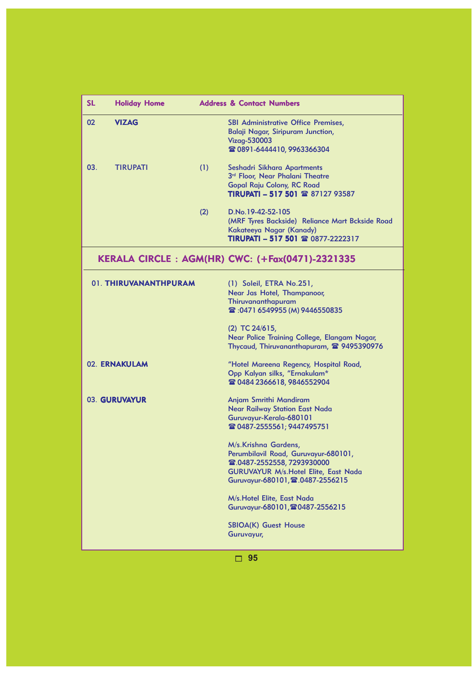| <b>SL</b> | <b>Holiday Home</b>   |     | <b>Address &amp; Contact Numbers</b>                                                                                                                                                                                                    |
|-----------|-----------------------|-----|-----------------------------------------------------------------------------------------------------------------------------------------------------------------------------------------------------------------------------------------|
| 02        | <b>VIZAG</b>          |     | <b>SBI Administrative Office Premises,</b><br>Balaji Nagar, Siripuram Junction,<br>Vizag-530003<br><b>雷 0891-6444410, 9963366304</b>                                                                                                    |
| 03.       | <b>TIRUPATI</b>       | (1) | Seshadri Sikhara Apartments<br>3 <sup>rd</sup> Floor, Near Phalani Theatre<br><b>Gopal Raju Colony, RC Road</b><br>TIRUPATI - 517 501 ☎ 87127 93587                                                                                     |
|           |                       | (2) | D.No.19-42-52-105<br>(MRF Tyres Backside) Reliance Mart Bckside Road<br>Kakateeya Nagar (Kanady)<br>TIRUPATI - 517 501 ☎ 0877-2222317                                                                                                   |
|           |                       |     | KERALA CIRCLE: AGM(HR) CWC: (+Fax(0471)-2321335                                                                                                                                                                                         |
|           | 01. THIRUVANANTHPURAM |     | (1) Soleil, ETRA No.251,<br>Near Jas Hotel, Thampanoor,<br>Thiruvananthapuram<br><b>2</b> :0471 6549955 (M) 9446550835<br>$(2)$ TC 24/615,<br>Near Police Training College, Elangam Nagar,<br>Thycaud, Thiruvananthapuram, 2 9495390976 |
|           | 02. ERNAKULAM         |     | "Hotel Mareena Regency, Hospital Road,<br>Opp Kalyan silks, "Ernakulam*<br><b>雪 0484 2366618, 9846552904</b>                                                                                                                            |
|           | 03. GURUVAYUR         |     | Anjam Smrithi Mandiram<br><b>Near Railway Station East Nada</b><br>Guruvayur-Kerala-680101<br>☎ 0487-2555561; 9447495751                                                                                                                |
|           |                       |     | M/s.Krishna Gardens,<br>Perumbilavil Road, Guruvayur-680101,<br>雷.0487-2552558,7293930000<br><b>GURUVAYUR M/s. Hotel Elite, East Nada</b><br>Guruvayur-680101, 2.0487-2556215                                                           |
|           |                       |     | M/s. Hotel Elite, East Nada<br>Guruvayur-680101, 20487-2556215                                                                                                                                                                          |
|           |                       |     | <b>SBIOA(K) Guest House</b><br>Guruvayur,                                                                                                                                                                                               |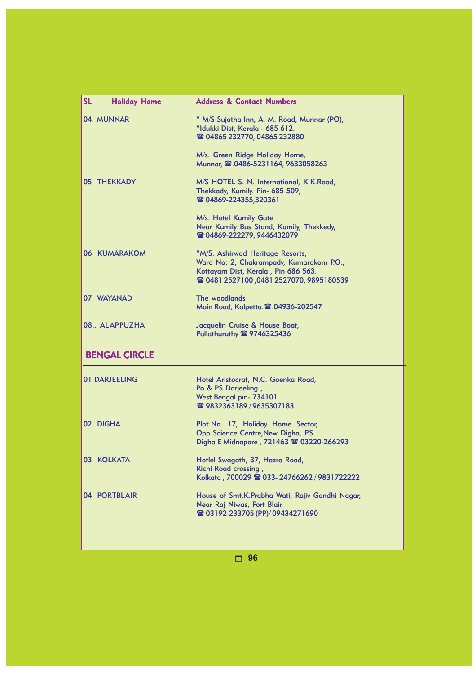| <b>SL</b><br><b>Holiday Home</b> | <b>Address &amp; Contact Numbers</b>                                                                                                                          |
|----------------------------------|---------------------------------------------------------------------------------------------------------------------------------------------------------------|
| 04. MUNNAR                       | " M/S Sujatha Inn, A. M. Road, Munnar (PO),<br>"Idukki Dist, Kerala - 685 612.<br>雷 04865 232770, 04865 232880                                                |
|                                  | M/s. Green Ridge Holiday Home,<br>Munnar, 2.0486-5231164, 9633058263                                                                                          |
| 05. THEKKADY                     | M/S HOTEL S. N. International, K.K.Road,<br>Thekkady, Kumily. Pin- 685 509,<br>雷 04869-224355,320361                                                          |
|                                  | M/s. Hotel Kumily Gate<br>Near Kumily Bus Stand, Kumily, Thekkedy,<br>雷 04869-222279, 9446432079                                                              |
| 06. KUMARAKOM                    | "M/S. Ashirwad Heritage Resorts,<br>Ward No: 2, Chakrampady, Kumarakom P.O.,<br>Kottayam Dist, Kerala, Pin 686 563.<br>雷 0481 2527100,0481 2527070,9895180539 |
| 07. WAYANAD                      | The woodlands<br>Main Road, Kalpetta. 2.04936-202547                                                                                                          |
| 08. ALAPPUZHA                    | Jacquelin Cruise & House Boat,<br>Pallathuruthy 2 9746325436                                                                                                  |
| <b>BENGAL CIRCLE</b>             |                                                                                                                                                               |
| 01.DARJEELING                    | Hotel Aristocrat, N.C. Goenka Road,<br>Po & PS Darjeeling,<br>West Bengal pin- 734101<br>雷 9832363189 / 9635307183                                            |
| 02. DIGHA                        | Plot No. 17, Holiday Home Sector,<br>Opp Science Centre, New Digha, P.S.<br>Digha E Midnapore, 721463 2 03220-266293                                          |
| 03. KOLKATA                      | Hotlel Swagath, 37, Hazra Road,<br>Richi Road crossing,<br>Kolkata, 700029 2 033-24766262/9831722222                                                          |
| 04. PORTBLAIR                    | House of Smt.K.Prabha Wati, Rajiv Gandhi Nagar,<br>Near Raj Niwas, Port Blair<br><b>雪 03192-233705 (PP)/ 09434271690</b>                                      |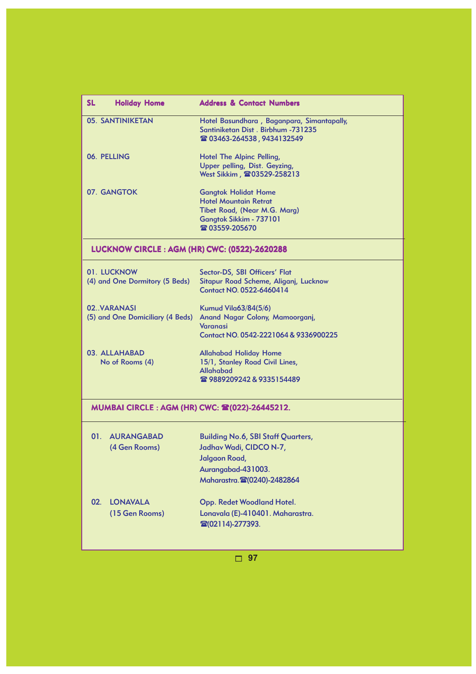| <b>SL</b><br><b>Holiday Home</b>                 | <b>Address &amp; Contact Numbers</b>                                                                                                       |
|--------------------------------------------------|--------------------------------------------------------------------------------------------------------------------------------------------|
| 05. SANTINIKETAN                                 | Hotel Basundhara, Baganpara, Simantapally,<br>Santiniketan Dist. Birbhum -731235<br>☎ 03463-264538, 9434132549                             |
| 06. PELLING                                      | Hotel The Alpinc Pelling,<br>Upper pelling, Dist. Geyzing,<br>West Sikkim, 203529-258213                                                   |
| 07. GANGTOK                                      | <b>Gangtok Holidat Home</b><br><b>Hotel Mountain Retrat</b><br>Tibet Road, (Near M.G. Marg)<br>Gangtok Sikkim - 737101<br>雷 03559-205670   |
| LUCKNOW CIRCLE: AGM (HR) CWC: (0522)-2620288     |                                                                                                                                            |
| 01. LUCKNOW<br>(4) and One Dormitory (5 Beds)    | Sector-DS, SBI Officers' Flat<br>Sitapur Road Scheme, Aliganj, Lucknow<br>Contact NO. 0522-6460414                                         |
| 02. VARANASI<br>(5) and One Domiciliary (4 Beds) | Kumud Vila63/84(5/6)<br>Anand Nagar Colony, Mamoorganj,<br><b>Varanasi</b><br>Contact NO. 0542-2221064 & 9336900225                        |
| 03. ALLAHABAD<br>No of Rooms (4)                 | <b>Allahabad Holiday Home</b><br>15/1, Stanley Road Civil Lines,<br><b>Allahabad</b><br>28989209242&9335154489                             |
| MUMBAI CIRCLE : AGM (HR) CWC: 2 (022)-26445212.  |                                                                                                                                            |
| <b>AURANGABAD</b><br>01.<br>(4 Gen Rooms)        | <b>Building No.6, SBI Staff Quarters,</b><br>Jadhav Wadi, CIDCO N-7,<br>Jalgaon Road,<br>Aurangabad-431003.<br>Maharastra. (20240)-2482864 |
| <b>LONAVALA</b><br>02.<br>(15 Gen Rooms)         | Opp. Redet Woodland Hotel.<br>Lonavala (E)-410401. Maharastra.<br>雷(02114)-277393.                                                         |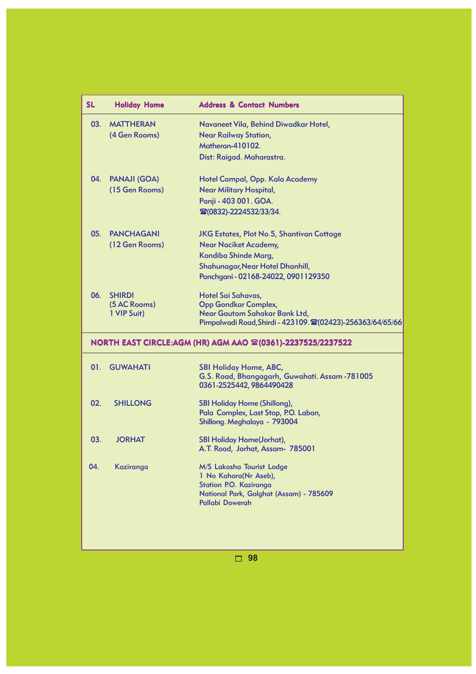| <b>SL</b> | <b>Holiday Home</b>                          | <b>Address &amp; Contact Numbers</b>                                                                                                                                                |
|-----------|----------------------------------------------|-------------------------------------------------------------------------------------------------------------------------------------------------------------------------------------|
| 03.       | <b>MATTHERAN</b><br>(4 Gen Rooms)            | Navaneet Vila, Behind Diwadkar Hotel,<br><b>Near Railway Station,</b><br><b>Matheran-410102.</b><br>Dist: Raigad. Maharastra.                                                       |
|           | 04. PANAJI (GOA)<br>(15 Gen Rooms)           | Hotel Campal, Opp. Kala Academy<br><b>Near Military Hospital,</b><br>Panji - 403 001. GOA.<br>雷(0832)-2224532/33/34.                                                                |
| 05.       | <b>PANCHAGANI</b><br>(12 Gen Rooms)          | <b>JKG Estates, Plot No.5, Shantivan Cottage</b><br><b>Near Naciket Academy,</b><br>Kondiba Shinde Marg,<br>Shahunagar, Near Hotel Dhanhill,<br>Panchgani - 02168-24022, 0901129350 |
| 06.       | <b>SHIRDI</b><br>(5 AC Rooms)<br>1 VIP Suit) | Hotel Sai Sahavas,<br><b>Opp Gondkar Complex,</b><br>Near Gautom Sahakar Bank Ltd,<br>Pimpalwadi Road, Shirdi - 423109. 202423)-256363/64/65/66                                     |
|           |                                              | <b>NORTH EAST CIRCLE:AGM (HR) AGM AAO ☎(0361)-2237525/2237522</b>                                                                                                                   |
|           | 01. GUWAHATI                                 | <b>SBI Holiday Home, ABC,</b><br>G.S. Road, Bhangagarh, Guwahati. Assam -781005<br>0361-2525442, 9864490428                                                                         |
| 02.       | <b>SHILLONG</b>                              | <b>SBI Holiday Home (Shillong),</b><br>Pala Complex, Last Stop, P.O. Laban,<br>Shillong. Meghalaya - 793004                                                                         |
| 03.       | <b>JORHAT</b>                                | <b>SBI Holiday Home(Jorhat),</b><br>A.T. Road, Jorhat, Assam- 785001                                                                                                                |
| 04.       | Kaziranga                                    | M/S Lakosha Tourist Lodge<br>1 No Kohara(Nr Aseb),<br>Station P.O. Kaziranga<br>National Park, Golghat (Assam) - 785609<br>Pallabi Dowerah                                          |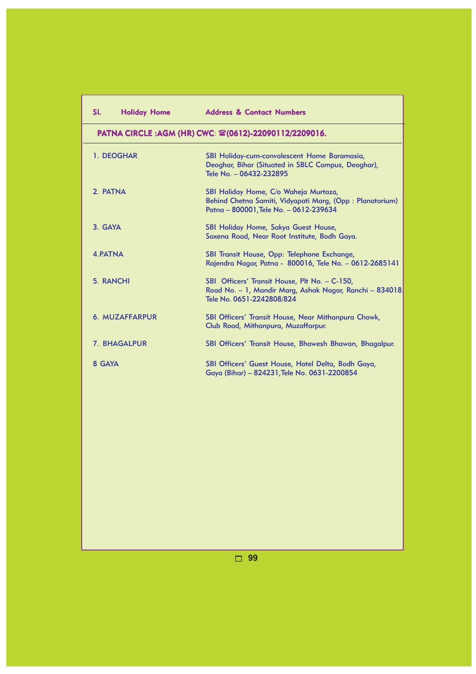| <b>SL</b><br><b>Holiday Home</b> | <b>Address &amp; Contact Numbers</b>                                                                                                        |
|----------------------------------|---------------------------------------------------------------------------------------------------------------------------------------------|
|                                  | PATNA CIRCLE:AGM (HR) CWC: ☎(0612)-22090112/2209016.                                                                                        |
| 1. DEOGHAR                       | SBI Holiday-cum-convalescent Home Baramasia,<br>Deoghar, Bihar (Situated in SBLC Campus, Deoghar),<br>Tele No. - 06432-232895               |
| 2 PATNA                          | SBI Holiday Home, C/o Waheja Murtaza,<br>Behind Chetna Samiti, Vidyapati Marg, (Opp: Planatorium)<br>Patna - 800001, Tele No. - 0612-239634 |
| 3. GAYA                          | SBI Holiday Home, Sakya Guest House,<br>Saxena Road, Near Root Institute, Bodh Gaya.                                                        |
| 4. PATNA                         | SBI Transit House, Opp: Telephone Exchange,<br>Rajendra Nagar, Patna - 800016, Tele No. - 0612-2685141                                      |
| 5. RANCHI                        | SBI Officers' Transit House, Plt No. - C-150,<br>Road No. - 1, Mandir Marg, Ashok Nagar, Ranchi - 834018.<br>Tele No. 0651-2242808/824      |
| 6. MUZAFFARPUR                   | <b>SBI Officers' Transit House, Near Mithanpura Chowk,</b><br>Club Road, Mithanpura, Muzaffarpur.                                           |
| <b>7. BHAGALPUR</b>              | SBI Officers' Transit House, Bhawesh Bhawan, Bhagalpur.                                                                                     |
| 8 GAYA                           | SBI Officers' Guest House, Hotel Delta, Bodh Gaya,<br>Gaya (Bihar) - 824231, Tele No. 0631-2200854                                          |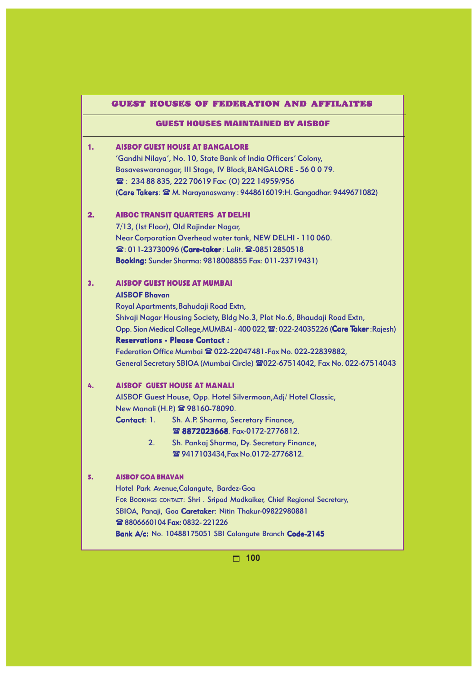#### GUEST HOUSES OF FEDERATION AND AFFILAITES

#### GUEST HOUSES MAINTAINED BY AISBOF

# 1. AISBOF GUEST HOUSE AT BANGALORE

'Gandhi Nilaya', No. 10, State Bank of India Officers' Colony, Basaveswaranagar, III Stage, IV Block,BANGALORE - 56 0 0 79. : 234 88 835, 222 70619 Fax: (O) 222 14959/956 (Care Takers:  $\mathbf{\mathfrak{D}}$  M. Narayanaswamy: 9448616019:H. Gangadhar: 9449671082)

#### 2. AIBOC TRANSIT QUARTERS AT DELHI

7/13, (Ist Floor), Old Rajinder Nagar, Near Corporation Overhead water tank, NEW DELHI - 110 060. **雪: 011-23730096 (Care-taker : Lalit. 雪-08512850518** Booking: Booking: Booking:Sunder Sharma: 9818008855 Fax: 011-23719431)

#### 3. AISBOF GUEST HOUSE AT MUMBAI

### AISBOF Bhavan

Royal Apartments,Bahudaji Road Extn, Shivaji Nagar Housing Society, Bldg No.3, Plot No.6, Bhaudaji Road Extn, Opp. Sion Medical College, MUMBAI - 400 022, <sup>2</sup>: 022-24035226 (Care Taker: Rajesh) **Reservations - Please Contact :** Federation Office Mumbai 022-22047481-Fax No. 022-22839882,

General Secretary SBIOA (Mumbai Circle) 2022-67514042, Fax No. 022-67514043

# 4. AISBOF GUEST HOUSE AT MANALI

AISBOF Guest House, Opp. Hotel Silvermoon,Adj/ Hotel Classic, New Manali (H.P.) <sup>2</sup> 98160-78090.

Contact: 1. Sh. A.P. Sharma, Secretary Finance,

8872023668. Fax-0172-2776812.

 2. Sh. Pankaj Sharma, Dy. Secretary Finance, **雪9417103434,Fax No.0172-2776812.** 

#### 5. AISBOF GOA BHAVAN

Hotel Park Avenue,Calangute, Bardez-Goa FOR BOOKINGS CONTACT: Shri . Sripad Madkaiker, Chief Regional Secretary, SBIOA, Panaji, Goa Caretaker: Nitin Thakur-09822980881 28806660104 Fax: 0832-221226 Bank A/c: No. 10488175051 SBI Calangute Branch Code-2145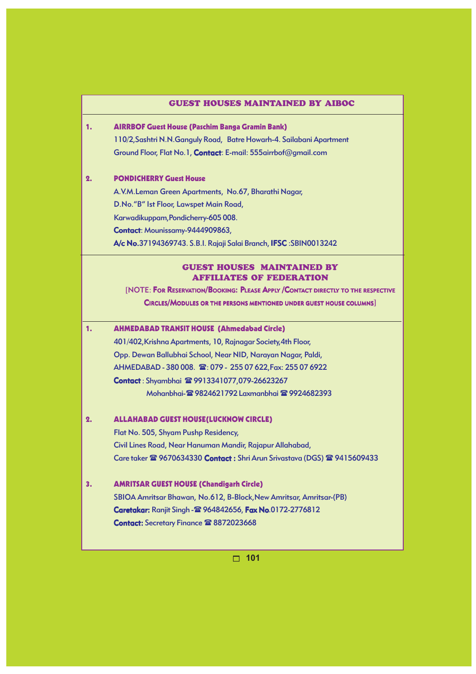#### GUEST HOUSES MAINTAINED BY AIBOC

# 1. AIRRBOF Guest House (Paschim Banga Gramin Bank) 110/2,Sashtri N.N.Ganguly Road, Batre Howarh-4. Sailabani Apartment Ground Floor, Flat No.1, Contact: E-mail: 555airrbof@gmail.com

#### 2. PONDICHERRY Guest House

A.V.M.Leman Green Apartments, No.67, Bharathi Nagar, D.No."B" Ist Floor, Lawspet Main Road, Karwadikuppam,Pondicherry-605 008. Contact: Mounissamy-9444909863, A/c No. No.37194369743. S.B.I. Rajaji Salai Branch, IFSC :SBIN0013242

# GUEST HOUSES MAINTAINED BY AFFILIATES OF FEDERATION

[NOTE: FOR RESERVATION/BOOKING: PLEASE APPLY /CONTACT DIRECTLY TO THE RESPECTIVE

CIRCLES/MODULES OR THE PERSONS MENTIONED UNDER GUEST HOUSE COLUMNS]

# 1. AHMEDABAD TRANSIT HOUSE (Ahmedabad Circle)

401/402,Krishna Apartments, 10, Rajnagar Society,4th Floor, Opp. Dewan Ballubhai School, Near NID, Narayan Nagar, Paldi, AHMEDABAD - 380 008.  $\circledR$ : 079 - 255 07 622, Fax: 255 07 6922 Contact : Shyambhai <sup>2</sup>9913341077,079-26623267 Mohanbhai- 19824621792 Laxmanbhai 19924682393

#### 2. ALLAHABAD GUEST HOUSE(LUCKNOW CIRCLE)

Flat No. 505, Shyam Pushp Residency, Civil Lines Road, Near Hanuman Mandir, Rajapur Allahabad, Care taker <sup>2</sup> 9670634330 Contact: Shri Arun Srivastava (DGS) <sup>2</sup> 9415609433

### 3. AMRITSAR GUEST HOUSE (Chandigarh Circle)

SBIOA Amritsar Bhawan, No.612, B-Block,New Amritsar, Amritsar-(PB) Caretakar: Caretakar: Ranjit Singh - 964842656, Fax No.0172-2776812 Contact: Secretary Finance <sup>2</sup>8872023668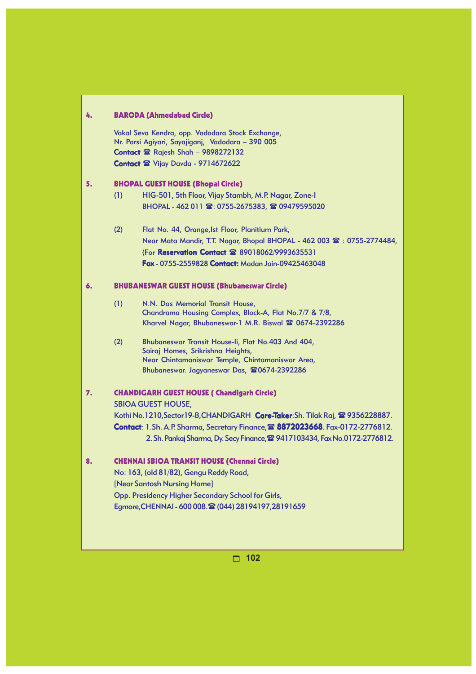| 4. |     | <b>BARODA (Ahmedabad Circle)</b>                                                      |
|----|-----|---------------------------------------------------------------------------------------|
|    |     | Vakal Seva Kendra, opp. Vadodara Stock Exchange,                                      |
|    |     | Nr. Parsi Agiyari, Sayajiganj, Vadodara - 390 005                                     |
|    |     | Contact <sup>2</sup> Rajesh Shah - 9898272132                                         |
|    |     | Contact & Vijay Davda - 9714672622                                                    |
| 5. |     | <b>BHOPAL GUEST HOUSE (Bhopal Circle)</b>                                             |
|    | (1) | HIG-501, 5th Floor, Vijay Stambh, M.P. Nagar, Zone-I                                  |
|    |     | BHOPAL - 462 011 ☎: 0755-2675383, ☎ 09479595020                                       |
|    | (2) | Flat No. 44, Orange, Ist Floor, Planitium Park,                                       |
|    |     | Near Mata Mandir, T.T. Nagar, Bhopal BHOPAL - 462 003 $\mathbb{R}$ : 0755-2774484,    |
|    |     | (For Reservation Contact 雷 89018062/9993635531                                        |
|    |     | <b>Fax - 0755-2559828 Contact: Madan Jain-09425463048</b>                             |
| 6. |     | <b>BHUBANESWAR GUEST HOUSE (Bhubaneswar Circle)</b>                                   |
|    | (1) | N.N. Das Memorial Transit House,                                                      |
|    |     | Chandrama Housing Complex, Block-A, Flat No.7/7 & 7/8,                                |
|    |     | Kharvel Nagar, Bhubaneswar-1 M.R. Biswal <sup>2</sup> 0674-2392286                    |
|    | (2) | Bhubaneswar Transit House-li, Flat No.403 And 404,                                    |
|    |     | Sairaj Homes, Srikrishna Heights,                                                     |
|    |     | Near Chintamaniswar Temple, Chintamaniswar Area,                                      |
|    |     | Bhubaneswar. Jagyaneswar Das, 20674-2392286                                           |
| 7. |     | <b>CHANDIGARH GUEST HOUSE ( Chandigarh Circle)</b>                                    |
|    |     | <b>SBIOA GUEST HOUSE,</b>                                                             |
|    |     | Kothi No. 1210, Sector 19-B, CHANDIGARH Care-Taker: Sh. Tilak Raj, 2 9356228887.      |
|    |     | Contact: 1.Sh. A.P. Sharma, Secretary Finance, 2 8872023668. Fax-0172-2776812.        |
|    |     | 2. Sh. Pankaj Sharma, Dy. Secy Finance, <sup>2</sup> 9417103434, Fax No.0172-2776812. |
| 8  |     | <b>CHENNAI SBIOA TRANSIT HOUSE (Chennai Circle)</b>                                   |
|    |     | No: 163, (old 81/82), Gengu Reddy Road,                                               |
|    |     | [Near Santosh Nursing Home]                                                           |
|    |     | Opp. Presidency Higher Secondary School for Girls,                                    |
|    |     | Egmore, CHENNAI - 600 008. 雷 (044) 28194197, 28191659                                 |
|    |     |                                                                                       |
|    |     |                                                                                       |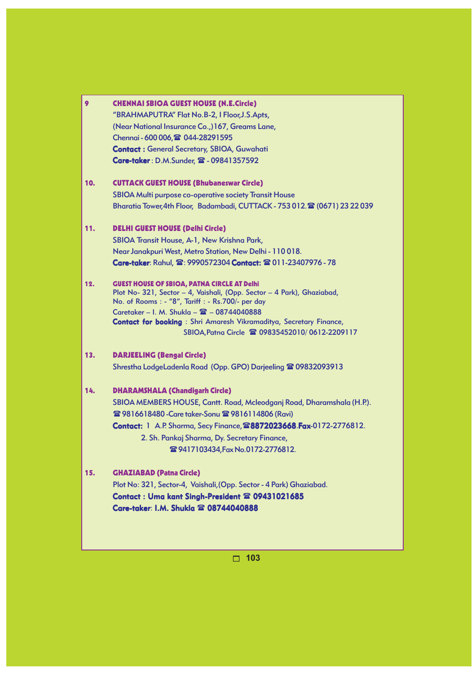| 9   | <b>CHENNAI SBIOA GUEST HOUSE (N.E.Circle)</b>                                                                |
|-----|--------------------------------------------------------------------------------------------------------------|
|     | "BRAHMAPUTRA" Flat No.B-2, I Floor, J.S.Apts,                                                                |
|     | (Near National Insurance Co.,)167, Greams Lane,                                                              |
|     | Chennai - 600 006, 2 044-28291595                                                                            |
|     | <b>Contact: General Secretary, SBIOA, Guwahati</b>                                                           |
|     | Care-taker: D.M.Sunder, 雷 - 09841357592                                                                      |
| 10. | <b>CUTTACK GUEST HOUSE (Bhubaneswar Circle)</b>                                                              |
|     | SBIOA Multi purpose co-operative society Transit House                                                       |
|     | Bharatia Tower, 4th Floor, Badambadi, CUTTACK - 753 012. (0671) 23 22 039                                    |
| 11. | <b>DELHI GUEST HOUSE (Delhi Circle)</b>                                                                      |
|     | SBIOA Transit House, A-1, New Krishna Park,                                                                  |
|     | Near Janakpuri West, Metro Station, New Delhi - 110018.                                                      |
|     | Care-taker: Rahul, 雷: 9990572304 Contact: 雷 011-23407976 - 78                                                |
| 12. | <b>GUEST HOUSE OF SBIOA, PATNA CIRCLE AT Delhi</b>                                                           |
|     | Plot No- 321, Sector - 4, Vaishali, (Opp. Sector - 4 Park), Ghaziabad,                                       |
|     | No. of Rooms : - "8", Tariff : - Rs.700/- per day<br>Caretaker - I. M. Shukla - $\mathbf{\Xi}$ - 08744040888 |
|     | <b>Contact for booking</b> : Shri Amaresh Vikramaditya, Secretary Finance,                                   |
|     | SBIOA, Patna Circle 2 09835452010/0612-2209117                                                               |
| 13. | <b>DARJEELING (Bengal Circle)</b>                                                                            |
|     | Shrestha LodgeLadenla Road (Opp. GPO) Darjeeling <sup>2</sup> 09832093913                                    |
| 14. | <b>DHARAMSHALA (Chandigarh Circle)</b>                                                                       |
|     | SBIOA MEMBERS HOUSE, Cantt. Road, Mcleodganj Road, Dharamshala (H.P.).                                       |
|     | <b>雪 9816618480 - Care taker-Sonu 雪 9816114806 (Ravi)</b>                                                    |
|     | Contact: 1 A.P. Sharma, Secy Finance, 28872023668. Fax-0172-2776812.                                         |
|     | 2. Sh. Pankaj Sharma, Dy. Secretary Finance,                                                                 |
|     | <b>雪9417103434, Fax No.0172-2776812.</b>                                                                     |
| 15. | <b>GHAZIABAD (Patna Circle)</b>                                                                              |
|     | Plot No: 321, Sector-4, Vaishali, (Opp. Sector - 4 Park) Ghaziabad.                                          |
|     | Contact: Uma kant Singh-President <sup>22</sup> 09431021685                                                  |
|     | Care-taker: I.M. Shukla <sup>22</sup> 08744040888                                                            |
|     |                                                                                                              |
|     |                                                                                                              |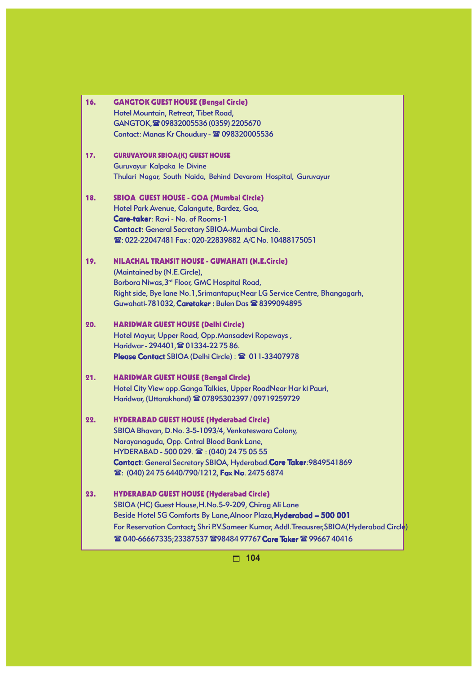| 16. | <b>GANGTOK GUEST HOUSE (Bengal Circle)</b>                                              |
|-----|-----------------------------------------------------------------------------------------|
|     | Hotel Mountain, Retreat, Tibet Road,                                                    |
|     | GANGTOK, 209832005536 (0359) 2205670                                                    |
|     | Contact: Manas Kr Choudury - 2 098320005536                                             |
| 17. | <b>GURUVAYOUR SBIOA(K) GUEST HOUSE</b>                                                  |
|     | Guruvayur Kalpaka le Divine                                                             |
|     | Thulari Nagar, South Naida, Behind Devarom Hospital, Guruvayur                          |
| 18. | SBIOA GUEST HOUSE - GOA (Mumbai Circle)                                                 |
|     | Hotel Park Avenue, Calangute, Bardez, Goa,                                              |
|     | <b>Care-taker: Ravi - No. of Rooms-1</b>                                                |
|     | <b>Contact:</b> General Secretary SBIOA-Mumbai Circle.                                  |
|     | 雪: 022-22047481 Fax: 020-22839882 A/C No. 10488175051                                   |
| 19. | <b>NILACHAL TRANSIT HOUSE - GUWAHATI (N.E.Circle)</b>                                   |
|     | (Maintained by (N.E.Circle),                                                            |
|     | Borbora Niwas, 3 <sup>rd</sup> Floor, GMC Hospital Road,                                |
|     | Right side, Bye lane No.1, Srimantapur, Near LG Service Centre, Bhangagarh,             |
|     | Guwahati-781032, Caretaker: Bulen Das <sup>2</sup> 8399094895                           |
| 20. | <b>HARIDWAR GUEST HOUSE (Delhi Circle)</b>                                              |
|     | Hotel Mayur, Upper Road, Opp.Mansadevi Ropeways,                                        |
|     | Haridwar - 294401, 201334-22 75 86.                                                     |
|     | Please Contact SBIOA (Delhi Circle): 2 011-33407978                                     |
| 21. | <b>HARIDWAR GUEST HOUSE (Bengal Circle)</b>                                             |
|     | Hotel City View opp. Ganga Talkies, Upper RoadNear Har ki Pauri,                        |
|     | Haridwar, (Uttarakhand) @ 07895302397 / 09719259729                                     |
| 22. | <b>HYDERABAD GUEST HOUSE (Hyderabad Circle)</b>                                         |
|     | SBIOA Bhavan, D.No. 3-5-1093/4, Venkateswara Colony,                                    |
|     | Narayanaguda, Opp. Cntral Blood Bank Lane,                                              |
|     | HYDERABAD - 500 029. 雷: (040) 24 75 05 55                                               |
|     | Contact: General Secretary SBIOA, Hyderabad.Care Taker: 9849541869                      |
|     | <b>雪: (040) 24 75 6440/790/1212, Fax No. 2475 6874</b>                                  |
| 23. | <b>HYDERABAD GUEST HOUSE (Hyderabad Circle)</b>                                         |
|     | SBIOA (HC) Guest House, H.No.5-9-209, Chirag Ali Lane                                   |
|     | Beside Hotel SG Comforts By Lane, Alnoor Plaza, Hyderabad - 500 001                     |
|     | For Reservation Contact: Shri P.V.Sameer Kumar, Addl.Treausrer, SBIOA(Hyderabad Circle) |
|     | <b>@ 040-66667335;23387537 @ 98484 97767 Care Taker @ 99667 40416</b>                   |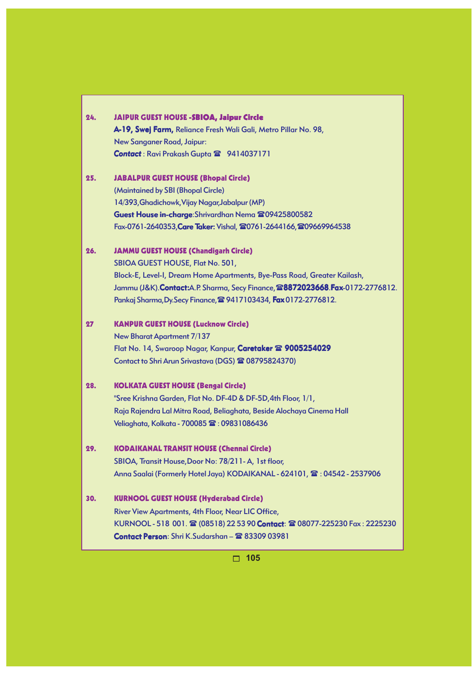|     | A-19, Swej Farm, Reliance Fresh Wali Gali, Metro Pillar No. 98,                 |
|-----|---------------------------------------------------------------------------------|
|     | New Sanganer Road, Jaipur:                                                      |
|     | Contact: Ravi Prakash Gupta 2 9414037171                                        |
| 25. | <b>JABALPUR GUEST HOUSE (Bhopal Circle)</b>                                     |
|     | (Maintained by SBI (Bhopal Circle)                                              |
|     | 14/393, Ghadichowk, Vijay Nagar, Jabalpur (MP)                                  |
|     | Guest House in-charge: Shrivardhan Nema 209425800582                            |
|     | Fax-0761-2640353, Care Taker: Vishal, 20761-2644166, 209669964538               |
| 26. | <b>JAMMU GUEST HOUSE (Chandigarh Circle)</b>                                    |
|     | SBIOA GUEST HOUSE, Flat No. 501,                                                |
|     | Block-E, Level-I, Dream Home Apartments, Bye-Pass Road, Greater Kailash,        |
|     | Jammu (J&K). Contact: A.P. Sharma, Secy Finance, 28872023668. Fax-0172-2776812. |
|     | Pankaj Sharma, Dy. Secy Finance, 29417103434, Fax 0172-2776812.                 |
| 27  | <b>KANPUR GUEST HOUSE (Lucknow Circle)</b>                                      |
|     | New Bharat Apartment 7/137                                                      |
|     | Flat No. 14, Swaroop Nagar, Kanpur, Caretaker & 9005254029                      |
|     | Contact to Shri Arun Srivastava (DGS) <sup>2</sup> 08795824370)                 |
| 28. | <b>KOLKATA GUEST HOUSE (Bengal Circle)</b>                                      |
|     | "Sree Krishna Garden, Flat No. DF-4D & DF-5D, 4th Floor, 1/1,                   |
|     | Raja Rajendra Lal Mitra Road, Beliaghata, Beside Alochaya Cinema Hall           |
|     | Veliaghata, Kolkata - 700085 $\mathbf{\mathfrak{B}}$ : 09831086436              |
| 29. | <b>KODAIKANAL TRANSIT HOUSE (Chennai Circle)</b>                                |
|     | SBIOA, Transit House, Door No: 78/211-A, 1st floor,                             |
|     | Anna Saalai (Formerly Hotel Jaya) KODAIKANAL - 624101, 2: 04542 - 2537906       |
| 30. | <b>KURNOOL GUEST HOUSE (Hyderabad Circle)</b>                                   |
|     | River View Apartments, 4th Floor, Near LIC Office,                              |
|     | KURNOOL-518 001. 2 (08518) 22 53 90 Contact: 2 08077-225230 Fax: 2225230        |
|     | Contact Person: Shri K.Sudarshan - 2 83309 03981                                |

# 24. JAIPUR GUEST HOUSE -SBIOA, Jaipur Circle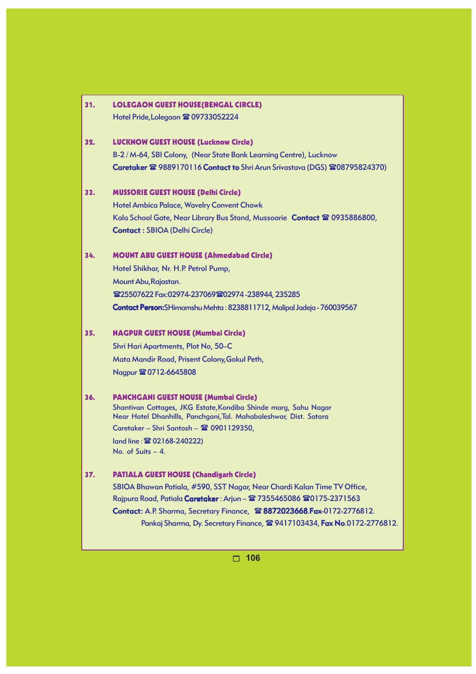| 31. | <b>LOLEGAON GUEST HOUSE (BENGAL CIRCLE)</b><br>Hotel Pride, Lolegaon <sup>2</sup> 09733052224                                        |
|-----|--------------------------------------------------------------------------------------------------------------------------------------|
| 32. | <b>LUCKNOW GUEST HOUSE (Lucknow Circle)</b><br>B-2 / M-64, SBI Colony, (Near State Bank Learning Centre), Lucknow                    |
|     | Caretaker <sup>2</sup> 9889170116 Contact to Shri Arun Srivastava (DGS) <sup>2</sup> 08795824370)                                    |
| 33. | <b>MUSSORIE GUEST HOUSE (Delhi Circle)</b>                                                                                           |
|     | <b>Hotel Ambica Palace, Wavelry Convent Chowk</b>                                                                                    |
|     | Kala School Gate, Near Library Bus Stand, Mussoorie Contact & 0935886800,                                                            |
|     | <b>Contact: SBIOA (Delhi Circle)</b>                                                                                                 |
| 34. | <b>MOUNT ABU GUEST HOUSE (Ahmedabad Circle)</b>                                                                                      |
|     | Hotel Shikhar, Nr. H.P. Petrol Pump,                                                                                                 |
|     | Mount Abu, Rajastan.                                                                                                                 |
|     | <b>雪25507622 Fax:02974-237069 雷02974-238944, 235285</b>                                                                              |
|     | Contact Person: SHimamshu Mehta: 8238811712, Malipal Jadeja - 760039567                                                              |
| 35. | <b>NAGPUR GUEST HOUSE (Mumbai Circle)</b>                                                                                            |
|     | Shri Hari Apartments, Plot No, 50-C                                                                                                  |
|     | Mata Mandir Road, Prisent Colony, Gokul Peth,                                                                                        |
|     | Nagpur 20712-6645808                                                                                                                 |
| 36. | <b>PANCHGANI GUEST HOUSE (Mumbai Circle)</b>                                                                                         |
|     | Shantivan Cottages, JKG Estate, Kondiba Shinde marg, Sahu Nagar<br>Near Hotel Dhanhills, Panchgani, Tal. Mahabaleshwar, Dist. Satara |
|     | Caretaker - Shri Santosh - 2 0901129350,                                                                                             |
|     | land line: 202168-240222)                                                                                                            |
|     | No. of Suits $-4$ .                                                                                                                  |
| 37. | <b>PATIALA GUEST HOUSE (Chandigarh Circle)</b>                                                                                       |
|     | SBIOA Bhawan Patiala, #590, SST Nagar, Near Chardi Kalan Time TV Office,                                                             |
|     | Rajpura Road, Patiala Caretaker: Arjun - 2 7355465086 20175-2371563                                                                  |
|     | Contact: A.P. Sharma, Secretary Finance, 28872023668. Fax-0172-2776812.                                                              |
|     | Pankaj Sharma, Dy. Secretary Finance, 2 9417103434, Fax No.0172-2776812.                                                             |
|     | 106<br>П.                                                                                                                            |
|     |                                                                                                                                      |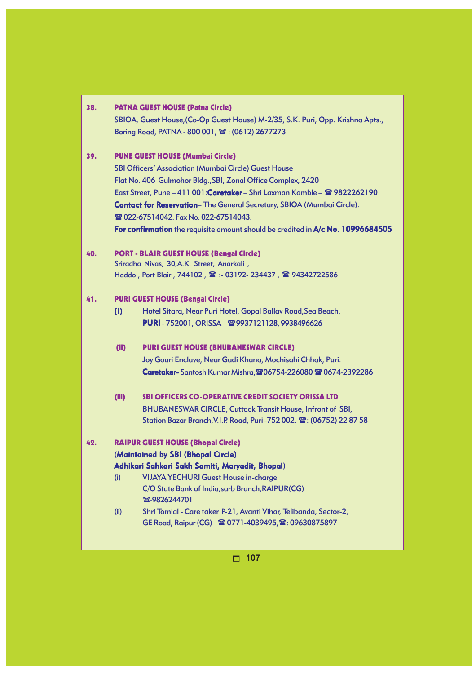| 38. | <b>PATNA GUEST HOUSE (Patna Circle)</b><br>SBIOA, Guest House, (Co-Op Guest House) M-2/35, S.K. Puri, Opp. Krishna Apts.,<br>Boring Road, PATNA - 800 001, 雪: (0612) 2677273                                                                                                                                                                                                                                                                                       |  |
|-----|--------------------------------------------------------------------------------------------------------------------------------------------------------------------------------------------------------------------------------------------------------------------------------------------------------------------------------------------------------------------------------------------------------------------------------------------------------------------|--|
| 39. | <b>PUNE GUEST HOUSE (Mumbai Circle)</b><br>SBI Officers' Association (Mumbai Circle) Guest House<br>Flat No. 406 Gulmohor Bldg., SBI, Zonal Office Complex, 2420<br>East Street, Pune - 411 001: Caretaker - Shri Laxman Kamble - 2 9822262190<br><b>Contact for Reservation-</b> The General Secretary, SBIOA (Mumbai Circle).<br><b>@ 022-67514042. Fax No. 022-67514043.</b><br>For confirmation the requisite amount should be credited in A/c No. 10996684505 |  |
| 40. | <b>PORT - BLAIR GUEST HOUSE (Bengal Circle)</b><br>Sriradha Nivas, 30, A.K. Street, Anarkali,<br>Haddo, Port Blair, 744102, 雷:- 03192-234437, 雷94342722586                                                                                                                                                                                                                                                                                                         |  |
| 41. | <b>PURI GUEST HOUSE (Bengal Circle)</b><br>(i)<br>Hotel Sitara, Near Puri Hotel, Gopal Ballav Road, Sea Beach,<br>PURI-752001, ORISSA 雷9937121128, 9938496626<br>(i)<br><b>PURI GUEST HOUSE (BHUBANESWAR CIRCLE)</b><br>Joy Gouri Enclave, Near Gadi Khana, Mochisahi Chhak, Puri.<br>Caretaker- Santosh Kumar Mishra, 206754-226080 全 0674-2392286                                                                                                                |  |
|     | (iii)<br><b>SBI OFFICERS CO-OPERATIVE CREDIT SOCIETY ORISSA LTD</b><br><b>BHUBANESWAR CIRCLE, Cuttack Transit House, Infront of SBI,</b><br>Station Bazar Branch, V.I.P. Road, Puri -752 002. 雷: (06752) 22 87 58                                                                                                                                                                                                                                                  |  |
| 42. | <b>RAIPUR GUEST HOUSE (Bhopal Circle)</b><br>(Maintained by SBI (Bhopal Circle)<br>Adhikari Sahkari Sakh Samiti, Maryadit, Bhopal)<br><b>VIJAYA YECHURI Guest House in-charge</b><br>(i)<br>C/O State Bank of India, sarb Branch, RAIPUR(CG)<br><b>雷-9826244701</b><br>Shri Tomlal - Care taker: P-21, Avanti Vihar, Telibanda, Sector-2,<br>(ii)<br>GE Road, Raipur (CG) 雷 0771-4039495, 雷: 09630875897                                                           |  |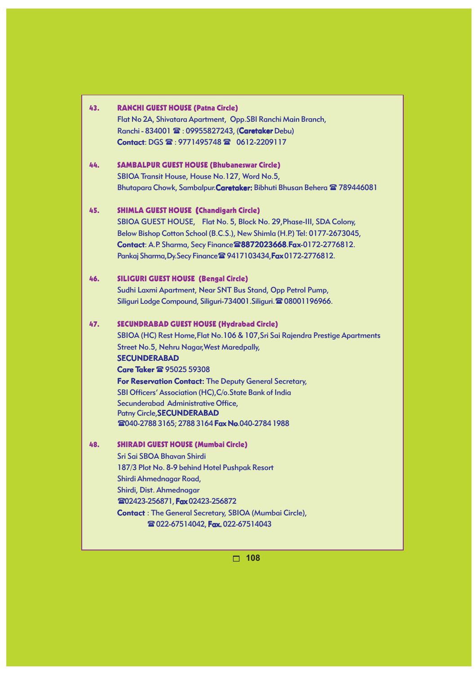| Flat No 2A, Shivatara Apartment, Opp.SBI Ranchi Main Branch,<br>Ranchi - 834001 $\mathbf{\mathcal{D}}$ : 09955827243, (Caretaker Debu)<br>Contact: DGS 雷: 9771495748 雷 0612-2209117<br><b>SAMBALPUR GUEST HOUSE (Bhubaneswar Circle)</b><br>44.<br>SBIOA Transit House, House No.127, Word No.5,<br>Bhutapara Chowk, Sambalpur. Caretaker: Bibhuti Bhusan Behera <sup>2</sup> 789446081<br><b>SHIMLA GUEST HOUSE (Chandigarh Circle)</b><br>45.<br>SBIOA GUEST HOUSE, Flat No. 5, Block No. 29, Phase-III, SDA Colony,<br>Below Bishop Cotton School (B.C.S.), New Shimla (H.P.) Tel: 0177-2673045,<br>Contact: A.P. Sharma, Secy Finance 28872023668. Fax-0172-2776812.<br>Pankaj Sharma, Dy. Secy Finance <sup>2</sup> 9417103434, Fax 0172-2776812.<br><b>SILIGURI GUEST HOUSE (Bengal Circle)</b><br>46.<br>Sudhi Laxmi Apartment, Near SNT Bus Stand, Opp Petrol Pump,<br>Siliquri Lodge Compound, Siliquri-734001. Siliquri. 2 08001196966.<br><b>SECUNDRABAD GUEST HOUSE (Hydrabad Circle)</b><br>47.<br>SBIOA (HC) Rest Home, Flat No. 106 & 107, Sri Sai Rajendra Prestige Apartments |  |
|------------------------------------------------------------------------------------------------------------------------------------------------------------------------------------------------------------------------------------------------------------------------------------------------------------------------------------------------------------------------------------------------------------------------------------------------------------------------------------------------------------------------------------------------------------------------------------------------------------------------------------------------------------------------------------------------------------------------------------------------------------------------------------------------------------------------------------------------------------------------------------------------------------------------------------------------------------------------------------------------------------------------------------------------------------------------------------------------|--|
|                                                                                                                                                                                                                                                                                                                                                                                                                                                                                                                                                                                                                                                                                                                                                                                                                                                                                                                                                                                                                                                                                                |  |
|                                                                                                                                                                                                                                                                                                                                                                                                                                                                                                                                                                                                                                                                                                                                                                                                                                                                                                                                                                                                                                                                                                |  |
|                                                                                                                                                                                                                                                                                                                                                                                                                                                                                                                                                                                                                                                                                                                                                                                                                                                                                                                                                                                                                                                                                                |  |
|                                                                                                                                                                                                                                                                                                                                                                                                                                                                                                                                                                                                                                                                                                                                                                                                                                                                                                                                                                                                                                                                                                |  |
|                                                                                                                                                                                                                                                                                                                                                                                                                                                                                                                                                                                                                                                                                                                                                                                                                                                                                                                                                                                                                                                                                                |  |
|                                                                                                                                                                                                                                                                                                                                                                                                                                                                                                                                                                                                                                                                                                                                                                                                                                                                                                                                                                                                                                                                                                |  |
|                                                                                                                                                                                                                                                                                                                                                                                                                                                                                                                                                                                                                                                                                                                                                                                                                                                                                                                                                                                                                                                                                                |  |
|                                                                                                                                                                                                                                                                                                                                                                                                                                                                                                                                                                                                                                                                                                                                                                                                                                                                                                                                                                                                                                                                                                |  |
|                                                                                                                                                                                                                                                                                                                                                                                                                                                                                                                                                                                                                                                                                                                                                                                                                                                                                                                                                                                                                                                                                                |  |
|                                                                                                                                                                                                                                                                                                                                                                                                                                                                                                                                                                                                                                                                                                                                                                                                                                                                                                                                                                                                                                                                                                |  |
|                                                                                                                                                                                                                                                                                                                                                                                                                                                                                                                                                                                                                                                                                                                                                                                                                                                                                                                                                                                                                                                                                                |  |
|                                                                                                                                                                                                                                                                                                                                                                                                                                                                                                                                                                                                                                                                                                                                                                                                                                                                                                                                                                                                                                                                                                |  |
|                                                                                                                                                                                                                                                                                                                                                                                                                                                                                                                                                                                                                                                                                                                                                                                                                                                                                                                                                                                                                                                                                                |  |
|                                                                                                                                                                                                                                                                                                                                                                                                                                                                                                                                                                                                                                                                                                                                                                                                                                                                                                                                                                                                                                                                                                |  |
|                                                                                                                                                                                                                                                                                                                                                                                                                                                                                                                                                                                                                                                                                                                                                                                                                                                                                                                                                                                                                                                                                                |  |
|                                                                                                                                                                                                                                                                                                                                                                                                                                                                                                                                                                                                                                                                                                                                                                                                                                                                                                                                                                                                                                                                                                |  |
| <b>Street No.5, Nehru Nagar, West Maredpally,</b>                                                                                                                                                                                                                                                                                                                                                                                                                                                                                                                                                                                                                                                                                                                                                                                                                                                                                                                                                                                                                                              |  |
| <b>SECUNDERABAD</b>                                                                                                                                                                                                                                                                                                                                                                                                                                                                                                                                                                                                                                                                                                                                                                                                                                                                                                                                                                                                                                                                            |  |
| Care Taker <sup>2</sup> 95025 59308                                                                                                                                                                                                                                                                                                                                                                                                                                                                                                                                                                                                                                                                                                                                                                                                                                                                                                                                                                                                                                                            |  |
| For Reservation Contact: The Deputy General Secretary,                                                                                                                                                                                                                                                                                                                                                                                                                                                                                                                                                                                                                                                                                                                                                                                                                                                                                                                                                                                                                                         |  |
| SBI Officers' Association (HC), C/o. State Bank of India                                                                                                                                                                                                                                                                                                                                                                                                                                                                                                                                                                                                                                                                                                                                                                                                                                                                                                                                                                                                                                       |  |
| Secunderabad Administrative Office,                                                                                                                                                                                                                                                                                                                                                                                                                                                                                                                                                                                                                                                                                                                                                                                                                                                                                                                                                                                                                                                            |  |
| <b>Patny Circle, SECUNDERABAD</b>                                                                                                                                                                                                                                                                                                                                                                                                                                                                                                                                                                                                                                                                                                                                                                                                                                                                                                                                                                                                                                                              |  |
| 2040-2788 3165; 2788 3164 Fax No.040-2784 1988                                                                                                                                                                                                                                                                                                                                                                                                                                                                                                                                                                                                                                                                                                                                                                                                                                                                                                                                                                                                                                                 |  |
| <b>SHIRADI GUEST HOUSE (Mumbai Circle)</b><br>48.                                                                                                                                                                                                                                                                                                                                                                                                                                                                                                                                                                                                                                                                                                                                                                                                                                                                                                                                                                                                                                              |  |
| Sri Sai SBOA Bhavan Shirdi                                                                                                                                                                                                                                                                                                                                                                                                                                                                                                                                                                                                                                                                                                                                                                                                                                                                                                                                                                                                                                                                     |  |
| 187/3 Plot No. 8-9 behind Hotel Pushpak Resort                                                                                                                                                                                                                                                                                                                                                                                                                                                                                                                                                                                                                                                                                                                                                                                                                                                                                                                                                                                                                                                 |  |
| Shirdi Ahmednagar Road,                                                                                                                                                                                                                                                                                                                                                                                                                                                                                                                                                                                                                                                                                                                                                                                                                                                                                                                                                                                                                                                                        |  |
| Shirdi, Dist. Ahmednagar                                                                                                                                                                                                                                                                                                                                                                                                                                                                                                                                                                                                                                                                                                                                                                                                                                                                                                                                                                                                                                                                       |  |
| 202423-256871, Fax 02423-256872                                                                                                                                                                                                                                                                                                                                                                                                                                                                                                                                                                                                                                                                                                                                                                                                                                                                                                                                                                                                                                                                |  |
| <b>Contact: The General Secretary, SBIOA (Mumbai Circle),</b>                                                                                                                                                                                                                                                                                                                                                                                                                                                                                                                                                                                                                                                                                                                                                                                                                                                                                                                                                                                                                                  |  |
| <b>@ 022-67514042, Fax. 022-67514043</b>                                                                                                                                                                                                                                                                                                                                                                                                                                                                                                                                                                                                                                                                                                                                                                                                                                                                                                                                                                                                                                                       |  |
|                                                                                                                                                                                                                                                                                                                                                                                                                                                                                                                                                                                                                                                                                                                                                                                                                                                                                                                                                                                                                                                                                                |  |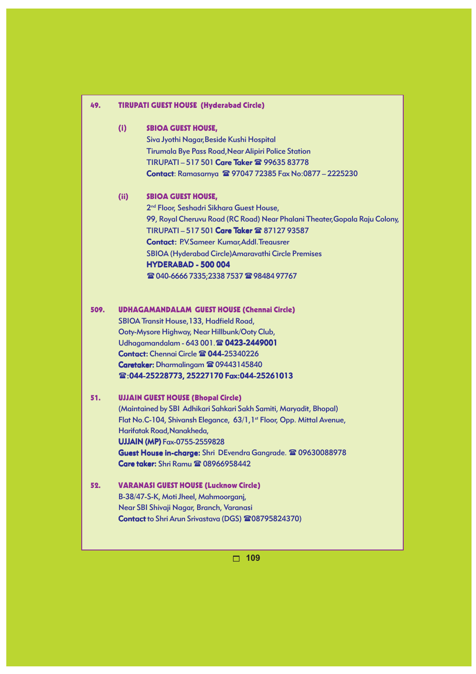# 49. TIRUPATI GUEST HOUSE (Hyderabad Circle) (i) SBIOA GUEST HOUSE, Siva Jyothi Nagar,Beside Kushi Hospital Tirumala Bye Pass Road,Near Alipiri Police Station TIRUPATI – 517 501 Care Taker <sup>2</sup> 99635 83778 Contact: Ramasarnya  $\approx$  97047 72385 Fax No:0877 - 2225230 (ii) SBIOA GUEST HOUSE, 2<sup>nd</sup> Floor, Seshadri Sikhara Guest House, 99, Royal Cheruvu Road (RC Road) Near Phalani Theater,Gopala Raju Colony, TIRUPATI - 517 501 Care Taker <sup>2</sup>87127 93587 Contact: P.V.Sameer Kumar,Addl.Treausrer SBIOA (Hyderabad Circle)Amaravathi Circle Premises HYDERABAD - 500 004 **雪 040-6666 7335;2338 7537 雪 98484 97767** 509. UDHAGAMANDALAM GUEST HOUSE (Chennai Circle) SBIOA Transit House, 133, Hadfield Road, Ooty-Mysore Highway, Near Hillbunk/Ooty Club, Udhagamandalam - 643 001.<sup>2</sup>8 0423-2449001 Contact: Chennai Circle <sup>2</sup> 044-25340226 Caretaker: Dharmalingam <sup>2</sup> 09443145840 :044-25228773, 25227170 Fax:044-25261013 51. UJJAIN GUEST HOUSE (Bhopal Circle) (Maintained by SBI Adhikari Sahkari Sakh Samiti, Maryadit, Bhopal) Flat No.C-104, Shivansh Elegance, 63/1, 1<sup>st</sup> Floor, Opp. Mittal Avenue, Harifatak Road,Nanakheda, **UJJAIN (MP) Fax-0755-2559828** Guest House in-charge: Shri DEvendra Gangrade. <sup>2</sup>09630088978 Care taker: Shri Ramu <sup>2</sup> 08966958442 52. VARANASI GUEST HOUSE (Lucknow Circle) B-38/47-S-K, Moti Jheel, Mahmoorganj, Near SBI Shivaji Nagar, Branch, Varanasi Contact to Shri Arun Srivastava (DGS) 208795824370)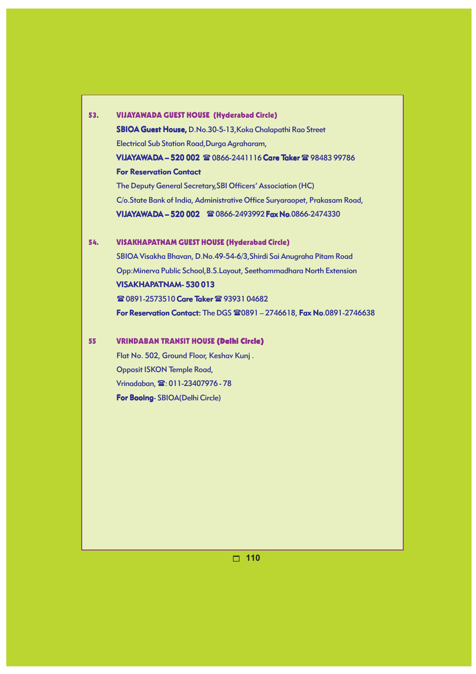| 53. | <b>VIJAYAWADA GUEST HOUSE (Hyderabad Circle)</b>                           |  |  |  |  |
|-----|----------------------------------------------------------------------------|--|--|--|--|
|     | <b>SBIOA Guest House, D.No.30-5-13, Koka Chalapathi Rao Street</b>         |  |  |  |  |
|     | Electrical Sub Station Road, Durga Agraharam,                              |  |  |  |  |
|     | VIJAYAWADA - 520 002 ☎ 0866-2441116 Care Taker ☎ 98483 99786               |  |  |  |  |
|     | <b>For Reservation Contact</b>                                             |  |  |  |  |
|     | The Deputy General Secretary, SBI Officers' Association (HC)               |  |  |  |  |
|     | C/o.State Bank of India, Administrative Office Suryaraopet, Prakasam Road, |  |  |  |  |
|     | <b>VIJAYAWADA - 520 002 &amp; 0866-2493992 Fax No.0866-2474330</b>         |  |  |  |  |
|     |                                                                            |  |  |  |  |

### 54. VISAKHAPATNAM GUEST HOUSE (Hyderabad Circle)

SBIOA Visakha Bhavan, D.No.49-54-6/3,Shirdi Sai Anugraha Pitam Road Opp:Minerva Public School,B.S.Layout, Seethammadhara North Extension VISAKHAPATNAM- 530 013 **■ 0891-2573510 Care Taker ■ 93931 04682** For Reservation Contact: The DGS  $\mathbf{\mathfrak{B}}0891 - 2746618$ , Fax No.0891-2746638

## 55 VRINDABAN TRANSIT HOUSE (Delhi Circle)

Flat No. 502, Ground Floor, Keshav Kunj . Opposit ISKON Temple Road, Vrinadaban,  $\mathbf{\mathfrak{D}:} 011 - 23407976 - 78$ For Booing- SBIOA(Delhi Circle)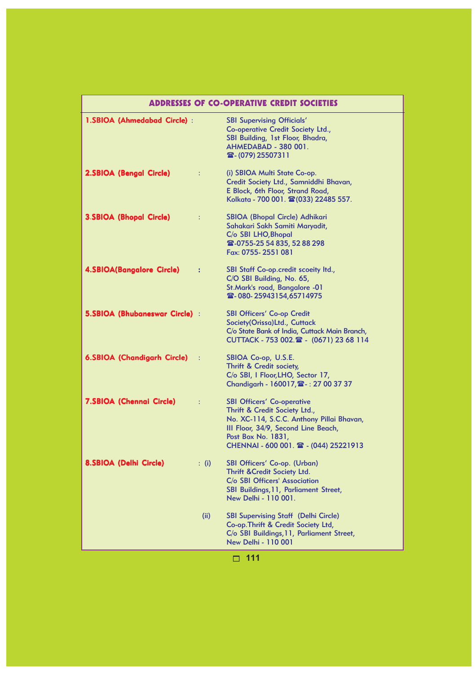| <b>ADDRESSES OF CO-OPERATIVE CREDIT SOCIETIES</b> |              |                                                                                                                                                                                                                       |  |
|---------------------------------------------------|--------------|-----------------------------------------------------------------------------------------------------------------------------------------------------------------------------------------------------------------------|--|
| 1.SBIOA (Ahmedabad Circle) :                      |              | <b>SBI Supervising Officials'</b><br>Co-operative Credit Society Ltd.,<br>SBI Building, 1st Floor, Bhadra,<br>AHMEDABAD - 380 001.<br>雷-(079) 25507311                                                                |  |
| 2.SBIOA (Bengal Circle)                           | ÷            | (i) SBIOA Multi State Co-op.<br>Credit Society Ltd., Samniddhi Bhavan,<br>E Block, 6th Floor, Strand Road,<br>Kolkata - 700 001. 雷(033) 22485 557.                                                                    |  |
| <b>3.SBIOA (Bhopal Circle)</b>                    | ÷            | SBIOA (Bhopal Circle) Adhikari<br>Sahakari Sakh Samiti Maryadit,<br>C/o SBI LHO, Bhopal<br><b>雪-0755-25 54 835, 52 88 298</b><br>Fax: 0755-2551 081                                                                   |  |
| <b>4.SBIOA(Bangalore Circle)</b>                  | ÷            | SBI Staff Co-op.credit scoeity Itd.,<br>C/O SBI Building, No. 65,<br>St.Mark's road, Bangalore -01<br><b>雪-080-25943154,65714975</b>                                                                                  |  |
| 5.SBIOA (Bhubaneswar Circle) :                    |              | <b>SBI Officers' Co-op Credit</b><br>Society(Orissa)Ltd., Cuttack<br>C/o State Bank of India, Cuttack Main Branch,<br>CUTTACK - 753 002. 2 - (0671) 23 68 114                                                         |  |
| <b>6.SBIOA (Chandigarh Circle)</b>                | - 1          | SBIOA Co-op, U.S.E.<br>Thrift & Credit society,<br>C/o SBI, I Floor, LHO, Sector 17,<br>Chandigarh - 160017, 2: 27 00 37 37                                                                                           |  |
| <b>7.SBIOA (Chennai Circle)</b>                   | ÷            | <b>SBI Officers' Co-operative</b><br>Thrift & Credit Society Ltd.,<br>No. XC-114, S.C.C. Anthony Pillai Bhavan,<br>III Floor, 34/9, Second Line Beach,<br>Post Box No. 1831,<br>CHENNAI - 600 001. 2 - (044) 25221913 |  |
| 8.SBIOA (Delhi Circle)                            | $\colon$ (i) | SBI Officers' Co-op. (Urban)<br>Thrift & Credit Society Ltd.<br>C/o SBI Officers' Association<br>SBI Buildings, 11, Parliament Street,<br>New Delhi - 110 001.                                                        |  |
|                                                   | (ii)         | <b>SBI Supervising Staff (Delhi Circle)</b><br>Co-op. Thrift & Credit Society Ltd,<br>C/o SBI Buildings, 11, Parliament Street,<br><b>New Delhi - 110 001</b>                                                         |  |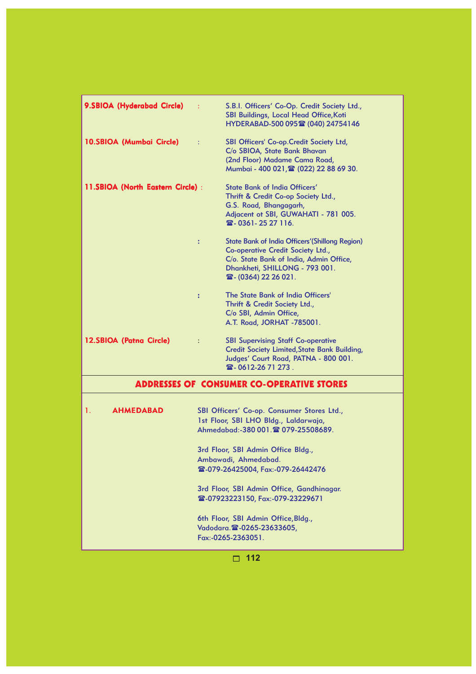| 9.SBIOA (Hyderabad Circle)        | ÷                    | S.B.I. Officers' Co-Op. Credit Society Ltd.,<br>SBI Buildings, Local Head Office, Koti<br>HYDERABAD-500 095 @ (040) 24754146                                                                                                                                                                                                                                                                                                          |
|-----------------------------------|----------------------|---------------------------------------------------------------------------------------------------------------------------------------------------------------------------------------------------------------------------------------------------------------------------------------------------------------------------------------------------------------------------------------------------------------------------------------|
| 10.SBIOA (Mumbai Circle)          | ÷                    | SBI Officers' Co-op. Credit Society Ltd,<br>C/o SBIOA, State Bank Bhavan<br>(2nd Floor) Madame Cama Road,<br>Mumbai - 400 021, 雷 (022) 22 88 69 30.                                                                                                                                                                                                                                                                                   |
| 11.SBIOA (North Eastern Circle) : |                      | <b>State Bank of India Officers'</b><br>Thrift & Credit Co-op Society Ltd.,<br>G.S. Road, Bhangagarh,<br>Adjacent ot SBI, GUWAHATI - 781 005.<br>雷- 0361-25 27 116.                                                                                                                                                                                                                                                                   |
|                                   | $\ddot{\phantom{a}}$ | <b>State Bank of India Officers' (Shillong Region)</b><br>Co-operative Credit Society Ltd.,<br>C/o. State Bank of India, Admin Office,<br>Dhankheti, SHILLONG - 793 001.<br>雷-(0364) 22 26 021.                                                                                                                                                                                                                                       |
|                                   | $\ddot{\cdot}$       | The State Bank of India Officers'<br>Thrift & Credit Society Ltd.,<br>C/o SBI, Admin Office,<br>A.T. Road, JORHAT -785001.                                                                                                                                                                                                                                                                                                            |
| 12.SBIOA (Patna Circle)           | $\ddot{\cdot}$       | <b>SBI Supervising Staff Co-operative</b><br><b>Credit Society Limited, State Bank Building,</b><br>Judges' Court Road, PATNA - 800 001.<br>雷-0612-2671273.                                                                                                                                                                                                                                                                           |
|                                   |                      | <b>ADDRESSES OF CONSUMER CO-OPERATIVE STORES</b>                                                                                                                                                                                                                                                                                                                                                                                      |
| 1.<br><b>AHMEDABAD</b>            |                      | SBI Officers' Co-op. Consumer Stores Ltd.,<br>1st Floor, SBI LHO Bldg., Laldarwaja,<br>Ahmedabad:-380 001. 20 079-25508689.<br>3rd Floor, SBI Admin Office Bldg.,<br>Ambawadi, Ahmedabad.<br><b>雪-079-26425004, Fax:-079-26442476</b><br>3rd Floor, SBI Admin Office, Gandhinagar.<br><b>雪-07923223150, Fax:-079-23229671</b><br>6th Floor, SBI Admin Office, Bldg.,<br>Vadodara. <sup>2</sup> - 0265-23633605,<br>Fax:-0265-2363051. |
|                                   |                      | 112                                                                                                                                                                                                                                                                                                                                                                                                                                   |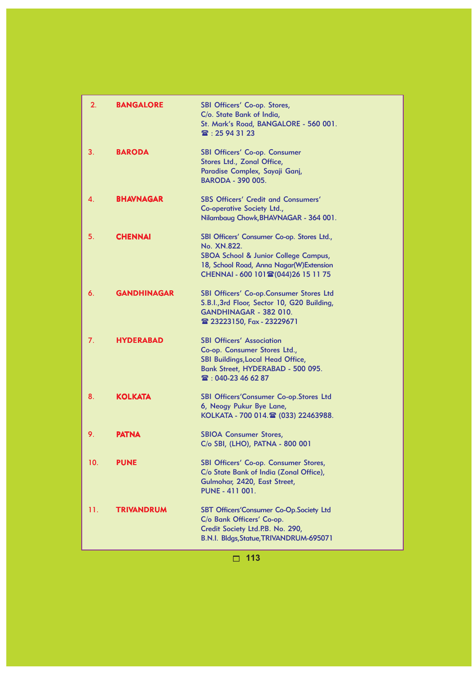| 2.  | <b>BANGALORE</b>   | <b>SBI Officers' Co-op. Stores,</b><br>C/o. State Bank of India,<br>St. Mark's Road, BANGALORE - 560 001.<br>$\mathbb{R}$ : 25 94 31 23                                                |
|-----|--------------------|----------------------------------------------------------------------------------------------------------------------------------------------------------------------------------------|
| 3.  | <b>BARODA</b>      | <b>SBI Officers' Co-op. Consumer</b><br>Stores Ltd., Zonal Office,<br>Paradise Complex, Sayaji Ganj,<br><b>BARODA - 390 005.</b>                                                       |
| 4.  | <b>BHAVNAGAR</b>   | <b>SBS Officers' Credit and Consumers'</b><br>Co-operative Society Ltd.,<br>Nilambaug Chowk, BHAVNAGAR - 364 001.                                                                      |
| 5.  | <b>CHENNAI</b>     | SBI Officers' Consumer Co-op. Stores Ltd.,<br>No. XN.822.<br>SBOA School & Junior College Campus,<br>18, School Road, Anna Nagar(W)Extension<br>CHENNAI - 600 101 26 (044) 26 15 11 75 |
| 6.  | <b>GANDHINAGAR</b> | SBI Officers' Co-op.Consumer Stores Ltd<br>S.B.I., 3rd Floor, Sector 10, G20 Building,<br>GANDHINAGAR - 382 010.<br><b>雪 23223150, Fax - 23229671</b>                                  |
| 7.  | <b>HYDERABAD</b>   | <b>SBI Officers' Association</b><br>Co-op. Consumer Stores Ltd.,<br>SBI Buildings, Local Head Office,<br>Bank Street, HYDERABAD - 500 095.<br>雷: 040-23 46 62 87                       |
| 8.  | <b>KOLKATA</b>     | SBI Officers'Consumer Co-op.Stores Ltd<br>6, Neogy Pukur Bye Lane,<br>KOLKATA - 700 014. (033) 22463988.                                                                               |
| 9.  | <b>PATNA</b>       | <b>SBIOA Consumer Stores,</b><br>C/o SBI, (LHO), PATNA - 800 001                                                                                                                       |
| 10. | <b>PUNE</b>        | SBI Officers' Co-op. Consumer Stores,<br>C/o State Bank of India (Zonal Office),<br>Gulmohar, 2420, East Street,<br><b>PUNE - 411 001.</b>                                             |
| 11. | <b>TRIVANDRUM</b>  | SBT Officers'Consumer Co-Op.Society Ltd<br>C/o Bank Officers' Co-op.<br>Credit Society Ltd.P.B. No. 290,<br>B.N.I. Bldgs, Statue, TRIVANDRUM-695071                                    |

□ 113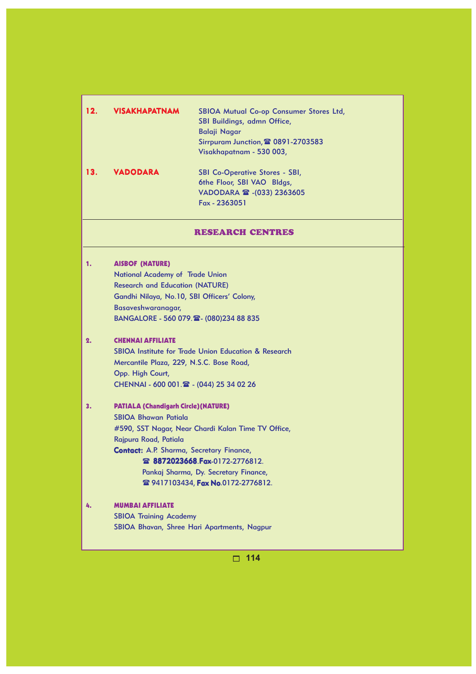| 12. | <b>VISAKHAPATNAM</b>                                                                                                                                                                                                | SBIOA Mutual Co-op Consumer Stores Ltd,<br>SBI Buildings, admn Office,<br><b>Balaji Nagar</b><br>Sirrpuram Junction, 2 0891-2703583<br>Visakhapatnam - 530 003,                  |
|-----|---------------------------------------------------------------------------------------------------------------------------------------------------------------------------------------------------------------------|----------------------------------------------------------------------------------------------------------------------------------------------------------------------------------|
| 13. | <b>VADODARA</b>                                                                                                                                                                                                     | <b>SBI Co-Operative Stores - SBI,</b><br>6the Floor, SBI VAO Bldgs,<br>VADODARA 2 - (033) 2363605<br>Fax - 2363051                                                               |
|     |                                                                                                                                                                                                                     | <b>RESEARCH CENTRES</b>                                                                                                                                                          |
| 1.  | <b>AISBOF (NATURE)</b><br>National Academy of Trade Union<br><b>Research and Education (NATURE)</b><br>Gandhi Nilaya, No.10, SBI Officers' Colony,<br>Basaveshwaranagar,<br>BANGALORE - 560 079. 2- (080)234 88 835 |                                                                                                                                                                                  |
| 2.  | <b>CHENNAI AFFILIATE</b><br>Mercantile Plaza, 229, N.S.C. Bose Road,<br>Opp. High Court,<br>CHENNAI - 600 001. 2 - (044) 25 34 02 26                                                                                | <b>SBIOA Institute for Trade Union Education &amp; Research</b>                                                                                                                  |
| 3.  | <b>PATIALA (Chandigarh Circle) (NATURE)</b><br><b>SBIOA Bhawan Patiala</b><br>Rajpura Road, Patiala<br><b>Contact:</b> A.P. Sharma, Secretary Finance,                                                              | #590, SST Nagar, Near Chardi Kalan Time TV Office,<br><b>雷 8872023668.Fax-0172-2776812.</b><br>Pankaj Sharma, Dy. Secretary Finance,<br><b>29417103434, Fax No.0172-2776812.</b> |
| 4.  | <b>MUMBAI AFFILIATE</b><br><b>SBIOA Training Academy</b>                                                                                                                                                            | SBIOA Bhavan, Shree Hari Apartments, Nagpur                                                                                                                                      |

I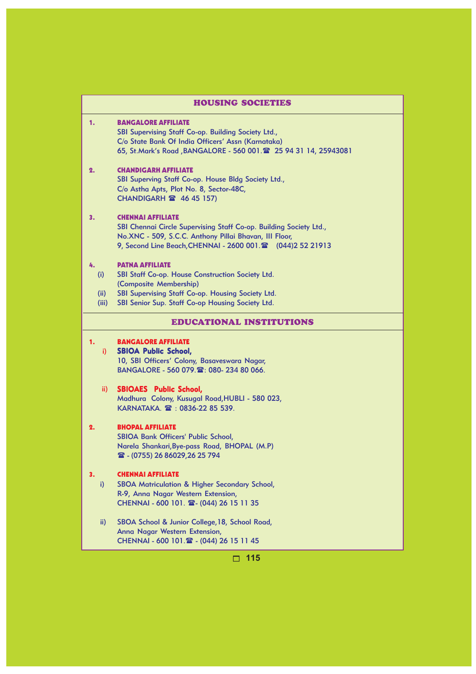|                            | <b>HOUSING SOCIETIES</b>                                                                                                                                                                                                 |
|----------------------------|--------------------------------------------------------------------------------------------------------------------------------------------------------------------------------------------------------------------------|
| 1.                         | <b>BANGALORE AFFILIATE</b><br>SBI Supervising Staff Co-op. Building Society Ltd.,<br>C/o State Bank Of India Officers' Assn (Karnataka)<br>65, St.Mark's Road, BANGALORE - 560 001. 25 94 31 14, 25943081                |
| 2.                         | <b>CHANDIGARH AFFILIATE</b><br>SBI Superving Staff Co-op. House Bldg Society Ltd.,<br>C/o Astha Apts, Plot No. 8, Sector-48C,<br><b>CHANDIGARH 2 46 45 157)</b>                                                          |
| З.                         | <b>CHENNAI AFFILIATE</b><br>SBI Chennai Circle Supervising Staff Co-op. Building Society Ltd.,<br>No.XNC - 509, S.C.C. Anthony Pillai Bhavan, III Floor,<br>9, Second Line Beach, CHENNAI - 2600 001. 2 (044) 2 52 21913 |
| 4.<br>(i)<br>(ii)<br>(iii) | <b>PATNA AFFILIATE</b><br>SBI Staff Co-op. House Construction Society Ltd.<br>(Composite Membership)<br>SBI Supervising Staff Co-op. Housing Society Ltd.<br>SBI Senior Sup. Staff Co-op Housing Society Ltd.            |
|                            | <b>EDUCATIONAL INSTITUTIONS</b>                                                                                                                                                                                          |
| 1.<br>i)                   | <b>BANGALORE AFFILIATE</b><br><b>SBIOA Public School,</b><br>10, SBI Officers' Colony, Basaveswara Nagar,<br>BANGALORE - 560 079. 雪: 080-234 80 066.                                                                     |
| ii)                        | <b>SBIOAES</b> Public School,<br>Madhura Colony, Kusugal Road, HUBLI - 580 023,<br>KARNATAKA. 2 : 0836-22 85 539.                                                                                                        |
| 2.                         | <b>BHOPAL AFFILIATE</b><br><b>SBIOA Bank Officers' Public School,</b><br>Narela Shankari, Bye-pass Road, BHOPAL (M.P)<br>雷 - (0755) 26 86029,26 25 794                                                                   |
| 3.<br>i)                   | <b>CHENNAI AFFILIATE</b><br>SBOA Matriculation & Higher Secondary School,<br>R-9, Anna Nagar Western Extension,<br>CHENNAI - 600 101. 2-(044) 26 15 11 35                                                                |
| ii)                        | SBOA School & Junior College, 18, School Road,<br>Anna Nagar Western Extension,<br>CHENNAI - 600 101. 2 - (044) 26 15 11 45                                                                                              |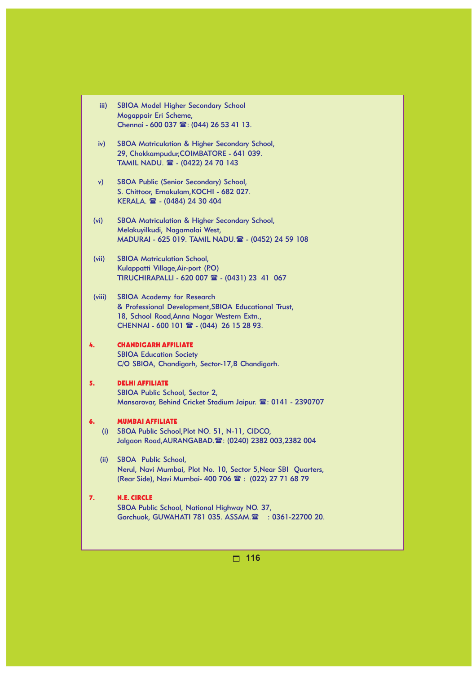|               | Mogappair Eri Scheme,                                    |
|---------------|----------------------------------------------------------|
|               | Chennai - 600 037 雷: (044) 26 53 41 13.                  |
| iv)           | <b>SBOA Matriculation &amp; Higher Secondary School,</b> |
|               | 29, Chokkampudur, COIMBATORE - 641 039.                  |
|               | TAMIL NADU. 2 - (0422) 24 70 143                         |
| $\mathsf{v})$ | SBOA Public (Senior Secondary) School,                   |
|               | S. Chittoor, Ernakulam, KOCHI - 682 027.                 |
|               | KERALA. 2 - (0484) 24 30 404                             |
| (vi)          | SBOA Matriculation & Higher Secondary School,            |
|               | Melakuyilkudi, Nagamalai West,                           |
|               | MADURAI - 625 019. TAMIL NADU. 2 - (0452) 24 59 108      |
| (vii)         | <b>SBIOA Matriculation School,</b>                       |
|               | Kulappatti Village, Air-port (P.O)                       |
|               | TIRUCHIRAPALLI - 620 007 $\mathbb{R}$ - (0431) 23 41 067 |
| (viii)        | <b>SBIOA Academy for Research</b>                        |
|               | 8. Depressional Dovelopment CRIOA Educational Trust      |

iii) SBIOA Model Higher Secondary School

& Professional Development,SBIOA Educational Trust, 18, School Road,Anna Nagar Western Extn., CHENNAI - 600 101  $\text{m}$  - (044) 26 15 28 93.

#### 4. CHANDIGARH AFFILIATE SBIOA Education Society C/O SBIOA, Chandigarh, Sector-17,B Chandigarh.

#### 5. DELHI AFFILIATE SBIOA Public School, Sector 2, Mansarovar, Behind Cricket Stadium Jaipur.  $\mathbf{\mathfrak{B}}$ : 0141 - 2390707

#### 6. MUMBAI AFFILIATE

- (i) SBOA Public School,Plot NO. 51, N-11, CIDCO, Jalgaon Road, AURANGABAD. 2: (0240) 2382 003, 2382 004
- (ii) SBOA Public School, Nerul, Navi Mumbai, Plot No. 10, Sector 5,Near SBI Quarters, (Rear Side), Navi Mumbai- 400 706  $\hat{m}$  : (022) 27 71 68 79

#### 7. N.E. CIRCLE SBOA Public School, National Highway NO. 37, Gorchuok, GUWAHATI 781 035. ASSAM.<sup>2</sup> : 0361-22700 20.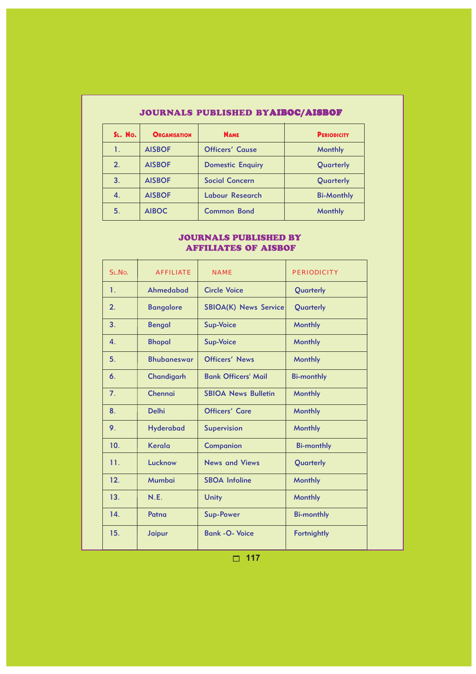## JOURNALS PUBLISHED BYAIBOC/AISBOF

| SL. No. | <b>ORGANISATION</b> | <b>NAME</b>             | <b>PERIODICITY</b> |
|---------|---------------------|-------------------------|--------------------|
| 1.      | <b>AISBOF</b>       | <b>Officers' Cause</b>  | <b>Monthly</b>     |
| 2.      | <b>AISBOF</b>       | <b>Domestic Enquiry</b> | Quarterly          |
| 3.      | <b>AISBOF</b>       | <b>Social Concern</b>   | Quarterly          |
| 4.      | <b>AISBOF</b>       | Labour Research         | <b>Bi-Monthly</b>  |
| 5.      | <b>AIBOC</b>        | <b>Common Bond</b>      | <b>Monthly</b>     |

### JOURNALS PUBLISHED BY AFFILIATES OF AISBOF

| SLNo.          | <b>AFFILIATE</b>   | <b>NAME</b>                  | <b>PERIODICITY</b> |
|----------------|--------------------|------------------------------|--------------------|
| 1.             | Ahmedabad          | <b>Circle Voice</b>          | Quarterly          |
| 2.             | <b>Bangalore</b>   | <b>SBIOA(K) News Service</b> | Quarterly          |
| 3.             | <b>Bengal</b>      | <b>Sup-Voice</b>             | <b>Monthly</b>     |
| $\mathbf{4}$   | <b>Bhopal</b>      | <b>Sup-Voice</b>             | <b>Monthly</b>     |
| 5.             | <b>Bhubaneswar</b> | <b>Officers' News</b>        | <b>Monthly</b>     |
| 6.             | Chandigarh         | <b>Bank Officers' Mail</b>   | <b>Bi-monthly</b>  |
| 7 <sub>1</sub> | Chennai            | <b>SBIOA News Bulletin</b>   | <b>Monthly</b>     |
| 8.             | <b>Delhi</b>       | <b>Officers' Care</b>        | <b>Monthly</b>     |
| 9.             | <b>Hyderabad</b>   | <b>Supervision</b>           | <b>Monthly</b>     |
| 10.            | Kerala             | Companion                    | <b>Bi-monthly</b>  |
| 11.            | Lucknow            | <b>News and Views</b>        | Quarterly          |
| 12.            | Mumbai             | <b>SBOA Infoline</b>         | <b>Monthly</b>     |
| 13.            | N.E.               | Unity                        | <b>Monthly</b>     |
| 14.            | Patna              | <b>Sup-Power</b>             | <b>Bi-monthly</b>  |
| 15.            | <b>Jaipur</b>      | <b>Bank - O- Voice</b>       | <b>Fortnightly</b> |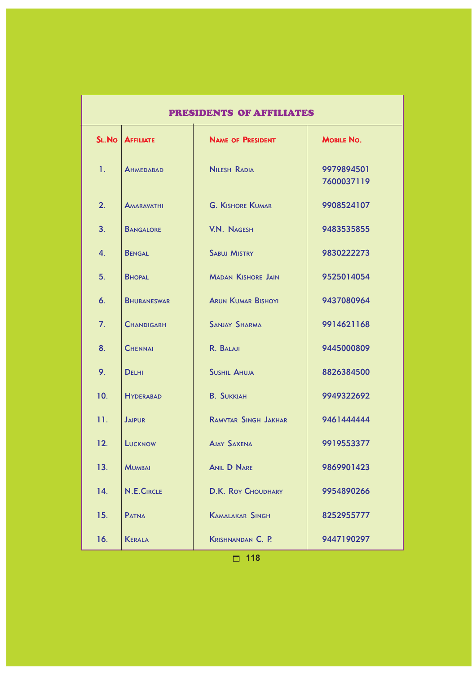| <b>PRESIDENTS OF AFFILIATES</b> |                    |                             |                          |  |  |
|---------------------------------|--------------------|-----------------------------|--------------------------|--|--|
| SL.No                           | <b>AFFILIATE</b>   | <b>NAME OF PRESIDENT</b>    | MOBILE NO.               |  |  |
| 1.                              | <b>AHMEDABAD</b>   | <b>NILESH RADIA</b>         | 9979894501<br>7600037119 |  |  |
| 2.                              | <b>AMARAVATHI</b>  | <b>G. KISHORE KUMAR</b>     | 9908524107               |  |  |
| 3.                              | <b>BANGALORE</b>   | <b>V.N. NAGESH</b>          | 9483535855               |  |  |
| $\mathbf{4}$ .                  | <b>BENGAL</b>      | <b>SABUJ MISTRY</b>         | 9830222273               |  |  |
| 5.                              | <b>BHOPAL</b>      | <b>MADAN KISHORE JAIN</b>   | 9525014054               |  |  |
| 6.                              | <b>BHUBANESWAR</b> | <b>ARUN KUMAR BISHOYI</b>   | 9437080964               |  |  |
| 7.                              | <b>CHANDIGARH</b>  | <b>SANJAY SHARMA</b>        | 9914621168               |  |  |
| 8.                              | <b>CHENNAI</b>     | R. BALAJI                   | 9445000809               |  |  |
| 9.                              | <b>DELHI</b>       | <b>SUSHIL AHUJA</b>         | 8826384500               |  |  |
| 10 <sub>1</sub>                 | <b>HYDERABAD</b>   | <b>B. SUKKIAH</b>           | 9949322692               |  |  |
| 11.                             | <b>JAIPUR</b>      | <b>RAMVTAR SINGH JAKHAR</b> | 9461444444               |  |  |
| 12.                             | <b>LUCKNOW</b>     | <b>AJAY SAXENA</b>          | 9919553377               |  |  |
| 13.                             | <b>MUMBAI</b>      | <b>ANIL D NARE</b>          | 9869901423               |  |  |
| 14.                             | <b>N.E.CIRCLE</b>  | <b>D.K. ROY CHOUDHARY</b>   | 9954890266               |  |  |
| 15.                             | <b>PATNA</b>       | <b>KAMALAKAR SINGH</b>      | 8252955777               |  |  |
| 16.                             | <b>KERALA</b>      | <b>KRISHNANDAN C. P.</b>    | 9447190297               |  |  |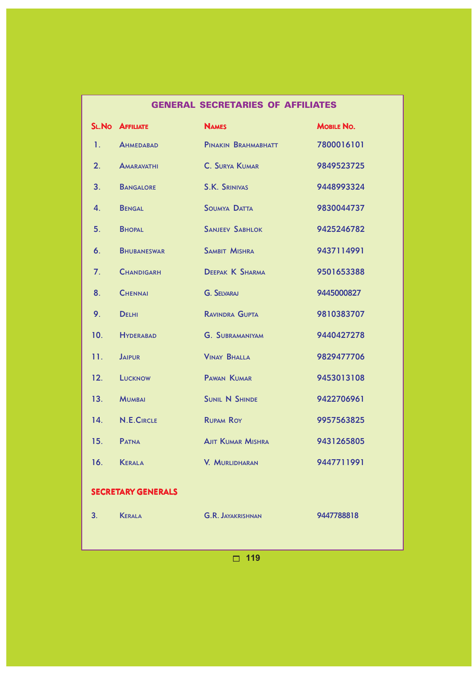|                           |                         | <b>GENERAL SECRETARIES OF AFFILIATES</b> |                   |  |
|---------------------------|-------------------------|------------------------------------------|-------------------|--|
|                           | <b>SL. NO AFFILIATE</b> | <b>NAMES</b>                             | <b>MOBILE NO.</b> |  |
| 1.                        | <b>AHMEDABAD</b>        | PINAKIN BRAHMABHATT                      | 7800016101        |  |
| 2.                        | <b>AMARAVATHI</b>       | C. SURYA KUMAR                           | 9849523725        |  |
| 3.                        | <b>BANGALORE</b>        | <b>S.K. SRINIVAS</b>                     | 9448993324        |  |
| 4.                        | <b>BENGAL</b>           | <b>SOUMYA DATTA</b>                      | 9830044737        |  |
| 5.                        | <b>BHOPAL</b>           | <b>SANJEEV SABHLOK</b>                   | 9425246782        |  |
| 6.                        | <b>BHUBANESWAR</b>      | <b>SAMBIT MISHRA</b>                     | 9437114991        |  |
| 7.                        | <b>CHANDIGARH</b>       | <b>DEEPAK K SHARMA</b>                   | 9501653388        |  |
| 8.                        | <b>CHENNAI</b>          | <b>G. SELVARAJ</b>                       | 9445000827        |  |
| 9.                        | <b>DELHI</b>            | <b>RAVINDRA GUPTA</b>                    | 9810383707        |  |
| 10.                       | <b>HYDERABAD</b>        | <b>G. SUBRAMANIYAM</b>                   | 9440427278        |  |
| 11.                       | <b>JAIPUR</b>           | <b>VINAY BHALLA</b>                      | 9829477706        |  |
| 12.                       | LUCKNOW                 | PAWAN KUMAR                              | 9453013108        |  |
| 13.                       | <b>MUMBAI</b>           | <b>SUNIL N SHINDE</b>                    | 9422706961        |  |
| 14.                       | N.E.CIRCLE              | <b>RUPAM ROY</b>                         | 9957563825        |  |
| 15.                       | <b>PATNA</b>            | <b>AJIT KUMAR MISHRA</b>                 | 9431265805        |  |
| 16.                       | <b>KERALA</b>           | V. MURLIDHARAN                           | 9447711991        |  |
| <b>SECRETARY GENERALS</b> |                         |                                          |                   |  |
|                           |                         |                                          |                   |  |
| 3.                        | <b>KERALA</b>           | <b>G.R. JAYAKRISHNAN</b>                 | 9447788818        |  |
|                           |                         |                                          |                   |  |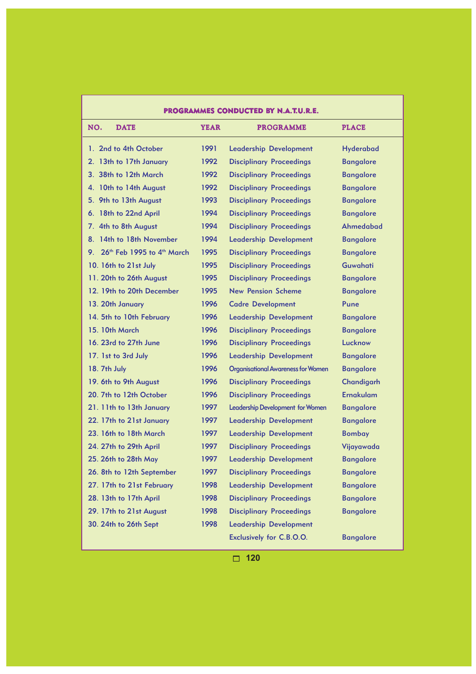| PROGRAMMES CONDUCTED BY N.A.T.U.R.E.                  |             |                                           |                  |  |
|-------------------------------------------------------|-------------|-------------------------------------------|------------------|--|
| NO.<br><b>DATE</b>                                    | <b>YEAR</b> | <b>PROGRAMME</b>                          | <b>PLACE</b>     |  |
| 1. 2nd to 4th October                                 | 1991        | <b>Leadership Development</b>             | <b>Hyderabad</b> |  |
| 2. 13th to 17th January                               | 1992        | <b>Disciplinary Proceedings</b>           | <b>Bangalore</b> |  |
| 3. 38th to 12th March                                 | 1992        | <b>Disciplinary Proceedings</b>           | <b>Bangalore</b> |  |
| 4. 10th to 14th August                                | 1992        | <b>Disciplinary Proceedings</b>           | <b>Bangalore</b> |  |
| 5. 9th to 13th August                                 | 1993        | <b>Disciplinary Proceedings</b>           | <b>Bangalore</b> |  |
| 6. 18th to 22nd April                                 | 1994        | <b>Disciplinary Proceedings</b>           | <b>Bangalore</b> |  |
| 7. 4th to 8th August                                  | 1994        | <b>Disciplinary Proceedings</b>           | Ahmedabad        |  |
| 8. 14th to 18th November                              | 1994        | <b>Leadership Development</b>             | <b>Bangalore</b> |  |
| 9. 26 <sup>th</sup> Feb 1995 to 4 <sup>th</sup> March | 1995        | <b>Disciplinary Proceedings</b>           | <b>Bangalore</b> |  |
| 10. 16th to 21st July                                 | 1995        | <b>Disciplinary Proceedings</b>           | <b>Guwahati</b>  |  |
| 11. 20th to 26th August                               | 1995        | <b>Disciplinary Proceedings</b>           | <b>Bangalore</b> |  |
| 12. 19th to 20th December                             | 1995        | <b>New Pension Scheme</b>                 | <b>Bangalore</b> |  |
| 13. 20th January                                      | 1996        | <b>Cadre Development</b>                  | Pune             |  |
| 14. 5th to 10th February                              | 1996        | <b>Leadership Development</b>             | <b>Bangalore</b> |  |
| 15. 10th March                                        | 1996        | <b>Disciplinary Proceedings</b>           | <b>Bangalore</b> |  |
| 16. 23rd to 27th June                                 | 1996        | <b>Disciplinary Proceedings</b>           | Lucknow          |  |
| 17. 1st to 3rd July                                   | 1996        | <b>Leadership Development</b>             | <b>Bangalore</b> |  |
| 18. 7th July                                          | 1996        | <b>Organisational Awareness for Women</b> | <b>Bangalore</b> |  |
| 19. 6th to 9th August                                 | 1996        | <b>Disciplinary Proceedings</b>           | Chandigarh       |  |
| 20. 7th to 12th October                               | 1996        | <b>Disciplinary Proceedings</b>           | <b>Ernakulam</b> |  |
| 21. 11th to 13th January                              | 1997        | Leadership Development for Women          | <b>Bangalore</b> |  |
| 22. 17th to 21st January                              | 1997        | <b>Leadership Development</b>             | <b>Bangalore</b> |  |
| 23. 16th to 18th March                                | 1997        | <b>Leadership Development</b>             | <b>Bombay</b>    |  |
| 24. 27th to 29th April                                | 1997        | <b>Disciplinary Proceedings</b>           | Vijayawada       |  |
| 25. 26th to 28th May                                  | 1997        | <b>Leadership Development</b>             | <b>Bangalore</b> |  |
| 26. 8th to 12th September                             | 1997        | <b>Disciplinary Proceedings</b>           | <b>Bangalore</b> |  |
| 27. 17th to 21st February                             | 1998        | <b>Leadership Development</b>             | <b>Bangalore</b> |  |
| 28. 13th to 17th April                                | 1998        | <b>Disciplinary Proceedings</b>           | <b>Bangalore</b> |  |
| 29. 17th to 21st August                               | 1998        | <b>Disciplinary Proceedings</b>           | <b>Bangalore</b> |  |
| 30. 24th to 26th Sept                                 | 1998        | <b>Leadership Development</b>             |                  |  |
|                                                       |             | Exclusively for C.B.O.O.                  | <b>Bangalore</b> |  |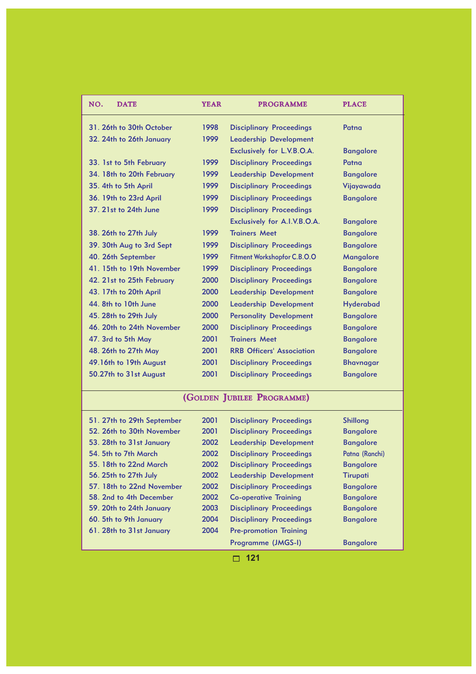| NO.<br><b>DATE</b>        | <b>YEAR</b> | <b>PROGRAMME</b>                   | <b>PLACE</b>     |
|---------------------------|-------------|------------------------------------|------------------|
| 31. 26th to 30th October  | 1998        | <b>Disciplinary Proceedings</b>    | Patna            |
| 32. 24th to 26th January  | 1999        | <b>Leadership Development</b>      |                  |
|                           |             | Exclusively for L.V.B.O.A.         | <b>Bangalore</b> |
| 33. 1st to 5th February   | 1999        | <b>Disciplinary Proceedings</b>    | Patna            |
| 34. 18th to 20th February | 1999        | <b>Leadership Development</b>      | <b>Bangalore</b> |
| 35. 4th to 5th April      | 1999        | <b>Disciplinary Proceedings</b>    | Vijayawada       |
| 36. 19th to 23rd April    | 1999        | <b>Disciplinary Proceedings</b>    | <b>Bangalore</b> |
| 37. 21st to 24th June     | 1999        | <b>Disciplinary Proceedings</b>    |                  |
|                           |             | Exclusively for A.I.V.B.O.A.       | <b>Bangalore</b> |
| 38. 26th to 27th July     | 1999        | <b>Trainers Meet</b>               | <b>Bangalore</b> |
| 39. 30th Aug to 3rd Sept  | 1999        | <b>Disciplinary Proceedings</b>    | <b>Bangalore</b> |
| 40. 26th September        | 1999        | <b>Fitment Workshopfor C.B.O.O</b> | Mangalore        |
| 41. 15th to 19th November | 1999        | <b>Disciplinary Proceedings</b>    | <b>Bangalore</b> |
| 42. 21st to 25th February | 2000        | <b>Disciplinary Proceedings</b>    | <b>Bangalore</b> |
| 43. 17th to 20th April    | 2000        | <b>Leadership Development</b>      | <b>Bangalore</b> |
| 44. 8th to 10th June      | 2000        | <b>Leadership Development</b>      | <b>Hyderabad</b> |
| 45. 28th to 29th July     | 2000        | <b>Personality Development</b>     | <b>Bangalore</b> |
| 46. 20th to 24th November | 2000        | <b>Disciplinary Proceedings</b>    | <b>Bangalore</b> |
| 47. 3rd to 5th May        | 2001        | <b>Trainers Meet</b>               | <b>Bangalore</b> |
| 48. 26th to 27th May      | 2001        | <b>RRB Officers' Association</b>   | <b>Bangalore</b> |
| 49.16th to 19th August    | 2001        | <b>Disciplinary Proceedings</b>    | <b>Bhavnagar</b> |
| 50.27th to 31st August    | 2001        | <b>Disciplinary Proceedings</b>    | <b>Bangalore</b> |

# (GOLDEN JUBILEE PROGRAMME)

| 51. 27th to 29th September | 2001 | <b>Disciplinary Proceedings</b> | <b>Shillong</b>  |
|----------------------------|------|---------------------------------|------------------|
| 52. 26th to 30th November  | 2001 | <b>Disciplinary Proceedings</b> | <b>Bangalore</b> |
| 53. 28th to 31st January   | 2002 | <b>Leadership Development</b>   | <b>Bangalore</b> |
| 54. 5th to 7th March       | 2002 | <b>Disciplinary Proceedings</b> | Patna (Ranchi)   |
| 55. 18th to 22nd March     | 2002 | <b>Disciplinary Proceedings</b> | <b>Bangalore</b> |
| 56. 25th to 27th July      | 2002 | <b>Leadership Development</b>   | <b>Tirupati</b>  |
| 57. 18th to 22nd November  | 2002 | <b>Disciplinary Proceedings</b> | <b>Bangalore</b> |
| 58. 2nd to 4th December    | 2002 | <b>Co-operative Training</b>    | <b>Bangalore</b> |
| 59. 20th to 24th January   | 2003 | <b>Disciplinary Proceedings</b> | <b>Bangalore</b> |
| 60. 5th to 9th January     | 2004 | <b>Disciplinary Proceedings</b> | <b>Bangalore</b> |
| 61. 28th to 31st January   | 2004 | <b>Pre-promotion Training</b>   |                  |
|                            |      | Programme (JMGS-I)              | <b>Bangalore</b> |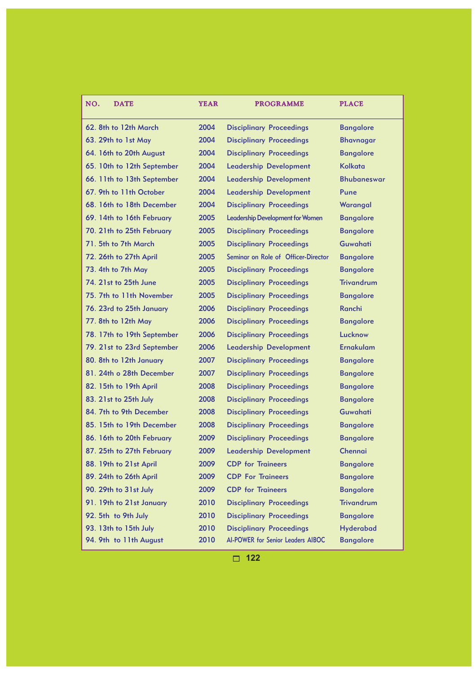| <b>DATE</b><br>NO.         | <b>YEAR</b> | <b>PROGRAMME</b>                        | <b>PLACE</b>       |
|----------------------------|-------------|-----------------------------------------|--------------------|
| 62. 8th to 12th March      | 2004        | <b>Disciplinary Proceedings</b>         | <b>Bangalore</b>   |
| 63. 29th to 1st May        | 2004        | <b>Disciplinary Proceedings</b>         | <b>Bhavnagar</b>   |
| 64. 16th to 20th August    | 2004        | <b>Disciplinary Proceedings</b>         | <b>Bangalore</b>   |
| 65. 10th to 12th September | 2004        | <b>Leadership Development</b>           | <b>Kolkata</b>     |
| 66. 11th to 13th September | 2004        | <b>Leadership Development</b>           | <b>Bhubaneswar</b> |
| 67. 9th to 11th October    | 2004        | <b>Leadership Development</b>           | Pune               |
| 68. 16th to 18th December  | 2004        | <b>Disciplinary Proceedings</b>         | Warangal           |
| 69. 14th to 16th February  | 2005        | <b>Leadership Development for Women</b> | <b>Bangalore</b>   |
| 70. 21th to 25th February  | 2005        | <b>Disciplinary Proceedings</b>         | <b>Bangalore</b>   |
| 71. 5th to 7th March       | 2005        | <b>Disciplinary Proceedings</b>         | <b>Guwahati</b>    |
| 72. 26th to 27th April     | 2005        | Seminar on Role of Officer-Director     | <b>Bangalore</b>   |
| 73. 4th to 7th May         | 2005        | <b>Disciplinary Proceedings</b>         | <b>Bangalore</b>   |
| 74. 21st to 25th June      | 2005        | <b>Disciplinary Proceedings</b>         | <b>Trivandrum</b>  |
| 75. 7th to 11th November   | 2005        | <b>Disciplinary Proceedings</b>         | <b>Bangalore</b>   |
| 76. 23rd to 25th January   | 2006        | <b>Disciplinary Proceedings</b>         | Ranchi             |
| 77. 8th to 12th May        | 2006        | <b>Disciplinary Proceedings</b>         | <b>Bangalore</b>   |
| 78. 17th to 19th September | 2006        | <b>Disciplinary Proceedings</b>         | Lucknow            |
| 79. 21st to 23rd September | 2006        | <b>Leadership Development</b>           | <b>Ernakulam</b>   |
| 80. 8th to 12th January    | 2007        | <b>Disciplinary Proceedings</b>         | <b>Bangalore</b>   |
| 81. 24th o 28th December   | 2007        | <b>Disciplinary Proceedings</b>         | <b>Bangalore</b>   |
| 82. 15th to 19th April     | 2008        | <b>Disciplinary Proceedings</b>         | <b>Bangalore</b>   |
| 83. 21st to 25th July      | 2008        | <b>Disciplinary Proceedings</b>         | <b>Bangalore</b>   |
| 84. 7th to 9th December    | 2008        | <b>Disciplinary Proceedings</b>         | <b>Guwahati</b>    |
| 85. 15th to 19th December  | 2008        | <b>Disciplinary Proceedings</b>         | <b>Bangalore</b>   |
| 86. 16th to 20th February  | 2009        | <b>Disciplinary Proceedings</b>         | <b>Bangalore</b>   |
| 87. 25th to 27th February  | 2009        | <b>Leadership Development</b>           | Chennai            |
| 88. 19th to 21st April     | 2009        | <b>CDP</b> for Traineers                | <b>Bangalore</b>   |
| 89. 24th to 26th April     | 2009        | <b>CDP For Traineers</b>                | <b>Bangalore</b>   |
| 90. 29th to 31st July      | 2009        | <b>CDP</b> for Traineers                | <b>Bangalore</b>   |
| 91. 19th to 21st January   | 2010        | <b>Disciplinary Proceedings</b>         | <b>Trivandrum</b>  |
| 92. 5th to 9th July        | 2010        | <b>Disciplinary Proceedings</b>         | <b>Bangalore</b>   |
| 93. 13th to 15th July      | 2010        | <b>Disciplinary Proceedings</b>         | <b>Hyderabad</b>   |
| 94. 9th to 11th August     | 2010        | AI-POWER for Senior Leaders AIBOC       | <b>Bangalore</b>   |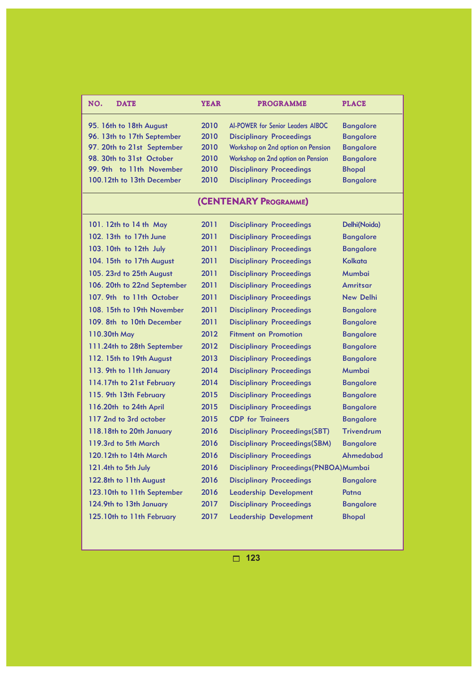| NO.<br><b>DATE</b>          | <b>YEAR</b> | <b>PROGRAMME</b>                  | <b>PLACE</b>     |  |
|-----------------------------|-------------|-----------------------------------|------------------|--|
| 95. 16th to 18th August     | 2010        | AI-POWER for Senior Leaders AIBOC | <b>Bangalore</b> |  |
| 96. 13th to 17th September  | 2010        | <b>Disciplinary Proceedings</b>   | <b>Bangalore</b> |  |
| 97. 20th to 21st September  | 2010        | Workshop on 2nd option on Pension | <b>Bangalore</b> |  |
| 98. 30th to 31st October    | 2010        | Workshop on 2nd option on Pension | <b>Bangalore</b> |  |
| 99. 9th to 11th November    | 2010        | <b>Disciplinary Proceedings</b>   | <b>Bhopal</b>    |  |
| 100.12th to 13th December   | 2010        | <b>Disciplinary Proceedings</b>   | <b>Bangalore</b> |  |
| (CENTENARY PROGRAMME)       |             |                                   |                  |  |
| 101. 12th to 14 th May      | 2011        | <b>Disciplinary Proceedings</b>   | Delhi(Noida)     |  |
| 102. 13th to 17th June      | 2011        | <b>Disciplinary Proceedings</b>   | <b>Bangalore</b> |  |
| 103. 10th to 12th July      | 2011        | <b>Disciplinary Proceedings</b>   | <b>Bangalore</b> |  |
| 104. 15th to 17th August    | 2011        | <b>Disciplinary Proceedings</b>   | <b>Kolkata</b>   |  |
| 105. 23rd to 25th August    | 2011        | <b>Disciplinary Proceedings</b>   | <b>Mumbai</b>    |  |
| 106. 20th to 22nd September | 2011        | <b>Disciplinary Proceedings</b>   | <b>Amritsar</b>  |  |
| 107. 9th to 11th October    | 2011        | <b>Disciplinary Proceedings</b>   | <b>New Delhi</b> |  |
| 108. 15th to 19th November  | 2011        | <b>Disciplinary Proceedings</b>   | <b>Bangalore</b> |  |
| 109. 8th to 10th December   | 2011        | <b>Disciplinary Proceedings</b>   | <b>Bangalore</b> |  |
| 110.30th May                | 2012        | <b>Fitment on Promotion</b>       | <b>Bangalore</b> |  |
| 111.24th to 28th September  | 2012        | <b>Disciplinary Proceedings</b>   | <b>Bangalore</b> |  |
| 112. 15th to 19th August    | 2013        | <b>Disciplinary Proceedings</b>   | <b>Bangalore</b> |  |
| 113. 9th to 11th January    | 2014        | <b>Disciplinary Proceedings</b>   | <b>Mumbai</b>    |  |
| 114.17th to 21st February   | 2014        | <b>Disciplinary Proceedings</b>   | <b>Bangalore</b> |  |
| 115. 9th 13th February      | 2015        | <b>Disciplinary Proceedings</b>   | <b>Bangalore</b> |  |
| 116.20th to 24th April      | 2015        | <b>Disciplinary Proceedings</b>   | <b>Bangalore</b> |  |

117 2nd to 3rd october 2015 CDP for Traineers Bangalore 118.18th to 20th January 2016 Disciplinary Proceedings(SBT) Trivendrum 119.3rd to 5th March 2016 Disciplinary Proceedings(SBM) Bangalore 120.12th to 14th March 2016 Disciplinary Proceedings Ahmedabad 121.4th to 5th July 2016 Disciplinary Proceedings(PNBOA)Mumbai 122.8th to 11th August 2016 Disciplinary Proceedings Bangalore 123.10th to 11th September 2016 Leadership Development Patna 124.9th to 13th January 2017 Disciplinary Proceedings Bangalore 125.10th to 11th February 2017 Leadership Development Bhopal